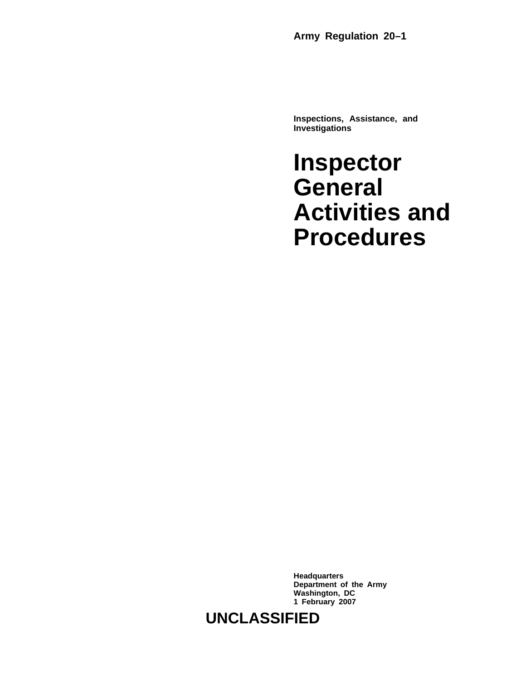**Army Regulation 20–1**

**Inspections, Assistance, and Investigations**

**Inspector General Activities and Procedures**

**Headquarters Department of the Army Washington, DC 1 February 2007**

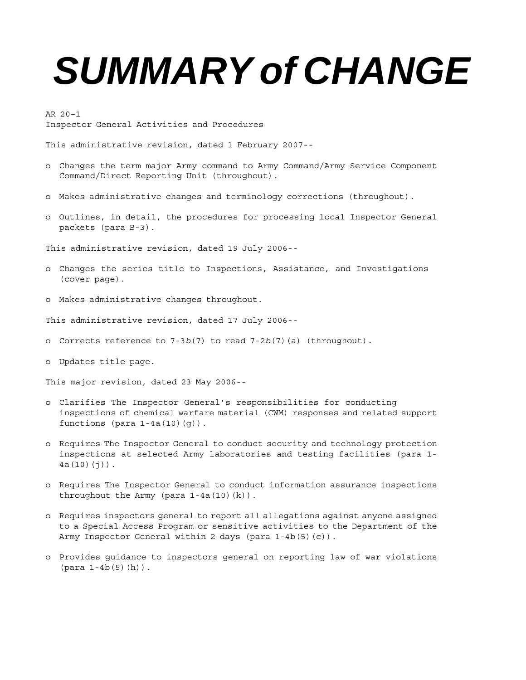# *SUMMARY of CHANGE*

AR 20–1 Inspector General Activities and Procedures

This administrative revision, dated 1 February 2007--

- o Changes the term major Army command to Army Command/Army Service Component Command/Direct Reporting Unit (throughout).
- o Makes administrative changes and terminology corrections (throughout).
- o Outlines, in detail, the procedures for processing local Inspector General packets (para B-3).

This administrative revision, dated 19 July 2006--

- o Changes the series title to Inspections, Assistance, and Investigations (cover page).
- o Makes administrative changes throughout.

This administrative revision, dated 17 July 2006--

- o Corrects reference to 7-3*b*(7) to read 7-2*b*(7)(a) (throughout).
- o Updates title page.

This major revision, dated 23 May 2006--

- o Clarifies The Inspector General's responsibilities for conducting inspections of chemical warfare material (CWM) responses and related support functions (para  $1-4a(10)(q)$ ).
- o Requires The Inspector General to conduct security and technology protection inspections at selected Army laboratories and testing facilities (para 1-  $4a(10)(i)$ ).
- o Requires The Inspector General to conduct information assurance inspections throughout the Army (para  $1-4a(10)(k)$ ).
- o Requires inspectors general to report all allegations against anyone assigned to a Special Access Program or sensitive activities to the Department of the Army Inspector General within 2 days (para 1-4b(5)(c)).
- o Provides guidance to inspectors general on reporting law of war violations  $(para 1-4b(5)(h))$ .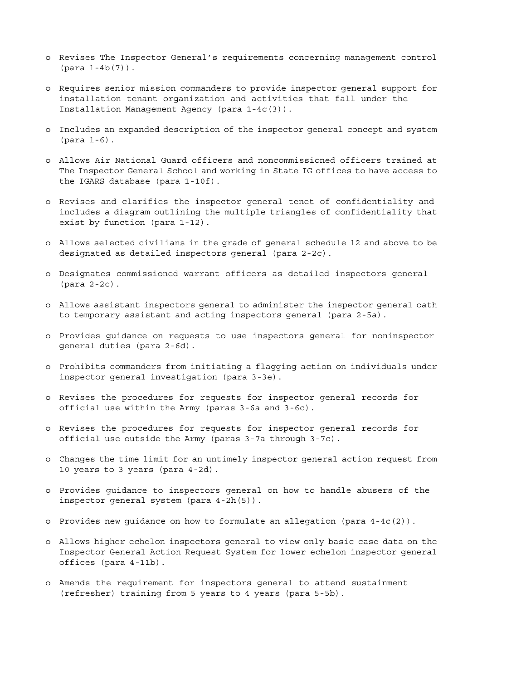- o Revises The Inspector General's requirements concerning management control (para 1-4b(7)).
- o Requires senior mission commanders to provide inspector general support for installation tenant organization and activities that fall under the Installation Management Agency (para 1-4c(3)).
- o Includes an expanded description of the inspector general concept and system (para 1-6).
- o Allows Air National Guard officers and noncommissioned officers trained at The Inspector General School and working in State IG offices to have access to the IGARS database (para 1-10f).
- o Revises and clarifies the inspector general tenet of confidentiality and includes a diagram outlining the multiple triangles of confidentiality that exist by function (para 1-12).
- o Allows selected civilians in the grade of general schedule 12 and above to be designated as detailed inspectors general (para 2-2c).
- o Designates commissioned warrant officers as detailed inspectors general (para 2-2c).
- o Allows assistant inspectors general to administer the inspector general oath to temporary assistant and acting inspectors general (para 2-5a).
- o Provides guidance on requests to use inspectors general for noninspector general duties (para 2-6d).
- o Prohibits commanders from initiating a flagging action on individuals under inspector general investigation (para 3-3e).
- o Revises the procedures for requests for inspector general records for official use within the Army (paras 3-6a and 3-6c).
- o Revises the procedures for requests for inspector general records for official use outside the Army (paras 3-7a through 3-7c).
- o Changes the time limit for an untimely inspector general action request from 10 years to 3 years (para 4-2d).
- o Provides guidance to inspectors general on how to handle abusers of the inspector general system (para 4-2h(5)).
- o Provides new guidance on how to formulate an allegation (para 4-4c(2)).
- o Allows higher echelon inspectors general to view only basic case data on the Inspector General Action Request System for lower echelon inspector general offices (para 4-11b).
- o Amends the requirement for inspectors general to attend sustainment (refresher) training from 5 years to 4 years (para 5-5b).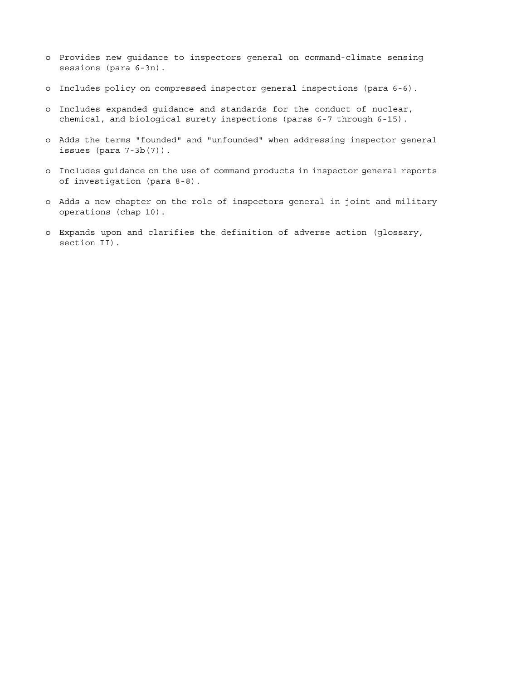- o Provides new guidance to inspectors general on command-climate sensing sessions (para 6-3n).
- o Includes policy on compressed inspector general inspections (para 6-6).
- o Includes expanded guidance and standards for the conduct of nuclear, chemical, and biological surety inspections (paras 6-7 through 6-15).
- o Adds the terms "founded" and "unfounded" when addressing inspector general issues (para 7-3b(7)).
- o Includes guidance on the use of command products in inspector general reports of investigation (para 8-8).
- o Adds a new chapter on the role of inspectors general in joint and military operations (chap 10).
- o Expands upon and clarifies the definition of adverse action (glossary, section II).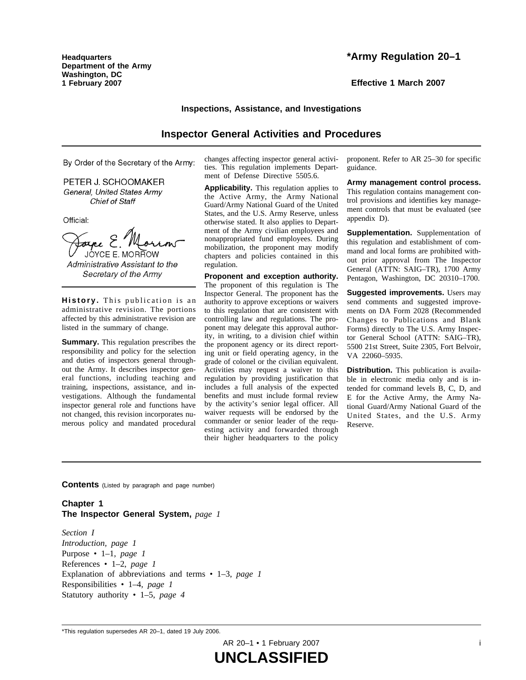**Headquarters Department of the Army Washington, DC 1 February 2007**

**Effective 1 March 2007**

# **Inspections, Assistance, and Investigations**

# **Inspector General Activities and Procedures**

By Order of the Secretary of the Army:

PETER J. SCHOOMAKER General, United States Army **Chief of Staff** 

Official:

JOYCE E. MORROW

Administrative Assistant to the Secretary of the Army

History. This publication is an administrative revision. The portions affected by this administrative revision are listed in the summary of change.

**Summary.** This regulation prescribes the responsibility and policy for the selection and duties of inspectors general throughout the Army. It describes inspector general functions, including teaching and training, inspections, assistance, and investigations. Although the fundamental inspector general role and functions have not changed, this revision incorporates numerous policy and mandated procedural

changes affecting inspector general activities. This regulation implements Department of Defense Directive 5505.6.

**Applicability.** This regulation applies to the Active Army, the Army National Guard/Army National Guard of the United States, and the U.S. Army Reserve, unless otherwise stated. It also applies to Department of the Army civilian employees and nonappropriated fund employees. During mobilization, the proponent may modify chapters and policies contained in this regulation.

**Proponent and exception authority.** The proponent of this regulation is The Inspector General. The proponent has the authority to approve exceptions or waivers to this regulation that are consistent with controlling law and regulations. The proponent may delegate this approval authority, in writing, to a division chief within the proponent agency or its direct reporting unit or field operating agency, in the grade of colonel or the civilian equivalent. Activities may request a waiver to this regulation by providing justification that includes a full analysis of the expected benefits and must include formal review by the activity's senior legal officer. All waiver requests will be endorsed by the commander or senior leader of the requesting activity and forwarded through their higher headquarters to the policy

proponent. Refer to AR 25–30 for specific guidance.

**Army management control process.** This regulation contains management control provisions and identifies key management controls that must be evaluated (see appendix D).

**Supplementation.** Supplementation of this regulation and establishment of command and local forms are prohibited without prior approval from The Inspector General (ATTN: SAIG–TR), 1700 Army Pentagon, Washington, DC 20310–1700.

**Suggested improvements.** Users may send comments and suggested improvements on DA Form 2028 (Recommended Changes to Publications and Blank Forms) directly to The U.S. Army Inspector General School (ATTN: SAIG–TR), 5500 21st Street, Suite 2305, Fort Belvoir, VA 22060–5935.

**Distribution.** This publication is available in electronic media only and is intended for command levels B, C, D, and E for the Active Army, the Army National Guard/Army National Guard of the United States, and the U.S. Army Reserve.

**Contents** (Listed by paragraph and page number)

**Chapter 1 The Inspector General System,** *page 1*

*Section I Introduction, page 1* Purpose • 1–1, *page 1* References • 1–2, *page 1* Explanation of abbreviations and terms • 1–3, *page 1* Responsibilities • 1–4, *page 1* Statutory authority • 1–5, *page 4*

AR 20-1 • 1 February 2007 **i** 

<sup>\*</sup>This regulation supersedes AR 20–1, dated 19 July 2006.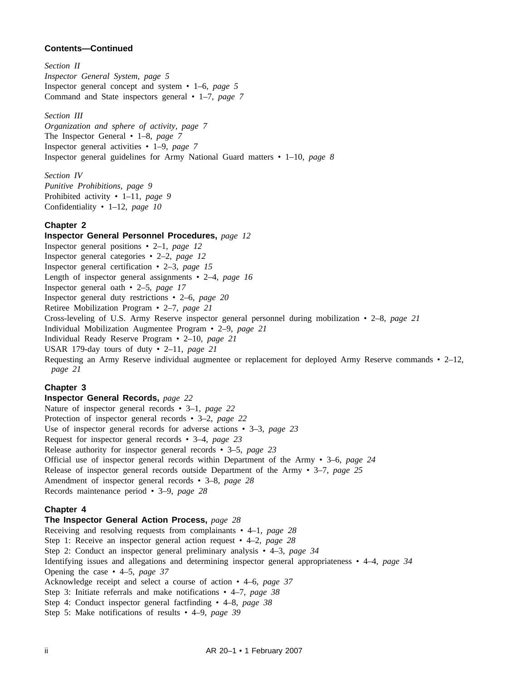*Section II Inspector General System, page 5* Inspector general concept and system • 1–6, *page 5* Command and State inspectors general • 1–7, *page 7*

*Section III*

*Organization and sphere of activity, page 7* The Inspector General • 1–8, *page 7* Inspector general activities • 1–9, *page 7* Inspector general guidelines for Army National Guard matters • 1–10, *page 8*

*Section IV Punitive Prohibitions, page 9* Prohibited activity • 1–11, *page 9* Confidentiality • 1–12, *page 10*

# **Chapter 2**

**Inspector General Personnel Procedures,** *page 12* Inspector general positions • 2–1, *page 12* Inspector general categories • 2–2, *page 12* Inspector general certification • 2–3, *page 15* Length of inspector general assignments • 2–4, *page 16* Inspector general oath • 2–5, *page 17* Inspector general duty restrictions • 2–6, *page 20* Retiree Mobilization Program • 2–7, *page 21* Cross-leveling of U.S. Army Reserve inspector general personnel during mobilization • 2–8, *page 21* Individual Mobilization Augmentee Program • 2–9, *page 21* Individual Ready Reserve Program • 2–10, *page 21* USAR 179-day tours of duty • 2–11, *page 21* Requesting an Army Reserve individual augmentee or replacement for deployed Army Reserve commands • 2–12, *page 21*

# **Chapter 3**

## **Inspector General Records,** *page 22*

Nature of inspector general records • 3–1, *page 22* Protection of inspector general records • 3–2, *page 22* Use of inspector general records for adverse actions • 3–3, *page 23* Request for inspector general records • 3–4, *page 23* Release authority for inspector general records • 3–5, *page 23* Official use of inspector general records within Department of the Army • 3–6, *page 24* Release of inspector general records outside Department of the Army • 3–7, *page 25* Amendment of inspector general records • 3–8, *page 28* Records maintenance period • 3–9, *page 28*

# **Chapter 4**

# **The Inspector General Action Process,** *page 28*

Receiving and resolving requests from complainants • 4–1, *page 28* Step 1: Receive an inspector general action request • 4–2, *page 28* Step 2: Conduct an inspector general preliminary analysis • 4–3, *page 34* Identifying issues and allegations and determining inspector general appropriateness • 4–4, *page 34* Opening the case • 4–5, *page 37* Acknowledge receipt and select a course of action • 4–6, *page 37* Step 3: Initiate referrals and make notifications • 4–7, *page 38* Step 4: Conduct inspector general factfinding • 4–8, *page 38* Step 5: Make notifications of results • 4–9, *page 39*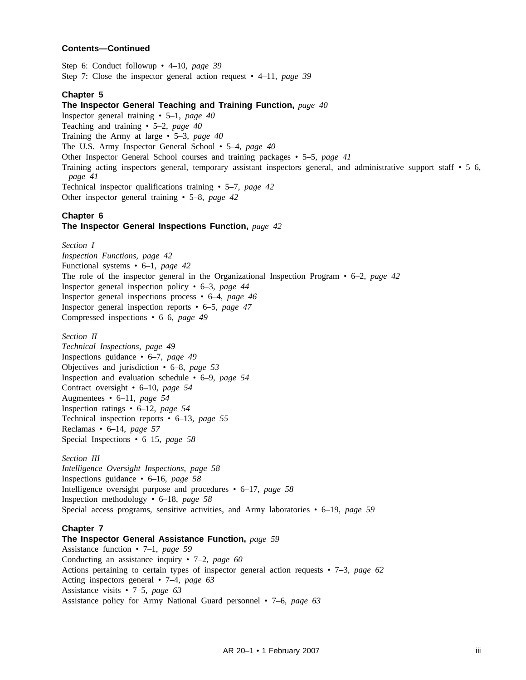Step 6: Conduct followup • 4–10, *page 39* Step 7: Close the inspector general action request • 4–11, *page 39*

# **Chapter 5**

## **The Inspector General Teaching and Training Function,** *page 40*

Inspector general training • 5–1, *page 40*

Teaching and training • 5–2, *page 40*

Training the Army at large • 5–3, *page 40*

The U.S. Army Inspector General School • 5–4, *page 40*

Other Inspector General School courses and training packages • 5–5, *page 41*

Training acting inspectors general, temporary assistant inspectors general, and administrative support staff • 5–6, *page 41*

Technical inspector qualifications training • 5–7, *page 42* Other inspector general training • 5–8, *page 42*

## **Chapter 6 The Inspector General Inspections Function,** *page 42*

## *Section I*

*Inspection Functions, page 42* Functional systems • 6–1, *page 42* The role of the inspector general in the Organizational Inspection Program • 6–2, *page 42* Inspector general inspection policy • 6–3, *page 44* Inspector general inspections process • 6–4, *page 46* Inspector general inspection reports • 6–5, *page 47* Compressed inspections • 6–6, *page 49*

# *Section II*

*Technical Inspections, page 49* Inspections guidance • 6–7, *page 49* Objectives and jurisdiction • 6–8, *page 53* Inspection and evaluation schedule • 6–9, *page 54* Contract oversight • 6–10, *page 54* Augmentees • 6–11, *page 54* Inspection ratings • 6–12, *page 54* Technical inspection reports • 6–13, *page 55* Reclamas • 6–14, *page 57* Special Inspections • 6–15, *page 58*

## *Section III*

*Intelligence Oversight Inspections, page 58* Inspections guidance • 6–16, *page 58* Intelligence oversight purpose and procedures • 6–17, *page 58* Inspection methodology • 6–18, *page 58* Special access programs, sensitive activities, and Army laboratories • 6–19, *page 59*

# **Chapter 7**

## **The Inspector General Assistance Function,** *page 59*

Assistance function • 7–1, *page 59* Conducting an assistance inquiry • 7–2, *page 60* Actions pertaining to certain types of inspector general action requests • 7–3, *page 62* Acting inspectors general • 7–4, *page 63* Assistance visits • 7–5, *page 63* Assistance policy for Army National Guard personnel • 7–6, *page 63*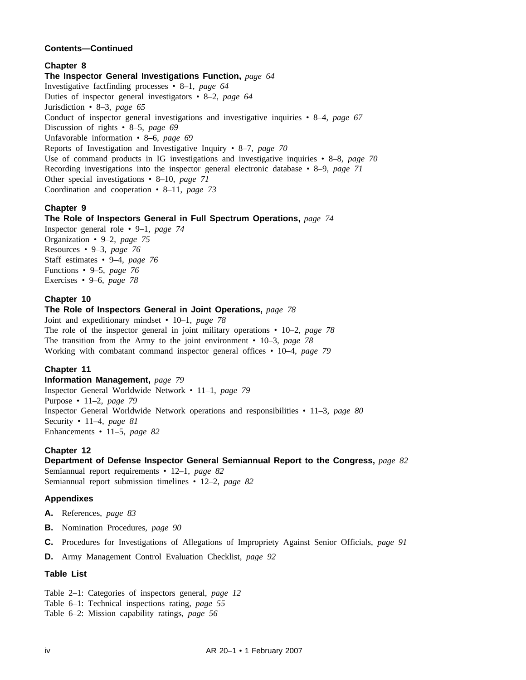# **Chapter 8**

**The Inspector General Investigations Function,** *page 64* Investigative factfinding processes • 8–1, *page 64* Duties of inspector general investigators • 8–2, *page 64* Jurisdiction • 8–3, *page 65* Conduct of inspector general investigations and investigative inquiries • 8–4, *page 67* Discussion of rights • 8–5, *page 69* Unfavorable information • 8–6, *page 69* Reports of Investigation and Investigative Inquiry • 8–7, *page 70* Use of command products in IG investigations and investigative inquiries • 8–8, *page 70* Recording investigations into the inspector general electronic database • 8–9, *page 71* Other special investigations • 8–10, *page 71* Coordination and cooperation • 8–11, *page 73*

# **Chapter 9**

# **The Role of Inspectors General in Full Spectrum Operations,** *page 74*

Inspector general role • 9–1, *page 74* Organization • 9–2, *page 75* Resources • 9–3, *page 76* Staff estimates • 9–4, *page 76* Functions • 9–5, *page 76* Exercises • 9–6, *page 78*

# **Chapter 10**

## **The Role of Inspectors General in Joint Operations,** *page 78*

Joint and expeditionary mindset • 10–1, *page 78* The role of the inspector general in joint military operations • 10–2, *page 78* The transition from the Army to the joint environment • 10–3, *page 78* Working with combatant command inspector general offices • 10–4, *page 79*

# **Chapter 11**

**Information Management,** *page 79* Inspector General Worldwide Network • 11–1, *page 79* Purpose • 11–2, *page 79* Inspector General Worldwide Network operations and responsibilities • 11–3, *page 80* Security • 11–4, *page 81* Enhancements • 11–5, *page 82*

# **Chapter 12**

# **Department of Defense Inspector General Semiannual Report to the Congress,** *page 82*

Semiannual report requirements • 12–1, *page 82* Semiannual report submission timelines • 12–2, *page 82*

# **Appendixes**

- **A.** References, *page 83*
- **B.** Nomination Procedures, *page 90*
- **C.** Procedures for Investigations of Allegations of Impropriety Against Senior Officials, *page 91*
- **D.** Army Management Control Evaluation Checklist, *page 92*

## **Table List**

Table 2–1: Categories of inspectors general, *page 12*

- Table 6–1: Technical inspections rating, *page 55*
- Table 6–2: Mission capability ratings, *page 56*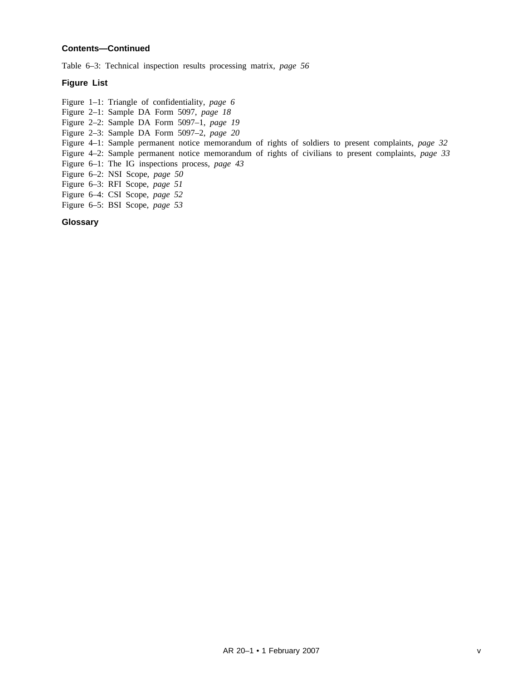Table 6–3: Technical inspection results processing matrix, *page 56*

# **Figure List**

Figure 1–1: Triangle of confidentiality, *page 6*

- Figure 2–1: Sample DA Form 5097, *page 18*
- Figure 2–2: Sample DA Form 5097–1, *page 19*
- Figure 2–3: Sample DA Form 5097–2, *page 20*
- Figure 4–1: Sample permanent notice memorandum of rights of soldiers to present complaints, *page 32*
- Figure 4–2: Sample permanent notice memorandum of rights of civilians to present complaints, *page 33*

Figure 6–1: The IG inspections process, *page 43*

- Figure 6–2: NSI Scope, *page 50*
- Figure 6–3: RFI Scope, *page 51*
- Figure 6–4: CSI Scope, *page 52*
- Figure 6–5: BSI Scope, *page 53*

# **Glossary**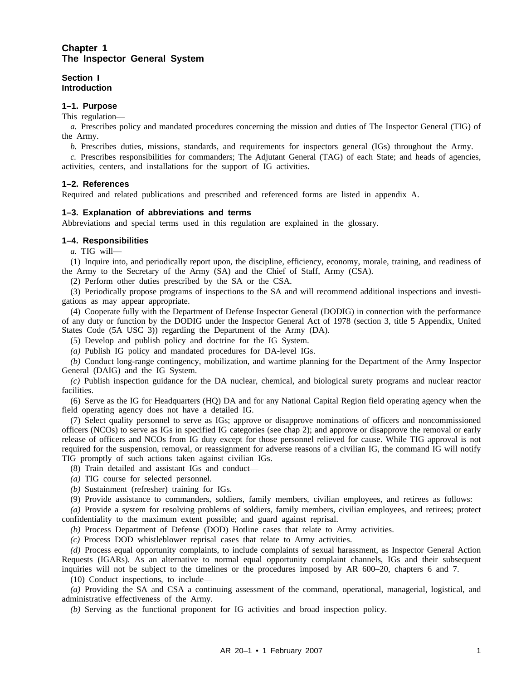# **Chapter 1 The Inspector General System**

**Section I Introduction**

## **1–1. Purpose**

This regulation—

*a.* Prescribes policy and mandated procedures concerning the mission and duties of The Inspector General (TIG) of the Army.

*b.* Prescribes duties, missions, standards, and requirements for inspectors general (IGs) throughout the Army.

*c.* Prescribes responsibilities for commanders; The Adjutant General (TAG) of each State; and heads of agencies, activities, centers, and installations for the support of IG activities.

## **1–2. References**

Required and related publications and prescribed and referenced forms are listed in appendix A.

## **1–3. Explanation of abbreviations and terms**

Abbreviations and special terms used in this regulation are explained in the glossary.

# **1–4. Responsibilities**

*a.* TIG will—

(1) Inquire into, and periodically report upon, the discipline, efficiency, economy, morale, training, and readiness of the Army to the Secretary of the Army (SA) and the Chief of Staff, Army (CSA).

(2) Perform other duties prescribed by the SA or the CSA.

(3) Periodically propose programs of inspections to the SA and will recommend additional inspections and investigations as may appear appropriate.

(4) Cooperate fully with the Department of Defense Inspector General (DODIG) in connection with the performance of any duty or function by the DODIG under the Inspector General Act of 1978 (section 3, title 5 Appendix, United States Code (5A USC 3)) regarding the Department of the Army (DA).

(5) Develop and publish policy and doctrine for the IG System.

*(a)* Publish IG policy and mandated procedures for DA-level IGs.

*(b)* Conduct long-range contingency, mobilization, and wartime planning for the Department of the Army Inspector General (DAIG) and the IG System.

*(c)* Publish inspection guidance for the DA nuclear, chemical, and biological surety programs and nuclear reactor facilities.

(6) Serve as the IG for Headquarters (HQ) DA and for any National Capital Region field operating agency when the field operating agency does not have a detailed IG.

(7) Select quality personnel to serve as IGs; approve or disapprove nominations of officers and noncommissioned officers (NCOs) to serve as IGs in specified IG categories (see chap 2); and approve or disapprove the removal or early release of officers and NCOs from IG duty except for those personnel relieved for cause. While TIG approval is not required for the suspension, removal, or reassignment for adverse reasons of a civilian IG, the command IG will notify TIG promptly of such actions taken against civilian IGs.

(8) Train detailed and assistant IGs and conduct—

*(a)* TIG course for selected personnel.

*(b)* Sustainment (refresher) training for IGs.

(9) Provide assistance to commanders, soldiers, family members, civilian employees, and retirees as follows:

*(a)* Provide a system for resolving problems of soldiers, family members, civilian employees, and retirees; protect confidentiality to the maximum extent possible; and guard against reprisal.

*(b)* Process Department of Defense (DOD) Hotline cases that relate to Army activities.

*(c)* Process DOD whistleblower reprisal cases that relate to Army activities.

*(d)* Process equal opportunity complaints, to include complaints of sexual harassment, as Inspector General Action Requests (IGARs). As an alternative to normal equal opportunity complaint channels, IGs and their subsequent inquiries will not be subject to the timelines or the procedures imposed by AR 600–20, chapters 6 and 7.

(10) Conduct inspections, to include—

*(a)* Providing the SA and CSA a continuing assessment of the command, operational, managerial, logistical, and administrative effectiveness of the Army.

*(b)* Serving as the functional proponent for IG activities and broad inspection policy.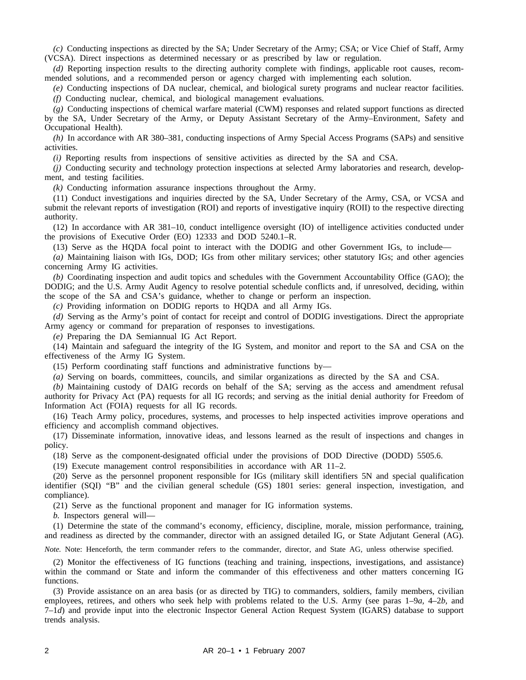*(c)* Conducting inspections as directed by the SA; Under Secretary of the Army; CSA; or Vice Chief of Staff, Army (VCSA). Direct inspections as determined necessary or as prescribed by law or regulation.

*(d)* Reporting inspection results to the directing authority complete with findings, applicable root causes, recommended solutions, and a recommended person or agency charged with implementing each solution.

*(e)* Conducting inspections of DA nuclear, chemical, and biological surety programs and nuclear reactor facilities. *(f)* Conducting nuclear, chemical, and biological management evaluations.

*(g)* Conducting inspections of chemical warfare material (CWM) responses and related support functions as directed by the SA, Under Secretary of the Army, or Deputy Assistant Secretary of the Army–Environment, Safety and Occupational Health).

*(h)* In accordance with AR 380–381, conducting inspections of Army Special Access Programs (SAPs) and sensitive activities.

*(i)* Reporting results from inspections of sensitive activities as directed by the SA and CSA.

*(j)* Conducting security and technology protection inspections at selected Army laboratories and research, development, and testing facilities.

*(k)* Conducting information assurance inspections throughout the Army.

(11) Conduct investigations and inquiries directed by the SA, Under Secretary of the Army, CSA, or VCSA and submit the relevant reports of investigation (ROI) and reports of investigative inquiry (ROII) to the respective directing authority.

(12) In accordance with AR 381–10, conduct intelligence oversight (IO) of intelligence activities conducted under the provisions of Executive Order (EO) 12333 and DOD 5240.1–R.

(13) Serve as the HQDA focal point to interact with the DODIG and other Government IGs, to include—

*(a)* Maintaining liaison with IGs, DOD; IGs from other military services; other statutory IGs; and other agencies concerning Army IG activities.

*(b)* Coordinating inspection and audit topics and schedules with the Government Accountability Office (GAO); the DODIG; and the U.S. Army Audit Agency to resolve potential schedule conflicts and, if unresolved, deciding, within the scope of the SA and CSA's guidance, whether to change or perform an inspection.

*(c)* Providing information on DODIG reports to HQDA and all Army IGs.

*(d)* Serving as the Army's point of contact for receipt and control of DODIG investigations. Direct the appropriate Army agency or command for preparation of responses to investigations.

*(e)* Preparing the DA Semiannual IG Act Report.

(14) Maintain and safeguard the integrity of the IG System, and monitor and report to the SA and CSA on the effectiveness of the Army IG System.

(15) Perform coordinating staff functions and administrative functions by—

*(a)* Serving on boards, committees, councils, and similar organizations as directed by the SA and CSA.

*(b)* Maintaining custody of DAIG records on behalf of the SA; serving as the access and amendment refusal authority for Privacy Act (PA) requests for all IG records; and serving as the initial denial authority for Freedom of Information Act (FOIA) requests for all IG records.

(16) Teach Army policy, procedures, systems, and processes to help inspected activities improve operations and efficiency and accomplish command objectives.

(17) Disseminate information, innovative ideas, and lessons learned as the result of inspections and changes in policy.

(18) Serve as the component-designated official under the provisions of DOD Directive (DODD) 5505.6.

(19) Execute management control responsibilities in accordance with AR 11–2.

(20) Serve as the personnel proponent responsible for IGs (military skill identifiers 5N and special qualification identifier (SQI) "B" and the civilian general schedule (GS) 1801 series: general inspection, investigation, and compliance).

(21) Serve as the functional proponent and manager for IG information systems.

*b.* Inspectors general will—

(1) Determine the state of the command's economy, efficiency, discipline, morale, mission performance, training, and readiness as directed by the commander, director with an assigned detailed IG, or State Adjutant General (AG).

*Note.* Note: Henceforth, the term commander refers to the commander, director, and State AG, unless otherwise specified.

(2) Monitor the effectiveness of IG functions (teaching and training, inspections, investigations, and assistance) within the command or State and inform the commander of this effectiveness and other matters concerning IG functions.

(3) Provide assistance on an area basis (or as directed by TIG) to commanders, soldiers, family members, civilian employees, retirees, and others who seek help with problems related to the U.S. Army (see paras 1–9*a,* 4–2*b,* and 7–1*d*) and provide input into the electronic Inspector General Action Request System (IGARS) database to support trends analysis.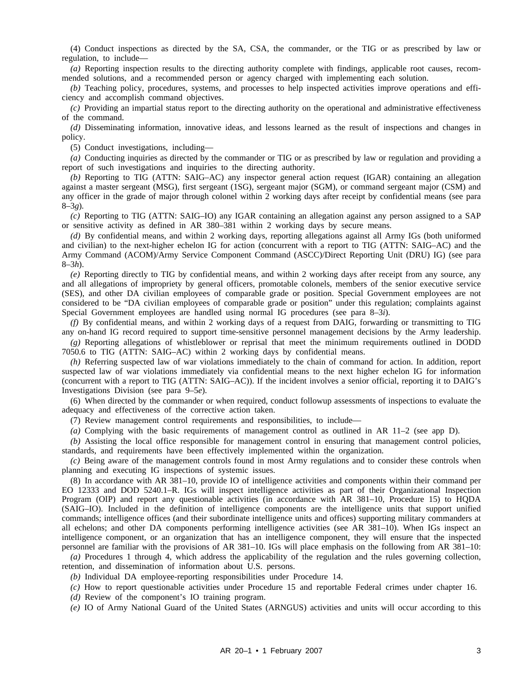(4) Conduct inspections as directed by the SA, CSA, the commander, or the TIG or as prescribed by law or regulation, to include—

*(a)* Reporting inspection results to the directing authority complete with findings, applicable root causes, recommended solutions, and a recommended person or agency charged with implementing each solution.

*(b)* Teaching policy, procedures, systems, and processes to help inspected activities improve operations and efficiency and accomplish command objectives.

*(c)* Providing an impartial status report to the directing authority on the operational and administrative effectiveness of the command.

*(d)* Disseminating information, innovative ideas, and lessons learned as the result of inspections and changes in policy.

(5) Conduct investigations, including—

*(a)* Conducting inquiries as directed by the commander or TIG or as prescribed by law or regulation and providing a report of such investigations and inquiries to the directing authority.

*(b)* Reporting to TIG (ATTN: SAIG–AC) any inspector general action request (IGAR) containing an allegation against a master sergeant (MSG), first sergeant (1SG), sergeant major (SGM), or command sergeant major (CSM) and any officer in the grade of major through colonel within 2 working days after receipt by confidential means (see para 8–3*g*)*.*

*(c)* Reporting to TIG (ATTN: SAIG–IO) any IGAR containing an allegation against any person assigned to a SAP or sensitive activity as defined in AR 380–381 within 2 working days by secure means.

*(d)* By confidential means, and within 2 working days, reporting allegations against all Army IGs (both uniformed and civilian) to the next-higher echelon IG for action (concurrent with a report to TIG (ATTN: SAIG–AC) and the Army Command (ACOM)/Army Service Component Command (ASCC)/Direct Reporting Unit (DRU) IG) (see para 8–3*h*).

*(e)* Reporting directly to TIG by confidential means, and within 2 working days after receipt from any source, any and all allegations of impropriety by general officers, promotable colonels, members of the senior executive service (SES), and other DA civilian employees of comparable grade or position. Special Government employees are not considered to be "DA civilian employees of comparable grade or position" under this regulation; complaints against Special Government employees are handled using normal IG procedures (see para 8–3*i*).

*(f)* By confidential means, and within 2 working days of a request from DAIG, forwarding or transmitting to TIG any on-hand IG record required to support time-sensitive personnel management decisions by the Army leadership.

*(g)* Reporting allegations of whistleblower or reprisal that meet the minimum requirements outlined in DODD 7050.6 to TIG (ATTN: SAIG–AC) within 2 working days by confidential means.

*(h)* Referring suspected law of war violations immediately to the chain of command for action. In addition, report suspected law of war violations immediately via confidential means to the next higher echelon IG for information (concurrent with a report to TIG (ATTN: SAIG–AC)). If the incident involves a senior official, reporting it to DAIG's Investigations Division (see para 9–5*e*).

(6) When directed by the commander or when required, conduct followup assessments of inspections to evaluate the adequacy and effectiveness of the corrective action taken.

(7) Review management control requirements and responsibilities, to include—

*(a)* Complying with the basic requirements of management control as outlined in AR 11–2 (see app D).

*(b)* Assisting the local office responsible for management control in ensuring that management control policies, standards, and requirements have been effectively implemented within the organization.

*(c)* Being aware of the management controls found in most Army regulations and to consider these controls when planning and executing IG inspections of systemic issues.

(8) In accordance with AR 381–10, provide IO of intelligence activities and components within their command per EO 12333 and DOD 5240.1–R. IGs will inspect intelligence activities as part of their Organizational Inspection Program (OIP) and report any questionable activities (in accordance with AR 381–10, Procedure 15) to HQDA (SAIG–IO). Included in the definition of intelligence components are the intelligence units that support unified commands; intelligence offices (and their subordinate intelligence units and offices) supporting military commanders at all echelons; and other DA components performing intelligence activities (see AR 381–10). When IGs inspect an intelligence component, or an organization that has an intelligence component, they will ensure that the inspected personnel are familiar with the provisions of AR 381–10. IGs will place emphasis on the following from AR 381–10:

*(a)* Procedures 1 through 4, which address the applicability of the regulation and the rules governing collection, retention, and dissemination of information about U.S. persons.

*(b)* Individual DA employee-reporting responsibilities under Procedure 14.

*(c)* How to report questionable activities under Procedure 15 and reportable Federal crimes under chapter 16.

*(d)* Review of the component's IO training program.

*(e)* IO of Army National Guard of the United States (ARNGUS) activities and units will occur according to this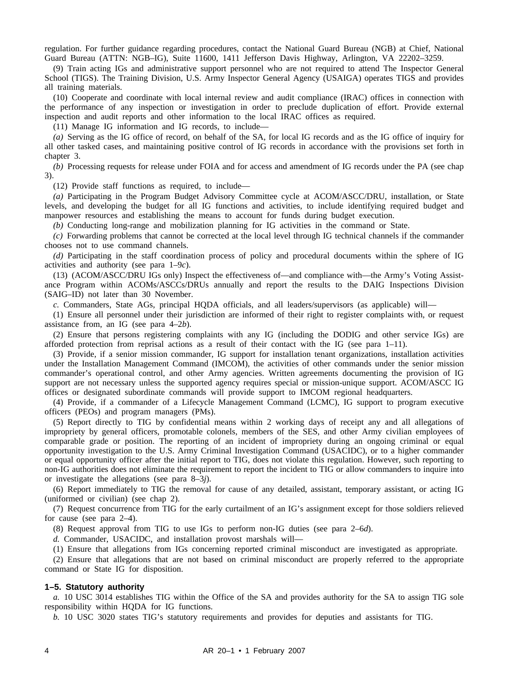regulation. For further guidance regarding procedures, contact the National Guard Bureau (NGB) at Chief, National Guard Bureau (ATTN: NGB–IG), Suite 11600, 1411 Jefferson Davis Highway, Arlington, VA 22202–3259.

(9) Train acting IGs and administrative support personnel who are not required to attend The Inspector General School (TIGS). The Training Division, U.S. Army Inspector General Agency (USAIGA) operates TIGS and provides all training materials.

(10) Cooperate and coordinate with local internal review and audit compliance (IRAC) offices in connection with the performance of any inspection or investigation in order to preclude duplication of effort. Provide external inspection and audit reports and other information to the local IRAC offices as required.

(11) Manage IG information and IG records, to include—

*(a)* Serving as the IG office of record, on behalf of the SA, for local IG records and as the IG office of inquiry for all other tasked cases, and maintaining positive control of IG records in accordance with the provisions set forth in chapter 3.

*(b)* Processing requests for release under FOIA and for access and amendment of IG records under the PA (see chap 3).

(12) Provide staff functions as required, to include—

*(a)* Participating in the Program Budget Advisory Committee cycle at ACOM/ASCC/DRU, installation, or State levels, and developing the budget for all IG functions and activities, to include identifying required budget and manpower resources and establishing the means to account for funds during budget execution.

*(b)* Conducting long-range and mobilization planning for IG activities in the command or State.

*(c)* Forwarding problems that cannot be corrected at the local level through IG technical channels if the commander chooses not to use command channels.

*(d)* Participating in the staff coordination process of policy and procedural documents within the sphere of IG activities and authority (see para 1–9*c*).

(13) (ACOM/ASCC/DRU IGs only) Inspect the effectiveness of—and compliance with—the Army's Voting Assistance Program within ACOMs/ASCCs/DRUs annually and report the results to the DAIG Inspections Division (SAIG–ID) not later than 30 November.

*c.* Commanders, State AGs, principal HQDA officials, and all leaders/supervisors (as applicable) will—

(1) Ensure all personnel under their jurisdiction are informed of their right to register complaints with, or request assistance from, an IG (see para 4–2*b*).

(2) Ensure that persons registering complaints with any IG (including the DODIG and other service IGs) are afforded protection from reprisal actions as a result of their contact with the IG (see para  $1-11$ ).

(3) Provide, if a senior mission commander, IG support for installation tenant organizations, installation activities under the Installation Management Command (IMCOM), the activities of other commands under the senior mission commander's operational control, and other Army agencies. Written agreements documenting the provision of IG support are not necessary unless the supported agency requires special or mission-unique support. ACOM/ASCC IG offices or designated subordinate commands will provide support to IMCOM regional headquarters.

(4) Provide, if a commander of a Lifecycle Management Command (LCMC), IG support to program executive officers (PEOs) and program managers (PMs).

(5) Report directly to TIG by confidential means within 2 working days of receipt any and all allegations of impropriety by general officers, promotable colonels, members of the SES, and other Army civilian employees of comparable grade or position. The reporting of an incident of impropriety during an ongoing criminal or equal opportunity investigation to the U.S. Army Criminal Investigation Command (USACIDC), or to a higher commander or equal opportunity officer after the initial report to TIG, does not violate this regulation. However, such reporting to non-IG authorities does not eliminate the requirement to report the incident to TIG or allow commanders to inquire into or investigate the allegations (see para 8–3*j*).

(6) Report immediately to TIG the removal for cause of any detailed, assistant, temporary assistant, or acting IG (uniformed or civilian) (see chap 2).

(7) Request concurrence from TIG for the early curtailment of an IG's assignment except for those soldiers relieved for cause (see para 2–4).

(8) Request approval from TIG to use IGs to perform non-IG duties (see para 2–6*d*).

*d.* Commander, USACIDC, and installation provost marshals will—

(1) Ensure that allegations from IGs concerning reported criminal misconduct are investigated as appropriate.

(2) Ensure that allegations that are not based on criminal misconduct are properly referred to the appropriate command or State IG for disposition.

#### **1–5. Statutory authority**

*a.* 10 USC 3014 establishes TIG within the Office of the SA and provides authority for the SA to assign TIG sole responsibility within HQDA for IG functions.

*b.* 10 USC 3020 states TIG's statutory requirements and provides for deputies and assistants for TIG.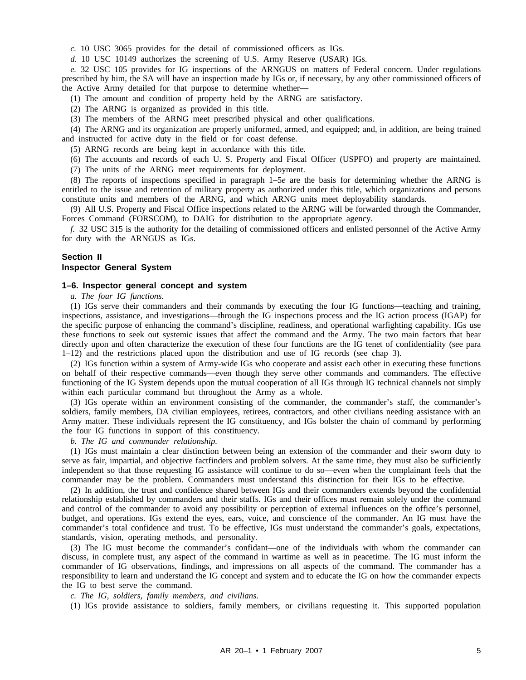*c.* 10 USC 3065 provides for the detail of commissioned officers as IGs.

*d.* 10 USC 10149 authorizes the screening of U.S. Army Reserve (USAR) IGs.

*e.* 32 USC 105 provides for IG inspections of the ARNGUS on matters of Federal concern. Under regulations prescribed by him, the SA will have an inspection made by IGs or, if necessary, by any other commissioned officers of the Active Army detailed for that purpose to determine whether—

(1) The amount and condition of property held by the ARNG are satisfactory.

(2) The ARNG is organized as provided in this title.

(3) The members of the ARNG meet prescribed physical and other qualifications.

(4) The ARNG and its organization are properly uniformed, armed, and equipped; and, in addition, are being trained and instructed for active duty in the field or for coast defense.

(5) ARNG records are being kept in accordance with this title.

(6) The accounts and records of each U. S. Property and Fiscal Officer (USPFO) and property are maintained.

(7) The units of the ARNG meet requirements for deployment.

(8) The reports of inspections specified in paragraph 1–5*e* are the basis for determining whether the ARNG is entitled to the issue and retention of military property as authorized under this title, which organizations and persons constitute units and members of the ARNG, and which ARNG units meet deployability standards.

(9) All U.S. Property and Fiscal Office inspections related to the ARNG will be forwarded through the Commander, Forces Command (FORSCOM), to DAIG for distribution to the appropriate agency.

*f.* 32 USC 315 is the authority for the detailing of commissioned officers and enlisted personnel of the Active Army for duty with the ARNGUS as IGs.

# **Section II**

#### **Inspector General System**

#### **1–6. Inspector general concept and system**

*a. The four IG functions.*

(1) IGs serve their commanders and their commands by executing the four IG functions—teaching and training, inspections, assistance, and investigations—through the IG inspections process and the IG action process (IGAP) for the specific purpose of enhancing the command's discipline, readiness, and operational warfighting capability. IGs use these functions to seek out systemic issues that affect the command and the Army. The two main factors that bear directly upon and often characterize the execution of these four functions are the IG tenet of confidentiality (see para 1–12) and the restrictions placed upon the distribution and use of IG records (see chap 3).

(2) IGs function within a system of Army-wide IGs who cooperate and assist each other in executing these functions on behalf of their respective commands—even though they serve other commands and commanders. The effective functioning of the IG System depends upon the mutual cooperation of all IGs through IG technical channels not simply within each particular command but throughout the Army as a whole.

(3) IGs operate within an environment consisting of the commander, the commander's staff, the commander's soldiers, family members, DA civilian employees, retirees, contractors, and other civilians needing assistance with an Army matter. These individuals represent the IG constituency, and IGs bolster the chain of command by performing the four IG functions in support of this constituency.

*b. The IG and commander relationship.*

(1) IGs must maintain a clear distinction between being an extension of the commander and their sworn duty to serve as fair, impartial, and objective factfinders and problem solvers. At the same time, they must also be sufficiently independent so that those requesting IG assistance will continue to do so—even when the complainant feels that the commander may be the problem. Commanders must understand this distinction for their IGs to be effective.

(2) In addition, the trust and confidence shared between IGs and their commanders extends beyond the confidential relationship established by commanders and their staffs. IGs and their offices must remain solely under the command and control of the commander to avoid any possibility or perception of external influences on the office's personnel, budget, and operations. IGs extend the eyes, ears, voice, and conscience of the commander. An IG must have the commander's total confidence and trust. To be effective, IGs must understand the commander's goals, expectations, standards, vision, operating methods, and personality.

(3) The IG must become the commander's confidant—one of the individuals with whom the commander can discuss, in complete trust, any aspect of the command in wartime as well as in peacetime. The IG must inform the commander of IG observations, findings, and impressions on all aspects of the command. The commander has a responsibility to learn and understand the IG concept and system and to educate the IG on how the commander expects the IG to best serve the command.

*c. The IG, soldiers, family members, and civilians.*

(1) IGs provide assistance to soldiers, family members, or civilians requesting it. This supported population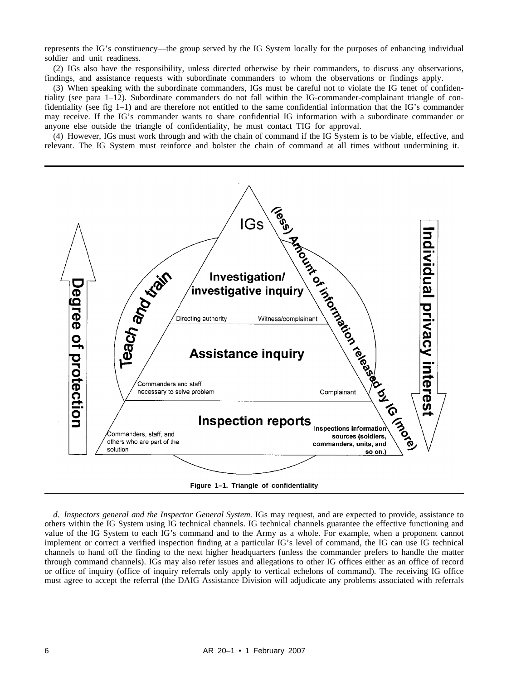represents the IG's constituency—the group served by the IG System locally for the purposes of enhancing individual soldier and unit readiness.

(2) IGs also have the responsibility, unless directed otherwise by their commanders, to discuss any observations, findings, and assistance requests with subordinate commanders to whom the observations or findings apply.

(3) When speaking with the subordinate commanders, IGs must be careful not to violate the IG tenet of confidentiality (see para 1–12). Subordinate commanders do not fall within the IG-commander-complainant triangle of confidentiality (see fig 1–1) and are therefore not entitled to the same confidential information that the IG's commander may receive. If the IG's commander wants to share confidential IG information with a subordinate commander or anyone else outside the triangle of confidentiality, he must contact TIG for approval.

(4) However, IGs must work through and with the chain of command if the IG System is to be viable, effective, and relevant. The IG System must reinforce and bolster the chain of command at all times without undermining it.



*d. Inspectors general and the Inspector General System.* IGs may request, and are expected to provide, assistance to others within the IG System using IG technical channels. IG technical channels guarantee the effective functioning and value of the IG System to each IG's command and to the Army as a whole. For example, when a proponent cannot implement or correct a verified inspection finding at a particular IG's level of command, the IG can use IG technical channels to hand off the finding to the next higher headquarters (unless the commander prefers to handle the matter through command channels). IGs may also refer issues and allegations to other IG offices either as an office of record or office of inquiry (office of inquiry referrals only apply to vertical echelons of command). The receiving IG office must agree to accept the referral (the DAIG Assistance Division will adjudicate any problems associated with referrals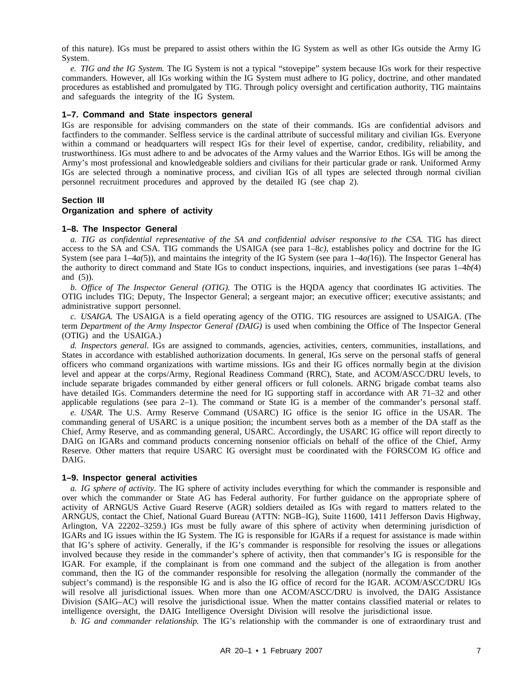of this nature). IGs must be prepared to assist others within the IG System as well as other IGs outside the Army IG System.

*e. TIG and the IG System.* The IG System is not a typical "stovepipe" system because IGs work for their respective commanders. However, all IGs working within the IG System must adhere to IG policy, doctrine, and other mandated procedures as established and promulgated by TIG. Through policy oversight and certification authority, TIG maintains and safeguards the integrity of the IG System.

#### **1–7. Command and State inspectors general**

IGs are responsible for advising commanders on the state of their commands. IGs are confidential advisors and factfinders to the commander. Selfless service is the cardinal attribute of successful military and civilian IGs. Everyone within a command or headquarters will respect IGs for their level of expertise, candor, credibility, reliability, and trustworthiness. IGs must adhere to and be advocates of the Army values and the Warrior Ethos. IGs will be among the Army's most professional and knowledgeable soldiers and civilians for their particular grade or rank. Uniformed Army IGs are selected through a nominative process, and civilian IGs of all types are selected through normal civilian personnel recruitment procedures and approved by the detailed IG (see chap 2).

#### **Section III**

#### **Organization and sphere of activity**

#### **1–8. The Inspector General**

*a. TIG as confidential representative of the SA and confidential adviser responsive to the CSA.* TIG has direct access to the SA and CSA. TIG commands the USAIGA (see para 1–8*c)*, establishes policy and doctrine for the IG System (see para 1–4*a(*5)), and maintains the integrity of the IG System (see para 1–4*a(*16)). The Inspector General has the authority to direct command and State IGs to conduct inspections, inquiries, and investigations (see paras  $1-4b(4)$ ) and (5)).

*b. Office of The Inspector General (OTIG).* The OTIG is the HQDA agency that coordinates IG activities. The OTIG includes TIG; Deputy, The Inspector General; a sergeant major; an executive officer; executive assistants; and administrative support personnel.

*c. USAIGA.* The USAIGA is a field operating agency of the OTIG. TIG resources are assigned to USAIGA. (The term *Department of the Army Inspector General (DAIG)* is used when combining the Office of The Inspector General (OTIG) and the USAIGA.)

*d. Inspectors general.* IGs are assigned to commands, agencies, activities, centers, communities, installations, and States in accordance with established authorization documents. In general, IGs serve on the personal staffs of general officers who command organizations with wartime missions. IGs and their IG offices normally begin at the division level and appear at the corps/Army, Regional Readiness Command (RRC), State, and ACOM/ASCC/DRU levels, to include separate brigades commanded by either general officers or full colonels. ARNG brigade combat teams also have detailed IGs. Commanders determine the need for IG supporting staff in accordance with AR 71–32 and other applicable regulations (see para 2–1). The command or State IG is a member of the commander's personal staff.

*e. USAR.* The U.S. Army Reserve Command (USARC) IG office is the senior IG office in the USAR. The commanding general of USARC is a unique position; the incumbent serves both as a member of the DA staff as the Chief, Army Reserve, and as commanding general, USARC. Accordingly, the USARC IG office will report directly to DAIG on IGARs and command products concerning nonsenior officials on behalf of the office of the Chief, Army Reserve. Other matters that require USARC IG oversight must be coordinated with the FORSCOM IG office and DAIG.

#### **1–9. Inspector general activities**

*a. IG sphere of activity.* The IG sphere of activity includes everything for which the commander is responsible and over which the commander or State AG has Federal authority. For further guidance on the appropriate sphere of activity of ARNGUS Active Guard Reserve (AGR) soldiers detailed as IGs with regard to matters related to the ARNGUS, contact the Chief, National Guard Bureau (ATTN: NGB–IG), Suite 11600, 1411 Jefferson Davis Highway, Arlington, VA 22202–3259.) IGs must be fully aware of this sphere of activity when determining jurisdiction of IGARs and IG issues within the IG System. The IG is responsible for IGARs if a request for assistance is made within that IG's sphere of activity. Generally, if the IG's commander is responsible for resolving the issues or allegations involved because they reside in the commander's sphere of activity, then that commander's IG is responsible for the IGAR. For example, if the complainant is from one command and the subject of the allegation is from another command, then the IG of the commander responsible for resolving the allegation (normally the commander of the subject's command) is the responsible IG and is also the IG office of record for the IGAR. ACOM/ASCC/DRU IGs will resolve all jurisdictional issues. When more than one ACOM/ASCC/DRU is involved, the DAIG Assistance Division (SAIG–AC) will resolve the jurisdictional issue. When the matter contains classified material or relates to intelligence oversight, the DAIG Intelligence Oversight Division will resolve the jurisdictional issue.

*b. IG and commander relationship.* The IG's relationship with the commander is one of extraordinary trust and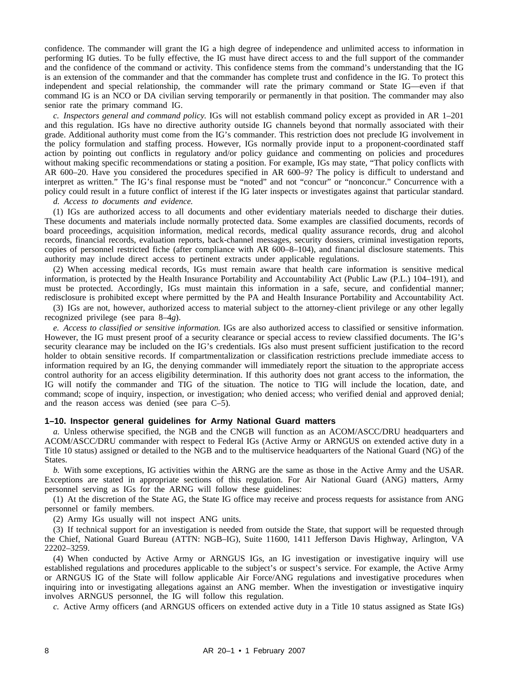confidence. The commander will grant the IG a high degree of independence and unlimited access to information in performing IG duties. To be fully effective, the IG must have direct access to and the full support of the commander and the confidence of the command or activity. This confidence stems from the command's understanding that the IG is an extension of the commander and that the commander has complete trust and confidence in the IG. To protect this independent and special relationship, the commander will rate the primary command or State IG—even if that command IG is an NCO or DA civilian serving temporarily or permanently in that position. The commander may also senior rate the primary command IG.

*c. Inspectors general and command policy.* IGs will not establish command policy except as provided in AR 1–201 and this regulation. IGs have no directive authority outside IG channels beyond that normally associated with their grade. Additional authority must come from the IG's commander. This restriction does not preclude IG involvement in the policy formulation and staffing process. However, IGs normally provide input to a proponent-coordinated staff action by pointing out conflicts in regulatory and/or policy guidance and commenting on policies and procedures without making specific recommendations or stating a position. For example, IGs may state, "That policy conflicts with AR 600–20. Have you considered the procedures specified in AR 600–9? The policy is difficult to understand and interpret as written." The IG's final response must be "noted" and not "concur" or "nonconcur." Concurrence with a policy could result in a future conflict of interest if the IG later inspects or investigates against that particular standard.

*d. Access to documents and evidence.*

(1) IGs are authorized access to all documents and other evidentiary materials needed to discharge their duties. These documents and materials include normally protected data. Some examples are classified documents, records of board proceedings, acquisition information, medical records, medical quality assurance records, drug and alcohol records, financial records, evaluation reports, back-channel messages, security dossiers, criminal investigation reports, copies of personnel restricted fiche (after compliance with AR 600–8–104), and financial disclosure statements. This authority may include direct access to pertinent extracts under applicable regulations.

(2) When accessing medical records, IGs must remain aware that health care information is sensitive medical information, is protected by the Health Insurance Portability and Accountability Act (Public Law (P.L.) 104–191), and must be protected. Accordingly, IGs must maintain this information in a safe, secure, and confidential manner; redisclosure is prohibited except where permitted by the PA and Health Insurance Portability and Accountability Act.

(3) IGs are not, however, authorized access to material subject to the attorney-client privilege or any other legally recognized privilege (see para 8–4*g*).

*e. Access to classified or sensitive information.* IGs are also authorized access to classified or sensitive information. However, the IG must present proof of a security clearance or special access to review classified documents. The IG's security clearance may be included on the IG's credentials. IGs also must present sufficient justification to the record holder to obtain sensitive records. If compartmentalization or classification restrictions preclude immediate access to information required by an IG, the denying commander will immediately report the situation to the appropriate access control authority for an access eligibility determination. If this authority does not grant access to the information, the IG will notify the commander and TIG of the situation. The notice to TIG will include the location, date, and command; scope of inquiry, inspection, or investigation; who denied access; who verified denial and approved denial; and the reason access was denied (see para C–5).

# **1–10. Inspector general guidelines for Army National Guard matters**

*a.* Unless otherwise specified, the NGB and the CNGB will function as an ACOM/ASCC/DRU headquarters and ACOM/ASCC/DRU commander with respect to Federal IGs (Active Army or ARNGUS on extended active duty in a Title 10 status) assigned or detailed to the NGB and to the multiservice headquarters of the National Guard (NG) of the States.

*b.* With some exceptions, IG activities within the ARNG are the same as those in the Active Army and the USAR. Exceptions are stated in appropriate sections of this regulation. For Air National Guard (ANG) matters, Army personnel serving as IGs for the ARNG will follow these guidelines:

(1) At the discretion of the State AG, the State IG office may receive and process requests for assistance from ANG personnel or family members.

(2) Army IGs usually will not inspect ANG units.

(3) If technical support for an investigation is needed from outside the State, that support will be requested through the Chief, National Guard Bureau (ATTN: NGB–IG), Suite 11600, 1411 Jefferson Davis Highway, Arlington, VA 22202–3259.

(4) When conducted by Active Army or ARNGUS IGs, an IG investigation or investigative inquiry will use established regulations and procedures applicable to the subject's or suspect's service. For example, the Active Army or ARNGUS IG of the State will follow applicable Air Force/ANG regulations and investigative procedures when inquiring into or investigating allegations against an ANG member. When the investigation or investigative inquiry involves ARNGUS personnel, the IG will follow this regulation.

*c.* Active Army officers (and ARNGUS officers on extended active duty in a Title 10 status assigned as State IGs)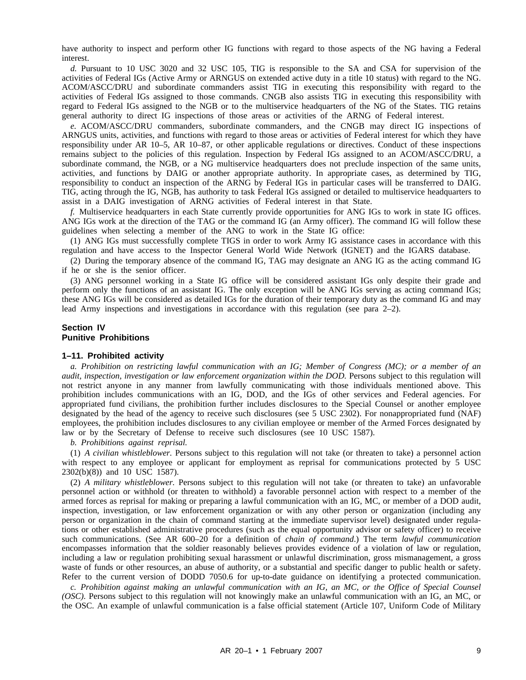have authority to inspect and perform other IG functions with regard to those aspects of the NG having a Federal interest.

*d.* Pursuant to 10 USC 3020 and 32 USC 105, TIG is responsible to the SA and CSA for supervision of the activities of Federal IGs (Active Army or ARNGUS on extended active duty in a title 10 status) with regard to the NG. ACOM/ASCC/DRU and subordinate commanders assist TIG in executing this responsibility with regard to the activities of Federal IGs assigned to those commands. CNGB also assists TIG in executing this responsibility with regard to Federal IGs assigned to the NGB or to the multiservice headquarters of the NG of the States. TIG retains general authority to direct IG inspections of those areas or activities of the ARNG of Federal interest.

*e.* ACOM/ASCC/DRU commanders, subordinate commanders, and the CNGB may direct IG inspections of ARNGUS units, activities, and functions with regard to those areas or activities of Federal interest for which they have responsibility under AR 10–5, AR 10–87, or other applicable regulations or directives. Conduct of these inspections remains subject to the policies of this regulation. Inspection by Federal IGs assigned to an ACOM/ASCC/DRU, a subordinate command, the NGB, or a NG multiservice headquarters does not preclude inspection of the same units, activities, and functions by DAIG or another appropriate authority. In appropriate cases, as determined by TIG, responsibility to conduct an inspection of the ARNG by Federal IGs in particular cases will be transferred to DAIG. TIG, acting through the IG, NGB, has authority to task Federal IGs assigned or detailed to multiservice headquarters to assist in a DAIG investigation of ARNG activities of Federal interest in that State.

*f.* Multiservice headquarters in each State currently provide opportunities for ANG IGs to work in state IG offices. ANG IGs work at the direction of the TAG or the command IG (an Army officer). The command IG will follow these guidelines when selecting a member of the ANG to work in the State IG office:

(1) ANG IGs must successfully complete TIGS in order to work Army IG assistance cases in accordance with this regulation and have access to the Inspector General World Wide Network (IGNET) and the IGARS database.

(2) During the temporary absence of the command IG, TAG may designate an ANG IG as the acting command IG if he or she is the senior officer.

(3) ANG personnel working in a State IG office will be considered assistant IGs only despite their grade and perform only the functions of an assistant IG. The only exception will be ANG IGs serving as acting command IGs; these ANG IGs will be considered as detailed IGs for the duration of their temporary duty as the command IG and may lead Army inspections and investigations in accordance with this regulation (see para 2–2).

# **Section IV Punitive Prohibitions**

#### **1–11. Prohibited activity**

*a. Prohibition on restricting lawful communication with an IG; Member of Congress (MC); or a member of an audit, inspection, investigation or law enforcement organization within the DOD.* Persons subject to this regulation will not restrict anyone in any manner from lawfully communicating with those individuals mentioned above. This prohibition includes communications with an IG, DOD, and the IGs of other services and Federal agencies. For appropriated fund civilians, the prohibition further includes disclosures to the Special Counsel or another employee designated by the head of the agency to receive such disclosures (see 5 USC 2302). For nonappropriated fund (NAF) employees, the prohibition includes disclosures to any civilian employee or member of the Armed Forces designated by law or by the Secretary of Defense to receive such disclosures (see 10 USC 1587).

*b. Prohibitions against reprisal.*

(1) *A civilian whistleblower.* Persons subject to this regulation will not take (or threaten to take) a personnel action with respect to any employee or applicant for employment as reprisal for communications protected by 5 USC 2302(b)(8)) and 10 USC 1587).

(2) *A military whistleblower.* Persons subject to this regulation will not take (or threaten to take) an unfavorable personnel action or withhold (or threaten to withhold) a favorable personnel action with respect to a member of the armed forces as reprisal for making or preparing a lawful communication with an IG, MC, or member of a DOD audit, inspection, investigation, or law enforcement organization or with any other person or organization (including any person or organization in the chain of command starting at the immediate supervisor level) designated under regulations or other established administrative procedures (such as the equal opportunity advisor or safety officer) to receive such communications. (See AR 600–20 for a definition of *chain of command*.) The term *lawful communication* encompasses information that the soldier reasonably believes provides evidence of a violation of law or regulation, including a law or regulation prohibiting sexual harassment or unlawful discrimination, gross mismanagement, a gross waste of funds or other resources, an abuse of authority, or a substantial and specific danger to public health or safety. Refer to the current version of DODD 7050.6 for up-to-date guidance on identifying a protected communication.

*c. Prohibition against making an unlawful communication with an IG, an MC, or the Office of Special Counsel (OSC).* Persons subject to this regulation will not knowingly make an unlawful communication with an IG, an MC, or the OSC. An example of unlawful communication is a false official statement (Article 107, Uniform Code of Military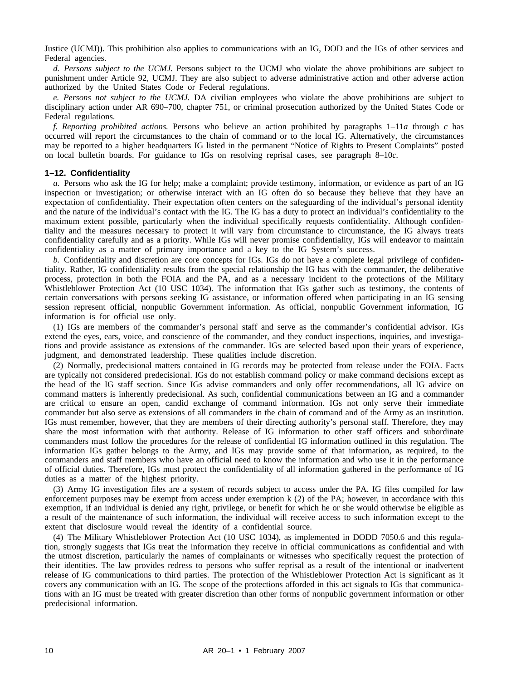Justice (UCMJ)). This prohibition also applies to communications with an IG, DOD and the IGs of other services and Federal agencies.

*d. Persons subject to the UCMJ.* Persons subject to the UCMJ who violate the above prohibitions are subject to punishment under Article 92, UCMJ. They are also subject to adverse administrative action and other adverse action authorized by the United States Code or Federal regulations.

*e. Persons not subject to the UCMJ.* DA civilian employees who violate the above prohibitions are subject to disciplinary action under AR 690–700, chapter 751, or criminal prosecution authorized by the United States Code or Federal regulations.

*f. Reporting prohibited actions.* Persons who believe an action prohibited by paragraphs 1–11*a* through *c* has occurred will report the circumstances to the chain of command or to the local IG. Alternatively, the circumstances may be reported to a higher headquarters IG listed in the permanent "Notice of Rights to Present Complaints" posted on local bulletin boards. For guidance to IGs on resolving reprisal cases, see paragraph 8–10*c.*

#### **1–12. Confidentiality**

*a.* Persons who ask the IG for help; make a complaint; provide testimony, information, or evidence as part of an IG inspection or investigation; or otherwise interact with an IG often do so because they believe that they have an expectation of confidentiality. Their expectation often centers on the safeguarding of the individual's personal identity and the nature of the individual's contact with the IG. The IG has a duty to protect an individual's confidentiality to the maximum extent possible, particularly when the individual specifically requests confidentiality. Although confidentiality and the measures necessary to protect it will vary from circumstance to circumstance, the IG always treats confidentiality carefully and as a priority. While IGs will never promise confidentiality, IGs will endeavor to maintain confidentiality as a matter of primary importance and a key to the IG System's success.

*b.* Confidentiality and discretion are core concepts for IGs. IGs do not have a complete legal privilege of confidentiality. Rather, IG confidentiality results from the special relationship the IG has with the commander, the deliberative process, protection in both the FOIA and the PA, and as a necessary incident to the protections of the Military Whistleblower Protection Act (10 USC 1034). The information that IGs gather such as testimony, the contents of certain conversations with persons seeking IG assistance, or information offered when participating in an IG sensing session represent official, nonpublic Government information. As official, nonpublic Government information, IG information is for official use only.

(1) IGs are members of the commander's personal staff and serve as the commander's confidential advisor. IGs extend the eyes, ears, voice, and conscience of the commander, and they conduct inspections, inquiries, and investigations and provide assistance as extensions of the commander. IGs are selected based upon their years of experience, judgment, and demonstrated leadership. These qualities include discretion.

(2) Normally, predecisional matters contained in IG records may be protected from release under the FOIA. Facts are typically not considered predecisional. IGs do not establish command policy or make command decisions except as the head of the IG staff section. Since IGs advise commanders and only offer recommendations, all IG advice on command matters is inherently predecisional. As such, confidential communications between an IG and a commander are critical to ensure an open, candid exchange of command information. IGs not only serve their immediate commander but also serve as extensions of all commanders in the chain of command and of the Army as an institution. IGs must remember, however, that they are members of their directing authority's personal staff. Therefore, they may share the most information with that authority. Release of IG information to other staff officers and subordinate commanders must follow the procedures for the release of confidential IG information outlined in this regulation. The information IGs gather belongs to the Army, and IGs may provide some of that information, as required, to the commanders and staff members who have an official need to know the information and who use it in the performance of official duties. Therefore, IGs must protect the confidentiality of all information gathered in the performance of IG duties as a matter of the highest priority.

(3) Army IG investigation files are a system of records subject to access under the PA. IG files compiled for law enforcement purposes may be exempt from access under exemption k (2) of the PA; however, in accordance with this exemption, if an individual is denied any right, privilege, or benefit for which he or she would otherwise be eligible as a result of the maintenance of such information, the individual will receive access to such information except to the extent that disclosure would reveal the identity of a confidential source.

(4) The Military Whistleblower Protection Act (10 USC 1034), as implemented in DODD 7050.6 and this regulation, strongly suggests that IGs treat the information they receive in official communications as confidential and with the utmost discretion, particularly the names of complainants or witnesses who specifically request the protection of their identities. The law provides redress to persons who suffer reprisal as a result of the intentional or inadvertent release of IG communications to third parties. The protection of the Whistleblower Protection Act is significant as it covers any communication with an IG. The scope of the protections afforded in this act signals to IGs that communications with an IG must be treated with greater discretion than other forms of nonpublic government information or other predecisional information.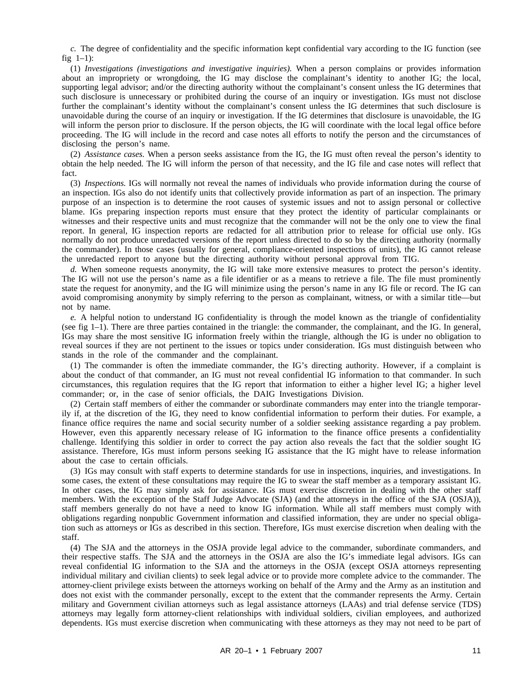*c.* The degree of confidentiality and the specific information kept confidential vary according to the IG function (see fig  $1-1$ :

(1) *Investigations (investigations and investigative inquiries).* When a person complains or provides information about an impropriety or wrongdoing, the IG may disclose the complainant's identity to another IG; the local, supporting legal advisor; and/or the directing authority without the complainant's consent unless the IG determines that such disclosure is unnecessary or prohibited during the course of an inquiry or investigation. IGs must not disclose further the complainant's identity without the complainant's consent unless the IG determines that such disclosure is unavoidable during the course of an inquiry or investigation. If the IG determines that disclosure is unavoidable, the IG will inform the person prior to disclosure. If the person objects, the IG will coordinate with the local legal office before proceeding. The IG will include in the record and case notes all efforts to notify the person and the circumstances of disclosing the person's name.

(2) *Assistance cases.* When a person seeks assistance from the IG, the IG must often reveal the person's identity to obtain the help needed. The IG will inform the person of that necessity, and the IG file and case notes will reflect that fact.

(3) *Inspections.* IGs will normally not reveal the names of individuals who provide information during the course of an inspection. IGs also do not identify units that collectively provide information as part of an inspection. The primary purpose of an inspection is to determine the root causes of systemic issues and not to assign personal or collective blame. IGs preparing inspection reports must ensure that they protect the identity of particular complainants or witnesses and their respective units and must recognize that the commander will not be the only one to view the final report. In general, IG inspection reports are redacted for all attribution prior to release for official use only. IGs normally do not produce unredacted versions of the report unless directed to do so by the directing authority (normally the commander). In those cases (usually for general, compliance-oriented inspections of units), the IG cannot release the unredacted report to anyone but the directing authority without personal approval from TIG.

*d.* When someone requests anonymity, the IG will take more extensive measures to protect the person's identity. The IG will not use the person's name as a file identifier or as a means to retrieve a file. The file must prominently state the request for anonymity, and the IG will minimize using the person's name in any IG file or record. The IG can avoid compromising anonymity by simply referring to the person as complainant, witness, or with a similar title—but not by name.

*e.* A helpful notion to understand IG confidentiality is through the model known as the triangle of confidentiality (see fig 1–1). There are three parties contained in the triangle: the commander, the complainant, and the IG. In general, IGs may share the most sensitive IG information freely within the triangle, although the IG is under no obligation to reveal sources if they are not pertinent to the issues or topics under consideration. IGs must distinguish between who stands in the role of the commander and the complainant.

(1) The commander is often the immediate commander, the IG's directing authority. However, if a complaint is about the conduct of that commander, an IG must not reveal confidential IG information to that commander. In such circumstances, this regulation requires that the IG report that information to either a higher level IG; a higher level commander; or, in the case of senior officials, the DAIG Investigations Division.

(2) Certain staff members of either the commander or subordinate commanders may enter into the triangle temporarily if, at the discretion of the IG, they need to know confidential information to perform their duties. For example, a finance office requires the name and social security number of a soldier seeking assistance regarding a pay problem. However, even this apparently necessary release of IG information to the finance office presents a confidentiality challenge. Identifying this soldier in order to correct the pay action also reveals the fact that the soldier sought IG assistance. Therefore, IGs must inform persons seeking IG assistance that the IG might have to release information about the case to certain officials.

(3) IGs may consult with staff experts to determine standards for use in inspections, inquiries, and investigations. In some cases, the extent of these consultations may require the IG to swear the staff member as a temporary assistant IG. In other cases, the IG may simply ask for assistance. IGs must exercise discretion in dealing with the other staff members. With the exception of the Staff Judge Advocate (SJA) (and the attorneys in the office of the SJA (OSJA)), staff members generally do not have a need to know IG information. While all staff members must comply with obligations regarding nonpublic Government information and classified information, they are under no special obligation such as attorneys or IGs as described in this section. Therefore, IGs must exercise discretion when dealing with the staff.

(4) The SJA and the attorneys in the OSJA provide legal advice to the commander, subordinate commanders, and their respective staffs. The SJA and the attorneys in the OSJA are also the IG's immediate legal advisors. IGs can reveal confidential IG information to the SJA and the attorneys in the OSJA (except OSJA attorneys representing individual military and civilian clients) to seek legal advice or to provide more complete advice to the commander. The attorney-client privilege exists between the attorneys working on behalf of the Army and the Army as an institution and does not exist with the commander personally, except to the extent that the commander represents the Army. Certain military and Government civilian attorneys such as legal assistance attorneys (LAAs) and trial defense service (TDS) attorneys may legally form attorney-client relationships with individual soldiers, civilian employees, and authorized dependents. IGs must exercise discretion when communicating with these attorneys as they may not need to be part of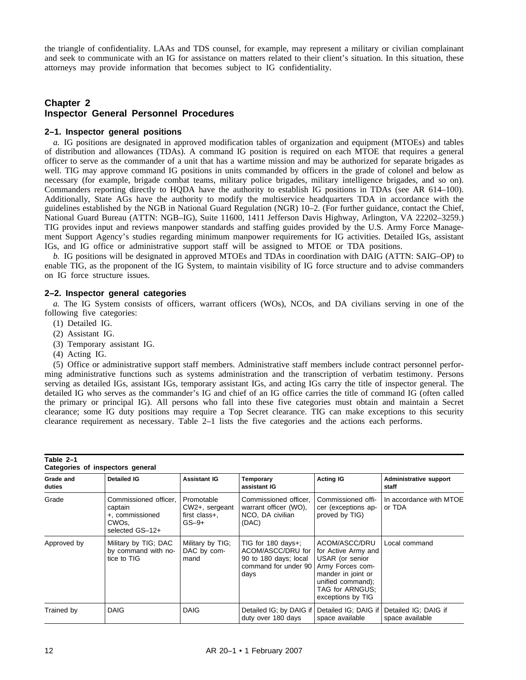the triangle of confidentiality. LAAs and TDS counsel, for example, may represent a military or civilian complainant and seek to communicate with an IG for assistance on matters related to their client's situation. In this situation, these attorneys may provide information that becomes subject to IG confidentiality.

# **Chapter 2 Inspector General Personnel Procedures**

## **2–1. Inspector general positions**

*a.* IG positions are designated in approved modification tables of organization and equipment (MTOEs) and tables of distribution and allowances (TDAs). A command IG position is required on each MTOE that requires a general officer to serve as the commander of a unit that has a wartime mission and may be authorized for separate brigades as well. TIG may approve command IG positions in units commanded by officers in the grade of colonel and below as necessary (for example, brigade combat teams, military police brigades, military intelligence brigades, and so on). Commanders reporting directly to HQDA have the authority to establish IG positions in TDAs (see AR 614–100). Additionally, State AGs have the authority to modify the multiservice headquarters TDA in accordance with the guidelines established by the NGB in National Guard Regulation (NGR) 10–2. (For further guidance, contact the Chief, National Guard Bureau (ATTN: NGB–IG), Suite 11600, 1411 Jefferson Davis Highway, Arlington, VA 22202–3259.) TIG provides input and reviews manpower standards and staffing guides provided by the U.S. Army Force Management Support Agency's studies regarding minimum manpower requirements for IG activities. Detailed IGs, assistant IGs, and IG office or administrative support staff will be assigned to MTOE or TDA positions.

*b.* IG positions will be designated in approved MTOEs and TDAs in coordination with DAIG (ATTN: SAIG–OP) to enable TIG, as the proponent of the IG System, to maintain visibility of IG force structure and to advise commanders on IG force structure issues.

# **2–2. Inspector general categories**

*a.* The IG System consists of officers, warrant officers (WOs), NCOs, and DA civilians serving in one of the following five categories:

- (1) Detailed IG.
- (2) Assistant IG.
- (3) Temporary assistant IG.
- (4) Acting IG.

(5) Office or administrative support staff members. Administrative staff members include contract personnel performing administrative functions such as systems administration and the transcription of verbatim testimony. Persons serving as detailed IGs, assistant IGs, temporary assistant IGs, and acting IGs carry the title of inspector general. The detailed IG who serves as the commander's IG and chief of an IG office carries the title of command IG (often called the primary or principal IG). All persons who fall into these five categories must obtain and maintain a Secret clearance; some IG duty positions may require a Top Secret clearance. TIG can make exceptions to this security clearance requirement as necessary. Table 2–1 lists the five categories and the actions each performs.

| Table 2-1<br>Categories of inspectors general |                                                                                              |                                                             |                                                                                                              |                                                                                                                                                                |                                         |  |  |  |  |
|-----------------------------------------------|----------------------------------------------------------------------------------------------|-------------------------------------------------------------|--------------------------------------------------------------------------------------------------------------|----------------------------------------------------------------------------------------------------------------------------------------------------------------|-----------------------------------------|--|--|--|--|
| Grade and<br>duties                           | <b>Detailed IG</b>                                                                           | <b>Assistant IG</b>                                         | <b>Temporary</b><br>assistant IG                                                                             | <b>Acting IG</b>                                                                                                                                               | <b>Administrative support</b><br>staff  |  |  |  |  |
| Grade                                         | Commissioned officer,<br>captain<br>+, commissioned<br>CWO <sub>s</sub> .<br>selected GS-12+ | Promotable<br>$CW2+$ , sergeant<br>first class+.<br>$GS-9+$ | Commissioned officer,<br>warrant officer (WO),<br>NCO, DA civilian<br>(DAC)                                  | Commissioned offi-<br>cer (exceptions ap-<br>proved by TIG)                                                                                                    | In accordance with MTOE<br>or TDA       |  |  |  |  |
| Approved by                                   | Military by TIG; DAC<br>by command with no-<br>tice to TIG                                   | Military by TIG;<br>DAC by com-<br>mand                     | TIG for $180 \text{ days} +$ :<br>ACOM/ASCC/DRU for<br>90 to 180 days; local<br>command for under 90<br>days | ACOM/ASCC/DRU<br>for Active Army and<br>USAR (or senior<br>Army Forces com-<br>mander in joint or<br>unified command);<br>TAG for ARNGUS;<br>exceptions by TIG | Local command                           |  |  |  |  |
| Trained by                                    | <b>DAIG</b>                                                                                  | <b>DAIG</b>                                                 | Detailed IG; by DAIG if<br>duty over 180 days                                                                | Detailed IG; DAIG if<br>space available                                                                                                                        | Detailed IG; DAIG if<br>space available |  |  |  |  |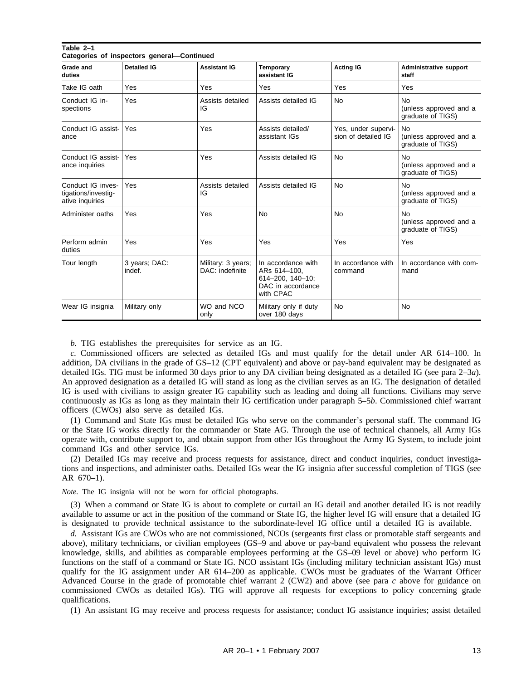| Categories or inspectors general—Continued                  |                         |                                       |                                                                                          |                                            |                                                          |  |  |  |  |
|-------------------------------------------------------------|-------------------------|---------------------------------------|------------------------------------------------------------------------------------------|--------------------------------------------|----------------------------------------------------------|--|--|--|--|
| Grade and<br>duties                                         | <b>Detailed IG</b>      | <b>Assistant IG</b>                   | Temporary<br>assistant IG                                                                | <b>Acting IG</b>                           | <b>Administrative support</b><br>staff                   |  |  |  |  |
| Take IG oath                                                | Yes                     | <b>Yes</b>                            | Yes                                                                                      | Yes                                        | Yes                                                      |  |  |  |  |
| Conduct IG in-<br>spections                                 | Yes                     | Assists detailed<br>IG                | Assists detailed IG                                                                      | <b>No</b>                                  | No.<br>(unless approved and a<br>graduate of TIGS)       |  |  |  |  |
| Conduct IG assist-<br>ance                                  | Yes                     | Yes                                   | Assists detailed/<br>assistant IGs                                                       | Yes, under supervi-<br>sion of detailed IG | <b>No</b><br>(unless approved and a<br>graduate of TIGS) |  |  |  |  |
| Conduct IG assist-<br>ance inquiries                        | Yes                     | Yes                                   | Assists detailed IG                                                                      | <b>No</b>                                  | <b>No</b><br>(unless approved and a<br>graduate of TIGS) |  |  |  |  |
| Conduct IG inves-<br>tigations/investig-<br>ative inquiries | Yes                     | Assists detailed<br>IG                | Assists detailed IG                                                                      | <b>No</b>                                  | <b>No</b><br>(unless approved and a<br>graduate of TIGS) |  |  |  |  |
| Administer oaths                                            | Yes                     | Yes                                   | <b>No</b>                                                                                | <b>No</b>                                  | <b>No</b><br>(unless approved and a<br>graduate of TIGS) |  |  |  |  |
| Perform admin<br>duties                                     | Yes                     | Yes                                   | Yes                                                                                      | Yes                                        | Yes                                                      |  |  |  |  |
| Tour length                                                 | 3 years; DAC:<br>indef. | Military: 3 years;<br>DAC: indefinite | In accordance with<br>ARs 614-100.<br>614-200, 140-10;<br>DAC in accordance<br>with CPAC | In accordance with<br>command              | In accordance with com-<br>mand                          |  |  |  |  |
| Wear IG insignia                                            | Military only           | WO and NCO<br>only                    | Military only if duty<br>over 180 days                                                   | <b>No</b>                                  | <b>No</b>                                                |  |  |  |  |

**Table 2–1 Categories of inspectors general—Continued**

*b.* TIG establishes the prerequisites for service as an IG.

*c.* Commissioned officers are selected as detailed IGs and must qualify for the detail under AR 614–100. In addition, DA civilians in the grade of GS–12 (CPT equivalent) and above or pay-band equivalent may be designated as detailed IGs. TIG must be informed 30 days prior to any DA civilian being designated as a detailed IG (see para 2–3*a*). An approved designation as a detailed IG will stand as long as the civilian serves as an IG. The designation of detailed IG is used with civilians to assign greater IG capability such as leading and doing all functions. Civilians may serve continuously as IGs as long as they maintain their IG certification under paragraph 5–5*b*. Commissioned chief warrant officers (CWOs) also serve as detailed IGs.

(1) Command and State IGs must be detailed IGs who serve on the commander's personal staff. The command IG or the State IG works directly for the commander or State AG. Through the use of technical channels, all Army IGs operate with, contribute support to, and obtain support from other IGs throughout the Army IG System, to include joint command IGs and other service IGs.

(2) Detailed IGs may receive and process requests for assistance, direct and conduct inquiries, conduct investigations and inspections, and administer oaths. Detailed IGs wear the IG insignia after successful completion of TIGS (see AR 670–1).

*Note.* The IG insignia will not be worn for official photographs.

(3) When a command or State IG is about to complete or curtail an IG detail and another detailed IG is not readily available to assume or act in the position of the command or State IG, the higher level IG will ensure that a detailed IG is designated to provide technical assistance to the subordinate-level IG office until a detailed IG is available.

*d.* Assistant IGs are CWOs who are not commissioned, NCOs (sergeants first class or promotable staff sergeants and above), military technicians, or civilian employees (GS–9 and above or pay-band equivalent who possess the relevant knowledge, skills, and abilities as comparable employees performing at the GS–09 level or above) who perform IG functions on the staff of a command or State IG. NCO assistant IGs (including military technician assistant IGs) must qualify for the IG assignment under AR 614–200 as applicable. CWOs must be graduates of the Warrant Officer Advanced Course in the grade of promotable chief warrant 2 (CW2) and above (see para *c* above for guidance on commissioned CWOs as detailed IGs). TIG will approve all requests for exceptions to policy concerning grade qualifications.

(1) An assistant IG may receive and process requests for assistance; conduct IG assistance inquiries; assist detailed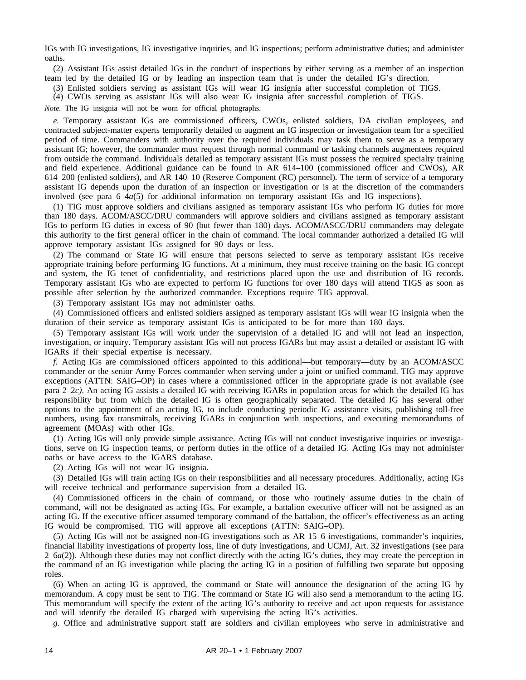IGs with IG investigations, IG investigative inquiries, and IG inspections; perform administrative duties; and administer oaths.

(2) Assistant IGs assist detailed IGs in the conduct of inspections by either serving as a member of an inspection team led by the detailed IG or by leading an inspection team that is under the detailed IG's direction.

(3) Enlisted soldiers serving as assistant IGs will wear IG insignia after successful completion of TIGS.

(4) CWOs serving as assistant IGs will also wear IG insignia after successful completion of TIGS.

*Note.* The IG insignia will not be worn for official photographs.

*e.* Temporary assistant IGs are commissioned officers, CWOs, enlisted soldiers, DA civilian employees, and contracted subject-matter experts temporarily detailed to augment an IG inspection or investigation team for a specified period of time. Commanders with authority over the required individuals may task them to serve as a temporary assistant IG; however, the commander must request through normal command or tasking channels augmentees required from outside the command. Individuals detailed as temporary assistant IGs must possess the required specialty training and field experience. Additional guidance can be found in AR 614–100 (commissioned officer and CWOs), AR 614–200 (enlisted soldiers), and AR 140–10 (Reserve Component (RC) personnel). The term of service of a temporary assistant IG depends upon the duration of an inspection or investigation or is at the discretion of the commanders involved (see para 6–4*a*(5) for additional information on temporary assistant IGs and IG inspections).

(1) TIG must approve soldiers and civilians assigned as temporary assistant IGs who perform IG duties for more than 180 days. ACOM/ASCC/DRU commanders will approve soldiers and civilians assigned as temporary assistant IGs to perform IG duties in excess of 90 (but fewer than 180) days. ACOM/ASCC/DRU commanders may delegate this authority to the first general officer in the chain of command. The local commander authorized a detailed IG will approve temporary assistant IGs assigned for 90 days or less.

(2) The command or State IG will ensure that persons selected to serve as temporary assistant IGs receive appropriate training before performing IG functions. At a minimum, they must receive training on the basic IG concept and system, the IG tenet of confidentiality, and restrictions placed upon the use and distribution of IG records. Temporary assistant IGs who are expected to perform IG functions for over 180 days will attend TIGS as soon as possible after selection by the authorized commander. Exceptions require TIG approval.

(3) Temporary assistant IGs may not administer oaths.

(4) Commissioned officers and enlisted soldiers assigned as temporary assistant IGs will wear IG insignia when the duration of their service as temporary assistant IGs is anticipated to be for more than 180 days.

(5) Temporary assistant IGs will work under the supervision of a detailed IG and will not lead an inspection, investigation, or inquiry. Temporary assistant IGs will not process IGARs but may assist a detailed or assistant IG with IGARs if their special expertise is necessary.

*f.* Acting IGs are commissioned officers appointed to this additional—but temporary—duty by an ACOM/ASCC commander or the senior Army Forces commander when serving under a joint or unified command. TIG may approve exceptions (ATTN: SAIG–OP) in cases where a commissioned officer in the appropriate grade is not available (see para 2–2*c)*. An acting IG assists a detailed IG with receiving IGARs in population areas for which the detailed IG has responsibility but from which the detailed IG is often geographically separated. The detailed IG has several other options to the appointment of an acting IG, to include conducting periodic IG assistance visits, publishing toll-free numbers, using fax transmittals, receiving IGARs in conjunction with inspections, and executing memorandums of agreement (MOAs) with other IGs.

(1) Acting IGs will only provide simple assistance. Acting IGs will not conduct investigative inquiries or investigations, serve on IG inspection teams, or perform duties in the office of a detailed IG. Acting IGs may not administer oaths or have access to the IGARS database.

(2) Acting IGs will not wear IG insignia.

(3) Detailed IGs will train acting IGs on their responsibilities and all necessary procedures. Additionally, acting IGs will receive technical and performance supervision from a detailed IG.

(4) Commissioned officers in the chain of command, or those who routinely assume duties in the chain of command, will not be designated as acting IGs. For example, a battalion executive officer will not be assigned as an acting IG. If the executive officer assumed temporary command of the battalion, the officer's effectiveness as an acting IG would be compromised. TIG will approve all exceptions (ATTN: SAIG–OP).

(5) Acting IGs will not be assigned non-IG investigations such as AR 15–6 investigations, commander's inquiries, financial liability investigations of property loss, line of duty investigations, and UCMJ, Art. 32 investigations (see para  $2-6a(2)$ ). Although these duties may not conflict directly with the acting IG's duties, they may create the perception in the command of an IG investigation while placing the acting IG in a position of fulfilling two separate but opposing roles.

(6) When an acting IG is approved, the command or State will announce the designation of the acting IG by memorandum. A copy must be sent to TIG. The command or State IG will also send a memorandum to the acting IG. This memorandum will specify the extent of the acting IG's authority to receive and act upon requests for assistance and will identify the detailed IG charged with supervising the acting IG's activities.

*g.* Office and administrative support staff are soldiers and civilian employees who serve in administrative and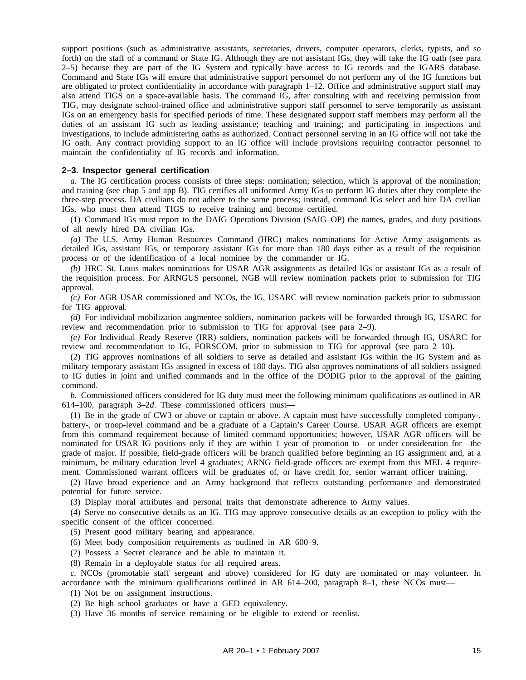support positions (such as administrative assistants, secretaries, drivers, computer operators, clerks, typists, and so forth) on the staff of a command or State IG. Although they are not assistant IGs, they will take the IG oath (see para 2–5) because they are part of the IG System and typically have access to IG records and the IGARS database. Command and State IGs will ensure that administrative support personnel do not perform any of the IG functions but are obligated to protect confidentiality in accordance with paragraph 1–12. Office and administrative support staff may also attend TIGS on a space-available basis. The command IG, after consulting with and receiving permission from TIG, may designate school-trained office and administrative support staff personnel to serve temporarily as assistant IGs on an emergency basis for specified periods of time. These designated support staff members may perform all the duties of an assistant IG such as leading assistance; teaching and training; and participating in inspections and investigations, to include administering oaths as authorized. Contract personnel serving in an IG office will not take the IG oath. Any contract providing support to an IG office will include provisions requiring contractor personnel to maintain the confidentiality of IG records and information.

## **2–3. Inspector general certification**

*a.* The IG certification process consists of three steps: nomination; selection, which is approval of the nomination; and training (see chap 5 and app B). TIG certifies all uniformed Army IGs to perform IG duties after they complete the three-step process. DA civilians do not adhere to the same process; instead, command IGs select and hire DA civilian IGs, who must then attend TIGS to receive training and become certified.

(1) Command IGs must report to the DAIG Operations Division (SAIG–OP) the names, grades, and duty positions of all newly hired DA civilian IGs.

*(a)* The U.S. Army Human Resources Command (HRC) makes nominations for Active Army assignments as detailed IGs, assistant IGs, or temporary assistant IGs for more than 180 days either as a result of the requisition process or of the identification of a local nominee by the commander or IG.

*(b)* HRC–St. Louis makes nominations for USAR AGR assignments as detailed IGs or assistant IGs as a result of the requisition process. For ARNGUS personnel, NGB will review nomination packets prior to submission for TIG approval.

*(c)* For AGR USAR commissioned and NCOs, the IG, USARC will review nomination packets prior to submission for TIG approval.

*(d)* For individual mobilization augmentee soldiers, nomination packets will be forwarded through IG, USARC for review and recommendation prior to submission to TIG for approval (see para 2–9).

*(e)* For Individual Ready Reserve (IRR) soldiers, nomination packets will be forwarded through IG, USARC for review and recommendation to IG, FORSCOM, prior to submission to TIG for approval (see para 2–10).

(2) TIG approves nominations of all soldiers to serve as detailed and assistant IGs within the IG System and as military temporary assistant IGs assigned in excess of 180 days. TIG also approves nominations of all soldiers assigned to IG duties in joint and unified commands and in the office of the DODIG prior to the approval of the gaining command.

*b.* Commissioned officers considered for IG duty must meet the following minimum qualifications as outlined in AR 614–100, paragraph 3–2*d*. These commissioned officers must—

(1) Be in the grade of CW3 or above or captain or above. A captain must have successfully completed company-, battery-, or troop-level command and be a graduate of a Captain's Career Course. USAR AGR officers are exempt from this command requirement because of limited command opportunities; however, USAR AGR officers will be nominated for USAR IG positions only if they are within 1 year of promotion to—or under consideration for—the grade of major. If possible, field-grade officers will be branch qualified before beginning an IG assignment and, at a minimum, be military education level 4 graduates; ARNG field-grade officers are exempt from this MEL 4 requirement. Commissioned warrant officers will be graduates of, or have credit for, senior warrant officer training.

(2) Have broad experience and an Army background that reflects outstanding performance and demonstrated potential for future service.

(3) Display moral attributes and personal traits that demonstrate adherence to Army values.

(4) Serve no consecutive details as an IG. TIG may approve consecutive details as an exception to policy with the specific consent of the officer concerned.

(5) Present good military bearing and appearance.

(6) Meet body composition requirements as outlined in AR 600–9.

(7) Possess a Secret clearance and be able to maintain it.

(8) Remain in a deployable status for all required areas.

*c.* NCOs (promotable staff sergeant and above) considered for IG duty are nominated or may volunteer. In accordance with the minimum qualifications outlined in AR  $614-200$ , paragraph  $8-1$ , these NCOs must—

(1) Not be on assignment instructions.

(2) Be high school graduates or have a GED equivalency.

(3) Have 36 months of service remaining or be eligible to extend or reenlist.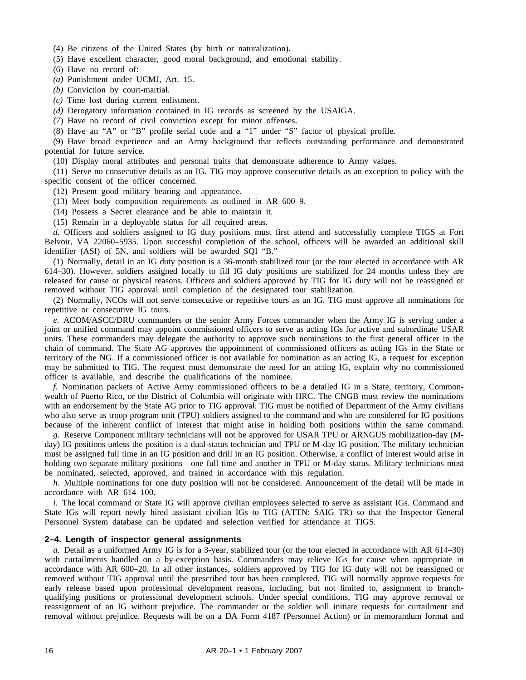- (4) Be citizens of the United States (by birth or naturalization).
- (5) Have excellent character, good moral background, and emotional stability.
- (6) Have no record of:
- *(a)* Punishment under UCMJ, Art. 15.
- *(b)* Conviction by court-martial.
- *(c)* Time lost during current enlistment.
- *(d)* Derogatory information contained in IG records as screened by the USAIGA.
- (7) Have no record of civil conviction except for minor offenses.
- (8) Have an "A" or "B" profile serial code and a "1" under "S" factor of physical profile.

(9) Have broad experience and an Army background that reflects outstanding performance and demonstrated potential for future service.

(10) Display moral attributes and personal traits that demonstrate adherence to Army values.

(11) Serve no consecutive details as an IG. TIG may approve consecutive details as an exception to policy with the specific consent of the officer concerned.

- (12) Present good military bearing and appearance.
- (13) Meet body composition requirements as outlined in AR 600–9.
- (14) Possess a Secret clearance and be able to maintain it.
- (15) Remain in a deployable status for all required areas.

*d.* Officers and soldiers assigned to IG duty positions must first attend and successfully complete TIGS at Fort Belvoir, VA 22060–5935. Upon successful completion of the school, officers will be awarded an additional skill identifier (ASI) of 5N, and soldiers will be awarded SQI "B."

(1) Normally, detail in an IG duty position is a 36-month stabilized tour (or the tour elected in accordance with AR 614–30). However, soldiers assigned locally to fill IG duty positions are stabilized for 24 months unless they are released for cause or physical reasons. Officers and soldiers approved by TIG for IG duty will not be reassigned or removed without TIG approval until completion of the designated tour stabilization.

(2) Normally, NCOs will not serve consecutive or repetitive tours as an IG. TIG must approve all nominations for repetitive or consecutive IG tours.

*e.* ACOM/ASCC/DRU commanders or the senior Army Forces commander when the Army IG is serving under a joint or unified command may appoint commissioned officers to serve as acting IGs for active and subordinate USAR units. These commanders may delegate the authority to approve such nominations to the first general officer in the chain of command. The State AG approves the appointment of commissioned officers as acting IGs in the State or territory of the NG. If a commissioned officer is not available for nomination as an acting IG, a request for exception may be submitted to TIG. The request must demonstrate the need for an acting IG, explain why no commissioned officer is available, and describe the qualifications of the nominee.

*f.* Nomination packets of Active Army commissioned officers to be a detailed IG in a State, territory, Commonwealth of Puerto Rico, or the District of Columbia will originate with HRC. The CNGB must review the nominations with an endorsement by the State AG prior to TIG approval. TIG must be notified of Department of the Army civilians who also serve as troop program unit (TPU) soldiers assigned to the command and who are considered for IG positions because of the inherent conflict of interest that might arise in holding both positions within the same command.

*g.* Reserve Component military technicians will not be approved for USAR TPU or ARNGUS mobilization-day (Mday) IG positions unless the position is a dual-status technician and TPU or M-day IG position. The military technician must be assigned full time in an IG position and drill in an IG position. Otherwise, a conflict of interest would arise in holding two separate military positions—one full time and another in TPU or M-day status. Military technicians must be nominated, selected, approved, and trained in accordance with this regulation.

*h.* Multiple nominations for one duty position will not be considered. Announcement of the detail will be made in accordance with AR 614–100.

*i.* The local command or State IG will approve civilian employees selected to serve as assistant IGs. Command and State IGs will report newly hired assistant civilian IGs to TIG (ATTN: SAIG–TR) so that the Inspector General Personnel System database can be updated and selection verified for attendance at TIGS.

# **2–4. Length of inspector general assignments**

*a.* Detail as a uniformed Army IG is for a 3-year, stabilized tour (or the tour elected in accordance with AR 614–30) with curtailments handled on a by-exception basis. Commanders may relieve IGs for cause when appropriate in accordance with AR 600–20. In all other instances, soldiers approved by TIG for IG duty will not be reassigned or removed without TIG approval until the prescribed tour has been completed. TIG will normally approve requests for early release based upon professional development reasons, including, but not limited to, assignment to branchqualifying positions or professional development schools. Under special conditions, TIG may approve removal or reassignment of an IG without prejudice. The commander or the soldier will initiate requests for curtailment and removal without prejudice. Requests will be on a DA Form 4187 (Personnel Action) or in memorandum format and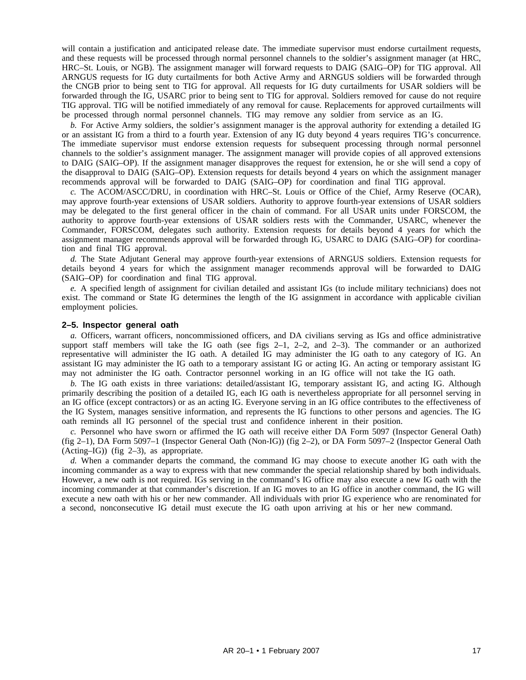will contain a justification and anticipated release date. The immediate supervisor must endorse curtailment requests, and these requests will be processed through normal personnel channels to the soldier's assignment manager (at HRC, HRC–St. Louis, or NGB). The assignment manager will forward requests to DAIG (SAIG–OP) for TIG approval. All ARNGUS requests for IG duty curtailments for both Active Army and ARNGUS soldiers will be forwarded through the CNGB prior to being sent to TIG for approval. All requests for IG duty curtailments for USAR soldiers will be forwarded through the IG, USARC prior to being sent to TIG for approval. Soldiers removed for cause do not require TIG approval. TIG will be notified immediately of any removal for cause. Replacements for approved curtailments will be processed through normal personnel channels. TIG may remove any soldier from service as an IG.

*b.* For Active Army soldiers, the soldier's assignment manager is the approval authority for extending a detailed IG or an assistant IG from a third to a fourth year. Extension of any IG duty beyond 4 years requires TIG's concurrence. The immediate supervisor must endorse extension requests for subsequent processing through normal personnel channels to the soldier's assignment manager. The assignment manager will provide copies of all approved extensions to DAIG (SAIG–OP). If the assignment manager disapproves the request for extension, he or she will send a copy of the disapproval to DAIG (SAIG–OP). Extension requests for details beyond 4 years on which the assignment manager recommends approval will be forwarded to DAIG (SAIG–OP) for coordination and final TIG approval.

*c.* The ACOM/ASCC/DRU, in coordination with HRC–St. Louis or Office of the Chief, Army Reserve (OCAR), may approve fourth-year extensions of USAR soldiers. Authority to approve fourth-year extensions of USAR soldiers may be delegated to the first general officer in the chain of command. For all USAR units under FORSCOM, the authority to approve fourth-year extensions of USAR soldiers rests with the Commander, USARC, whenever the Commander, FORSCOM, delegates such authority. Extension requests for details beyond 4 years for which the assignment manager recommends approval will be forwarded through IG, USARC to DAIG (SAIG–OP) for coordination and final TIG approval.

*d.* The State Adjutant General may approve fourth-year extensions of ARNGUS soldiers. Extension requests for details beyond 4 years for which the assignment manager recommends approval will be forwarded to DAIG (SAIG–OP) for coordination and final TIG approval.

*e.* A specified length of assignment for civilian detailed and assistant IGs (to include military technicians) does not exist. The command or State IG determines the length of the IG assignment in accordance with applicable civilian employment policies.

#### **2–5. Inspector general oath**

*a.* Officers, warrant officers, noncommissioned officers, and DA civilians serving as IGs and office administrative support staff members will take the IG oath (see figs  $2-1$ ,  $2-2$ , and  $2-3$ ). The commander or an authorized representative will administer the IG oath. A detailed IG may administer the IG oath to any category of IG. An assistant IG may administer the IG oath to a temporary assistant IG or acting IG. An acting or temporary assistant IG may not administer the IG oath. Contractor personnel working in an IG office will not take the IG oath.

*b.* The IG oath exists in three variations: detailed/assistant IG, temporary assistant IG, and acting IG. Although primarily describing the position of a detailed IG, each IG oath is nevertheless appropriate for all personnel serving in an IG office (except contractors) or as an acting IG. Everyone serving in an IG office contributes to the effectiveness of the IG System, manages sensitive information, and represents the IG functions to other persons and agencies. The IG oath reminds all IG personnel of the special trust and confidence inherent in their position.

*c.* Personnel who have sworn or affirmed the IG oath will receive either DA Form 5097 (Inspector General Oath) (fig 2–1), DA Form 5097–1 (Inspector General Oath (Non-IG)) (fig 2–2), or DA Form 5097–2 (Inspector General Oath  $(Acting–IG)$ ) (fig 2–3), as appropriate.

*d.* When a commander departs the command, the command IG may choose to execute another IG oath with the incoming commander as a way to express with that new commander the special relationship shared by both individuals. However, a new oath is not required. IGs serving in the command's IG office may also execute a new IG oath with the incoming commander at that commander's discretion. If an IG moves to an IG office in another command, the IG will execute a new oath with his or her new commander. All individuals with prior IG experience who are renominated for a second, nonconsecutive IG detail must execute the IG oath upon arriving at his or her new command.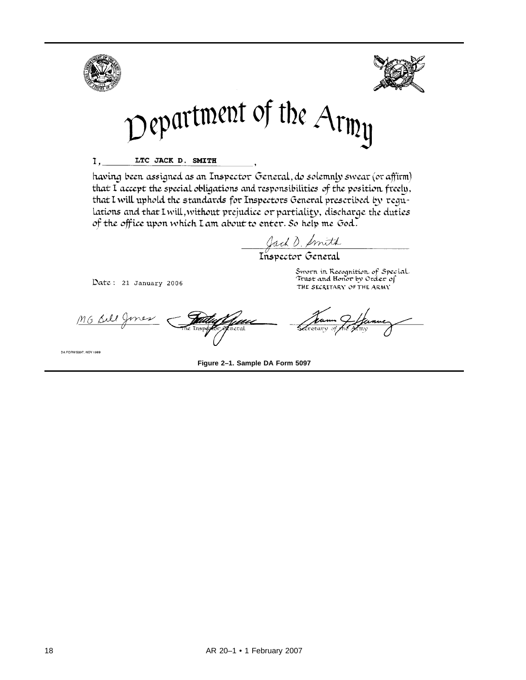

having been assigned as an Inspector General, do solemnly swear (or affirm) that I accept the special obligations and responsibilities of the position freely, that I will uphold the standards for Inspectors General prescribed by requlations and that I will, without prejudice or partiality, discharge the duties of the office upon which Lam about to enter. So help me God.

Jack D. Amith<br>Inspector General

Date: 21 January 2006

Sworn in Recognition of Special Trust and Honor by Order of THE SECRETARY OF THE ARMY

mes MG Silly Tieral

DA FORM 5097, NOV 1989

**Figure 2–1. Sample DA Form 5097**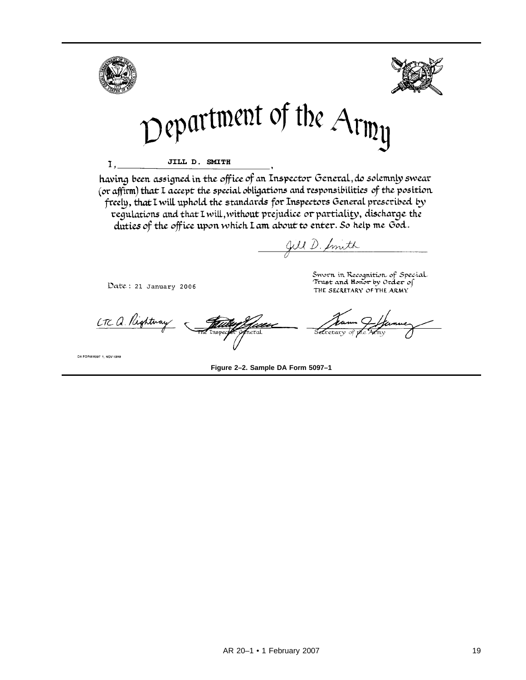

having been assigned in the office of an Inspector General, do solemnly swear (or affirm) that I accept the special obligations and responsibilities of the position freely, that I will uphold the standards for Inspectors General prescribed by regulations and that I will, without prejudice or partiality, discharge the duties of the office upon which Lam about to enter. So help me God.

Jill D. Smith

Date: 21 January 2006

LTC a Rightway <u>faan</u>

Sworn in Recognition of Special<br>Trust and Honor by Order of THE SECRETARY OF THE ARMY

DA FORM 5097 1, NOV 1989

**Figure 2–2. Sample DA Form 5097–1**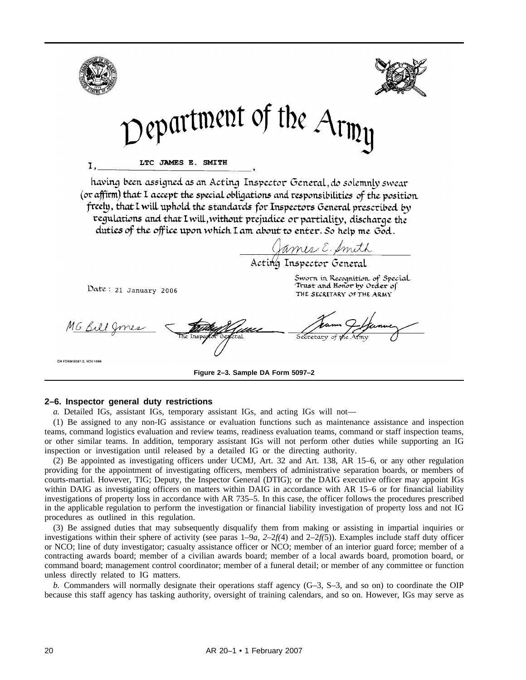

## **2–6. Inspector general duty restrictions**

*a.* Detailed IGs, assistant IGs, temporary assistant IGs, and acting IGs will not—

(1) Be assigned to any non-IG assistance or evaluation functions such as maintenance assistance and inspection teams, command logistics evaluation and review teams, readiness evaluation teams, command or staff inspection teams, or other similar teams. In addition, temporary assistant IGs will not perform other duties while supporting an IG inspection or investigation until released by a detailed IG or the directing authority.

(2) Be appointed as investigating officers under UCMJ, Art. 32 and Art. 138, AR 15–6, or any other regulation providing for the appointment of investigating officers, members of administrative separation boards, or members of courts-martial. However, TIG; Deputy, the Inspector General (DTIG); or the DAIG executive officer may appoint IGs within DAIG as investigating officers on matters within DAIG in accordance with AR 15–6 or for financial liability investigations of property loss in accordance with AR 735–5. In this case, the officer follows the procedures prescribed in the applicable regulation to perform the investigation or financial liability investigation of property loss and not IG procedures as outlined in this regulation.

(3) Be assigned duties that may subsequently disqualify them from making or assisting in impartial inquiries or investigations within their sphere of activity (see paras 1–9*a, 2*–2*f(*4) and 2–2*f(*5)). Examples include staff duty officer or NCO; line of duty investigator; casualty assistance officer or NCO; member of an interior guard force; member of a contracting awards board; member of a civilian awards board; member of a local awards board, promotion board, or command board; management control coordinator; member of a funeral detail; or member of any committee or function unless directly related to IG matters.

*b.* Commanders will normally designate their operations staff agency (G–3, S–3, and so on) to coordinate the OIP because this staff agency has tasking authority, oversight of training calendars, and so on. However, IGs may serve as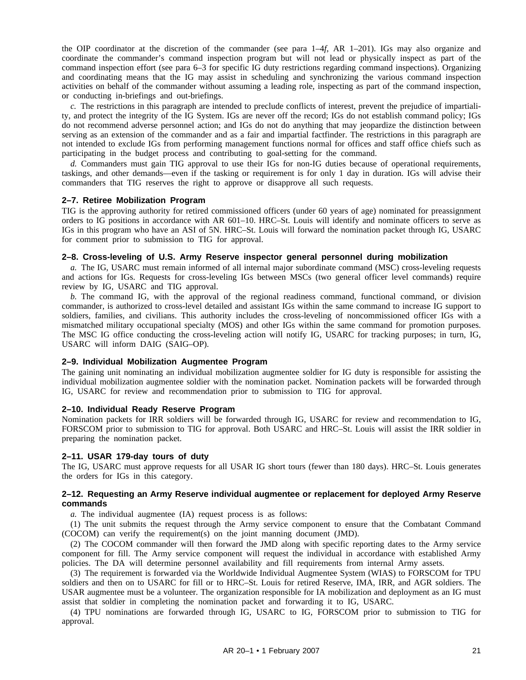the OIP coordinator at the discretion of the commander (see para 1–4*f*, AR 1–201). IGs may also organize and coordinate the commander's command inspection program but will not lead or physically inspect as part of the command inspection effort (see para 6–3 for specific IG duty restrictions regarding command inspections). Organizing and coordinating means that the IG may assist in scheduling and synchronizing the various command inspection activities on behalf of the commander without assuming a leading role, inspecting as part of the command inspection, or conducting in-briefings and out-briefings.

*c.* The restrictions in this paragraph are intended to preclude conflicts of interest, prevent the prejudice of impartiality, and protect the integrity of the IG System. IGs are never off the record; IGs do not establish command policy; IGs do not recommend adverse personnel action; and IGs do not do anything that may jeopardize the distinction between serving as an extension of the commander and as a fair and impartial factfinder. The restrictions in this paragraph are not intended to exclude IGs from performing management functions normal for offices and staff office chiefs such as participating in the budget process and contributing to goal-setting for the command.

*d.* Commanders must gain TIG approval to use their IGs for non-IG duties because of operational requirements, taskings, and other demands—even if the tasking or requirement is for only 1 day in duration. IGs will advise their commanders that TIG reserves the right to approve or disapprove all such requests.

## **2–7. Retiree Mobilization Program**

TIG is the approving authority for retired commissioned officers (under 60 years of age) nominated for preassignment orders to IG positions in accordance with AR 601–10. HRC–St. Louis will identify and nominate officers to serve as IGs in this program who have an ASI of 5N. HRC–St. Louis will forward the nomination packet through IG, USARC for comment prior to submission to TIG for approval.

#### **2–8. Cross-leveling of U.S. Army Reserve inspector general personnel during mobilization**

*a.* The IG, USARC must remain informed of all internal major subordinate command (MSC) cross-leveling requests and actions for IGs. Requests for cross-leveling IGs between MSCs (two general officer level commands) require review by IG, USARC and TIG approval.

*b.* The command IG, with the approval of the regional readiness command, functional command, or division commander, is authorized to cross-level detailed and assistant IGs within the same command to increase IG support to soldiers, families, and civilians. This authority includes the cross-leveling of noncommissioned officer IGs with a mismatched military occupational specialty (MOS) and other IGs within the same command for promotion purposes. The MSC IG office conducting the cross-leveling action will notify IG, USARC for tracking purposes; in turn, IG, USARC will inform DAIG (SAIG–OP).

#### **2–9. Individual Mobilization Augmentee Program**

The gaining unit nominating an individual mobilization augmentee soldier for IG duty is responsible for assisting the individual mobilization augmentee soldier with the nomination packet. Nomination packets will be forwarded through IG, USARC for review and recommendation prior to submission to TIG for approval.

#### **2–10. Individual Ready Reserve Program**

Nomination packets for IRR soldiers will be forwarded through IG, USARC for review and recommendation to IG, FORSCOM prior to submission to TIG for approval. Both USARC and HRC–St. Louis will assist the IRR soldier in preparing the nomination packet.

#### **2–11. USAR 179-day tours of duty**

The IG, USARC must approve requests for all USAR IG short tours (fewer than 180 days). HRC–St. Louis generates the orders for IGs in this category.

## **2–12. Requesting an Army Reserve individual augmentee or replacement for deployed Army Reserve commands**

*a.* The individual augmentee (IA) request process is as follows:

(1) The unit submits the request through the Army service component to ensure that the Combatant Command (COCOM) can verify the requirement(s) on the joint manning document (JMD).

(2) The COCOM commander will then forward the JMD along with specific reporting dates to the Army service component for fill. The Army service component will request the individual in accordance with established Army policies. The DA will determine personnel availability and fill requirements from internal Army assets.

(3) The requirement is forwarded via the Worldwide Individual Augmentee System (WIAS) to FORSCOM for TPU soldiers and then on to USARC for fill or to HRC–St. Louis for retired Reserve, IMA, IRR, and AGR soldiers. The USAR augmentee must be a volunteer. The organization responsible for IA mobilization and deployment as an IG must assist that soldier in completing the nomination packet and forwarding it to IG, USARC.

(4) TPU nominations are forwarded through IG, USARC to IG, FORSCOM prior to submission to TIG for approval.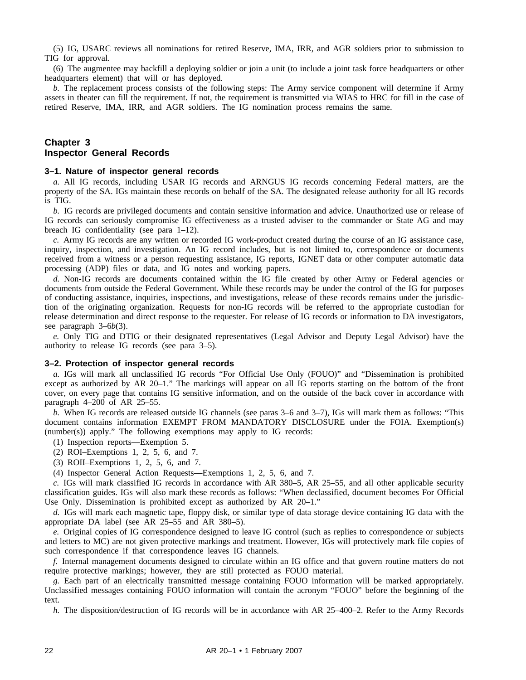(5) IG, USARC reviews all nominations for retired Reserve, IMA, IRR, and AGR soldiers prior to submission to TIG for approval.

(6) The augmentee may backfill a deploying soldier or join a unit (to include a joint task force headquarters or other headquarters element) that will or has deployed.

*b.* The replacement process consists of the following steps: The Army service component will determine if Army assets in theater can fill the requirement. If not, the requirement is transmitted via WIAS to HRC for fill in the case of retired Reserve, IMA, IRR, and AGR soldiers. The IG nomination process remains the same.

# **Chapter 3 Inspector General Records**

#### **3–1. Nature of inspector general records**

*a.* All IG records, including USAR IG records and ARNGUS IG records concerning Federal matters, are the property of the SA. IGs maintain these records on behalf of the SA. The designated release authority for all IG records is TIG.

*b.* IG records are privileged documents and contain sensitive information and advice. Unauthorized use or release of IG records can seriously compromise IG effectiveness as a trusted adviser to the commander or State AG and may breach IG confidentiality (see para 1–12).

*c.* Army IG records are any written or recorded IG work-product created during the course of an IG assistance case, inquiry, inspection, and investigation. An IG record includes, but is not limited to, correspondence or documents received from a witness or a person requesting assistance, IG reports, IGNET data or other computer automatic data processing (ADP) files or data, and IG notes and working papers.

*d.* Non-IG records are documents contained within the IG file created by other Army or Federal agencies or documents from outside the Federal Government. While these records may be under the control of the IG for purposes of conducting assistance, inquiries, inspections, and investigations, release of these records remains under the jurisdiction of the originating organization. Requests for non-IG records will be referred to the appropriate custodian for release determination and direct response to the requester. For release of IG records or information to DA investigators, see paragraph 3–6*b*(3).

*e.* Only TIG and DTIG or their designated representatives (Legal Advisor and Deputy Legal Advisor) have the authority to release IG records (see para 3–5).

## **3–2. Protection of inspector general records**

*a.* IGs will mark all unclassified IG records "For Official Use Only (FOUO)" and "Dissemination is prohibited except as authorized by AR 20–1." The markings will appear on all IG reports starting on the bottom of the front cover, on every page that contains IG sensitive information, and on the outside of the back cover in accordance with paragraph 4–200 of AR 25–55.

*b.* When IG records are released outside IG channels (see paras 3–6 and 3–7), IGs will mark them as follows: "This document contains information EXEMPT FROM MANDATORY DISCLOSURE under the FOIA. Exemption(s) (number(s)) apply." The following exemptions may apply to IG records:

- (1) Inspection reports—Exemption 5.
- (2) ROI–Exemptions 1, 2, 5, 6, and 7.
- (3) ROII–Exemptions 1, 2, 5, 6, and 7.
- (4) Inspector General Action Requests—Exemptions 1, 2, 5, 6, and 7.

*c.* IGs will mark classified IG records in accordance with AR 380–5, AR 25–55, and all other applicable security classification guides. IGs will also mark these records as follows: "When declassified, document becomes For Official Use Only. Dissemination is prohibited except as authorized by AR 20–1."

*d.* IGs will mark each magnetic tape, floppy disk, or similar type of data storage device containing IG data with the appropriate DA label (see AR 25–55 and AR 380–5).

*e.* Original copies of IG correspondence designed to leave IG control (such as replies to correspondence or subjects and letters to MC) are not given protective markings and treatment. However, IGs will protectively mark file copies of such correspondence if that correspondence leaves IG channels.

*f.* Internal management documents designed to circulate within an IG office and that govern routine matters do not require protective markings; however, they are still protected as FOUO material.

*g.* Each part of an electrically transmitted message containing FOUO information will be marked appropriately. Unclassified messages containing FOUO information will contain the acronym "FOUO" before the beginning of the text.

*h.* The disposition/destruction of IG records will be in accordance with AR 25–400–2. Refer to the Army Records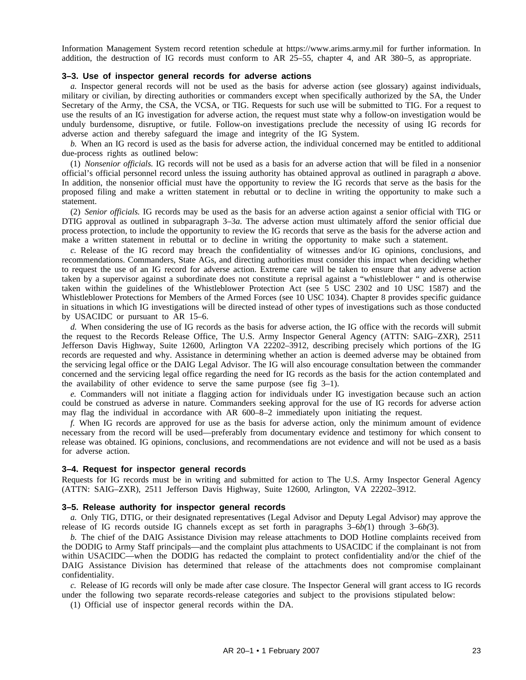Information Management System record retention schedule at https://www.arims.army.mil for further information. In addition, the destruction of IG records must conform to AR 25–55, chapter 4, and AR 380–5, as appropriate.

## **3–3. Use of inspector general records for adverse actions**

*a.* Inspector general records will not be used as the basis for adverse action (see glossary) against individuals, military or civilian, by directing authorities or commanders except when specifically authorized by the SA, the Under Secretary of the Army, the CSA, the VCSA, or TIG. Requests for such use will be submitted to TIG. For a request to use the results of an IG investigation for adverse action, the request must state why a follow-on investigation would be unduly burdensome, disruptive, or futile. Follow-on investigations preclude the necessity of using IG records for adverse action and thereby safeguard the image and integrity of the IG System.

*b.* When an IG record is used as the basis for adverse action, the individual concerned may be entitled to additional due-process rights as outlined below:

(1) *Nonsenior officials.* IG records will not be used as a basis for an adverse action that will be filed in a nonsenior official's official personnel record unless the issuing authority has obtained approval as outlined in paragraph *a* above. In addition, the nonsenior official must have the opportunity to review the IG records that serve as the basis for the proposed filing and make a written statement in rebuttal or to decline in writing the opportunity to make such a statement.

(2) *Senior officials.* IG records may be used as the basis for an adverse action against a senior official with TIG or DTIG approval as outlined in subparagraph 3–3*a*. The adverse action must ultimately afford the senior official due process protection, to include the opportunity to review the IG records that serve as the basis for the adverse action and make a written statement in rebuttal or to decline in writing the opportunity to make such a statement.

*c.* Release of the IG record may breach the confidentiality of witnesses and/or IG opinions, conclusions, and recommendations. Commanders, State AGs, and directing authorities must consider this impact when deciding whether to request the use of an IG record for adverse action. Extreme care will be taken to ensure that any adverse action taken by a supervisor against a subordinate does not constitute a reprisal against a "whistleblower " and is otherwise taken within the guidelines of the Whistleblower Protection Act (see 5 USC 2302 and 10 USC 1587) and the Whistleblower Protections for Members of the Armed Forces (see 10 USC 1034). Chapter 8 provides specific guidance in situations in which IG investigations will be directed instead of other types of investigations such as those conducted by USACIDC or pursuant to AR 15–6.

*d.* When considering the use of IG records as the basis for adverse action, the IG office with the records will submit the request to the Records Release Office, The U.S. Army Inspector General Agency (ATTN: SAIG–ZXR), 2511 Jefferson Davis Highway, Suite 12600, Arlington VA 22202–3912, describing precisely which portions of the IG records are requested and why. Assistance in determining whether an action is deemed adverse may be obtained from the servicing legal office or the DAIG Legal Advisor. The IG will also encourage consultation between the commander concerned and the servicing legal office regarding the need for IG records as the basis for the action contemplated and the availability of other evidence to serve the same purpose (see fig  $3-1$ ).

*e.* Commanders will not initiate a flagging action for individuals under IG investigation because such an action could be construed as adverse in nature. Commanders seeking approval for the use of IG records for adverse action may flag the individual in accordance with AR 600–8–2 immediately upon initiating the request.

*f.* When IG records are approved for use as the basis for adverse action, only the minimum amount of evidence necessary from the record will be used—preferably from documentary evidence and testimony for which consent to release was obtained. IG opinions, conclusions, and recommendations are not evidence and will not be used as a basis for adverse action.

#### **3–4. Request for inspector general records**

Requests for IG records must be in writing and submitted for action to The U.S. Army Inspector General Agency (ATTN: SAIG–ZXR), 2511 Jefferson Davis Highway, Suite 12600, Arlington, VA 22202–3912.

#### **3–5. Release authority for inspector general records**

*a.* Only TIG, DTIG, or their designated representatives (Legal Advisor and Deputy Legal Advisor) may approve the release of IG records outside IG channels except as set forth in paragraphs 3–6*b(*1) through 3–6*b(*3).

*b.* The chief of the DAIG Assistance Division may release attachments to DOD Hotline complaints received from the DODIG to Army Staff principals—and the complaint plus attachments to USACIDC if the complainant is not from within USACIDC—when the DODIG has redacted the complaint to protect confidentiality and/or the chief of the DAIG Assistance Division has determined that release of the attachments does not compromise complainant confidentiality.

*c.* Release of IG records will only be made after case closure. The Inspector General will grant access to IG records under the following two separate records-release categories and subject to the provisions stipulated below:

(1) Official use of inspector general records within the DA.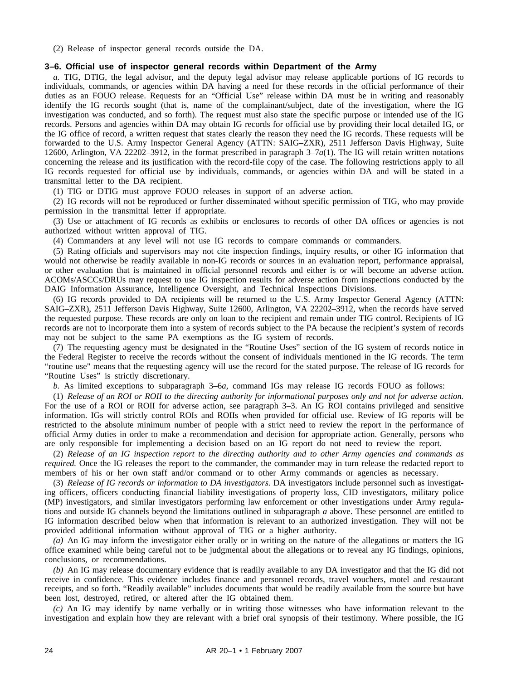(2) Release of inspector general records outside the DA.

## **3–6. Official use of inspector general records within Department of the Army**

*a.* TIG, DTIG, the legal advisor, and the deputy legal advisor may release applicable portions of IG records to individuals, commands, or agencies within DA having a need for these records in the official performance of their duties as an FOUO release. Requests for an "Official Use" release within DA must be in writing and reasonably identify the IG records sought (that is, name of the complainant/subject, date of the investigation, where the IG investigation was conducted, and so forth). The request must also state the specific purpose or intended use of the IG records. Persons and agencies within DA may obtain IG records for official use by providing their local detailed IG, or the IG office of record, a written request that states clearly the reason they need the IG records. These requests will be forwarded to the U.S. Army Inspector General Agency (ATTN: SAIG–ZXR), 2511 Jefferson Davis Highway, Suite 12600, Arlington, VA 22202–3912, in the format prescribed in paragraph 3–7*a*(1). The IG will retain written notations concerning the release and its justification with the record-file copy of the case. The following restrictions apply to all IG records requested for official use by individuals, commands, or agencies within DA and will be stated in a transmittal letter to the DA recipient.

(1) TIG or DTIG must approve FOUO releases in support of an adverse action.

(2) IG records will not be reproduced or further disseminated without specific permission of TIG, who may provide permission in the transmittal letter if appropriate.

(3) Use or attachment of IG records as exhibits or enclosures to records of other DA offices or agencies is not authorized without written approval of TIG.

(4) Commanders at any level will not use IG records to compare commands or commanders.

(5) Rating officials and supervisors may not cite inspection findings, inquiry results, or other IG information that would not otherwise be readily available in non-IG records or sources in an evaluation report, performance appraisal, or other evaluation that is maintained in official personnel records and either is or will become an adverse action. ACOMs/ASCCs/DRUs may request to use IG inspection results for adverse action from inspections conducted by the DAIG Information Assurance, Intelligence Oversight, and Technical Inspections Divisions.

(6) IG records provided to DA recipients will be returned to the U.S. Army Inspector General Agency (ATTN: SAIG–ZXR), 2511 Jefferson Davis Highway, Suite 12600, Arlington, VA 22202–3912, when the records have served the requested purpose. These records are only on loan to the recipient and remain under TIG control. Recipients of IG records are not to incorporate them into a system of records subject to the PA because the recipient's system of records may not be subject to the same PA exemptions as the IG system of records.

(7) The requesting agency must be designated in the "Routine Uses" section of the IG system of records notice in the Federal Register to receive the records without the consent of individuals mentioned in the IG records. The term "routine use" means that the requesting agency will use the record for the stated purpose. The release of IG records for "Routine Uses" is strictly discretionary.

*b.* As limited exceptions to subparagraph 3–6*a*, command IGs may release IG records FOUO as follows:

(1) *Release of an ROI or ROII to the directing authority for informational purposes only and not for adverse action.* For the use of a ROI or ROII for adverse action, see paragraph 3–3. An IG ROI contains privileged and sensitive information. IGs will strictly control ROIs and ROIIs when provided for official use. Review of IG reports will be restricted to the absolute minimum number of people with a strict need to review the report in the performance of official Army duties in order to make a recommendation and decision for appropriate action. Generally, persons who are only responsible for implementing a decision based on an IG report do not need to review the report.

(2) *Release of an IG inspection report to the directing authority and to other Army agencies and commands as required.* Once the IG releases the report to the commander, the commander may in turn release the redacted report to members of his or her own staff and/or command or to other Army commands or agencies as necessary.

(3) *Release of IG records or information to DA investigators.* DA investigators include personnel such as investigating officers, officers conducting financial liability investigations of property loss, CID investigators, military police (MP) investigators, and similar investigators performing law enforcement or other investigations under Army regulations and outside IG channels beyond the limitations outlined in subparagraph *a* above. These personnel are entitled to IG information described below when that information is relevant to an authorized investigation. They will not be provided additional information without approval of TIG or a higher authority.

*(a)* An IG may inform the investigator either orally or in writing on the nature of the allegations or matters the IG office examined while being careful not to be judgmental about the allegations or to reveal any IG findings, opinions, conclusions, or recommendations.

*(b)* An IG may release documentary evidence that is readily available to any DA investigator and that the IG did not receive in confidence. This evidence includes finance and personnel records, travel vouchers, motel and restaurant receipts, and so forth. "Readily available" includes documents that would be readily available from the source but have been lost, destroyed, retired, or altered after the IG obtained them.

*(c)* An IG may identify by name verbally or in writing those witnesses who have information relevant to the investigation and explain how they are relevant with a brief oral synopsis of their testimony. Where possible, the IG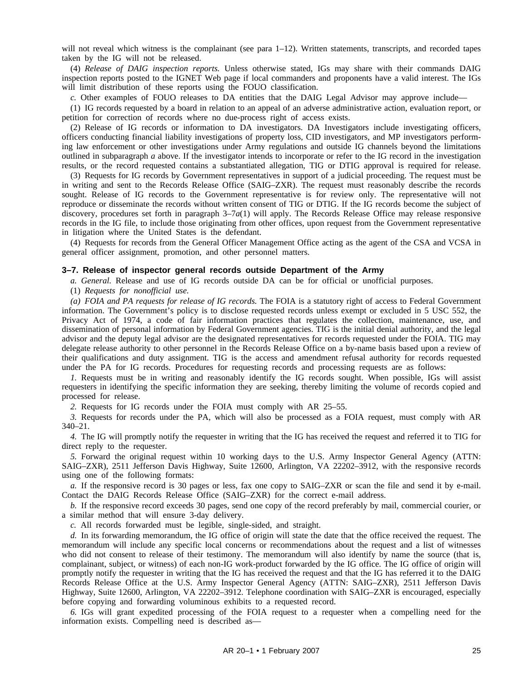will not reveal which witness is the complainant (see para 1–12). Written statements, transcripts, and recorded tapes taken by the IG will not be released.

(4) *Release of DAIG inspection reports.* Unless otherwise stated, IGs may share with their commands DAIG inspection reports posted to the IGNET Web page if local commanders and proponents have a valid interest. The IGs will limit distribution of these reports using the FOUO classification.

*c.* Other examples of FOUO releases to DA entities that the DAIG Legal Advisor may approve include—

(1) IG records requested by a board in relation to an appeal of an adverse administrative action, evaluation report, or petition for correction of records where no due-process right of access exists.

(2) Release of IG records or information to DA investigators. DA Investigators include investigating officers, officers conducting financial liability investigations of property loss, CID investigators, and MP investigators performing law enforcement or other investigations under Army regulations and outside IG channels beyond the limitations outlined in subparagraph *a* above. If the investigator intends to incorporate or refer to the IG record in the investigation results, or the record requested contains a substantiated allegation, TIG or DTIG approval is required for release.

(3) Requests for IG records by Government representatives in support of a judicial proceeding. The request must be in writing and sent to the Records Release Office (SAIG–ZXR). The request must reasonably describe the records sought. Release of IG records to the Government representative is for review only. The representative will not reproduce or disseminate the records without written consent of TIG or DTIG. If the IG records become the subject of discovery, procedures set forth in paragraph 3–7*a*(1) will apply. The Records Release Office may release responsive records in the IG file, to include those originating from other offices, upon request from the Government representative in litigation where the United States is the defendant.

(4) Requests for records from the General Officer Management Office acting as the agent of the CSA and VCSA in general officer assignment, promotion, and other personnel matters.

## **3–7. Release of inspector general records outside Department of the Army**

*a. General.* Release and use of IG records outside DA can be for official or unofficial purposes.

(1) *Requests for nonofficial use.*

*(a) FOIA and PA requests for release of IG records.* The FOIA is a statutory right of access to Federal Government information. The Government's policy is to disclose requested records unless exempt or excluded in 5 USC 552, the Privacy Act of 1974, a code of fair information practices that regulates the collection, maintenance, use, and dissemination of personal information by Federal Government agencies. TIG is the initial denial authority, and the legal advisor and the deputy legal advisor are the designated representatives for records requested under the FOIA. TIG may delegate release authority to other personnel in the Records Release Office on a by-name basis based upon a review of their qualifications and duty assignment. TIG is the access and amendment refusal authority for records requested under the PA for IG records. Procedures for requesting records and processing requests are as follows:

*1.* Requests must be in writing and reasonably identify the IG records sought. When possible, IGs will assist requesters in identifying the specific information they are seeking, thereby limiting the volume of records copied and processed for release.

*2.* Requests for IG records under the FOIA must comply with AR 25–55.

*3.* Requests for records under the PA, which will also be processed as a FOIA request, must comply with AR 340–21.

*4.* The IG will promptly notify the requester in writing that the IG has received the request and referred it to TIG for direct reply to the requester.

*5.* Forward the original request within 10 working days to the U.S. Army Inspector General Agency (ATTN: SAIG–ZXR), 2511 Jefferson Davis Highway, Suite 12600, Arlington, VA 22202–3912, with the responsive records using one of the following formats:

*a.* If the responsive record is 30 pages or less, fax one copy to SAIG–ZXR or scan the file and send it by e-mail. Contact the DAIG Records Release Office (SAIG–ZXR) for the correct e-mail address.

*b.* If the responsive record exceeds 30 pages, send one copy of the record preferably by mail, commercial courier, or a similar method that will ensure 3-day delivery.

*c.* All records forwarded must be legible, single-sided, and straight.

*d.* In its forwarding memorandum, the IG office of origin will state the date that the office received the request. The memorandum will include any specific local concerns or recommendations about the request and a list of witnesses who did not consent to release of their testimony. The memorandum will also identify by name the source (that is, complainant, subject, or witness) of each non-IG work-product forwarded by the IG office. The IG office of origin will promptly notify the requester in writing that the IG has received the request and that the IG has referred it to the DAIG Records Release Office at the U.S. Army Inspector General Agency (ATTN: SAIG–ZXR), 2511 Jefferson Davis Highway, Suite 12600, Arlington, VA 22202–3912. Telephone coordination with SAIG–ZXR is encouraged, especially before copying and forwarding voluminous exhibits to a requested record.

*6.* IGs will grant expedited processing of the FOIA request to a requester when a compelling need for the information exists. Compelling need is described as—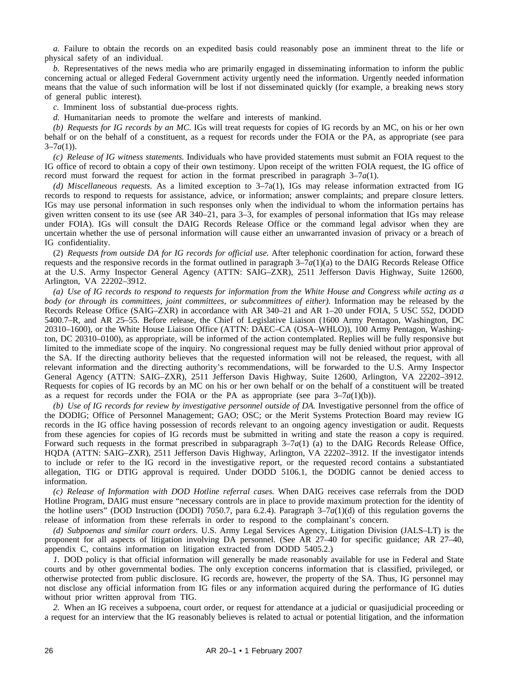*a.* Failure to obtain the records on an expedited basis could reasonably pose an imminent threat to the life or physical safety of an individual.

*b.* Representatives of the news media who are primarily engaged in disseminating information to inform the public concerning actual or alleged Federal Government activity urgently need the information. Urgently needed information means that the value of such information will be lost if not disseminated quickly (for example, a breaking news story of general public interest).

*c.* Imminent loss of substantial due-process rights.

*d.* Humanitarian needs to promote the welfare and interests of mankind.

*(b) Requests for IG records by an MC.* IGs will treat requests for copies of IG records by an MC, on his or her own behalf or on the behalf of a constituent, as a request for records under the FOIA or the PA, as appropriate (see para  $3-7a(1)$ ).

*(c) Release of IG witness statements.* Individuals who have provided statements must submit an FOIA request to the IG office of record to obtain a copy of their own testimony. Upon receipt of the written FOIA request, the IG office of record must forward the request for action in the format prescribed in paragraph  $3-7a(1)$ .

*(d) Miscellaneous requests.* As a limited exception to 3–7a(1), IGs may release information extracted from IG records to respond to requests for assistance, advice, or information; answer complaints; and prepare closure letters. IGs may use personal information in such responses only when the individual to whom the information pertains has given written consent to its use (see AR 340–21, para 3–3, for examples of personal information that IGs may release under FOIA). IGs will consult the DAIG Records Release Office or the command legal advisor when they are uncertain whether the use of personal information will cause either an unwarranted invasion of privacy or a breach of IG confidentiality.

(2) *Requests from outside DA for IG records for official use.* After telephonic coordination for action, forward these requests and the responsive records in the format outlined in paragraph 3–7*a*(1)(a) to the DAIG Records Release Office at the U.S. Army Inspector General Agency (ATTN: SAIG–ZXR), 2511 Jefferson Davis Highway, Suite 12600, Arlington, VA 22202–3912.

*(a) Use of IG records to respond to requests for information from the White House and Congress while acting as a body (or through its committees, joint committees, or subcommittees of either).* Information may be released by the Records Release Office (SAIG–ZXR) in accordance with AR 340–21 and AR 1–20 under FOIA, 5 USC 552, DODD 5400.7–R, and AR 25–55. Before release, the Chief of Legislative Liaison (1600 Army Pentagon, Washington, DC 20310–1600), or the White House Liaison Office (ATTN: DAEC–CA (OSA–WHLO)), 100 Army Pentagon, Washington, DC 20310–0100), as appropriate, will be informed of the action contemplated. Replies will be fully responsive but limited to the immediate scope of the inquiry. No congressional request may be fully denied without prior approval of the SA. If the directing authority believes that the requested information will not be released, the request, with all relevant information and the directing authority's recommendations, will be forwarded to the U.S. Army Inspector General Agency (ATTN: SAIG–ZXR), 2511 Jefferson Davis Highway, Suite 12600, Arlington, VA 22202–3912. Requests for copies of IG records by an MC on his or her own behalf or on the behalf of a constituent will be treated as a request for records under the FOIA or the PA as appropriate (see para  $3-7a(1)(b)$ ).

(b) Use of IG records for review by investigative personnel outside of DA. Investigative personnel from the office of the DODIG; Office of Personnel Management; GAO; OSC; or the Merit Systems Protection Board may review IG records in the IG office having possession of records relevant to an ongoing agency investigation or audit. Requests from these agencies for copies of IG records must be submitted in writing and state the reason a copy is required. Forward such requests in the format prescribed in subparagraph  $3-7a(1)$  (a) to the DAIG Records Release Office, HQDA (ATTN: SAIG–ZXR), 2511 Jefferson Davis Highway, Arlington, VA 22202–3912. If the investigator intends to include or refer to the IG record in the investigative report, or the requested record contains a substantiated allegation, TIG or DTIG approval is required. Under DODD 5106.1, the DODIG cannot be denied access to information.

*(c) Release of Information with DOD Hotline referral cases.* When DAIG receives case referrals from the DOD Hotline Program, DAIG must ensure "necessary controls are in place to provide maximum protection for the identity of the hotline users" (DOD Instruction (DODI) 7050.7, para 6.2.4). Paragraph  $3-7a(1)(d)$  of this regulation governs the release of information from these referrals in order to respond to the complainant's concern.

*(d) Subpoenas and similar court orders.* U.S. Army Legal Services Agency, Litigation Division (JALS–LT) is the proponent for all aspects of litigation involving DA personnel. (See AR 27–40 for specific guidance; AR 27–40, appendix C, contains information on litigation extracted from DODD 5405.2.)

*1.* DOD policy is that official information will generally be made reasonably available for use in Federal and State courts and by other governmental bodies. The only exception concerns information that is classified, privileged, or otherwise protected from public disclosure. IG records are, however, the property of the SA. Thus, IG personnel may not disclose any official information from IG files or any information acquired during the performance of IG duties without prior written approval from TIG.

*2.* When an IG receives a subpoena, court order, or request for attendance at a judicial or quasijudicial proceeding or a request for an interview that the IG reasonably believes is related to actual or potential litigation, and the information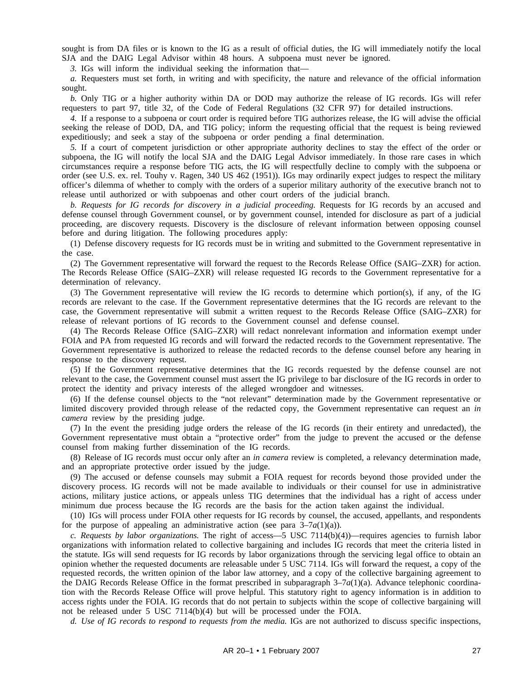sought is from DA files or is known to the IG as a result of official duties, the IG will immediately notify the local SJA and the DAIG Legal Advisor within 48 hours. A subpoena must never be ignored.

*3.* IGs will inform the individual seeking the information that—

*a.* Requesters must set forth, in writing and with specificity, the nature and relevance of the official information sought.

*b.* Only TIG or a higher authority within DA or DOD may authorize the release of IG records. IGs will refer requesters to part 97, title 32, of the Code of Federal Regulations (32 CFR 97) for detailed instructions.

*4.* If a response to a subpoena or court order is required before TIG authorizes release, the IG will advise the official seeking the release of DOD, DA, and TIG policy; inform the requesting official that the request is being reviewed expeditiously; and seek a stay of the subpoena or order pending a final determination.

*5.* If a court of competent jurisdiction or other appropriate authority declines to stay the effect of the order or subpoena, the IG will notify the local SJA and the DAIG Legal Advisor immediately. In those rare cases in which circumstances require a response before TIG acts, the IG will respectfully decline to comply with the subpoena or order (see U.S. ex. rel. Touhy v. Ragen, 340 US 462 (1951)). IGs may ordinarily expect judges to respect the military officer's dilemma of whether to comply with the orders of a superior military authority of the executive branch not to release until authorized or with subpoenas and other court orders of the judicial branch.

*b. Requests for IG records for discovery in a judicial proceeding.* Requests for IG records by an accused and defense counsel through Government counsel, or by government counsel, intended for disclosure as part of a judicial proceeding, are discovery requests. Discovery is the disclosure of relevant information between opposing counsel before and during litigation. The following procedures apply:

(1) Defense discovery requests for IG records must be in writing and submitted to the Government representative in the case.

(2) The Government representative will forward the request to the Records Release Office (SAIG–ZXR) for action. The Records Release Office (SAIG–ZXR) will release requested IG records to the Government representative for a determination of relevancy.

(3) The Government representative will review the IG records to determine which portion(s), if any, of the IG records are relevant to the case. If the Government representative determines that the IG records are relevant to the case, the Government representative will submit a written request to the Records Release Office (SAIG–ZXR) for release of relevant portions of IG records to the Government counsel and defense counsel.

(4) The Records Release Office (SAIG–ZXR) will redact nonrelevant information and information exempt under FOIA and PA from requested IG records and will forward the redacted records to the Government representative. The Government representative is authorized to release the redacted records to the defense counsel before any hearing in response to the discovery request.

(5) If the Government representative determines that the IG records requested by the defense counsel are not relevant to the case, the Government counsel must assert the IG privilege to bar disclosure of the IG records in order to protect the identity and privacy interests of the alleged wrongdoer and witnesses.

(6) If the defense counsel objects to the "not relevant" determination made by the Government representative or limited discovery provided through release of the redacted copy, the Government representative can request an *in camera* review by the presiding judge.

(7) In the event the presiding judge orders the release of the IG records (in their entirety and unredacted), the Government representative must obtain a "protective order" from the judge to prevent the accused or the defense counsel from making further dissemination of the IG records.

(8) Release of IG records must occur only after an *in camera* review is completed, a relevancy determination made, and an appropriate protective order issued by the judge.

(9) The accused or defense counsels may submit a FOIA request for records beyond those provided under the discovery process. IG records will not be made available to individuals or their counsel for use in administrative actions, military justice actions, or appeals unless TIG determines that the individual has a right of access under minimum due process because the IG records are the basis for the action taken against the individual.

(10) IGs will process under FOIA other requests for IG records by counsel, the accused, appellants, and respondents for the purpose of appealing an administrative action (see para  $3-7a(1)(a)$ ).

*c. Requests by labor organizations.* The right of access—5 USC 7114(b)(4))—requires agencies to furnish labor organizations with information related to collective bargaining and includes IG records that meet the criteria listed in the statute. IGs will send requests for IG records by labor organizations through the servicing legal office to obtain an opinion whether the requested documents are releasable under 5 USC 7114. IGs will forward the request, a copy of the requested records, the written opinion of the labor law attorney, and a copy of the collective bargaining agreement to the DAIG Records Release Office in the format prescribed in subparagraph  $3-7a(1)(a)$ . Advance telephonic coordination with the Records Release Office will prove helpful. This statutory right to agency information is in addition to access rights under the FOIA. IG records that do not pertain to subjects within the scope of collective bargaining will not be released under 5 USC 7114(b)(4) but will be processed under the FOIA.

*d. Use of IG records to respond to requests from the media.* IGs are not authorized to discuss specific inspections,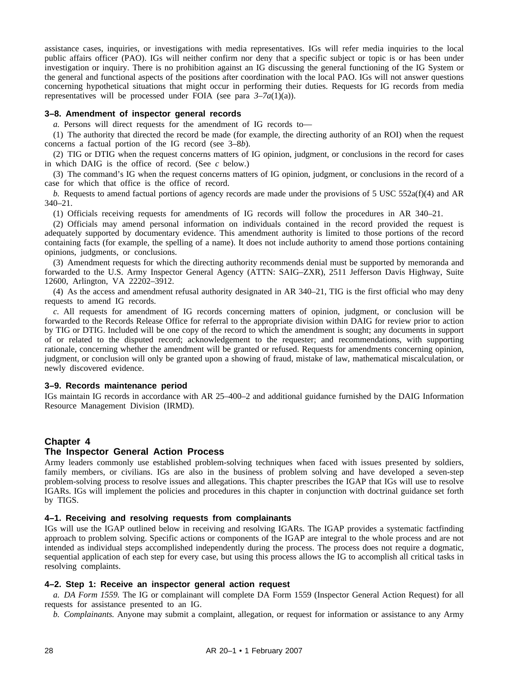assistance cases, inquiries, or investigations with media representatives. IGs will refer media inquiries to the local public affairs officer (PAO). IGs will neither confirm nor deny that a specific subject or topic is or has been under investigation or inquiry. There is no prohibition against an IG discussing the general functioning of the IG System or the general and functional aspects of the positions after coordination with the local PAO. IGs will not answer questions concerning hypothetical situations that might occur in performing their duties. Requests for IG records from media representatives will be processed under FOIA (see para  $3-7a(1)(a)$ ).

## **3–8. Amendment of inspector general records**

*a.* Persons will direct requests for the amendment of IG records to—

(1) The authority that directed the record be made (for example, the directing authority of an ROI) when the request concerns a factual portion of the IG record (see 3–8*b*).

(2) TIG or DTIG when the request concerns matters of IG opinion, judgment, or conclusions in the record for cases in which DAIG is the office of record. (See *c* below.)

(3) The command's IG when the request concerns matters of IG opinion, judgment, or conclusions in the record of a case for which that office is the office of record.

*b.* Requests to amend factual portions of agency records are made under the provisions of 5 USC 552a(f)(4) and AR 340–21.

(1) Officials receiving requests for amendments of IG records will follow the procedures in AR 340–21.

(2) Officials may amend personal information on individuals contained in the record provided the request is adequately supported by documentary evidence. This amendment authority is limited to those portions of the record containing facts (for example, the spelling of a name). It does not include authority to amend those portions containing opinions, judgments, or conclusions.

(3) Amendment requests for which the directing authority recommends denial must be supported by memoranda and forwarded to the U.S. Army Inspector General Agency (ATTN: SAIG–ZXR), 2511 Jefferson Davis Highway, Suite 12600, Arlington, VA 22202–3912.

(4) As the access and amendment refusal authority designated in AR 340–21, TIG is the first official who may deny requests to amend IG records.

*c.* All requests for amendment of IG records concerning matters of opinion, judgment, or conclusion will be forwarded to the Records Release Office for referral to the appropriate division within DAIG for review prior to action by TIG or DTIG. Included will be one copy of the record to which the amendment is sought; any documents in support of or related to the disputed record; acknowledgement to the requester; and recommendations, with supporting rationale, concerning whether the amendment will be granted or refused. Requests for amendments concerning opinion, judgment, or conclusion will only be granted upon a showing of fraud, mistake of law, mathematical miscalculation, or newly discovered evidence.

## **3–9. Records maintenance period**

IGs maintain IG records in accordance with AR 25–400–2 and additional guidance furnished by the DAIG Information Resource Management Division (IRMD).

## **Chapter 4**

## **The Inspector General Action Process**

Army leaders commonly use established problem-solving techniques when faced with issues presented by soldiers, family members, or civilians. IGs are also in the business of problem solving and have developed a seven-step problem-solving process to resolve issues and allegations. This chapter prescribes the IGAP that IGs will use to resolve IGARs. IGs will implement the policies and procedures in this chapter in conjunction with doctrinal guidance set forth by TIGS.

### **4–1. Receiving and resolving requests from complainants**

IGs will use the IGAP outlined below in receiving and resolving IGARs. The IGAP provides a systematic factfinding approach to problem solving. Specific actions or components of the IGAP are integral to the whole process and are not intended as individual steps accomplished independently during the process. The process does not require a dogmatic, sequential application of each step for every case, but using this process allows the IG to accomplish all critical tasks in resolving complaints.

## **4–2. Step 1: Receive an inspector general action request**

*a. DA Form 1559.* The IG or complainant will complete DA Form 1559 (Inspector General Action Request) for all requests for assistance presented to an IG.

*b. Complainants.* Anyone may submit a complaint, allegation, or request for information or assistance to any Army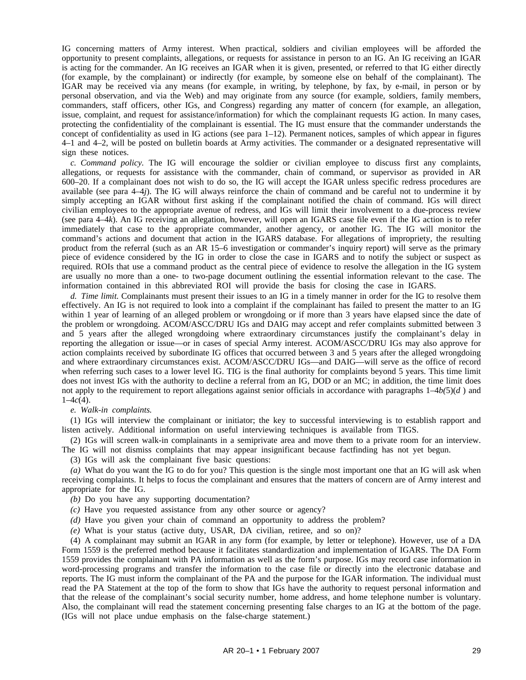IG concerning matters of Army interest. When practical, soldiers and civilian employees will be afforded the opportunity to present complaints, allegations, or requests for assistance in person to an IG. An IG receiving an IGAR is acting for the commander. An IG receives an IGAR when it is given, presented, or referred to that IG either directly (for example, by the complainant) or indirectly (for example, by someone else on behalf of the complainant). The IGAR may be received via any means (for example, in writing, by telephone, by fax, by e-mail, in person or by personal observation, and via the Web) and may originate from any source (for example, soldiers, family members, commanders, staff officers, other IGs, and Congress) regarding any matter of concern (for example, an allegation, issue, complaint, and request for assistance/information) for which the complainant requests IG action. In many cases, protecting the confidentiality of the complainant is essential. The IG must ensure that the commander understands the concept of confidentiality as used in IG actions (see para  $1-12$ ). Permanent notices, samples of which appear in figures 4–1 and 4–2, will be posted on bulletin boards at Army activities. The commander or a designated representative will sign these notices.

*c. Command policy.* The IG will encourage the soldier or civilian employee to discuss first any complaints, allegations, or requests for assistance with the commander, chain of command, or supervisor as provided in AR 600–20. If a complainant does not wish to do so, the IG will accept the IGAR unless specific redress procedures are available (see para 4–4*j*). The IG will always reinforce the chain of command and be careful not to undermine it by simply accepting an IGAR without first asking if the complainant notified the chain of command. IGs will direct civilian employees to the appropriate avenue of redress, and IGs will limit their involvement to a due-process review (see para 4–4*k*). An IG receiving an allegation, however, will open an IGARS case file even if the IG action is to refer immediately that case to the appropriate commander, another agency, or another IG. The IG will monitor the command's actions and document that action in the IGARS database. For allegations of impropriety, the resulting product from the referral (such as an AR 15–6 investigation or commander's inquiry report) will serve as the primary piece of evidence considered by the IG in order to close the case in IGARS and to notify the subject or suspect as required. ROIs that use a command product as the central piece of evidence to resolve the allegation in the IG system are usually no more than a one- to two-page document outlining the essential information relevant to the case. The information contained in this abbreviated ROI will provide the basis for closing the case in IGARS.

*d. Time limit.* Complainants must present their issues to an IG in a timely manner in order for the IG to resolve them effectively. An IG is not required to look into a complaint if the complainant has failed to present the matter to an IG within 1 year of learning of an alleged problem or wrongdoing or if more than 3 years have elapsed since the date of the problem or wrongdoing. ACOM/ASCC/DRU IGs and DAIG may accept and refer complaints submitted between 3 and 5 years after the alleged wrongdoing where extraordinary circumstances justify the complainant's delay in reporting the allegation or issue—or in cases of special Army interest. ACOM/ASCC/DRU IGs may also approve for action complaints received by subordinate IG offices that occurred between 3 and 5 years after the alleged wrongdoing and where extraordinary circumstances exist. ACOM/ASCC/DRU IGs—and DAIG—will serve as the office of record when referring such cases to a lower level IG. TIG is the final authority for complaints beyond 5 years. This time limit does not invest IGs with the authority to decline a referral from an IG, DOD or an MC; in addition, the time limit does not apply to the requirement to report allegations against senior officials in accordance with paragraphs 1–4*b(*5)(*d* ) and  $1-4c(4)$ .

### *e. Walk-in complaints.*

(1) IGs will interview the complainant or initiator; the key to successful interviewing is to establish rapport and listen actively. Additional information on useful interviewing techniques is available from TIGS.

(2) IGs will screen walk-in complainants in a semiprivate area and move them to a private room for an interview. The IG will not dismiss complaints that may appear insignificant because factfinding has not yet begun.

(3) IGs will ask the complainant five basic questions:

*(a)* What do you want the IG to do for you? This question is the single most important one that an IG will ask when receiving complaints. It helps to focus the complainant and ensures that the matters of concern are of Army interest and appropriate for the IG.

- *(b)* Do you have any supporting documentation?
- *(c)* Have you requested assistance from any other source or agency?
- *(d)* Have you given your chain of command an opportunity to address the problem?

*(e)* What is your status (active duty, USAR, DA civilian, retiree, and so on)?

(4) A complainant may submit an IGAR in any form (for example, by letter or telephone). However, use of a DA Form 1559 is the preferred method because it facilitates standardization and implementation of IGARS. The DA Form 1559 provides the complainant with PA information as well as the form's purpose. IGs may record case information in word-processing programs and transfer the information to the case file or directly into the electronic database and reports. The IG must inform the complainant of the PA and the purpose for the IGAR information. The individual must read the PA Statement at the top of the form to show that IGs have the authority to request personal information and that the release of the complainant's social security number, home address, and home telephone number is voluntary. Also, the complainant will read the statement concerning presenting false charges to an IG at the bottom of the page. (IGs will not place undue emphasis on the false-charge statement.)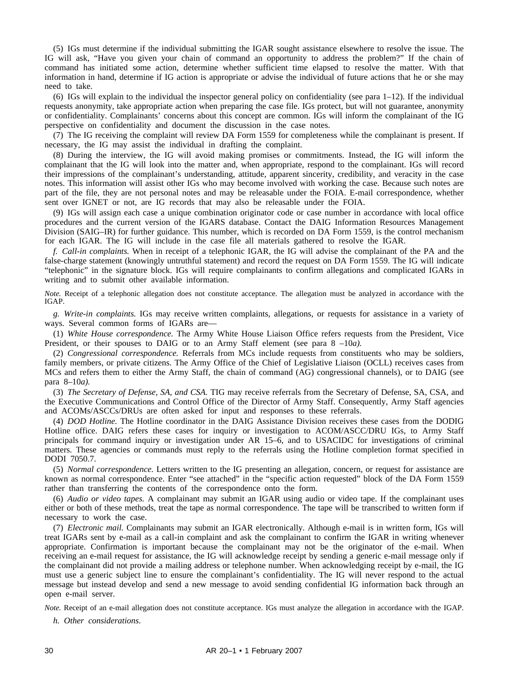(5) IGs must determine if the individual submitting the IGAR sought assistance elsewhere to resolve the issue. The IG will ask, "Have you given your chain of command an opportunity to address the problem?" If the chain of command has initiated some action, determine whether sufficient time elapsed to resolve the matter. With that information in hand, determine if IG action is appropriate or advise the individual of future actions that he or she may need to take.

(6) IGs will explain to the individual the inspector general policy on confidentiality (see para  $1-12$ ). If the individual requests anonymity, take appropriate action when preparing the case file. IGs protect, but will not guarantee, anonymity or confidentiality. Complainants' concerns about this concept are common. IGs will inform the complainant of the IG perspective on confidentiality and document the discussion in the case notes.

(7) The IG receiving the complaint will review DA Form 1559 for completeness while the complainant is present. If necessary, the IG may assist the individual in drafting the complaint.

(8) During the interview, the IG will avoid making promises or commitments. Instead, the IG will inform the complainant that the IG will look into the matter and, when appropriate, respond to the complainant. IGs will record their impressions of the complainant's understanding, attitude, apparent sincerity, credibility, and veracity in the case notes. This information will assist other IGs who may become involved with working the case. Because such notes are part of the file, they are not personal notes and may be releasable under the FOIA. E-mail correspondence, whether sent over IGNET or not, are IG records that may also be releasable under the FOIA.

(9) IGs will assign each case a unique combination originator code or case number in accordance with local office procedures and the current version of the IGARS database. Contact the DAIG Information Resources Management Division (SAIG–IR) for further guidance. This number, which is recorded on DA Form 1559, is the control mechanism for each IGAR. The IG will include in the case file all materials gathered to resolve the IGAR.

*f. Call-in complaints.* When in receipt of a telephonic IGAR, the IG will advise the complainant of the PA and the false-charge statement (knowingly untruthful statement) and record the request on DA Form 1559. The IG will indicate "telephonic" in the signature block. IGs will require complainants to confirm allegations and complicated IGARs in writing and to submit other available information.

*Note.* Receipt of a telephonic allegation does not constitute acceptance. The allegation must be analyzed in accordance with the IGAP.

*g. Write-in complaints.* IGs may receive written complaints, allegations, or requests for assistance in a variety of ways. Several common forms of IGARs are—

(1) *White House correspondence.* The Army White House Liaison Office refers requests from the President, Vice President, or their spouses to DAIG or to an Army Staff element (see para 8 –10*a).*

(2) *Congressional correspondence.* Referrals from MCs include requests from constituents who may be soldiers, family members, or private citizens. The Army Office of the Chief of Legislative Liaison (OCLL) receives cases from MCs and refers them to either the Army Staff, the chain of command (AG) congressional channels), or to DAIG (see para 8–10*a).*

(3) *The Secretary of Defense, SA, and CSA.* TIG may receive referrals from the Secretary of Defense, SA, CSA, and the Executive Communications and Control Office of the Director of Army Staff. Consequently, Army Staff agencies and ACOMs/ASCCs/DRUs are often asked for input and responses to these referrals.

(4) *DOD Hotline.* The Hotline coordinator in the DAIG Assistance Division receives these cases from the DODIG Hotline office. DAIG refers these cases for inquiry or investigation to ACOM/ASCC/DRU IGs, to Army Staff principals for command inquiry or investigation under AR 15–6, and to USACIDC for investigations of criminal matters. These agencies or commands must reply to the referrals using the Hotline completion format specified in DODI 7050.7.

(5) *Normal correspondence.* Letters written to the IG presenting an allegation, concern, or request for assistance are known as normal correspondence. Enter "see attached" in the "specific action requested" block of the DA Form 1559 rather than transferring the contents of the correspondence onto the form.

(6) *Audio or video tapes.* A complainant may submit an IGAR using audio or video tape. If the complainant uses either or both of these methods, treat the tape as normal correspondence. The tape will be transcribed to written form if necessary to work the case.

(7) *Electronic mail.* Complainants may submit an IGAR electronically. Although e-mail is in written form, IGs will treat IGARs sent by e-mail as a call-in complaint and ask the complainant to confirm the IGAR in writing whenever appropriate. Confirmation is important because the complainant may not be the originator of the e-mail. When receiving an e-mail request for assistance, the IG will acknowledge receipt by sending a generic e-mail message only if the complainant did not provide a mailing address or telephone number. When acknowledging receipt by e-mail, the IG must use a generic subject line to ensure the complainant's confidentiality. The IG will never respond to the actual message but instead develop and send a new message to avoid sending confidential IG information back through an open e-mail server.

*Note.* Receipt of an e-mail allegation does not constitute acceptance. IGs must analyze the allegation in accordance with the IGAP.

*h. Other considerations.*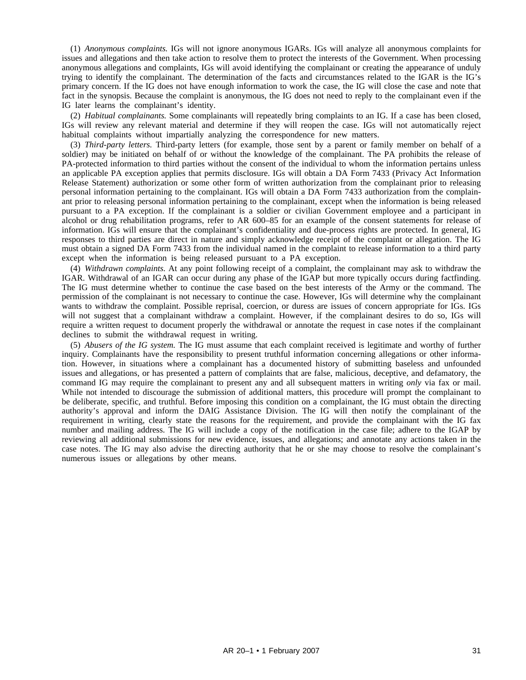(1) *Anonymous complaints.* IGs will not ignore anonymous IGARs. IGs will analyze all anonymous complaints for issues and allegations and then take action to resolve them to protect the interests of the Government. When processing anonymous allegations and complaints, IGs will avoid identifying the complainant or creating the appearance of unduly trying to identify the complainant. The determination of the facts and circumstances related to the IGAR is the IG's primary concern. If the IG does not have enough information to work the case, the IG will close the case and note that fact in the synopsis. Because the complaint is anonymous, the IG does not need to reply to the complainant even if the IG later learns the complainant's identity.

(2) *Habitual complainants.* Some complainants will repeatedly bring complaints to an IG. If a case has been closed, IGs will review any relevant material and determine if they will reopen the case. IGs will not automatically reject habitual complaints without impartially analyzing the correspondence for new matters.

(3) *Third-party letters.* Third-party letters (for example, those sent by a parent or family member on behalf of a soldier) may be initiated on behalf of or without the knowledge of the complainant. The PA prohibits the release of PA-protected information to third parties without the consent of the individual to whom the information pertains unless an applicable PA exception applies that permits disclosure. IGs will obtain a DA Form 7433 (Privacy Act Information Release Statement) authorization or some other form of written authorization from the complainant prior to releasing personal information pertaining to the complainant. IGs will obtain a DA Form 7433 authorization from the complainant prior to releasing personal information pertaining to the complainant, except when the information is being released pursuant to a PA exception. If the complainant is a soldier or civilian Government employee and a participant in alcohol or drug rehabilitation programs, refer to AR 600–85 for an example of the consent statements for release of information. IGs will ensure that the complainant's confidentiality and due-process rights are protected. In general, IG responses to third parties are direct in nature and simply acknowledge receipt of the complaint or allegation. The IG must obtain a signed DA Form 7433 from the individual named in the complaint to release information to a third party except when the information is being released pursuant to a PA exception.

(4) *Withdrawn complaints.* At any point following receipt of a complaint, the complainant may ask to withdraw the IGAR. Withdrawal of an IGAR can occur during any phase of the IGAP but more typically occurs during factfinding. The IG must determine whether to continue the case based on the best interests of the Army or the command. The permission of the complainant is not necessary to continue the case. However, IGs will determine why the complainant wants to withdraw the complaint. Possible reprisal, coercion, or duress are issues of concern appropriate for IGs. IGs will not suggest that a complainant withdraw a complaint. However, if the complainant desires to do so, IGs will require a written request to document properly the withdrawal or annotate the request in case notes if the complainant declines to submit the withdrawal request in writing.

(5) *Abusers of the IG system.* The IG must assume that each complaint received is legitimate and worthy of further inquiry. Complainants have the responsibility to present truthful information concerning allegations or other information. However, in situations where a complainant has a documented history of submitting baseless and unfounded issues and allegations, or has presented a pattern of complaints that are false, malicious, deceptive, and defamatory, the command IG may require the complainant to present any and all subsequent matters in writing *only* via fax or mail. While not intended to discourage the submission of additional matters, this procedure will prompt the complainant to be deliberate, specific, and truthful. Before imposing this condition on a complainant, the IG must obtain the directing authority's approval and inform the DAIG Assistance Division. The IG will then notify the complainant of the requirement in writing, clearly state the reasons for the requirement, and provide the complainant with the IG fax number and mailing address. The IG will include a copy of the notification in the case file; adhere to the IGAP by reviewing all additional submissions for new evidence, issues, and allegations; and annotate any actions taken in the case notes. The IG may also advise the directing authority that he or she may choose to resolve the complainant's numerous issues or allegations by other means.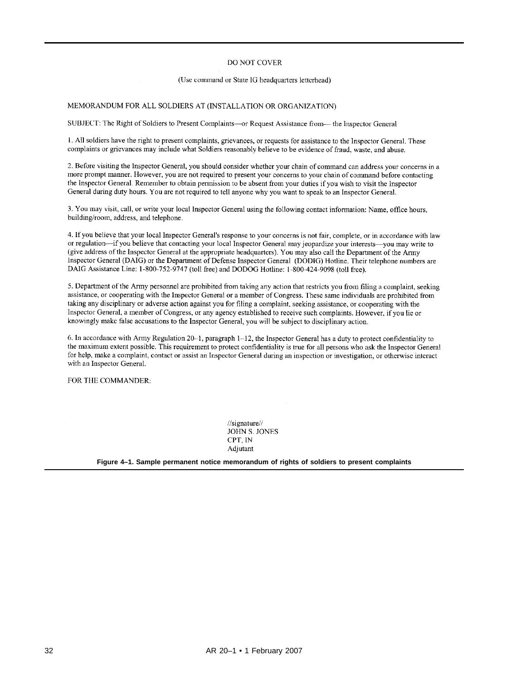## **DO NOT COVER**

#### (Use command or State IG headquarters letterhead)

### MEMORANDUM FOR ALL SOLDIERS AT (INSTALLATION OR ORGANIZATION)

SUBJECT: The Right of Soldiers to Present Complaints-or Request Assistance from--- the Inspector General

1. All soldiers have the right to present complaints, grievances, or requests for assistance to the Inspector General. These complaints or grievances may include what Soldiers reasonably believe to be evidence of fraud, waste, and abuse.

2. Before visiting the Inspector General, you should consider whether your chain of command can address your concerns in a more prompt manner. However, you are not required to present your concerns to your chain of command before contacting the Inspector General. Remember to obtain permission to be absent from your duties if you wish to visit the Inspector General during duty hours. You are not required to tell anyone why you want to speak to an Inspector General.

3. You may visit, call, or write your local Inspector General using the following contact information: Name, office hours, building/room, address, and telephone.

4. If you believe that your local Inspector General's response to your concerns is not fair, complete, or in accordance with law or regulation—if you believe that contacting your local Inspector General may jeopardize your interests—you may write to (give address of the Inspector General at the appropriate headquarters). You may also call the Department of the Army Inspector General (DAIG) or the Department of Defense Inspector General (DODIG) Hotline. Their telephone numbers are DAIG Assistance Line: 1-800-752-9747 (toll free) and DODOG Hotline: 1-800-424-9098 (toll free).

5. Department of the Army personnel are prohibited from taking any action that restricts you from filing a complaint, seeking assistance, or cooperating with the Inspector General or a member of Congress. These same individuals are prohibited from taking any disciplinary or adverse action against you for filing a complaint, seeking assistance, or cooperating with the Inspector General, a member of Congress, or any agency established to receive such complaints. However, if you lie or knowingly make false accusations to the Inspector General, you will be subject to disciplinary action.

6. In accordance with Army Regulation 20–1, paragraph 1–12, the Inspector General has a duty to protect confidentiality to the maximum extent possible. This requirement to protect confidentiality is true for all persons who ask the Inspector General for help, make a complaint, contact or assist an Inspector General during an inspection or investigation, or otherwise interact with an Inspector General.

FOR THE COMMANDER:

 $\frac{1}{\sqrt{2}}$ **JOHN S. JONES** CPT, IN Adjutant

**Figure 4–1. Sample permanent notice memorandum of rights of soldiers to present complaints**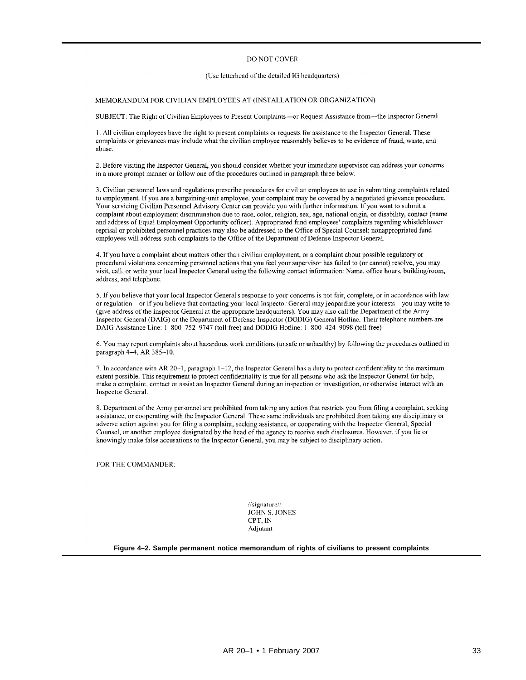#### DO NOT COVER

### (Use letterhead of the detailed IG headquarters)

#### MEMORANDUM FOR CIVILIAN EMPLOYEES AT (INSTALLATION OR ORGANIZATION)

SUBJECT: The Right of Civilian Employees to Present Complaints—or Request Assistance from—the Inspector General

1. All civilian employees have the right to present complaints or requests for assistance to the Inspector General. These complaints or grievances may include what the civilian employee reasonably believes to be evidence of fraud, waste, and abuse.

2. Before visiting the Inspector General, you should consider whether your immediate supervisor can address your concerns in a more prompt manner or follow one of the procedures outlined in paragraph three below.

3. Civilian personnel laws and regulations prescribe procedures for civilian employees to use in submitting complaints related to employment. If you are a bargaining-unit employee, your complaint may be covered by a negotiated grievance procedure. Your servicing Civilian Personnel Advisory Center can provide you with further information. If you want to submit a complaint about employment discrimination due to race, color, religion, sex, age, national origin, or disability, contact (name and address of Equal Employment Opportunity officer). Appropriated fund employees' complaints regarding whistleblower reprisal or prohibited personnel practices may also be addressed to the Office of Special Counsel; nonappropriated fund employees will address such complaints to the Office of the Department of Defense Inspector General.

4. If you have a complaint about matters other than civilian employment, or a complaint about possible regulatory or procedural violations concerning personnel actions that you feel your supervisor has failed to (or cannot) resolve, you may visit, call, or write your local Inspector General using the following contact information: Name, office hours, building/room, address, and telephone.

5. If you believe that your local Inspector General's response to your concerns is not fair, complete, or in accordance with law or regulation-or if you believe that contacting your local Inspector General may jeopardize your interests-you may write to (give address of the Inspector General at the appropriate headquarters). You may also call the Department of the Army Inspector General (DAIG) or the Department of Defense Inspector (DODIG) General Hotline. Their telephone numbers are DAIG Assistance Line: 1-800-752-9747 (toll free) and DODIG Hotline: 1-800-424-9098 (toll free)

6. You may report complaints about hazardous work conditions (unsafe or unhealthy) by following the procedures outlined in paragraph 4-4, AR 385-10.

7. In accordance with AR 20-1, paragraph 1-12, the Inspector General has a duty to protect confidentiality to the maximum extent possible. This requirement to protect confidentiality is true for all persons who ask the Inspector General for help, make a complaint, contact or assist an Inspector General during an inspection or investigation, or otherwise interact with an Inspector General.

8. Department of the Army personnel are prohibited from taking any action that restricts you from filing a complaint, seeking assistance, or cooperating with the Inspector General. These same individuals are prohibited from taking any disciplinary or adverse action against you for filing a complaint, seeking assistance, or cooperating with the Inspector General, Special Counsel, or another employee designated by the head of the agency to receive such disclosures. However, if you lie or knowingly make false accusations to the Inspector General, you may be subject to disciplinary action.

FOR THE COMMANDER:

 $\frac{1}{\sqrt{2}}$ JOHN S. JONES CPT, IN Adjutant

**Figure 4–2. Sample permanent notice memorandum of rights of civilians to present complaints**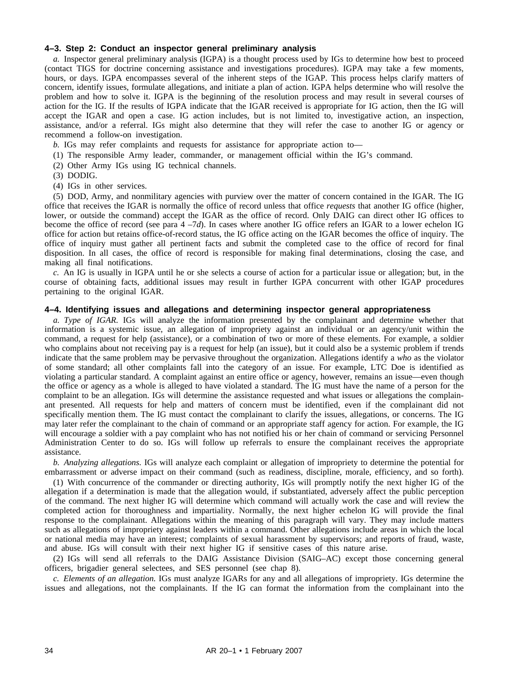## **4–3. Step 2: Conduct an inspector general preliminary analysis**

*a.* Inspector general preliminary analysis (IGPA) is a thought process used by IGs to determine how best to proceed (contact TIGS for doctrine concerning assistance and investigations procedures). IGPA may take a few moments, hours, or days. IGPA encompasses several of the inherent steps of the IGAP. This process helps clarify matters of concern, identify issues, formulate allegations, and initiate a plan of action. IGPA helps determine who will resolve the problem and how to solve it. IGPA is the beginning of the resolution process and may result in several courses of action for the IG. If the results of IGPA indicate that the IGAR received is appropriate for IG action, then the IG will accept the IGAR and open a case. IG action includes, but is not limited to, investigative action, an inspection, assistance, and/or a referral. IGs might also determine that they will refer the case to another IG or agency or recommend a follow-on investigation.

*b.* IGs may refer complaints and requests for assistance for appropriate action to

- (1) The responsible Army leader, commander, or management official within the IG's command.
- (2) Other Army IGs using IG technical channels.
- (3) DODIG.
- (4) IGs in other services.

(5) DOD, Army, and nonmilitary agencies with purview over the matter of concern contained in the IGAR. The IG office that receives the IGAR is normally the office of record unless that office *requests* that another IG office (higher, lower, or outside the command) accept the IGAR as the office of record. Only DAIG can direct other IG offices to become the office of record (see para 4 –7*d*). In cases where another IG office refers an IGAR to a lower echelon IG office for action but retains office-of-record status, the IG office acting on the IGAR becomes the office of inquiry. The office of inquiry must gather all pertinent facts and submit the completed case to the office of record for final disposition. In all cases, the office of record is responsible for making final determinations, closing the case, and making all final notifications.

*c.* An IG is usually in IGPA until he or she selects a course of action for a particular issue or allegation; but, in the course of obtaining facts, additional issues may result in further IGPA concurrent with other IGAP procedures pertaining to the original IGAR.

## **4–4. Identifying issues and allegations and determining inspector general appropriateness**

*a. Type of IGAR.* IGs will analyze the information presented by the complainant and determine whether that information is a systemic issue, an allegation of impropriety against an individual or an agency/unit within the command, a request for help (assistance), or a combination of two or more of these elements. For example, a soldier who complains about not receiving pay is a request for help (an issue), but it could also be a systemic problem if trends indicate that the same problem may be pervasive throughout the organization. Allegations identify a *who* as the violator of some standard; all other complaints fall into the category of an issue. For example, LTC Doe is identified as violating a particular standard. A complaint against an entire office or agency, however, remains an issue—even though the office or agency as a whole is alleged to have violated a standard. The IG must have the name of a person for the complaint to be an allegation. IGs will determine the assistance requested and what issues or allegations the complainant presented. All requests for help and matters of concern must be identified, even if the complainant did not specifically mention them. The IG must contact the complainant to clarify the issues, allegations, or concerns. The IG may later refer the complainant to the chain of command or an appropriate staff agency for action. For example, the IG will encourage a soldier with a pay complaint who has not notified his or her chain of command or servicing Personnel Administration Center to do so. IGs will follow up referrals to ensure the complainant receives the appropriate assistance.

*b. Analyzing allegations.* IGs will analyze each complaint or allegation of impropriety to determine the potential for embarrassment or adverse impact on their command (such as readiness, discipline, morale, efficiency, and so forth).

(1) With concurrence of the commander or directing authority, IGs will promptly notify the next higher IG of the allegation if a determination is made that the allegation would, if substantiated, adversely affect the public perception of the command. The next higher IG will determine which command will actually work the case and will review the completed action for thoroughness and impartiality. Normally, the next higher echelon IG will provide the final response to the complainant. Allegations within the meaning of this paragraph will vary. They may include matters such as allegations of impropriety against leaders within a command. Other allegations include areas in which the local or national media may have an interest; complaints of sexual harassment by supervisors; and reports of fraud, waste, and abuse. IGs will consult with their next higher IG if sensitive cases of this nature arise.

(2) IGs will send all referrals to the DAIG Assistance Division (SAIG–AC) except those concerning general officers, brigadier general selectees, and SES personnel (see chap 8).

*c. Elements of an allegation.* IGs must analyze IGARs for any and all allegations of impropriety. IGs determine the issues and allegations, not the complainants. If the IG can format the information from the complainant into the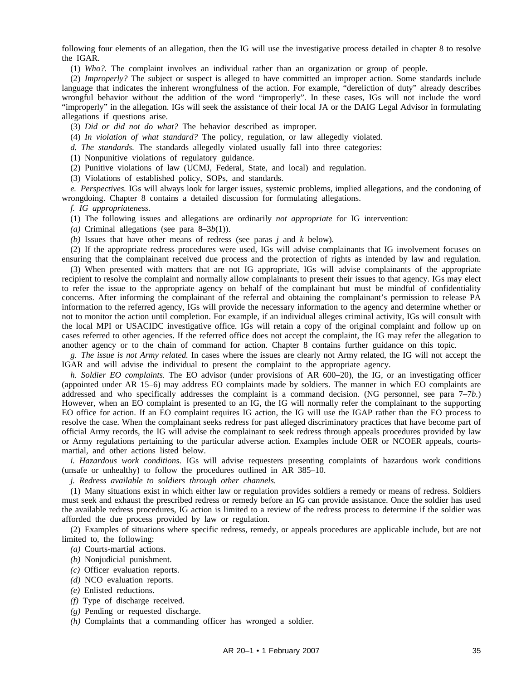following four elements of an allegation, then the IG will use the investigative process detailed in chapter 8 to resolve the IGAR.

(1) *Who?.* The complaint involves an individual rather than an organization or group of people.

(2) *Improperly?* The subject or suspect is alleged to have committed an improper action. Some standards include language that indicates the inherent wrongfulness of the action. For example, "dereliction of duty" already describes wrongful behavior without the addition of the word "improperly". In these cases, IGs will not include the word "improperly" in the allegation. IGs will seek the assistance of their local JA or the DAIG Legal Advisor in formulating allegations if questions arise.

(3) *Did or did not do what?* The behavior described as improper.

(4) *In violation of what standard?* The policy, regulation, or law allegedly violated.

*d. The standards.* The standards allegedly violated usually fall into three categories:

(1) Nonpunitive violations of regulatory guidance.

(2) Punitive violations of law (UCMJ, Federal, State, and local) and regulation.

(3) Violations of established policy, SOPs, and standards.

*e. Perspectives.* IGs will always look for larger issues, systemic problems, implied allegations, and the condoning of wrongdoing. Chapter 8 contains a detailed discussion for formulating allegations.

*f. IG appropriateness.*

(1) The following issues and allegations are ordinarily *not appropriate* for IG intervention:

(*a*) Criminal allegations (see para  $8-3b(1)$ ).

*(b)* Issues that have other means of redress (see paras *j* and *k* below).

(2) If the appropriate redress procedures were used, IGs will advise complainants that IG involvement focuses on ensuring that the complainant received due process and the protection of rights as intended by law and regulation.

(3) When presented with matters that are not IG appropriate, IGs will advise complainants of the appropriate recipient to resolve the complaint and normally allow complainants to present their issues to that agency. IGs may elect to refer the issue to the appropriate agency on behalf of the complainant but must be mindful of confidentiality concerns. After informing the complainant of the referral and obtaining the complainant's permission to release PA information to the referred agency, IGs will provide the necessary information to the agency and determine whether or not to monitor the action until completion. For example, if an individual alleges criminal activity, IGs will consult with the local MPI or USACIDC investigative office. IGs will retain a copy of the original complaint and follow up on cases referred to other agencies. If the referred office does not accept the complaint, the IG may refer the allegation to another agency or to the chain of command for action. Chapter 8 contains further guidance on this topic.

*g. The issue is not Army related.* In cases where the issues are clearly not Army related, the IG will not accept the IGAR and will advise the individual to present the complaint to the appropriate agency.

*h. Soldier EO complaints.* The EO advisor (under provisions of AR 600–20), the IG, or an investigating officer (appointed under AR 15–6) may address EO complaints made by soldiers. The manner in which EO complaints are addressed and who specifically addresses the complaint is a command decision. (NG personnel, see para 7–7*b.*) However, when an EO complaint is presented to an IG, the IG will normally refer the complainant to the supporting EO office for action. If an EO complaint requires IG action, the IG will use the IGAP rather than the EO process to resolve the case. When the complainant seeks redress for past alleged discriminatory practices that have become part of official Army records, the IG will advise the complainant to seek redress through appeals procedures provided by law or Army regulations pertaining to the particular adverse action. Examples include OER or NCOER appeals, courtsmartial, and other actions listed below.

*i. Hazardous work conditions.* IGs will advise requesters presenting complaints of hazardous work conditions (unsafe or unhealthy) to follow the procedures outlined in AR 385–10.

*j. Redress available to soldiers through other channels.*

(1) Many situations exist in which either law or regulation provides soldiers a remedy or means of redress. Soldiers must seek and exhaust the prescribed redress or remedy before an IG can provide assistance. Once the soldier has used the available redress procedures, IG action is limited to a review of the redress process to determine if the soldier was afforded the due process provided by law or regulation.

(2) Examples of situations where specific redress, remedy, or appeals procedures are applicable include, but are not limited to, the following:

- *(a)* Courts-martial actions.
- *(b)* Nonjudicial punishment.
- *(c)* Officer evaluation reports.
- *(d)* NCO evaluation reports.
- *(e)* Enlisted reductions.
- *(f)* Type of discharge received.
- *(g)* Pending or requested discharge.
- *(h)* Complaints that a commanding officer has wronged a soldier.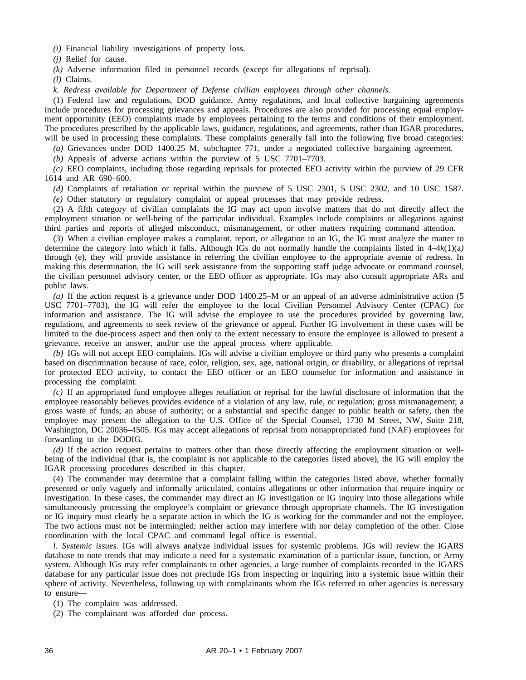*(i)* Financial liability investigations of property loss.

*(j)* Relief for cause.

*(k)* Adverse information filed in personnel records (except for allegations of reprisal).

*(l)* Claims.

*k. Redress available for Department of Defense civilian employees through other channels.*

(1) Federal law and regulations, DOD guidance, Army regulations, and local collective bargaining agreements include procedures for processing grievances and appeals. Procedures are also provided for processing equal employment opportunity (EEO) complaints made by employees pertaining to the terms and conditions of their employment. The procedures prescribed by the applicable laws, guidance, regulations, and agreements, rather than IGAR procedures, will be used in processing these complaints. These complaints generally fall into the following five broad categories:

*(a)* Grievances under DOD 1400.25–M, subchapter 771, under a negotiated collective bargaining agreement.

*(b)* Appeals of adverse actions within the purview of 5 USC 7701–7703.

*(c)* EEO complaints, including those regarding reprisals for protected EEO activity within the purview of 29 CFR 1614 and AR 690–600.

*(d)* Complaints of retaliation or reprisal within the purview of 5 USC 2301, 5 USC 2302, and 10 USC 1587.

*(e)* Other statutory or regulatory complaint or appeal processes that may provide redress.

(2) A fifth category of civilian complaints the IG may act upon involve matters that do not directly affect the employment situation or well-being of the particular individual. Examples include complaints or allegations against third parties and reports of alleged misconduct, mismanagement, or other matters requiring command attention.

(3) When a civilian employee makes a complaint, report, or allegation to an IG, the IG must analyze the matter to determine the category into which it falls. Although IGs do not normally handle the complaints listed in  $4-4k(1)(a)$ through (e)*,* they will provide assistance in referring the civilian employee to the appropriate avenue of redress. In making this determination, the IG will seek assistance from the supporting staff judge advocate or command counsel, the civilian personnel advisory center, or the EEO officer as appropriate. IGs may also consult appropriate ARs and public laws.

*(a)* If the action request is a grievance under DOD 1400.25–M or an appeal of an adverse administrative action (5 USC 7701–7703), the IG will refer the employee to the local Civilian Personnel Advisory Center (CPAC) for information and assistance. The IG will advise the employee to use the procedures provided by governing law, regulations, and agreements to seek review of the grievance or appeal. Further IG involvement in these cases will be limited to the due-process aspect and then only to the extent necessary to ensure the employee is allowed to present a grievance, receive an answer, and/or use the appeal process where applicable.

*(b)* IGs will not accept EEO complaints. IGs will advise a civilian employee or third party who presents a complaint based on discrimination because of race, color, religion, sex, age, national origin, or disability, or allegations of reprisal for protected EEO activity, to contact the EEO officer or an EEO counselor for information and assistance in processing the complaint.

*(c)* If an appropriated fund employee alleges retaliation or reprisal for the lawful disclosure of information that the employee reasonably believes provides evidence of a violation of any law, rule, or regulation; gross mismanagement; a gross waste of funds; an abuse of authority; or a substantial and specific danger to public health or safety, then the employee may present the allegation to the U.S. Office of the Special Counsel, 1730 M Street, NW, Suite 218, Washington, DC 20036–4505. IGs may accept allegations of reprisal from nonappropriated fund (NAF) employees for forwarding to the DODIG.

*(d)* If the action request pertains to matters other than those directly affecting the employment situation or wellbeing of the individual (that is, the complaint is not applicable to the categories listed above), the IG will employ the IGAR processing procedures described in this chapter.

(4) The commander may determine that a complaint falling within the categories listed above, whether formally presented or only vaguely and informally articulated, contains allegations or other information that require inquiry or investigation. In these cases, the commander may direct an IG investigation or IG inquiry into those allegations while simultaneously processing the employee's complaint or grievance through appropriate channels. The IG investigation or IG inquiry must clearly be a separate action in which the IG is working for the commander and not the employee. The two actions must not be intermingled; neither action may interfere with nor delay completion of the other. Close coordination with the local CPAC and command legal office is essential.

*l. Systemic issues.* IGs will always analyze individual issues for systemic problems. IGs will review the IGARS database to note trends that may indicate a need for a systematic examination of a particular issue, function, or Army system. Although IGs may refer complainants to other agencies, a large number of complaints recorded in the IGARS database for any particular issue does not preclude IGs from inspecting or inquiring into a systemic issue within their sphere of activity. Nevertheless, following up with complainants whom the IGs referred to other agencies is necessary to ensure—

(1) The complaint was addressed.

(2) The complainant was afforded due process.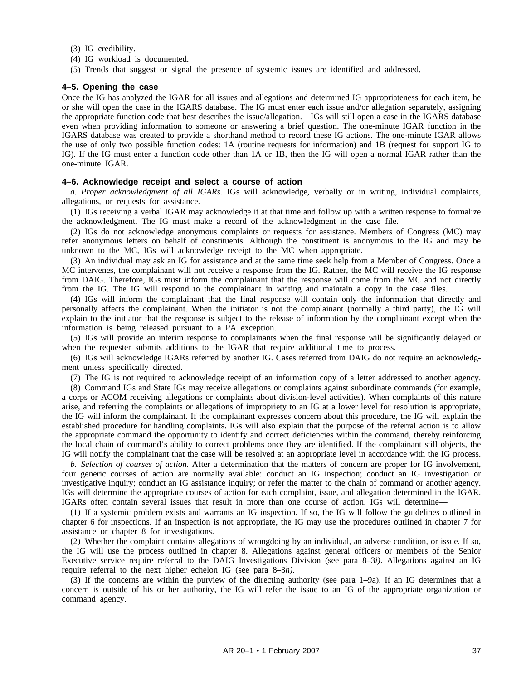- (3) IG credibility.
- (4) IG workload is documented.
- (5) Trends that suggest or signal the presence of systemic issues are identified and addressed.

## **4–5. Opening the case**

Once the IG has analyzed the IGAR for all issues and allegations and determined IG appropriateness for each item, he or she will open the case in the IGARS database. The IG must enter each issue and/or allegation separately, assigning the appropriate function code that best describes the issue/allegation. IGs will still open a case in the IGARS database even when providing information to someone or answering a brief question. The one-minute IGAR function in the IGARS database was created to provide a shorthand method to record these IG actions. The one-minute IGAR allows the use of only two possible function codes: 1A (routine requests for information) and 1B (request for support IG to IG). If the IG must enter a function code other than 1A or 1B, then the IG will open a normal IGAR rather than the one-minute IGAR.

### **4–6. Acknowledge receipt and select a course of action**

*a. Proper acknowledgment of all IGARs.* IGs will acknowledge, verbally or in writing, individual complaints, allegations, or requests for assistance.

(1) IGs receiving a verbal IGAR may acknowledge it at that time and follow up with a written response to formalize the acknowledgment. The IG must make a record of the acknowledgment in the case file.

(2) IGs do not acknowledge anonymous complaints or requests for assistance. Members of Congress (MC) may refer anonymous letters on behalf of constituents. Although the constituent is anonymous to the IG and may be unknown to the MC, IGs will acknowledge receipt to the MC when appropriate.

(3) An individual may ask an IG for assistance and at the same time seek help from a Member of Congress. Once a MC intervenes, the complainant will not receive a response from the IG. Rather, the MC will receive the IG response from DAIG. Therefore, IGs must inform the complainant that the response will come from the MC and not directly from the IG. The IG will respond to the complainant in writing and maintain a copy in the case files.

(4) IGs will inform the complainant that the final response will contain only the information that directly and personally affects the complainant. When the initiator is not the complainant (normally a third party), the IG will explain to the initiator that the response is subject to the release of information by the complainant except when the information is being released pursuant to a PA exception.

(5) IGs will provide an interim response to complainants when the final response will be significantly delayed or when the requester submits additions to the IGAR that require additional time to process.

(6) IGs will acknowledge IGARs referred by another IG. Cases referred from DAIG do not require an acknowledgment unless specifically directed.

(7) The IG is not required to acknowledge receipt of an information copy of a letter addressed to another agency.

(8) Command IGs and State IGs may receive allegations or complaints against subordinate commands (for example, a corps or ACOM receiving allegations or complaints about division-level activities). When complaints of this nature arise, and referring the complaints or allegations of impropriety to an IG at a lower level for resolution is appropriate, the IG will inform the complainant. If the complainant expresses concern about this procedure, the IG will explain the established procedure for handling complaints. IGs will also explain that the purpose of the referral action is to allow the appropriate command the opportunity to identify and correct deficiencies within the command, thereby reinforcing the local chain of command's ability to correct problems once they are identified. If the complainant still objects, the IG will notify the complainant that the case will be resolved at an appropriate level in accordance with the IG process.

*b. Selection of courses of action.* After a determination that the matters of concern are proper for IG involvement, four generic courses of action are normally available: conduct an IG inspection; conduct an IG investigation or investigative inquiry; conduct an IG assistance inquiry; or refer the matter to the chain of command or another agency. IGs will determine the appropriate courses of action for each complaint, issue, and allegation determined in the IGAR. IGARs often contain several issues that result in more than one course of action. IGs will determine—

(1) If a systemic problem exists and warrants an IG inspection. If so, the IG will follow the guidelines outlined in chapter 6 for inspections. If an inspection is not appropriate, the IG may use the procedures outlined in chapter 7 for assistance or chapter 8 for investigations.

(2) Whether the complaint contains allegations of wrongdoing by an individual, an adverse condition, or issue. If so, the IG will use the process outlined in chapter 8. Allegations against general officers or members of the Senior Executive service require referral to the DAIG Investigations Division (see para 8–3*i)*. Allegations against an IG require referral to the next higher echelon IG (see para 8–3*h)*.

(3) If the concerns are within the purview of the directing authority (see para 1–9a). If an IG determines that a concern is outside of his or her authority, the IG will refer the issue to an IG of the appropriate organization or command agency.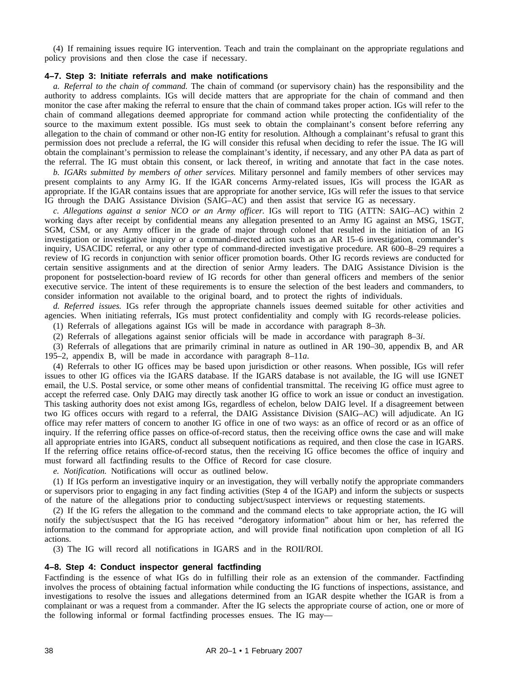(4) If remaining issues require IG intervention. Teach and train the complainant on the appropriate regulations and policy provisions and then close the case if necessary.

## **4–7. Step 3: Initiate referrals and make notifications**

*a. Referral to the chain of command.* The chain of command (or supervisory chain) has the responsibility and the authority to address complaints. IGs will decide matters that are appropriate for the chain of command and then monitor the case after making the referral to ensure that the chain of command takes proper action. IGs will refer to the chain of command allegations deemed appropriate for command action while protecting the confidentiality of the source to the maximum extent possible. IGs must seek to obtain the complainant's consent before referring any allegation to the chain of command or other non-IG entity for resolution. Although a complainant's refusal to grant this permission does not preclude a referral, the IG will consider this refusal when deciding to refer the issue. The IG will obtain the complainant's permission to release the complainant's identity, if necessary, and any other PA data as part of the referral. The IG must obtain this consent, or lack thereof, in writing and annotate that fact in the case notes.

*b. IGARs submitted by members of other services.* Military personnel and family members of other services may present complaints to any Army IG. If the IGAR concerns Army-related issues, IGs will process the IGAR as appropriate. If the IGAR contains issues that are appropriate for another service, IGs will refer the issues to that service IG through the DAIG Assistance Division (SAIG–AC) and then assist that service IG as necessary.

*c. Allegations against a senior NCO or an Army officer.* IGs will report to TIG (ATTN: SAIG–AC) within 2 working days after receipt by confidential means any allegation presented to an Army IG against an MSG, 1SGT, SGM, CSM, or any Army officer in the grade of major through colonel that resulted in the initiation of an IG investigation or investigative inquiry or a command-directed action such as an AR 15–6 investigation, commander's inquiry, USACIDC referral, or any other type of command-directed investigative procedure. AR 600–8–29 requires a review of IG records in conjunction with senior officer promotion boards. Other IG records reviews are conducted for certain sensitive assignments and at the direction of senior Army leaders. The DAIG Assistance Division is the proponent for postselection-board review of IG records for other than general officers and members of the senior executive service. The intent of these requirements is to ensure the selection of the best leaders and commanders, to consider information not available to the original board, and to protect the rights of individuals.

*d. Referred issues.* IGs refer through the appropriate channels issues deemed suitable for other activities and agencies. When initiating referrals, IGs must protect confidentiality and comply with IG records-release policies.

(1) Referrals of allegations against IGs will be made in accordance with paragraph 8–3*h.*

(2) Referrals of allegations against senior officials will be made in accordance with paragraph 8–3*i*.

(3) Referrals of allegations that are primarily criminal in nature as outlined in AR 190–30, appendix B, and AR 195–2, appendix B, will be made in accordance with paragraph 8–11*a*.

(4) Referrals to other IG offices may be based upon jurisdiction or other reasons. When possible, IGs will refer issues to other IG offices via the IGARS database. If the IGARS database is not available, the IG will use IGNET email, the U.S. Postal service, or some other means of confidential transmittal. The receiving IG office must agree to accept the referred case. Only DAIG may directly task another IG office to work an issue or conduct an investigation. This tasking authority does not exist among IGs, regardless of echelon, below DAIG level. If a disagreement between two IG offices occurs with regard to a referral, the DAIG Assistance Division (SAIG–AC) will adjudicate. An IG office may refer matters of concern to another IG office in one of two ways: as an office of record or as an office of inquiry. If the referring office passes on office-of-record status, then the receiving office owns the case and will make all appropriate entries into IGARS, conduct all subsequent notifications as required, and then close the case in IGARS. If the referring office retains office-of-record status, then the receiving IG office becomes the office of inquiry and must forward all factfinding results to the Office of Record for case closure.

*e. Notification.* Notifications will occur as outlined below.

(1) If IGs perform an investigative inquiry or an investigation, they will verbally notify the appropriate commanders or supervisors prior to engaging in any fact finding activities (Step 4 of the IGAP) and inform the subjects or suspects of the nature of the allegations prior to conducting subject/suspect interviews or requesting statements.

(2) If the IG refers the allegation to the command and the command elects to take appropriate action, the IG will notify the subject/suspect that the IG has received "derogatory information" about him or her, has referred the information to the command for appropriate action, and will provide final notification upon completion of all IG actions.

(3) The IG will record all notifications in IGARS and in the ROII/ROI.

## **4–8. Step 4: Conduct inspector general factfinding**

Factfinding is the essence of what IGs do in fulfilling their role as an extension of the commander. Factfinding involves the process of obtaining factual information while conducting the IG functions of inspections, assistance, and investigations to resolve the issues and allegations determined from an IGAR despite whether the IGAR is from a complainant or was a request from a commander. After the IG selects the appropriate course of action, one or more of the following informal or formal factfinding processes ensues. The IG may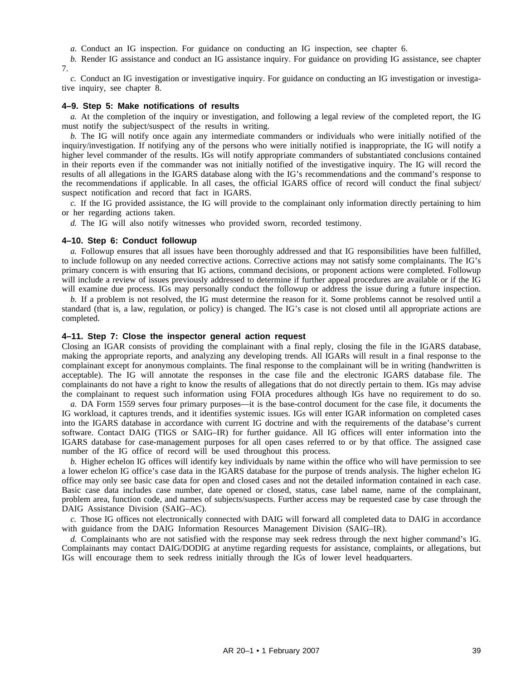*a.* Conduct an IG inspection. For guidance on conducting an IG inspection, see chapter 6.

*b.* Render IG assistance and conduct an IG assistance inquiry. For guidance on providing IG assistance, see chapter 7.

*c.* Conduct an IG investigation or investigative inquiry. For guidance on conducting an IG investigation or investigative inquiry, see chapter 8.

### **4–9. Step 5: Make notifications of results**

*a.* At the completion of the inquiry or investigation, and following a legal review of the completed report, the IG must notify the subject/suspect of the results in writing.

*b.* The IG will notify once again any intermediate commanders or individuals who were initially notified of the inquiry/investigation. If notifying any of the persons who were initially notified is inappropriate, the IG will notify a higher level commander of the results. IGs will notify appropriate commanders of substantiated conclusions contained in their reports even if the commander was not initially notified of the investigative inquiry. The IG will record the results of all allegations in the IGARS database along with the IG's recommendations and the command's response to the recommendations if applicable. In all cases, the official IGARS office of record will conduct the final subject/ suspect notification and record that fact in IGARS.

*c.* If the IG provided assistance, the IG will provide to the complainant only information directly pertaining to him or her regarding actions taken.

*d.* The IG will also notify witnesses who provided sworn, recorded testimony.

## **4–10. Step 6: Conduct followup**

*a.* Followup ensures that all issues have been thoroughly addressed and that IG responsibilities have been fulfilled, to include followup on any needed corrective actions. Corrective actions may not satisfy some complainants. The IG's primary concern is with ensuring that IG actions, command decisions, or proponent actions were completed. Followup will include a review of issues previously addressed to determine if further appeal procedures are available or if the IG will examine due process. IGs may personally conduct the followup or address the issue during a future inspection.

*b.* If a problem is not resolved, the IG must determine the reason for it. Some problems cannot be resolved until a standard (that is, a law, regulation, or policy) is changed. The IG's case is not closed until all appropriate actions are completed.

## **4–11. Step 7: Close the inspector general action request**

Closing an IGAR consists of providing the complainant with a final reply, closing the file in the IGARS database, making the appropriate reports, and analyzing any developing trends. All IGARs will result in a final response to the complainant except for anonymous complaints. The final response to the complainant will be in writing (handwritten is acceptable). The IG will annotate the responses in the case file and the electronic IGARS database file. The complainants do not have a right to know the results of allegations that do not directly pertain to them. IGs may advise the complainant to request such information using FOIA procedures although IGs have no requirement to do so.

*a.* DA Form 1559 serves four primary purposes—it is the base-control document for the case file, it documents the IG workload, it captures trends, and it identifies systemic issues. IGs will enter IGAR information on completed cases into the IGARS database in accordance with current IG doctrine and with the requirements of the database's current software. Contact DAIG (TIGS or SAIG–IR) for further guidance. All IG offices will enter information into the IGARS database for case-management purposes for all open cases referred to or by that office. The assigned case number of the IG office of record will be used throughout this process.

*b.* Higher echelon IG offices will identify key individuals by name within the office who will have permission to see a lower echelon IG office's case data in the IGARS database for the purpose of trends analysis. The higher echelon IG office may only see basic case data for open and closed cases and not the detailed information contained in each case. Basic case data includes case number, date opened or closed, status, case label name, name of the complainant, problem area, function code, and names of subjects/suspects. Further access may be requested case by case through the DAIG Assistance Division (SAIG–AC).

*c.* Those IG offices not electronically connected with DAIG will forward all completed data to DAIG in accordance with guidance from the DAIG Information Resources Management Division (SAIG–IR).

*d.* Complainants who are not satisfied with the response may seek redress through the next higher command's IG. Complainants may contact DAIG/DODIG at anytime regarding requests for assistance, complaints, or allegations, but IGs will encourage them to seek redress initially through the IGs of lower level headquarters.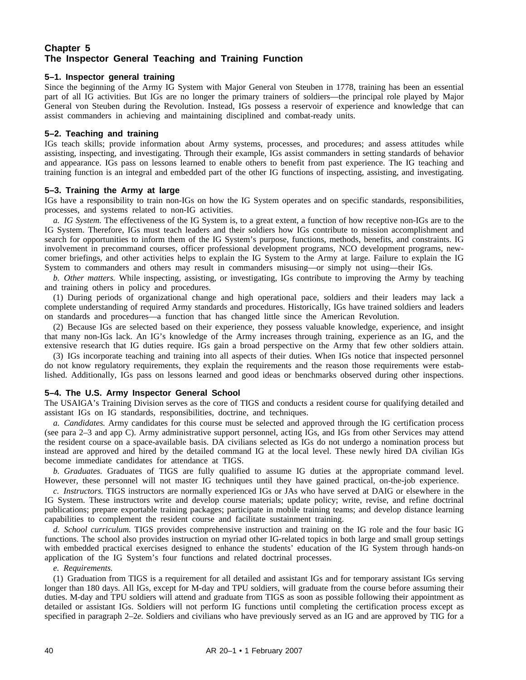# **Chapter 5 The Inspector General Teaching and Training Function**

# **5–1. Inspector general training**

Since the beginning of the Army IG System with Major General von Steuben in 1778, training has been an essential part of all IG activities. But IGs are no longer the primary trainers of soldiers—the principal role played by Major General von Steuben during the Revolution. Instead, IGs possess a reservoir of experience and knowledge that can assist commanders in achieving and maintaining disciplined and combat-ready units.

## **5–2. Teaching and training**

IGs teach skills; provide information about Army systems, processes, and procedures; and assess attitudes while assisting, inspecting, and investigating. Through their example, IGs assist commanders in setting standards of behavior and appearance. IGs pass on lessons learned to enable others to benefit from past experience. The IG teaching and training function is an integral and embedded part of the other IG functions of inspecting, assisting, and investigating.

## **5–3. Training the Army at large**

IGs have a responsibility to train non-IGs on how the IG System operates and on specific standards, responsibilities, processes, and systems related to non-IG activities.

*a. IG System.* The effectiveness of the IG System is, to a great extent, a function of how receptive non-IGs are to the IG System. Therefore, IGs must teach leaders and their soldiers how IGs contribute to mission accomplishment and search for opportunities to inform them of the IG System's purpose, functions, methods, benefits, and constraints. IG involvement in precommand courses, officer professional development programs, NCO development programs, newcomer briefings, and other activities helps to explain the IG System to the Army at large. Failure to explain the IG System to commanders and others may result in commanders misusing—or simply not using—their IGs.

*b. Other matters.* While inspecting, assisting, or investigating, IGs contribute to improving the Army by teaching and training others in policy and procedures.

(1) During periods of organizational change and high operational pace, soldiers and their leaders may lack a complete understanding of required Army standards and procedures. Historically, IGs have trained soldiers and leaders on standards and procedures—a function that has changed little since the American Revolution.

(2) Because IGs are selected based on their experience, they possess valuable knowledge, experience, and insight that many non-IGs lack. An IG's knowledge of the Army increases through training, experience as an IG, and the extensive research that IG duties require. IGs gain a broad perspective on the Army that few other soldiers attain.

(3) IGs incorporate teaching and training into all aspects of their duties. When IGs notice that inspected personnel do not know regulatory requirements, they explain the requirements and the reason those requirements were established. Additionally, IGs pass on lessons learned and good ideas or benchmarks observed during other inspections.

## **5–4. The U.S. Army Inspector General School**

The USAIGA's Training Division serves as the core of TIGS and conducts a resident course for qualifying detailed and assistant IGs on IG standards, responsibilities, doctrine, and techniques.

*a. Candidates.* Army candidates for this course must be selected and approved through the IG certification process (see para 2–3 and app C). Army administrative support personnel, acting IGs, and IGs from other Services may attend the resident course on a space-available basis. DA civilians selected as IGs do not undergo a nomination process but instead are approved and hired by the detailed command IG at the local level. These newly hired DA civilian IGs become immediate candidates for attendance at TIGS.

*b. Graduates.* Graduates of TIGS are fully qualified to assume IG duties at the appropriate command level. However, these personnel will not master IG techniques until they have gained practical, on-the-job experience.

*c. Instructors.* TIGS instructors are normally experienced IGs or JAs who have served at DAIG or elsewhere in the IG System. These instructors write and develop course materials; update policy; write, revise, and refine doctrinal publications; prepare exportable training packages; participate in mobile training teams; and develop distance learning capabilities to complement the resident course and facilitate sustainment training.

*d. School curriculum.* TIGS provides comprehensive instruction and training on the IG role and the four basic IG functions. The school also provides instruction on myriad other IG-related topics in both large and small group settings with embedded practical exercises designed to enhance the students' education of the IG System through hands-on application of the IG System's four functions and related doctrinal processes.

## *e. Requirements.*

(1) Graduation from TIGS is a requirement for all detailed and assistant IGs and for temporary assistant IGs serving longer than 180 days. All IGs, except for M-day and TPU soldiers, will graduate from the course before assuming their duties. M-day and TPU soldiers will attend and graduate from TIGS as soon as possible following their appointment as detailed or assistant IGs. Soldiers will not perform IG functions until completing the certification process except as specified in paragraph 2–2*e.* Soldiers and civilians who have previously served as an IG and are approved by TIG for a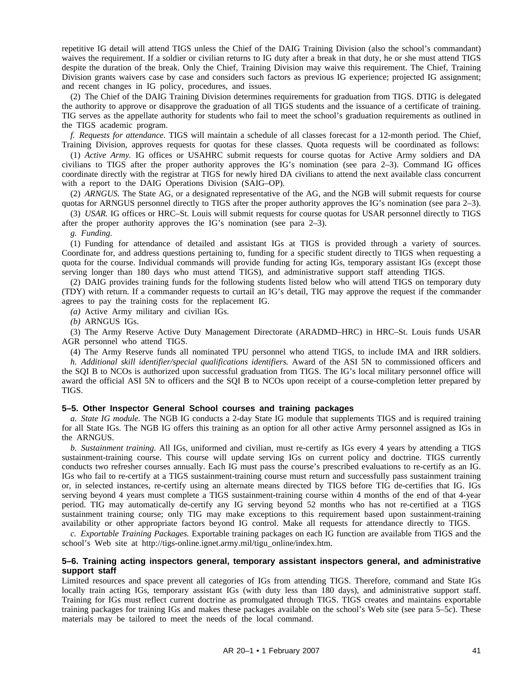repetitive IG detail will attend TIGS unless the Chief of the DAIG Training Division (also the school's commandant) waives the requirement. If a soldier or civilian returns to IG duty after a break in that duty, he or she must attend TIGS despite the duration of the break. Only the Chief, Training Division may waive this requirement. The Chief, Training Division grants waivers case by case and considers such factors as previous IG experience; projected IG assignment; and recent changes in IG policy, procedures, and issues.

(2) The Chief of the DAIG Training Division determines requirements for graduation from TIGS. DTIG is delegated the authority to approve or disapprove the graduation of all TIGS students and the issuance of a certificate of training. TIG serves as the appellate authority for students who fail to meet the school's graduation requirements as outlined in the TIGS academic program.

*f. Requests for attendance.* TIGS will maintain a schedule of all classes forecast for a 12-month period. The Chief, Training Division, approves requests for quotas for these classes. Quota requests will be coordinated as follows:

(1) *Active Army.* IG offices or USAHRC submit requests for course quotas for Active Army soldiers and DA civilians to TIGS after the proper authority approves the IG's nomination (see para 2–3). Command IG offices coordinate directly with the registrar at TIGS for newly hired DA civilians to attend the next available class concurrent with a report to the DAIG Operations Division (SAIG–OP).

(2) *ARNGUS.* The State AG, or a designated representative of the AG, and the NGB will submit requests for course quotas for ARNGUS personnel directly to TIGS after the proper authority approves the IG's nomination (see para 2–3).

(3) *USAR.* IG offices or HRC–St. Louis will submit requests for course quotas for USAR personnel directly to TIGS after the proper authority approves the IG's nomination (see para 2–3).

*g. Funding.*

(1) Funding for attendance of detailed and assistant IGs at TIGS is provided through a variety of sources. Coordinate for, and address questions pertaining to, funding for a specific student directly to TIGS when requesting a quota for the course. Individual commands will provide funding for acting IGs, temporary assistant IGs (except those serving longer than 180 days who must attend TIGS), and administrative support staff attending TIGS.

(2) DAIG provides training funds for the following students listed below who will attend TIGS on temporary duty (TDY) with return. If a commander requests to curtail an IG's detail, TIG may approve the request if the commander agrees to pay the training costs for the replacement IG.

*(a)* Active Army military and civilian IGs.

*(b)* ARNGUS IGs.

(3) The Army Reserve Active Duty Management Directorate (ARADMD–HRC) in HRC–St. Louis funds USAR AGR personnel who attend TIGS.

(4) The Army Reserve funds all nominated TPU personnel who attend TIGS, to include IMA and IRR soldiers.

*h. Additional skill identifier/special qualifications identifiers.* Award of the ASI 5N to commissioned officers and the SQI B to NCOs is authorized upon successful graduation from TIGS. The IG's local military personnel office will award the official ASI 5N to officers and the SQI B to NCOs upon receipt of a course-completion letter prepared by TIGS.

## **5–5. Other Inspector General School courses and training packages**

*a. State IG module.* The NGB IG conducts a 2-day State IG module that supplements TIGS and is required training for all State IGs. The NGB IG offers this training as an option for all other active Army personnel assigned as IGs in the ARNGUS.

*b. Sustainment training.* All IGs, uniformed and civilian, must re-certify as IGs every 4 years by attending a TIGS sustainment-training course. This course will update serving IGs on current policy and doctrine. TIGS currently conducts two refresher courses annually. Each IG must pass the course's prescribed evaluations to re-certify as an IG. IGs who fail to re-certify at a TIGS sustainment-training course must return and successfully pass sustainment training or, in selected instances, re-certify using an alternate means directed by TIGS before TIG de-certifies that IG. IGs serving beyond 4 years must complete a TIGS sustainment-training course within 4 months of the end of that 4-year period. TIG may automatically de-certify any IG serving beyond 52 months who has not re-certified at a TIGS sustainment training course; only TIG may make exceptions to this requirement based upon sustainment-training availability or other appropriate factors beyond IG control. Make all requests for attendance directly to TIGS.

*c. Exportable Training Packages.* Exportable training packages on each IG function are available from TIGS and the school's Web site at http://tigs-online.ignet.army.mil/tigu\_online/index.htm.

## **5–6. Training acting inspectors general, temporary assistant inspectors general, and administrative support staff**

Limited resources and space prevent all categories of IGs from attending TIGS. Therefore, command and State IGs locally train acting IGs, temporary assistant IGs (with duty less than 180 days), and administrative support staff. Training for IGs must reflect current doctrine as promulgated through TIGS. TIGS creates and maintains exportable training packages for training IGs and makes these packages available on the school's Web site (see para 5–5*c*). These materials may be tailored to meet the needs of the local command.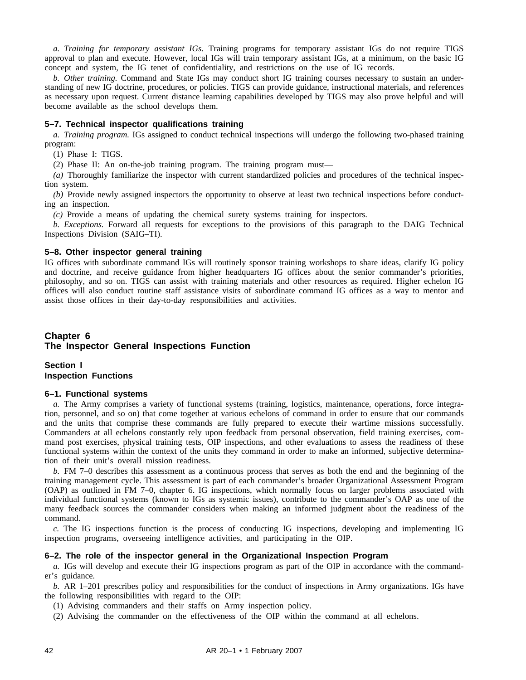*a. Training for temporary assistant IGs.* Training programs for temporary assistant IGs do not require TIGS approval to plan and execute. However, local IGs will train temporary assistant IGs, at a minimum, on the basic IG concept and system, the IG tenet of confidentiality, and restrictions on the use of IG records.

*b. Other training.* Command and State IGs may conduct short IG training courses necessary to sustain an understanding of new IG doctrine, procedures, or policies. TIGS can provide guidance, instructional materials, and references as necessary upon request. Current distance learning capabilities developed by TIGS may also prove helpful and will become available as the school develops them.

# **5–7. Technical inspector qualifications training**

*a. Training program.* IGs assigned to conduct technical inspections will undergo the following two-phased training program:

(1) Phase I: TIGS.

(2) Phase II: An on-the-job training program. The training program must—

*(a)* Thoroughly familiarize the inspector with current standardized policies and procedures of the technical inspection system.

*(b)* Provide newly assigned inspectors the opportunity to observe at least two technical inspections before conducting an inspection.

*(c)* Provide a means of updating the chemical surety systems training for inspectors.

*b. Exceptions.* Forward all requests for exceptions to the provisions of this paragraph to the DAIG Technical Inspections Division (SAIG–TI).

# **5–8. Other inspector general training**

IG offices with subordinate command IGs will routinely sponsor training workshops to share ideas, clarify IG policy and doctrine, and receive guidance from higher headquarters IG offices about the senior commander's priorities, philosophy, and so on. TIGS can assist with training materials and other resources as required. Higher echelon IG offices will also conduct routine staff assistance visits of subordinate command IG offices as a way to mentor and assist those offices in their day-to-day responsibilities and activities.

# **Chapter 6 The Inspector General Inspections Function**

**Section I Inspection Functions**

## **6–1. Functional systems**

*a.* The Army comprises a variety of functional systems (training, logistics, maintenance, operations, force integration, personnel, and so on) that come together at various echelons of command in order to ensure that our commands and the units that comprise these commands are fully prepared to execute their wartime missions successfully. Commanders at all echelons constantly rely upon feedback from personal observation, field training exercises, command post exercises, physical training tests, OIP inspections, and other evaluations to assess the readiness of these functional systems within the context of the units they command in order to make an informed, subjective determination of their unit's overall mission readiness.

*b.* FM 7–0 describes this assessment as a continuous process that serves as both the end and the beginning of the training management cycle. This assessment is part of each commander's broader Organizational Assessment Program (OAP) as outlined in FM 7–0, chapter 6. IG inspections, which normally focus on larger problems associated with individual functional systems (known to IGs as systemic issues), contribute to the commander's OAP as one of the many feedback sources the commander considers when making an informed judgment about the readiness of the command.

*c.* The IG inspections function is the process of conducting IG inspections, developing and implementing IG inspection programs, overseeing intelligence activities, and participating in the OIP.

# **6–2. The role of the inspector general in the Organizational Inspection Program**

*a.* IGs will develop and execute their IG inspections program as part of the OIP in accordance with the commander's guidance.

*b.* AR 1–201 prescribes policy and responsibilities for the conduct of inspections in Army organizations. IGs have the following responsibilities with regard to the OIP:

(1) Advising commanders and their staffs on Army inspection policy.

(2) Advising the commander on the effectiveness of the OIP within the command at all echelons.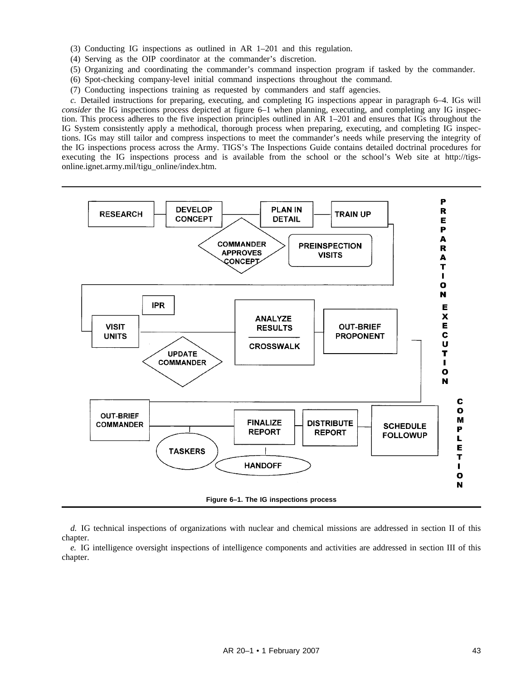- (3) Conducting IG inspections as outlined in AR 1–201 and this regulation.
- (4) Serving as the OIP coordinator at the commander's discretion.
- (5) Organizing and coordinating the commander's command inspection program if tasked by the commander.
- (6) Spot-checking company-level initial command inspections throughout the command.
- (7) Conducting inspections training as requested by commanders and staff agencies.

*c.* Detailed instructions for preparing, executing, and completing IG inspections appear in paragraph 6–4. IGs will *consider* the IG inspections process depicted at figure 6–1 when planning, executing, and completing any IG inspection. This process adheres to the five inspection principles outlined in AR 1–201 and ensures that IGs throughout the IG System consistently apply a methodical, thorough process when preparing, executing, and completing IG inspections. IGs may still tailor and compress inspections to meet the commander's needs while preserving the integrity of the IG inspections process across the Army. TIGS's The Inspections Guide contains detailed doctrinal procedures for executing the IG inspections process and is available from the school or the school's Web site at http://tigsonline.ignet.army.mil/tigu\_online/index.htm.



*d.* IG technical inspections of organizations with nuclear and chemical missions are addressed in section II of this chapter.

*e.* IG intelligence oversight inspections of intelligence components and activities are addressed in section III of this chapter.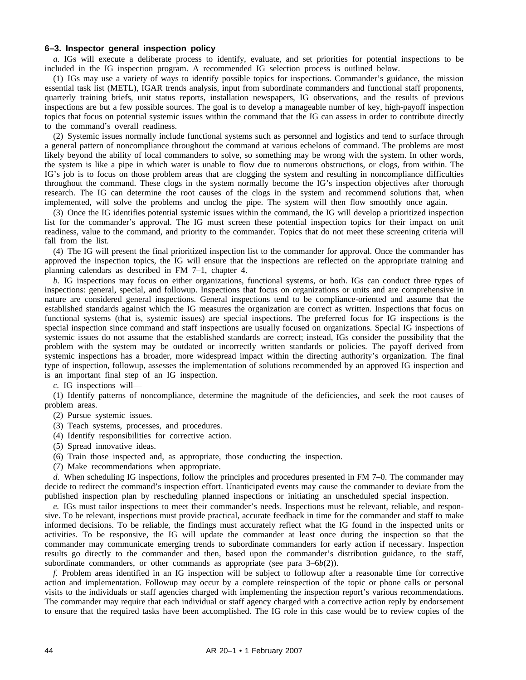# **6–3. Inspector general inspection policy**

*a.* IGs will execute a deliberate process to identify, evaluate, and set priorities for potential inspections to be included in the IG inspection program. A recommended IG selection process is outlined below.

(1) IGs may use a variety of ways to identify possible topics for inspections. Commander's guidance, the mission essential task list (METL), IGAR trends analysis, input from subordinate commanders and functional staff proponents, quarterly training briefs, unit status reports, installation newspapers, IG observations, and the results of previous inspections are but a few possible sources. The goal is to develop a manageable number of key, high-payoff inspection topics that focus on potential systemic issues within the command that the IG can assess in order to contribute directly to the command's overall readiness.

(2) Systemic issues normally include functional systems such as personnel and logistics and tend to surface through a general pattern of noncompliance throughout the command at various echelons of command. The problems are most likely beyond the ability of local commanders to solve, so something may be wrong with the system. In other words, the system is like a pipe in which water is unable to flow due to numerous obstructions, or clogs, from within. The IG's job is to focus on those problem areas that are clogging the system and resulting in noncompliance difficulties throughout the command. These clogs in the system normally become the IG's inspection objectives after thorough research. The IG can determine the root causes of the clogs in the system and recommend solutions that, when implemented, will solve the problems and unclog the pipe. The system will then flow smoothly once again.

(3) Once the IG identifies potential systemic issues within the command, the IG will develop a prioritized inspection list for the commander's approval. The IG must screen these potential inspection topics for their impact on unit readiness, value to the command, and priority to the commander. Topics that do not meet these screening criteria will fall from the list.

(4) The IG will present the final prioritized inspection list to the commander for approval. Once the commander has approved the inspection topics, the IG will ensure that the inspections are reflected on the appropriate training and planning calendars as described in FM 7–1, chapter 4.

*b.* IG inspections may focus on either organizations, functional systems, or both. IGs can conduct three types of inspections: general, special, and followup. Inspections that focus on organizations or units and are comprehensive in nature are considered general inspections. General inspections tend to be compliance-oriented and assume that the established standards against which the IG measures the organization are correct as written. Inspections that focus on functional systems (that is, systemic issues) are special inspections. The preferred focus for IG inspections is the special inspection since command and staff inspections are usually focused on organizations. Special IG inspections of systemic issues do not assume that the established standards are correct; instead, IGs consider the possibility that the problem with the system may be outdated or incorrectly written standards or policies. The payoff derived from systemic inspections has a broader, more widespread impact within the directing authority's organization. The final type of inspection, followup, assesses the implementation of solutions recommended by an approved IG inspection and is an important final step of an IG inspection.

*c.* IG inspections will—

(1) Identify patterns of noncompliance, determine the magnitude of the deficiencies, and seek the root causes of problem areas.

- (2) Pursue systemic issues.
- (3) Teach systems, processes, and procedures.
- (4) Identify responsibilities for corrective action.
- (5) Spread innovative ideas.
- (6) Train those inspected and, as appropriate, those conducting the inspection.
- (7) Make recommendations when appropriate.

*d.* When scheduling IG inspections, follow the principles and procedures presented in FM 7–0. The commander may decide to redirect the command's inspection effort. Unanticipated events may cause the commander to deviate from the published inspection plan by rescheduling planned inspections or initiating an unscheduled special inspection.

*e.* IGs must tailor inspections to meet their commander's needs. Inspections must be relevant, reliable, and responsive. To be relevant, inspections must provide practical, accurate feedback in time for the commander and staff to make informed decisions. To be reliable, the findings must accurately reflect what the IG found in the inspected units or activities. To be responsive, the IG will update the commander at least once during the inspection so that the commander may communicate emerging trends to subordinate commanders for early action if necessary. Inspection results go directly to the commander and then, based upon the commander's distribution guidance, to the staff, subordinate commanders, or other commands as appropriate (see para 3–6*b*(2)).

*f.* Problem areas identified in an IG inspection will be subject to followup after a reasonable time for corrective action and implementation. Followup may occur by a complete reinspection of the topic or phone calls or personal visits to the individuals or staff agencies charged with implementing the inspection report's various recommendations. The commander may require that each individual or staff agency charged with a corrective action reply by endorsement to ensure that the required tasks have been accomplished. The IG role in this case would be to review copies of the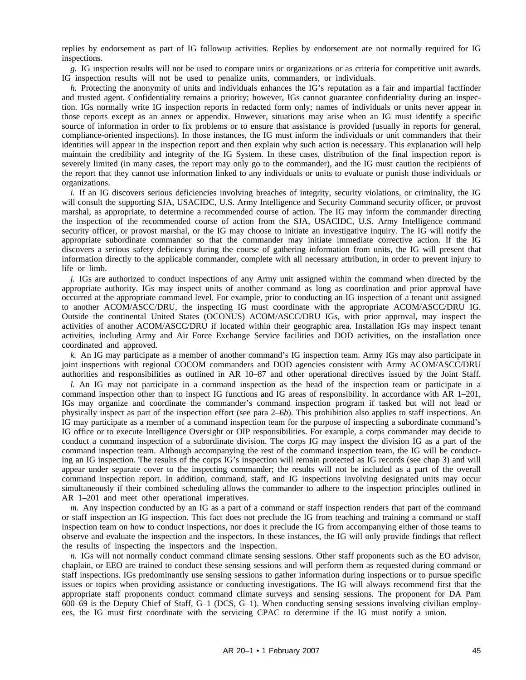replies by endorsement as part of IG followup activities. Replies by endorsement are not normally required for IG inspections.

*g.* IG inspection results will not be used to compare units or organizations or as criteria for competitive unit awards. IG inspection results will not be used to penalize units, commanders, or individuals.

*h.* Protecting the anonymity of units and individuals enhances the IG's reputation as a fair and impartial factfinder and trusted agent. Confidentiality remains a priority; however, IGs cannot guarantee confidentiality during an inspection. IGs normally write IG inspection reports in redacted form only; names of individuals or units never appear in those reports except as an annex or appendix. However, situations may arise when an IG must identify a specific source of information in order to fix problems or to ensure that assistance is provided (usually in reports for general, compliance-oriented inspections). In those instances, the IG must inform the individuals or unit commanders that their identities will appear in the inspection report and then explain why such action is necessary. This explanation will help maintain the credibility and integrity of the IG System. In these cases, distribution of the final inspection report is severely limited (in many cases, the report may only go to the commander), and the IG must caution the recipients of the report that they cannot use information linked to any individuals or units to evaluate or punish those individuals or organizations.

*i.* If an IG discovers serious deficiencies involving breaches of integrity, security violations, or criminality, the IG will consult the supporting SJA, USACIDC, U.S. Army Intelligence and Security Command security officer, or provost marshal, as appropriate, to determine a recommended course of action. The IG may inform the commander directing the inspection of the recommended course of action from the SJA, USACIDC, U.S. Army Intelligence command security officer, or provost marshal, or the IG may choose to initiate an investigative inquiry. The IG will notify the appropriate subordinate commander so that the commander may initiate immediate corrective action. If the IG discovers a serious safety deficiency during the course of gathering information from units, the IG will present that information directly to the applicable commander, complete with all necessary attribution, in order to prevent injury to life or limb.

*j.* IGs are authorized to conduct inspections of any Army unit assigned within the command when directed by the appropriate authority. IGs may inspect units of another command as long as coordination and prior approval have occurred at the appropriate command level. For example, prior to conducting an IG inspection of a tenant unit assigned to another ACOM/ASCC/DRU, the inspecting IG must coordinate with the appropriate ACOM/ASCC/DRU IG. Outside the continental United States (OCONUS) ACOM/ASCC/DRU IGs, with prior approval, may inspect the activities of another ACOM/ASCC/DRU if located within their geographic area. Installation IGs may inspect tenant activities, including Army and Air Force Exchange Service facilities and DOD activities, on the installation once coordinated and approved.

*k.* An IG may participate as a member of another command's IG inspection team. Army IGs may also participate in joint inspections with regional COCOM commanders and DOD agencies consistent with Army ACOM/ASCC/DRU authorities and responsibilities as outlined in AR 10–87 and other operational directives issued by the Joint Staff.

*l.* An IG may not participate in a command inspection as the head of the inspection team or participate in a command inspection other than to inspect IG functions and IG areas of responsibility. In accordance with AR 1–201, IGs may organize and coordinate the commander's command inspection program if tasked but will not lead or physically inspect as part of the inspection effort (see para 2–6*b*). This prohibition also applies to staff inspections. An IG may participate as a member of a command inspection team for the purpose of inspecting a subordinate command's IG office or to execute Intelligence Oversight or OIP responsibilities. For example, a corps commander may decide to conduct a command inspection of a subordinate division. The corps IG may inspect the division IG as a part of the command inspection team. Although accompanying the rest of the command inspection team, the IG will be conducting an IG inspection. The results of the corps IG's inspection will remain protected as IG records (see chap 3) and will appear under separate cover to the inspecting commander; the results will not be included as a part of the overall command inspection report. In addition, command, staff, and IG inspections involving designated units may occur simultaneously if their combined scheduling allows the commander to adhere to the inspection principles outlined in AR 1–201 and meet other operational imperatives.

*m.* Any inspection conducted by an IG as a part of a command or staff inspection renders that part of the command or staff inspection an IG inspection. This fact does not preclude the IG from teaching and training a command or staff inspection team on how to conduct inspections, nor does it preclude the IG from accompanying either of those teams to observe and evaluate the inspection and the inspectors. In these instances, the IG will only provide findings that reflect the results of inspecting the inspectors and the inspection.

*n.* IGs will not normally conduct command climate sensing sessions. Other staff proponents such as the EO advisor, chaplain, or EEO are trained to conduct these sensing sessions and will perform them as requested during command or staff inspections. IGs predominantly use sensing sessions to gather information during inspections or to pursue specific issues or topics when providing assistance or conducting investigations. The IG will always recommend first that the appropriate staff proponents conduct command climate surveys and sensing sessions. The proponent for DA Pam 600–69 is the Deputy Chief of Staff, G–1 (DCS, G–1). When conducting sensing sessions involving civilian employees, the IG must first coordinate with the servicing CPAC to determine if the IG must notify a union.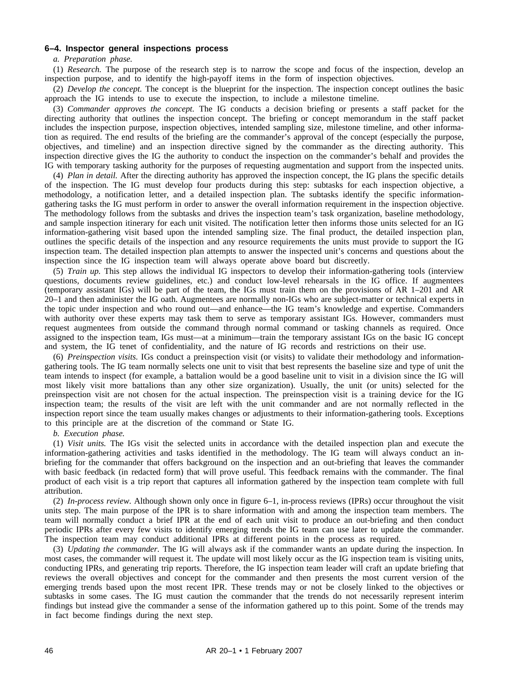## **6–4. Inspector general inspections process**

### *a. Preparation phase.*

(1) *Research.* The purpose of the research step is to narrow the scope and focus of the inspection, develop an inspection purpose, and to identify the high-payoff items in the form of inspection objectives.

(2) *Develop the concept.* The concept is the blueprint for the inspection. The inspection concept outlines the basic approach the IG intends to use to execute the inspection, to include a milestone timeline.

(3) *Commander approves the concept.* The IG conducts a decision briefing or presents a staff packet for the directing authority that outlines the inspection concept. The briefing or concept memorandum in the staff packet includes the inspection purpose, inspection objectives, intended sampling size, milestone timeline, and other information as required. The end results of the briefing are the commander's approval of the concept (especially the purpose, objectives, and timeline) and an inspection directive signed by the commander as the directing authority. This inspection directive gives the IG the authority to conduct the inspection on the commander's behalf and provides the IG with temporary tasking authority for the purposes of requesting augmentation and support from the inspected units.

(4) *Plan in detail.* After the directing authority has approved the inspection concept, the IG plans the specific details of the inspection. The IG must develop four products during this step: subtasks for each inspection objective, a methodology, a notification letter, and a detailed inspection plan. The subtasks identify the specific informationgathering tasks the IG must perform in order to answer the overall information requirement in the inspection objective. The methodology follows from the subtasks and drives the inspection team's task organization, baseline methodology, and sample inspection itinerary for each unit visited. The notification letter then informs those units selected for an IG information-gathering visit based upon the intended sampling size. The final product, the detailed inspection plan, outlines the specific details of the inspection and any resource requirements the units must provide to support the IG inspection team. The detailed inspection plan attempts to answer the inspected unit's concerns and questions about the inspection since the IG inspection team will always operate above board but discreetly.

(5) *Train up.* This step allows the individual IG inspectors to develop their information-gathering tools (interview questions, documents review guidelines, etc.) and conduct low-level rehearsals in the IG office. If augmentees (temporary assistant IGs) will be part of the team, the IGs must train them on the provisions of AR 1–201 and AR 20–1 and then administer the IG oath. Augmentees are normally non-IGs who are subject-matter or technical experts in the topic under inspection and who round out—and enhance—the IG team's knowledge and expertise. Commanders with authority over these experts may task them to serve as temporary assistant IGs. However, commanders must request augmentees from outside the command through normal command or tasking channels as required. Once assigned to the inspection team, IGs must—at a minimum—train the temporary assistant IGs on the basic IG concept and system, the IG tenet of confidentiality, and the nature of IG records and restrictions on their use.

(6) *Preinspection visits.* IGs conduct a preinspection visit (or visits) to validate their methodology and informationgathering tools. The IG team normally selects one unit to visit that best represents the baseline size and type of unit the team intends to inspect (for example, a battalion would be a good baseline unit to visit in a division since the IG will most likely visit more battalions than any other size organization). Usually, the unit (or units) selected for the preinspection visit are not chosen for the actual inspection. The preinspection visit is a training device for the IG inspection team; the results of the visit are left with the unit commander and are not normally reflected in the inspection report since the team usually makes changes or adjustments to their information-gathering tools. Exceptions to this principle are at the discretion of the command or State IG.

## *b. Execution phase.*

(1) *Visit units.* The IGs visit the selected units in accordance with the detailed inspection plan and execute the information-gathering activities and tasks identified in the methodology. The IG team will always conduct an inbriefing for the commander that offers background on the inspection and an out-briefing that leaves the commander with basic feedback (in redacted form) that will prove useful. This feedback remains with the commander. The final product of each visit is a trip report that captures all information gathered by the inspection team complete with full attribution.

(2) *In-process review.* Although shown only once in figure 6–1, in-process reviews (IPRs) occur throughout the visit units step. The main purpose of the IPR is to share information with and among the inspection team members. The team will normally conduct a brief IPR at the end of each unit visit to produce an out-briefing and then conduct periodic IPRs after every few visits to identify emerging trends the IG team can use later to update the commander. The inspection team may conduct additional IPRs at different points in the process as required.

(3) *Updating the commander.* The IG will always ask if the commander wants an update during the inspection. In most cases, the commander will request it. The update will most likely occur as the IG inspection team is visiting units, conducting IPRs, and generating trip reports. Therefore, the IG inspection team leader will craft an update briefing that reviews the overall objectives and concept for the commander and then presents the most current version of the emerging trends based upon the most recent IPR. These trends may or not be closely linked to the objectives or subtasks in some cases. The IG must caution the commander that the trends do not necessarily represent interim findings but instead give the commander a sense of the information gathered up to this point. Some of the trends may in fact become findings during the next step.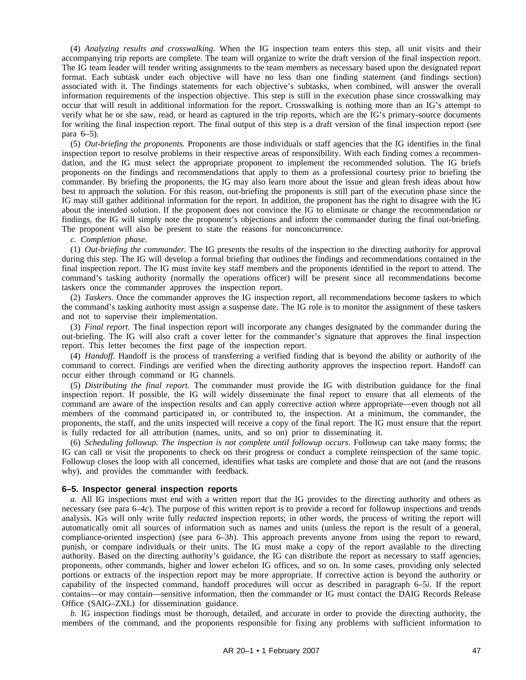(4) *Analyzing results and crosswalking.* When the IG inspection team enters this step, all unit visits and their accompanying trip reports are complete. The team will organize to write the draft version of the final inspection report. The IG team leader will tender writing assignments to the team members as necessary based upon the designated report format. Each subtask under each objective will have no less than one finding statement (and findings section) associated with it. The findings statements for each objective's subtasks, when combined, will answer the overall information requirements of the inspection objective. This step is still in the execution phase since crosswalking may occur that will result in additional information for the report. Crosswalking is nothing more than an IG's attempt to verify what he or she saw, read, or heard as captured in the trip reports, which are the IG's primary-source documents for writing the final inspection report. The final output of this step is a draft version of the final inspection report (see para 6–5).

(5) *Out-briefing the proponents.* Proponents are those individuals or staff agencies that the IG identifies in the final inspection report to resolve problems in their respective areas of responsibility. With each finding comes a recommendation, and the IG must select the appropriate proponent to implement the recommended solution. The IG briefs proponents on the findings and recommendations that apply to them as a professional courtesy prior to briefing the commander. By briefing the proponents, the IG may also learn more about the issue and glean fresh ideas about how best to approach the solution. For this reason, out-briefing the proponents is still part of the execution phase since the IG may still gather additional information for the report. In addition, the proponent has the right to disagree with the IG about the intended solution. If the proponent does not convince the IG to eliminate or change the recommendation or findings, the IG will simply note the proponent's objections and inform the commander during the final out-briefing. The proponent will also be present to state the reasons for nonconcurrence.

*c. Completion phase.*

(1) *Out-briefing the commander.* The IG presents the results of the inspection to the directing authority for approval during this step. The IG will develop a formal briefing that outlines the findings and recommendations contained in the final inspection report. The IG must invite key staff members and the proponents identified in the report to attend. The command's tasking authority (normally the operations officer) will be present since all recommendations become taskers once the commander approves the inspection report.

(2) *Taskers.* Once the commander approves the IG inspection report, all recommendations become taskers to which the command's tasking authority must assign a suspense date. The IG role is to monitor the assignment of these taskers and not to supervise their implementation.

(3) *Final report.* The final inspection report will incorporate any changes designated by the commander during the out-briefing. The IG will also craft a cover letter for the commander's signature that approves the final inspection report. This letter becomes the first page of the inspection report.

(4) *Handoff.* Handoff is the process of transferring a verified finding that is beyond the ability or authority of the command to correct. Findings are verified when the directing authority approves the inspection report. Handoff can occur either through command or IG channels.

(5) *Distributing the final report.* The commander must provide the IG with distribution guidance for the final inspection report. If possible, the IG will widely disseminate the final report to ensure that all elements of the command are aware of the inspection results and can apply corrective action where appropriate—even though not all members of the command participated in, or contributed to, the inspection. At a minimum, the commander, the proponents, the staff, and the units inspected will receive a copy of the final report. The IG must ensure that the report is fully redacted for all attribution (names, units, and so on) prior to disseminating it.

(6) *Scheduling followup. The inspection is not complete until followup occurs.* Followup can take many forms; the IG can call or visit the proponents to check on their progress or conduct a complete reinspection of the same topic. Followup closes the loop with all concerned, identifies what tasks are complete and those that are not (and the reasons why), and provides the commander with feedback.

### **6–5. Inspector general inspection reports**

*a.* All IG inspections must end with a written report that the IG provides to the directing authority and others as necessary (see para 6–4*c*). The purpose of this written report is to provide a record for followup inspections and trends analysis. IGs will only write fully *redacted* inspection reports; in other words, the process of writing the report will automatically omit all sources of information such as names and units (unless the report is the result of a general, compliance-oriented inspection) (see para 6–3*h*). This approach prevents anyone from using the report to reward, punish, or compare individuals or their units. The IG must make a copy of the report available to the directing authority. Based on the directing authority's guidance, the IG can distribute the report as necessary to staff agencies, proponents, other commands, higher and lower echelon IG offices, and so on. In some cases, providing only selected portions or extracts of the inspection report may be more appropriate. If corrective action is beyond the authority or capability of the inspected command, handoff procedures will occur as described in paragraph 6–5*i.* If the report contains—or may contain—sensitive information, then the commander or IG must contact the DAIG Records Release Office (SAIG–ZXL) for dissemination guidance.

*b.* IG inspection findings must be thorough, detailed, and accurate in order to provide the directing authority, the members of the command, and the proponents responsible for fixing any problems with sufficient information to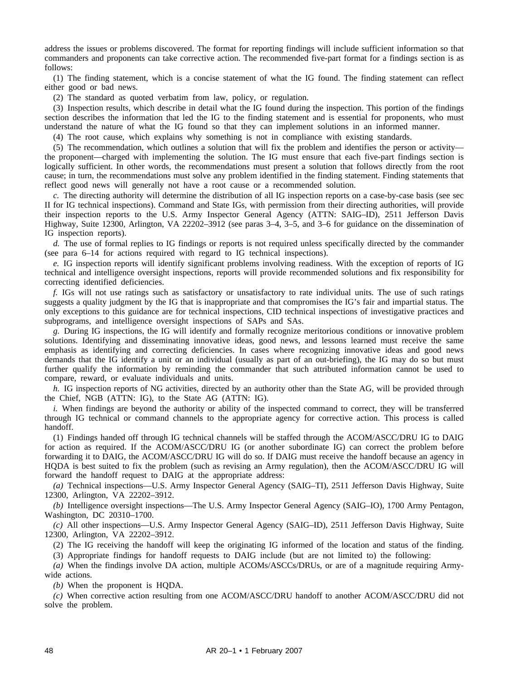address the issues or problems discovered. The format for reporting findings will include sufficient information so that commanders and proponents can take corrective action. The recommended five-part format for a findings section is as follows:

(1) The finding statement, which is a concise statement of what the IG found. The finding statement can reflect either good or bad news.

(2) The standard as quoted verbatim from law, policy, or regulation.

(3) Inspection results, which describe in detail what the IG found during the inspection. This portion of the findings section describes the information that led the IG to the finding statement and is essential for proponents, who must understand the nature of what the IG found so that they can implement solutions in an informed manner.

(4) The root cause, which explains why something is not in compliance with existing standards.

(5) The recommendation, which outlines a solution that will fix the problem and identifies the person or activity the proponent—charged with implementing the solution. The IG must ensure that each five-part findings section is logically sufficient. In other words, the recommendations must present a solution that follows directly from the root cause; in turn, the recommendations must solve any problem identified in the finding statement. Finding statements that reflect good news will generally not have a root cause or a recommended solution.

*c.* The directing authority will determine the distribution of all IG inspection reports on a case-by-case basis (see sec II for IG technical inspections). Command and State IGs, with permission from their directing authorities, will provide their inspection reports to the U.S. Army Inspector General Agency (ATTN: SAIG–ID), 2511 Jefferson Davis Highway, Suite 12300, Arlington, VA 22202–3912 (see paras 3–4, 3–5, and 3–6 for guidance on the dissemination of IG inspection reports).

*d.* The use of formal replies to IG findings or reports is not required unless specifically directed by the commander (see para 6–14 for actions required with regard to IG technical inspections).

*e.* IG inspection reports will identify significant problems involving readiness. With the exception of reports of IG technical and intelligence oversight inspections, reports will provide recommended solutions and fix responsibility for correcting identified deficiencies.

*f.* IGs will not use ratings such as satisfactory or unsatisfactory to rate individual units. The use of such ratings suggests a quality judgment by the IG that is inappropriate and that compromises the IG's fair and impartial status. The only exceptions to this guidance are for technical inspections, CID technical inspections of investigative practices and subprograms, and intelligence oversight inspections of SAPs and SAs.

*g.* During IG inspections, the IG will identify and formally recognize meritorious conditions or innovative problem solutions. Identifying and disseminating innovative ideas, good news, and lessons learned must receive the same emphasis as identifying and correcting deficiencies. In cases where recognizing innovative ideas and good news demands that the IG identify a unit or an individual (usually as part of an out-briefing), the IG may do so but must further qualify the information by reminding the commander that such attributed information cannot be used to compare, reward, or evaluate individuals and units.

*h.* IG inspection reports of NG activities, directed by an authority other than the State AG, will be provided through the Chief, NGB (ATTN: IG), to the State AG (ATTN: IG).

*i.* When findings are beyond the authority or ability of the inspected command to correct, they will be transferred through IG technical or command channels to the appropriate agency for corrective action. This process is called handoff.

(1) Findings handed off through IG technical channels will be staffed through the ACOM/ASCC/DRU IG to DAIG for action as required. If the ACOM/ASCC/DRU IG (or another subordinate IG) can correct the problem before forwarding it to DAIG, the ACOM/ASCC/DRU IG will do so. If DAIG must receive the handoff because an agency in HQDA is best suited to fix the problem (such as revising an Army regulation), then the ACOM/ASCC/DRU IG will forward the handoff request to DAIG at the appropriate address:

*(a)* Technical inspections—U.S. Army Inspector General Agency (SAIG–TI), 2511 Jefferson Davis Highway, Suite 12300, Arlington, VA 22202–3912.

*(b)* Intelligence oversight inspections—The U.S. Army Inspector General Agency (SAIG–IO), 1700 Army Pentagon, Washington, DC 20310–1700.

*(c)* All other inspections—U.S. Army Inspector General Agency (SAIG–ID), 2511 Jefferson Davis Highway, Suite 12300, Arlington, VA 22202–3912.

(2) The IG receiving the handoff will keep the originating IG informed of the location and status of the finding.

(3) Appropriate findings for handoff requests to DAIG include (but are not limited to) the following:

*(a)* When the findings involve DA action, multiple ACOMs/ASCCs/DRUs, or are of a magnitude requiring Armywide actions.

*(b)* When the proponent is HQDA.

*(c)* When corrective action resulting from one ACOM/ASCC/DRU handoff to another ACOM/ASCC/DRU did not solve the problem.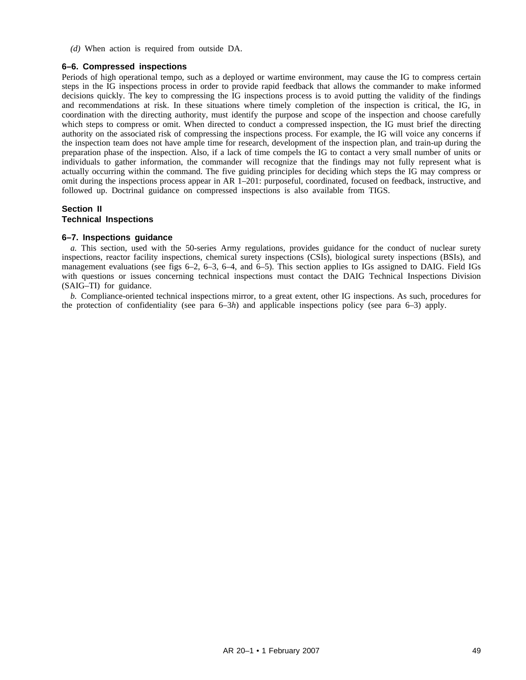*(d)* When action is required from outside DA.

## **6–6. Compressed inspections**

Periods of high operational tempo, such as a deployed or wartime environment, may cause the IG to compress certain steps in the IG inspections process in order to provide rapid feedback that allows the commander to make informed decisions quickly. The key to compressing the IG inspections process is to avoid putting the validity of the findings and recommendations at risk. In these situations where timely completion of the inspection is critical, the IG, in coordination with the directing authority, must identify the purpose and scope of the inspection and choose carefully which steps to compress or omit. When directed to conduct a compressed inspection, the IG must brief the directing authority on the associated risk of compressing the inspections process. For example, the IG will voice any concerns if the inspection team does not have ample time for research, development of the inspection plan, and train-up during the preparation phase of the inspection. Also, if a lack of time compels the IG to contact a very small number of units or individuals to gather information, the commander will recognize that the findings may not fully represent what is actually occurring within the command. The five guiding principles for deciding which steps the IG may compress or omit during the inspections process appear in AR 1–201: purposeful, coordinated, focused on feedback, instructive, and followed up. Doctrinal guidance on compressed inspections is also available from TIGS.

# **Section II Technical Inspections**

### **6–7. Inspections guidance**

*a.* This section, used with the 50-series Army regulations, provides guidance for the conduct of nuclear surety inspections, reactor facility inspections, chemical surety inspections (CSIs), biological surety inspections (BSIs), and management evaluations (see figs 6–2, 6–3, 6–4, and 6–5). This section applies to IGs assigned to DAIG. Field IGs with questions or issues concerning technical inspections must contact the DAIG Technical Inspections Division (SAIG–TI) for guidance.

*b.* Compliance-oriented technical inspections mirror, to a great extent, other IG inspections. As such, procedures for the protection of confidentiality (see para 6–3*h*) and applicable inspections policy (see para 6–3) apply.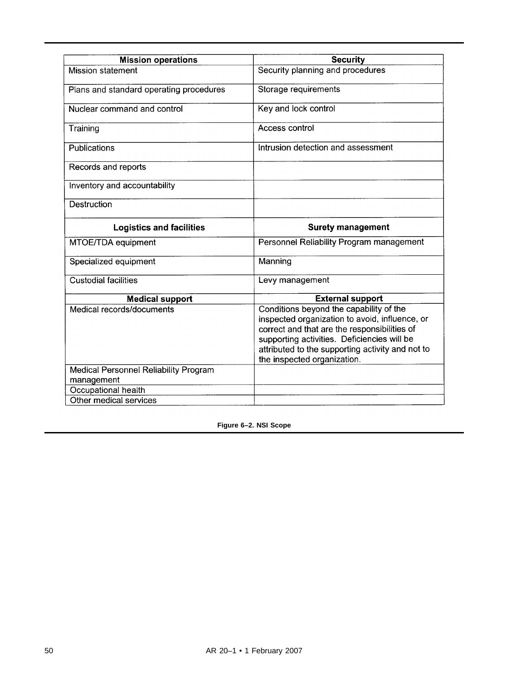| <b>Mission operations</b>                           | <b>Security</b>                                                                                                                                                                                                                                                             |  |  |
|-----------------------------------------------------|-----------------------------------------------------------------------------------------------------------------------------------------------------------------------------------------------------------------------------------------------------------------------------|--|--|
| <b>Mission statement</b>                            | Security planning and procedures                                                                                                                                                                                                                                            |  |  |
| Plans and standard operating procedures             | Storage requirements                                                                                                                                                                                                                                                        |  |  |
| Nuclear command and control                         | Key and lock control                                                                                                                                                                                                                                                        |  |  |
| Training                                            | Access control                                                                                                                                                                                                                                                              |  |  |
| Publications                                        | Intrusion detection and assessment                                                                                                                                                                                                                                          |  |  |
| Records and reports                                 |                                                                                                                                                                                                                                                                             |  |  |
| Inventory and accountability                        |                                                                                                                                                                                                                                                                             |  |  |
| Destruction                                         |                                                                                                                                                                                                                                                                             |  |  |
| <b>Logistics and facilities</b>                     | <b>Surety management</b>                                                                                                                                                                                                                                                    |  |  |
| MTOE/TDA equipment                                  | Personnel Reliability Program management                                                                                                                                                                                                                                    |  |  |
| Specialized equipment                               | Manning                                                                                                                                                                                                                                                                     |  |  |
| <b>Custodial facilities</b>                         | Levy management                                                                                                                                                                                                                                                             |  |  |
| <b>Medical support</b>                              | <b>External support</b>                                                                                                                                                                                                                                                     |  |  |
| Medical records/documents                           | Conditions beyond the capability of the<br>inspected organization to avoid, influence, or<br>correct and that are the responsibilities of<br>supporting activities. Deficiencies will be<br>attributed to the supporting activity and not to<br>the inspected organization. |  |  |
| Medical Personnel Reliability Program<br>management |                                                                                                                                                                                                                                                                             |  |  |
| Occupational health                                 |                                                                                                                                                                                                                                                                             |  |  |
| Other medical services                              |                                                                                                                                                                                                                                                                             |  |  |

**Figure 6–2. NSI Scope**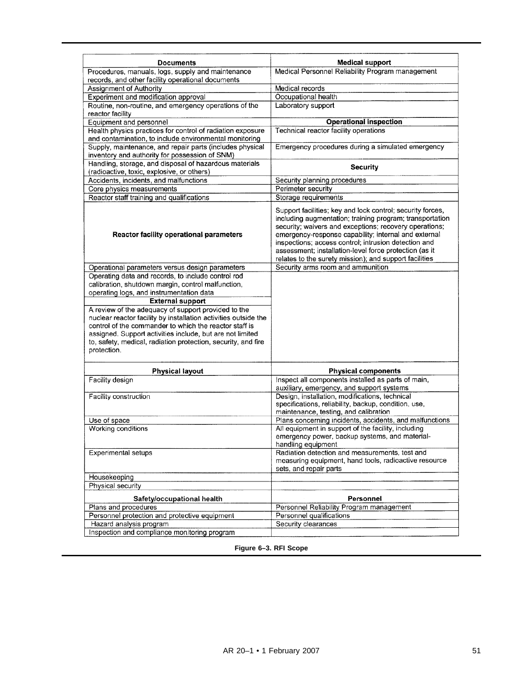| <b>Documents</b>                                                                                                                                                                                                                                                                                                              | <b>Medical support</b>                                                                                                                                                                                                                                                                                                                                                                                               |  |  |
|-------------------------------------------------------------------------------------------------------------------------------------------------------------------------------------------------------------------------------------------------------------------------------------------------------------------------------|----------------------------------------------------------------------------------------------------------------------------------------------------------------------------------------------------------------------------------------------------------------------------------------------------------------------------------------------------------------------------------------------------------------------|--|--|
| Procedures, manuals, logs, supply and maintenance                                                                                                                                                                                                                                                                             | Medical Personnel Reliability Program management                                                                                                                                                                                                                                                                                                                                                                     |  |  |
| records, and other facility operational documents                                                                                                                                                                                                                                                                             |                                                                                                                                                                                                                                                                                                                                                                                                                      |  |  |
| Assignment of Authority                                                                                                                                                                                                                                                                                                       | Medical records                                                                                                                                                                                                                                                                                                                                                                                                      |  |  |
| Experiment and modification approval                                                                                                                                                                                                                                                                                          | Occupational health                                                                                                                                                                                                                                                                                                                                                                                                  |  |  |
| Routine, non-routine, and emergency operations of the                                                                                                                                                                                                                                                                         | Laboratory support                                                                                                                                                                                                                                                                                                                                                                                                   |  |  |
| reactor facility                                                                                                                                                                                                                                                                                                              |                                                                                                                                                                                                                                                                                                                                                                                                                      |  |  |
| Equipment and personnel                                                                                                                                                                                                                                                                                                       | <b>Operational inspection</b>                                                                                                                                                                                                                                                                                                                                                                                        |  |  |
| Health physics practices for control of radiation exposure                                                                                                                                                                                                                                                                    | Technical reactor facility operations                                                                                                                                                                                                                                                                                                                                                                                |  |  |
| and contamination, to include environmental monitoring                                                                                                                                                                                                                                                                        |                                                                                                                                                                                                                                                                                                                                                                                                                      |  |  |
| Supply, maintenance, and repair parts (includes physical<br>inventory and authority for possession of SNM)                                                                                                                                                                                                                    | Emergency procedures during a simulated emergency                                                                                                                                                                                                                                                                                                                                                                    |  |  |
| Handling, storage, and disposal of hazardous materials                                                                                                                                                                                                                                                                        |                                                                                                                                                                                                                                                                                                                                                                                                                      |  |  |
| (radioactive, toxic, explosive, or others)                                                                                                                                                                                                                                                                                    | <b>Security</b>                                                                                                                                                                                                                                                                                                                                                                                                      |  |  |
| Accidents, incidents, and malfunctions                                                                                                                                                                                                                                                                                        | Security planning procedures                                                                                                                                                                                                                                                                                                                                                                                         |  |  |
| Core physics measurements                                                                                                                                                                                                                                                                                                     | Perimeter security                                                                                                                                                                                                                                                                                                                                                                                                   |  |  |
| Reactor staff training and qualifications                                                                                                                                                                                                                                                                                     | Storage requirements                                                                                                                                                                                                                                                                                                                                                                                                 |  |  |
| <b>Reactor facility operational parameters</b>                                                                                                                                                                                                                                                                                | Support facilities; key and lock control; security forces,<br>including augmentation; training program; transportation<br>security; waivers and exceptions; recovery operations;<br>emergency-response capability; internal and external<br>inspections; access control; intrusion detection and<br>assessment; installation-level force protection (as it<br>relates to the surety mission); and support facilities |  |  |
| Operational parameters versus design parameters                                                                                                                                                                                                                                                                               | Security arms room and ammunition                                                                                                                                                                                                                                                                                                                                                                                    |  |  |
| Operating data and records, to include control rod                                                                                                                                                                                                                                                                            |                                                                                                                                                                                                                                                                                                                                                                                                                      |  |  |
| calibration, shutdown margin, control malfunction,                                                                                                                                                                                                                                                                            |                                                                                                                                                                                                                                                                                                                                                                                                                      |  |  |
| operating logs, and instrumentation data                                                                                                                                                                                                                                                                                      |                                                                                                                                                                                                                                                                                                                                                                                                                      |  |  |
|                                                                                                                                                                                                                                                                                                                               |                                                                                                                                                                                                                                                                                                                                                                                                                      |  |  |
| <b>External support</b>                                                                                                                                                                                                                                                                                                       |                                                                                                                                                                                                                                                                                                                                                                                                                      |  |  |
| A review of the adequacy of support provided to the<br>nuclear reactor facility by installation activities outside the<br>control of the commander to which the reactor staff is<br>assigned. Support activities include, but are not limited<br>to, safety, medical, radiation protection, security, and fire<br>protection. |                                                                                                                                                                                                                                                                                                                                                                                                                      |  |  |
| <b>Physical layout</b>                                                                                                                                                                                                                                                                                                        | <b>Physical components</b>                                                                                                                                                                                                                                                                                                                                                                                           |  |  |
| Facility design                                                                                                                                                                                                                                                                                                               | Inspect all components installed as parts of main,                                                                                                                                                                                                                                                                                                                                                                   |  |  |
|                                                                                                                                                                                                                                                                                                                               | auxiliary, emergency, and support systems                                                                                                                                                                                                                                                                                                                                                                            |  |  |
| Facility construction                                                                                                                                                                                                                                                                                                         | Design, installation, modifications, technical                                                                                                                                                                                                                                                                                                                                                                       |  |  |
|                                                                                                                                                                                                                                                                                                                               | specifications, reliability, backup, condition, use,                                                                                                                                                                                                                                                                                                                                                                 |  |  |
|                                                                                                                                                                                                                                                                                                                               | maintenance, testing, and calibration                                                                                                                                                                                                                                                                                                                                                                                |  |  |
| Use of space<br>Working conditions                                                                                                                                                                                                                                                                                            | Plans concerning incidents, accidents, and malfunctions<br>All equipment in support of the facility, including                                                                                                                                                                                                                                                                                                       |  |  |
|                                                                                                                                                                                                                                                                                                                               | emergency power, backup systems, and material-                                                                                                                                                                                                                                                                                                                                                                       |  |  |
|                                                                                                                                                                                                                                                                                                                               | handling equipment                                                                                                                                                                                                                                                                                                                                                                                                   |  |  |
| <b>Experimental setups</b>                                                                                                                                                                                                                                                                                                    | Radiation detection and measurements, test and<br>measuring equipment, hand tools, radioactive resource<br>sets, and repair parts                                                                                                                                                                                                                                                                                    |  |  |
| Housekeeping                                                                                                                                                                                                                                                                                                                  |                                                                                                                                                                                                                                                                                                                                                                                                                      |  |  |
| Physical security                                                                                                                                                                                                                                                                                                             |                                                                                                                                                                                                                                                                                                                                                                                                                      |  |  |
| Safety/occupational health                                                                                                                                                                                                                                                                                                    | <b>Personnel</b>                                                                                                                                                                                                                                                                                                                                                                                                     |  |  |
| Plans and procedures                                                                                                                                                                                                                                                                                                          | Personnel Reliability Program management                                                                                                                                                                                                                                                                                                                                                                             |  |  |
| Personnel protection and protective equipment                                                                                                                                                                                                                                                                                 | Personnel qualifications                                                                                                                                                                                                                                                                                                                                                                                             |  |  |
| Hazard analysis program<br>Inspection and compliance monitoring program                                                                                                                                                                                                                                                       | Security clearances                                                                                                                                                                                                                                                                                                                                                                                                  |  |  |

# **Figure 6–3. RFI Scope**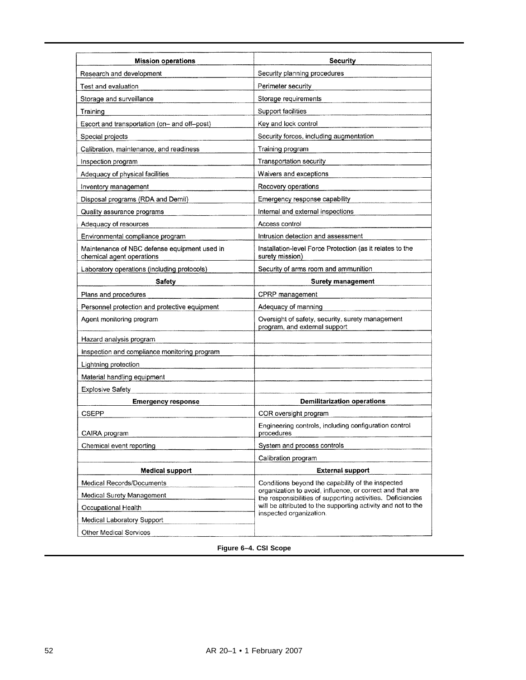| <b>Mission operations</b>                                                 | <b>Security</b>                                                                                                          |  |
|---------------------------------------------------------------------------|--------------------------------------------------------------------------------------------------------------------------|--|
| Research and development                                                  | Security planning procedures                                                                                             |  |
| Test and evaluation                                                       | Perimeter security                                                                                                       |  |
| Storage and surveillance                                                  | Storage requirements                                                                                                     |  |
| Training                                                                  | Support facilities                                                                                                       |  |
| Escort and transportation (on- and off--post)                             | Key and lock control                                                                                                     |  |
| Special projects                                                          | Security forces, including augmentation                                                                                  |  |
| Calibration, maintenance, and readiness                                   | Training program                                                                                                         |  |
| Inspection program                                                        | Transportation security                                                                                                  |  |
| Adequacy of physical facilities                                           | Waivers and exceptions                                                                                                   |  |
| Inventory management                                                      | Recovery operations                                                                                                      |  |
| Disposal programs (RDA and Demil)                                         | Emergency response capability                                                                                            |  |
| Quality assurance programs                                                | Internal and external inspections                                                                                        |  |
| Adequacy of resources                                                     | Access control                                                                                                           |  |
| Environmental compliance program                                          | Intrusion detection and assessment                                                                                       |  |
| Maintenance of NBC defense equipment used in<br>chemical agent operations | Installation-level Force Protection (as it relates to the<br>surety mission)                                             |  |
| Laboratory operations (including protocols)                               | Security of arms room and ammunition                                                                                     |  |
| <b>Safety</b>                                                             | <b>Surety management</b>                                                                                                 |  |
| Plans and procedures                                                      | CPRP management                                                                                                          |  |
| Personnel protection and protective equipment                             | Adequacy of manning                                                                                                      |  |
| Agent monitoring program                                                  | Oversight of safety, security, surety management<br>program, and external support                                        |  |
| Hazard analysis program                                                   |                                                                                                                          |  |
| Inspection and compliance monitoring program                              |                                                                                                                          |  |
| Lightning protection                                                      |                                                                                                                          |  |
| Material handling equipment                                               |                                                                                                                          |  |
| <b>Explosive Safety</b>                                                   |                                                                                                                          |  |
| <b>Emergency response</b>                                                 | <b>Demilitarization operations</b>                                                                                       |  |
| CSEPP                                                                     | COR oversight program                                                                                                    |  |
|                                                                           | Engineering controls, including configuration control                                                                    |  |
| CAIRA program                                                             | procedures                                                                                                               |  |
| Chemical event reporting                                                  | System and process controls                                                                                              |  |
|                                                                           | Calibration program                                                                                                      |  |
| <b>Medical support</b>                                                    | <b>External support</b>                                                                                                  |  |
| Medical Records/Documents                                                 | Conditions beyond the capability of the inspected                                                                        |  |
| Medical Surety Management                                                 | organization to avoid, influence, or correct and that are<br>the responsibilities of supporting activities. Deficiencies |  |
| Occupational Health                                                       | will be attributed to the supporting activity and not to the                                                             |  |
| Medical Laboratory Support                                                | inspected organization.                                                                                                  |  |

# **Figure 6–4. CSI Scope**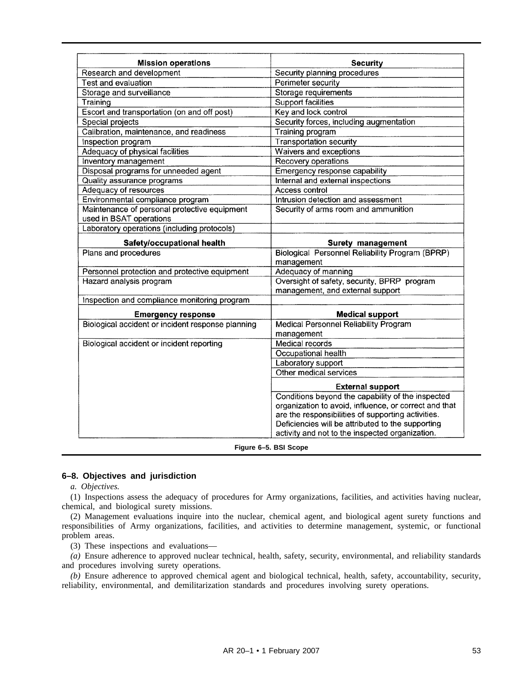| <b>Mission operations</b>                         | <b>Security</b>                                               |  |  |
|---------------------------------------------------|---------------------------------------------------------------|--|--|
| Research and development                          | Security planning procedures                                  |  |  |
| Test and evaluation                               | Perimeter security                                            |  |  |
| Storage and surveillance                          | Storage requirements                                          |  |  |
| Training                                          | <b>Support facilities</b>                                     |  |  |
| Escort and transportation (on and off post)       | Key and lock control                                          |  |  |
| Special projects                                  | Security forces, including augmentation                       |  |  |
| Calibration, maintenance, and readiness           | Training program                                              |  |  |
| Inspection program                                | <b>Transportation security</b>                                |  |  |
| Adequacy of physical facilities                   | Waivers and exceptions                                        |  |  |
| Inventory management                              | Recovery operations                                           |  |  |
| Disposal programs for unneeded agent              | Emergency response capability                                 |  |  |
| Quality assurance programs                        | Internal and external inspections                             |  |  |
| Adequacy of resources                             | Access control                                                |  |  |
| Environmental compliance program                  | Intrusion detection and assessment                            |  |  |
| Maintenance of personal protective equipment      | Security of arms room and ammunition                          |  |  |
| used in BSAT operations                           |                                                               |  |  |
| Laboratory operations (including protocols)       |                                                               |  |  |
| Safety/occupational health                        | Surety management                                             |  |  |
| Plans and procedures                              | Biological Personnel Reliability Program (BPRP)<br>management |  |  |
| Personnel protection and protective equipment     | Adequacy of manning                                           |  |  |
| Hazard analysis program                           | Oversight of safety, security, BPRP program                   |  |  |
|                                                   | management, and external support                              |  |  |
| Inspection and compliance monitoring program      |                                                               |  |  |
| <b>Emergency response</b>                         | <b>Medical support</b>                                        |  |  |
| Biological accident or incident response planning | <b>Medical Personnel Reliability Program</b>                  |  |  |
|                                                   | management                                                    |  |  |
| Biological accident or incident reporting         | Medical records                                               |  |  |
|                                                   | Occupational health                                           |  |  |
|                                                   | Laboratory support                                            |  |  |
|                                                   | Other medical services                                        |  |  |
|                                                   | <b>External support</b>                                       |  |  |
|                                                   | Conditions beyond the capability of the inspected             |  |  |
|                                                   | organization to avoid, influence, or correct and that         |  |  |
|                                                   | are the responsibilities of supporting activities.            |  |  |
|                                                   | Deficiencies will be attributed to the supporting             |  |  |
|                                                   | activity and not to the inspected organization.               |  |  |

**Figure 6–5. BSI Scope**

# **6–8. Objectives and jurisdiction**

*a. Objectives.*

(1) Inspections assess the adequacy of procedures for Army organizations, facilities, and activities having nuclear, chemical, and biological surety missions.

(2) Management evaluations inquire into the nuclear, chemical agent, and biological agent surety functions and responsibilities of Army organizations, facilities, and activities to determine management, systemic, or functional problem areas.

(3) These inspections and evaluations—

*(a)* Ensure adherence to approved nuclear technical, health, safety, security, environmental, and reliability standards and procedures involving surety operations.

*(b)* Ensure adherence to approved chemical agent and biological technical, health, safety, accountability, security, reliability, environmental, and demilitarization standards and procedures involving surety operations.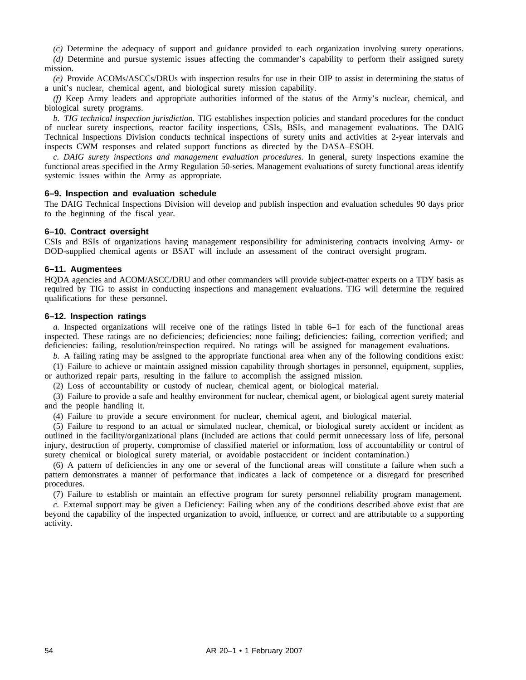*(c)* Determine the adequacy of support and guidance provided to each organization involving surety operations.

*(d)* Determine and pursue systemic issues affecting the commander's capability to perform their assigned surety mission.

*(e)* Provide ACOMs/ASCCs/DRUs with inspection results for use in their OIP to assist in determining the status of a unit's nuclear, chemical agent, and biological surety mission capability.

*(f)* Keep Army leaders and appropriate authorities informed of the status of the Army's nuclear, chemical, and biological surety programs.

*b. TIG technical inspection jurisdiction.* TIG establishes inspection policies and standard procedures for the conduct of nuclear surety inspections, reactor facility inspections, CSIs, BSIs, and management evaluations. The DAIG Technical Inspections Division conducts technical inspections of surety units and activities at 2-year intervals and inspects CWM responses and related support functions as directed by the DASA–ESOH.

*c. DAIG surety inspections and management evaluation procedures.* In general, surety inspections examine the functional areas specified in the Army Regulation 50-series. Management evaluations of surety functional areas identify systemic issues within the Army as appropriate.

## **6–9. Inspection and evaluation schedule**

The DAIG Technical Inspections Division will develop and publish inspection and evaluation schedules 90 days prior to the beginning of the fiscal year.

## **6–10. Contract oversight**

CSIs and BSIs of organizations having management responsibility for administering contracts involving Army- or DOD-supplied chemical agents or BSAT will include an assessment of the contract oversight program.

## **6–11. Augmentees**

HQDA agencies and ACOM/ASCC/DRU and other commanders will provide subject-matter experts on a TDY basis as required by TIG to assist in conducting inspections and management evaluations. TIG will determine the required qualifications for these personnel.

## **6–12. Inspection ratings**

*a.* Inspected organizations will receive one of the ratings listed in table 6–1 for each of the functional areas inspected. These ratings are no deficiencies; deficiencies: none failing; deficiencies: failing, correction verified; and deficiencies: failing, resolution/reinspection required. No ratings will be assigned for management evaluations.

*b.* A failing rating may be assigned to the appropriate functional area when any of the following conditions exist:

(1) Failure to achieve or maintain assigned mission capability through shortages in personnel, equipment, supplies, or authorized repair parts, resulting in the failure to accomplish the assigned mission.

(2) Loss of accountability or custody of nuclear, chemical agent, or biological material.

(3) Failure to provide a safe and healthy environment for nuclear, chemical agent, or biological agent surety material and the people handling it.

(4) Failure to provide a secure environment for nuclear, chemical agent, and biological material.

(5) Failure to respond to an actual or simulated nuclear, chemical, or biological surety accident or incident as outlined in the facility/organizational plans (included are actions that could permit unnecessary loss of life, personal injury, destruction of property, compromise of classified materiel or information, loss of accountability or control of surety chemical or biological surety material, or avoidable postaccident or incident contamination.)

(6) A pattern of deficiencies in any one or several of the functional areas will constitute a failure when such a pattern demonstrates a manner of performance that indicates a lack of competence or a disregard for prescribed procedures.

(7) Failure to establish or maintain an effective program for surety personnel reliability program management.

*c.* External support may be given a Deficiency: Failing when any of the conditions described above exist that are beyond the capability of the inspected organization to avoid, influence, or correct and are attributable to a supporting activity.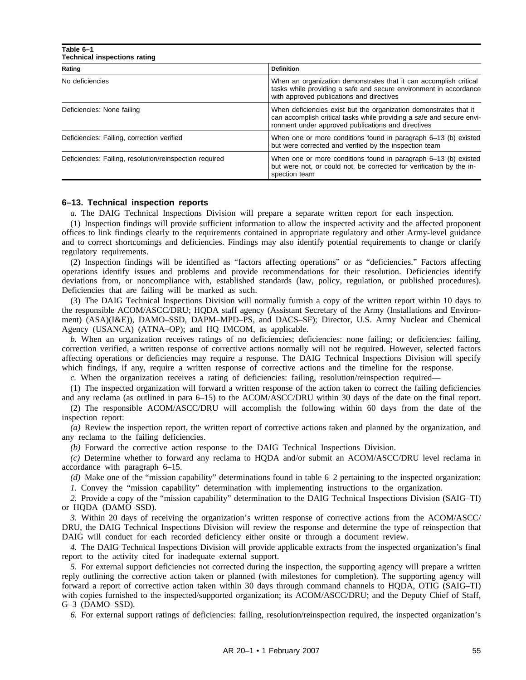| Table 6-1<br><b>Technical inspections rating</b>        |                                                                                                                                                                                                  |  |  |
|---------------------------------------------------------|--------------------------------------------------------------------------------------------------------------------------------------------------------------------------------------------------|--|--|
| Rating                                                  | <b>Definition</b>                                                                                                                                                                                |  |  |
| No deficiencies                                         | When an organization demonstrates that it can accomplish critical<br>tasks while providing a safe and secure environment in accordance<br>with approved publications and directives              |  |  |
| Deficiencies: None failing                              | When deficiencies exist but the organization demonstrates that it<br>can accomplish critical tasks while providing a safe and secure envi-<br>ronment under approved publications and directives |  |  |
| Deficiencies: Failing, correction verified              | When one or more conditions found in paragraph 6–13 (b) existed<br>but were corrected and verified by the inspection team                                                                        |  |  |
| Deficiencies: Failing, resolution/reinspection required | When one or more conditions found in paragraph 6–13 (b) existed<br>but were not, or could not, be corrected for verification by the in-<br>spection team                                         |  |  |

## **6–13. Technical inspection reports**

*a.* The DAIG Technical Inspections Division will prepare a separate written report for each inspection.

(1) Inspection findings will provide sufficient information to allow the inspected activity and the affected proponent offices to link findings clearly to the requirements contained in appropriate regulatory and other Army-level guidance and to correct shortcomings and deficiencies. Findings may also identify potential requirements to change or clarify regulatory requirements.

(2) Inspection findings will be identified as "factors affecting operations" or as "deficiencies." Factors affecting operations identify issues and problems and provide recommendations for their resolution. Deficiencies identify deviations from, or noncompliance with, established standards (law, policy, regulation, or published procedures). Deficiencies that are failing will be marked as such.

(3) The DAIG Technical Inspections Division will normally furnish a copy of the written report within 10 days to the responsible ACOM/ASCC/DRU; HQDA staff agency (Assistant Secretary of the Army (Installations and Environment) (ASA)(I&E)), DAMO–SSD, DAPM–MPD–PS, and DACS–SF); Director, U.S. Army Nuclear and Chemical Agency (USANCA) (ATNA–OP); and HQ IMCOM, as applicable.

*b.* When an organization receives ratings of no deficiencies; deficiencies: none failing; or deficiencies: failing, correction verified, a written response of corrective actions normally will not be required. However, selected factors affecting operations or deficiencies may require a response. The DAIG Technical Inspections Division will specify which findings, if any, require a written response of corrective actions and the timeline for the response.

*c.* When the organization receives a rating of deficiencies: failing, resolution/reinspection required—

(1) The inspected organization will forward a written response of the action taken to correct the failing deficiencies and any reclama (as outlined in para 6–15) to the ACOM/ASCC/DRU within 30 days of the date on the final report.

(2) The responsible ACOM/ASCC/DRU will accomplish the following within 60 days from the date of the inspection report:

*(a)* Review the inspection report, the written report of corrective actions taken and planned by the organization, and any reclama to the failing deficiencies.

*(b)* Forward the corrective action response to the DAIG Technical Inspections Division.

*(c)* Determine whether to forward any reclama to HQDA and/or submit an ACOM/ASCC/DRU level reclama in accordance with paragraph 6–15.

*(d)* Make one of the "mission capability" determinations found in table 6–2 pertaining to the inspected organization: *1.* Convey the "mission capability" determination with implementing instructions to the organization.

*2.* Provide a copy of the "mission capability" determination to the DAIG Technical Inspections Division (SAIG–TI) or HQDA (DAMO–SSD).

*3.* Within 20 days of receiving the organization's written response of corrective actions from the ACOM/ASCC/ DRU, the DAIG Technical Inspections Division will review the response and determine the type of reinspection that DAIG will conduct for each recorded deficiency either onsite or through a document review.

*4.* The DAIG Technical Inspections Division will provide applicable extracts from the inspected organization's final report to the activity cited for inadequate external support.

*5.* For external support deficiencies not corrected during the inspection, the supporting agency will prepare a written reply outlining the corrective action taken or planned (with milestones for completion). The supporting agency will forward a report of corrective action taken within 30 days through command channels to HQDA, OTIG (SAIG–TI) with copies furnished to the inspected/supported organization; its ACOM/ASCC/DRU; and the Deputy Chief of Staff, G–3 (DAMO–SSD).

*6.* For external support ratings of deficiencies: failing, resolution/reinspection required, the inspected organization's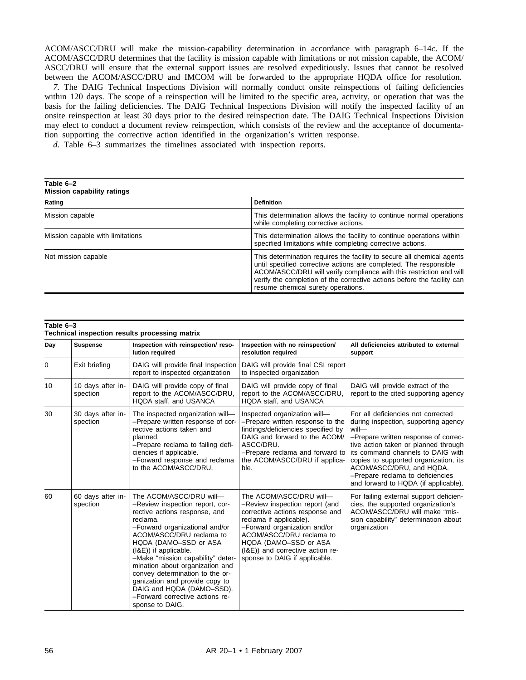ACOM/ASCC/DRU will make the mission-capability determination in accordance with paragraph 6–14*c*. If the ACOM/ASCC/DRU determines that the facility is mission capable with limitations or not mission capable, the ACOM/ ASCC/DRU will ensure that the external support issues are resolved expeditiously. Issues that cannot be resolved between the ACOM/ASCC/DRU and IMCOM will be forwarded to the appropriate HQDA office for resolution.

*7.* The DAIG Technical Inspections Division will normally conduct onsite reinspections of failing deficiencies within 120 days. The scope of a reinspection will be limited to the specific area, activity, or operation that was the basis for the failing deficiencies. The DAIG Technical Inspections Division will notify the inspected facility of an onsite reinspection at least 30 days prior to the desired reinspection date. The DAIG Technical Inspections Division may elect to conduct a document review reinspection, which consists of the review and the acceptance of documentation supporting the corrective action identified in the organization's written response.

*d.* Table 6–3 summarizes the timelines associated with inspection reports.

| Table 6-2<br><b>Mission capability ratings</b> |                                                                                                                                                                                                                                                                                                                                     |  |  |
|------------------------------------------------|-------------------------------------------------------------------------------------------------------------------------------------------------------------------------------------------------------------------------------------------------------------------------------------------------------------------------------------|--|--|
| Rating                                         | <b>Definition</b>                                                                                                                                                                                                                                                                                                                   |  |  |
| Mission capable                                | This determination allows the facility to continue normal operations<br>while completing corrective actions.                                                                                                                                                                                                                        |  |  |
| Mission capable with limitations               | This determination allows the facility to continue operations within<br>specified limitations while completing corrective actions.                                                                                                                                                                                                  |  |  |
| Not mission capable                            | This determination requires the facility to secure all chemical agents<br>until specified corrective actions are completed. The responsible<br>ACOM/ASCC/DRU will verify compliance with this restriction and will<br>verify the completion of the corrective actions before the facility can<br>resume chemical surety operations. |  |  |

| Table 6-3<br>Technical inspection results processing matrix |                               |                                                                                                                                                                                                                                                                                                                                                                                                                                                         |                                                                                                                                                                                                                                                                                   |                                                                                                                                                                                                                                                                                                                                                           |
|-------------------------------------------------------------|-------------------------------|---------------------------------------------------------------------------------------------------------------------------------------------------------------------------------------------------------------------------------------------------------------------------------------------------------------------------------------------------------------------------------------------------------------------------------------------------------|-----------------------------------------------------------------------------------------------------------------------------------------------------------------------------------------------------------------------------------------------------------------------------------|-----------------------------------------------------------------------------------------------------------------------------------------------------------------------------------------------------------------------------------------------------------------------------------------------------------------------------------------------------------|
| Day                                                         | <b>Suspense</b>               | Inspection with reinspection/ reso-<br>lution required                                                                                                                                                                                                                                                                                                                                                                                                  | Inspection with no reinspection/<br>resolution required                                                                                                                                                                                                                           | All deficiencies attributed to external<br>support                                                                                                                                                                                                                                                                                                        |
| 0                                                           | Exit briefing                 | DAIG will provide final Inspection<br>report to inspected organization                                                                                                                                                                                                                                                                                                                                                                                  | DAIG will provide final CSI report<br>to inspected organization                                                                                                                                                                                                                   |                                                                                                                                                                                                                                                                                                                                                           |
| 10                                                          | 10 days after in-<br>spection | DAIG will provide copy of final<br>report to the ACOM/ASCC/DRU,<br>HQDA staff, and USANCA                                                                                                                                                                                                                                                                                                                                                               | DAIG will provide copy of final<br>report to the ACOM/ASCC/DRU,<br>HQDA staff, and USANCA                                                                                                                                                                                         | DAIG will provide extract of the<br>report to the cited supporting agency                                                                                                                                                                                                                                                                                 |
| 30                                                          | 30 days after in-<br>spection | The inspected organization will-<br>-Prepare written response of cor-<br>rective actions taken and<br>planned.<br>-Prepare reclama to failing defi-<br>ciencies if applicable.<br>-Forward response and reclama<br>to the ACOM/ASCC/DRU.                                                                                                                                                                                                                | Inspected organization will-<br>-Prepare written response to the<br>findings/deficiencies specified by<br>DAIG and forward to the ACOM/<br>ASCC/DRU.<br>-Prepare reclama and forward to<br>the ACOM/ASCC/DRU if applica-<br>ble.                                                  | For all deficiencies not corrected<br>during inspection, supporting agency<br>will-<br>-Prepare written response of correc-<br>tive action taken or planned through<br>its command channels to DAIG with<br>copies to supported organization, its<br>ACOM/ASCC/DRU, and HQDA.<br>-Prepare reclama to deficiencies<br>and forward to HQDA (if applicable). |
| 60                                                          | 60 days after in-<br>spection | The ACOM/ASCC/DRU will-<br>-Review inspection report, cor-<br>rective actions response, and<br>reclama.<br>-Forward organizational and/or<br>ACOM/ASCC/DRU reclama to<br>HQDA (DAMO-SSD or ASA<br>(I&E)) if applicable.<br>-Make "mission capability" deter-<br>mination about organization and<br>convey determination to the or-<br>ganization and provide copy to<br>DAIG and HQDA (DAMO-SSD).<br>-Forward corrective actions re-<br>sponse to DAIG. | The ACOM/ASCC/DRU will-<br>-Review inspection report (and<br>corrective actions response and<br>reclama if applicable).<br>-Forward organization and/or<br>ACOM/ASCC/DRU reclama to<br>HQDA (DAMO-SSD or ASA<br>(I&E)) and corrective action re-<br>sponse to DAIG if applicable. | For failing external support deficien-<br>cies, the supported organization's<br>ACOM/ASCC/DRU will make "mis-<br>sion capability" determination about<br>organization                                                                                                                                                                                     |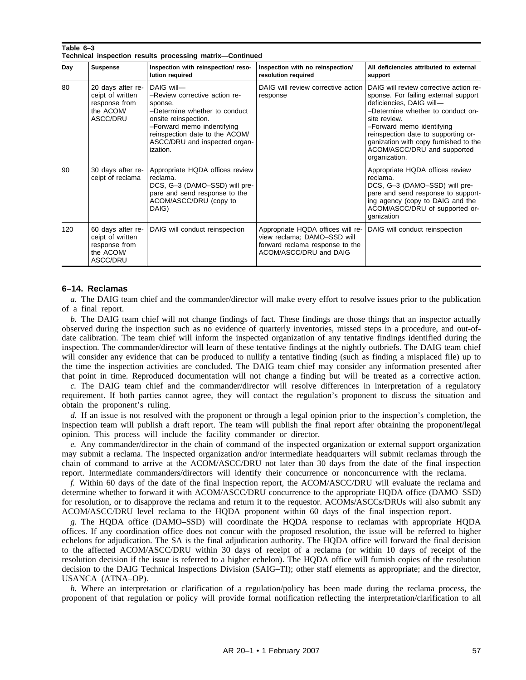| Technical inspection results processing matrix-Continued |                                                                                 |                                                                                                                                                                                                                              |                                                                                                                               |                                                                                                                                                                                                                                                                                                                              |
|----------------------------------------------------------|---------------------------------------------------------------------------------|------------------------------------------------------------------------------------------------------------------------------------------------------------------------------------------------------------------------------|-------------------------------------------------------------------------------------------------------------------------------|------------------------------------------------------------------------------------------------------------------------------------------------------------------------------------------------------------------------------------------------------------------------------------------------------------------------------|
| Day                                                      | <b>Suspense</b>                                                                 | Inspection with reinspection/ reso-<br>lution required                                                                                                                                                                       | Inspection with no reinspection/<br>resolution required                                                                       | All deficiencies attributed to external<br>support                                                                                                                                                                                                                                                                           |
| 80                                                       | 20 days after re-<br>ceipt of written<br>response from<br>the ACOM/<br>ASCC/DRU | DAIG will-<br>-Review corrective action re-<br>sponse.<br>-Determine whether to conduct<br>onsite reinspection.<br>-Forward memo indentifying<br>reinspection date to the ACOM/<br>ASCC/DRU and inspected organ-<br>ization. | DAIG will review corrective action<br>response                                                                                | DAIG will review corrective action re-<br>sponse. For failing external support<br>deficiencies, DAIG will-<br>-Determine whether to conduct on-<br>site review.<br>-Forward memo identifying<br>reinspection date to supporting or-<br>ganization with copy furnished to the<br>ACOM/ASCC/DRU and supported<br>organization. |
| 90                                                       | 30 days after re-<br>ceipt of reclama                                           | Appropriate HQDA offices review<br>reclama.<br>DCS, G-3 (DAMO-SSD) will pre-<br>pare and send response to the<br>ACOM/ASCC/DRU (copy to<br>DAIG)                                                                             |                                                                                                                               | Appropriate HQDA offices review<br>reclama.<br>DCS, G-3 (DAMO-SSD) will pre-<br>pare and send response to support-<br>ing agency (copy to DAIG and the<br>ACOM/ASCC/DRU of supported or-<br>ganization                                                                                                                       |
| 120                                                      | 60 days after re-<br>ceipt of written<br>response from<br>the ACOM/<br>ASCC/DRU | DAIG will conduct reinspection                                                                                                                                                                                               | Appropriate HQDA offices will re-<br>view reclama; DAMO-SSD will<br>forward reclama response to the<br>ACOM/ASCC/DRU and DAIG | DAIG will conduct reinspection                                                                                                                                                                                                                                                                                               |

# **6–14. Reclamas**

**Table 6–3**

*a.* The DAIG team chief and the commander/director will make every effort to resolve issues prior to the publication of a final report.

*b.* The DAIG team chief will not change findings of fact. These findings are those things that an inspector actually observed during the inspection such as no evidence of quarterly inventories, missed steps in a procedure, and out-ofdate calibration. The team chief will inform the inspected organization of any tentative findings identified during the inspection. The commander/director will learn of these tentative findings at the nightly outbriefs. The DAIG team chief will consider any evidence that can be produced to nullify a tentative finding (such as finding a misplaced file) up to the time the inspection activities are concluded. The DAIG team chief may consider any information presented after that point in time. Reproduced documentation will not change a finding but will be treated as a corrective action.

*c.* The DAIG team chief and the commander/director will resolve differences in interpretation of a regulatory requirement. If both parties cannot agree, they will contact the regulation's proponent to discuss the situation and obtain the proponent's ruling.

*d.* If an issue is not resolved with the proponent or through a legal opinion prior to the inspection's completion, the inspection team will publish a draft report. The team will publish the final report after obtaining the proponent/legal opinion. This process will include the facility commander or director.

*e.* Any commander/director in the chain of command of the inspected organization or external support organization may submit a reclama. The inspected organization and/or intermediate headquarters will submit reclamas through the chain of command to arrive at the ACOM/ASCC/DRU not later than 30 days from the date of the final inspection report. Intermediate commanders/directors will identify their concurrence or nonconcurrence with the reclama.

*f.* Within 60 days of the date of the final inspection report, the ACOM/ASCC/DRU will evaluate the reclama and determine whether to forward it with ACOM/ASCC/DRU concurrence to the appropriate HQDA office (DAMO–SSD) for resolution, or to disapprove the reclama and return it to the requestor. ACOMs/ASCCs/DRUs will also submit any ACOM/ASCC/DRU level reclama to the HQDA proponent within 60 days of the final inspection report.

*g.* The HQDA office (DAMO–SSD) will coordinate the HQDA response to reclamas with appropriate HQDA offices. If any coordination office does not concur with the proposed resolution, the issue will be referred to higher echelons for adjudication. The SA is the final adjudication authority. The HQDA office will forward the final decision to the affected ACOM/ASCC/DRU within 30 days of receipt of a reclama (or within 10 days of receipt of the resolution decision if the issue is referred to a higher echelon). The HQDA office will furnish copies of the resolution decision to the DAIG Technical Inspections Division (SAIG–TI); other staff elements as appropriate; and the director, USANCA (ATNA–OP).

*h.* Where an interpretation or clarification of a regulation/policy has been made during the reclama process, the proponent of that regulation or policy will provide formal notification reflecting the interpretation/clarification to all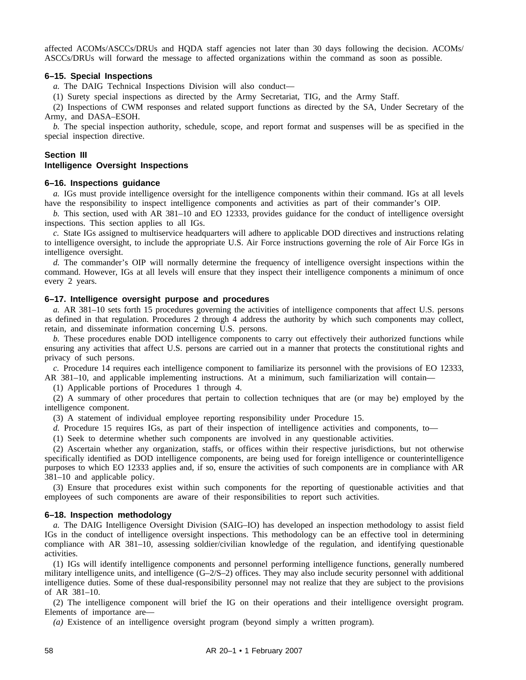affected ACOMs/ASCCs/DRUs and HQDA staff agencies not later than 30 days following the decision. ACOMs/ ASCCs/DRUs will forward the message to affected organizations within the command as soon as possible.

# **6–15. Special Inspections**

*a.* The DAIG Technical Inspections Division will also conduct—

(1) Surety special inspections as directed by the Army Secretariat, TIG, and the Army Staff.

(2) Inspections of CWM responses and related support functions as directed by the SA, Under Secretary of the Army, and DASA–ESOH.

*b.* The special inspection authority, schedule, scope, and report format and suspenses will be as specified in the special inspection directive.

# **Section III**

# **Intelligence Oversight Inspections**

# **6–16. Inspections guidance**

*a.* IGs must provide intelligence oversight for the intelligence components within their command. IGs at all levels have the responsibility to inspect intelligence components and activities as part of their commander's OIP.

*b.* This section, used with AR 381–10 and EO 12333, provides guidance for the conduct of intelligence oversight inspections. This section applies to all IGs.

*c.* State IGs assigned to multiservice headquarters will adhere to applicable DOD directives and instructions relating to intelligence oversight, to include the appropriate U.S. Air Force instructions governing the role of Air Force IGs in intelligence oversight.

*d.* The commander's OIP will normally determine the frequency of intelligence oversight inspections within the command. However, IGs at all levels will ensure that they inspect their intelligence components a minimum of once every 2 years.

## **6–17. Intelligence oversight purpose and procedures**

*a.* AR 381–10 sets forth 15 procedures governing the activities of intelligence components that affect U.S. persons as defined in that regulation. Procedures 2 through 4 address the authority by which such components may collect, retain, and disseminate information concerning U.S. persons.

*b.* These procedures enable DOD intelligence components to carry out effectively their authorized functions while ensuring any activities that affect U.S. persons are carried out in a manner that protects the constitutional rights and privacy of such persons.

*c.* Procedure 14 requires each intelligence component to familiarize its personnel with the provisions of EO 12333, AR 381–10, and applicable implementing instructions. At a minimum, such familiarization will contain—

(1) Applicable portions of Procedures 1 through 4.

(2) A summary of other procedures that pertain to collection techniques that are (or may be) employed by the intelligence component.

(3) A statement of individual employee reporting responsibility under Procedure 15.

*d.* Procedure 15 requires IGs, as part of their inspection of intelligence activities and components, to—

(1) Seek to determine whether such components are involved in any questionable activities.

(2) Ascertain whether any organization, staffs, or offices within their respective jurisdictions, but not otherwise specifically identified as DOD intelligence components, are being used for foreign intelligence or counterintelligence purposes to which EO 12333 applies and, if so, ensure the activities of such components are in compliance with AR 381–10 and applicable policy.

(3) Ensure that procedures exist within such components for the reporting of questionable activities and that employees of such components are aware of their responsibilities to report such activities.

# **6–18. Inspection methodology**

*a.* The DAIG Intelligence Oversight Division (SAIG–IO) has developed an inspection methodology to assist field IGs in the conduct of intelligence oversight inspections. This methodology can be an effective tool in determining compliance with AR 381–10, assessing soldier/civilian knowledge of the regulation, and identifying questionable activities.

(1) IGs will identify intelligence components and personnel performing intelligence functions, generally numbered military intelligence units, and intelligence  $(G-2/S-2)$  offices. They may also include security personnel with additional intelligence duties. Some of these dual-responsibility personnel may not realize that they are subject to the provisions of AR 381–10.

(2) The intelligence component will brief the IG on their operations and their intelligence oversight program. Elements of importance are—

*(a)* Existence of an intelligence oversight program (beyond simply a written program).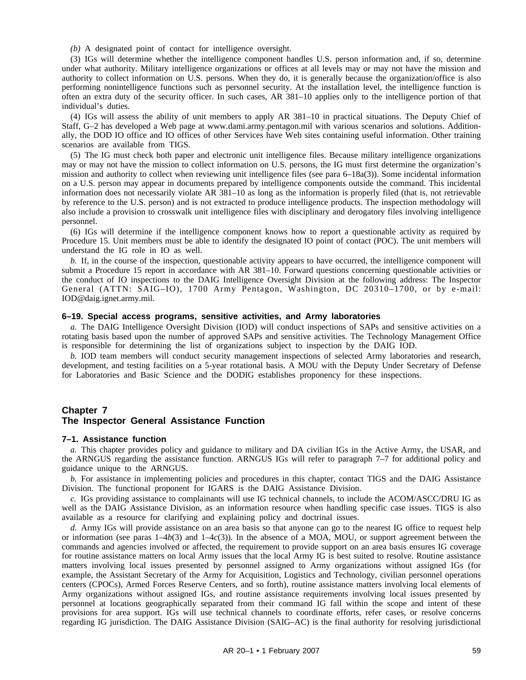*(b)* A designated point of contact for intelligence oversight.

(3) IGs will determine whether the intelligence component handles U.S. person information and, if so, determine under what authority. Military intelligence organizations or offices at all levels may or may not have the mission and authority to collect information on U.S. persons. When they do, it is generally because the organization/office is also performing nonintelligence functions such as personnel security. At the installation level, the intelligence function is often an extra duty of the security officer. In such cases, AR 381–10 applies only to the intelligence portion of that individual's duties.

(4) IGs will assess the ability of unit members to apply AR 381–10 in practical situations. The Deputy Chief of Staff, G–2 has developed a Web page at www.dami.army.pentagon.mil with various scenarios and solutions. Additionally, the DOD IO office and IO offices of other Services have Web sites containing useful information. Other training scenarios are available from TIGS.

(5) The IG must check both paper and electronic unit intelligence files. Because military intelligence organizations may or may not have the mission to collect information on U.S. persons, the IG must first determine the organization's mission and authority to collect when reviewing unit intelligence files (see para 6–18a(3)). Some incidental information on a U.S. person may appear in documents prepared by intelligence components outside the command. This incidental information does not necessarily violate AR 381–10 as long as the information is properly filed (that is, not retrievable by reference to the U.S. person) and is not extracted to produce intelligence products. The inspection methodology will also include a provision to crosswalk unit intelligence files with disciplinary and derogatory files involving intelligence personnel.

(6) IGs will determine if the intelligence component knows how to report a questionable activity as required by Procedure 15. Unit members must be able to identify the designated IO point of contact (POC). The unit members will understand the IG role in IO as well.

*b.* If, in the course of the inspection, questionable activity appears to have occurred, the intelligence component will submit a Procedure 15 report in accordance with AR 381–10. Forward questions concerning questionable activities or the conduct of IO inspections to the DAIG Intelligence Oversight Division at the following address: The Inspector General (ATTN:  $S A I G - I O$ ), 1700 Army Pentagon, Washington, DC 20310-1700, or by e-mail: IOD@daig.ignet.army.mil.

### **6–19. Special access programs, sensitive activities, and Army laboratories**

*a.* The DAIG Intelligence Oversight Division (IOD) will conduct inspections of SAPs and sensitive activities on a rotating basis based upon the number of approved SAPs and sensitive activities. The Technology Management Office is responsible for determining the list of organizations subject to inspection by the DAIG IOD.

*b.* IOD team members will conduct security management inspections of selected Army laboratories and research, development, and testing facilities on a 5-year rotational basis. A MOU with the Deputy Under Secretary of Defense for Laboratories and Basic Science and the DODIG establishes proponency for these inspections.

# **Chapter 7 The Inspector General Assistance Function**

#### **7–1. Assistance function**

*a.* This chapter provides policy and guidance to military and DA civilian IGs in the Active Army, the USAR, and the ARNGUS regarding the assistance function. ARNGUS IGs will refer to paragraph 7–7 for additional policy and guidance unique to the ARNGUS.

*b.* For assistance in implementing policies and procedures in this chapter, contact TIGS and the DAIG Assistance Division. The functional proponent for IGARS is the DAIG Assistance Division.

*c.* IGs providing assistance to complainants will use IG technical channels, to include the ACOM/ASCC/DRU IG as well as the DAIG Assistance Division, as an information resource when handling specific case issues. TIGS is also available as a resource for clarifying and explaining policy and doctrinal issues.

*d.* Army IGs will provide assistance on an area basis so that anyone can go to the nearest IG office to request help or information (see paras 1–4*b*(3) and 1–4*c*(3)). In the absence of a MOA, MOU, or support agreement between the commands and agencies involved or affected, the requirement to provide support on an area basis ensures IG coverage for routine assistance matters on local Army issues that the local Army IG is best suited to resolve. Routine assistance matters involving local issues presented by personnel assigned to Army organizations without assigned IGs (for example, the Assistant Secretary of the Army for Acquisition, Logistics and Technology, civilian personnel operations centers (CPOCs), Armed Forces Reserve Centers, and so forth), routine assistance matters involving local elements of Army organizations without assigned IGs, and routine assistance requirements involving local issues presented by personnel at locations geographically separated from their command IG fall within the scope and intent of these provisions for area support. IGs will use technical channels to coordinate efforts, refer cases, or resolve concerns regarding IG jurisdiction. The DAIG Assistance Division (SAIG–AC) is the final authority for resolving jurisdictional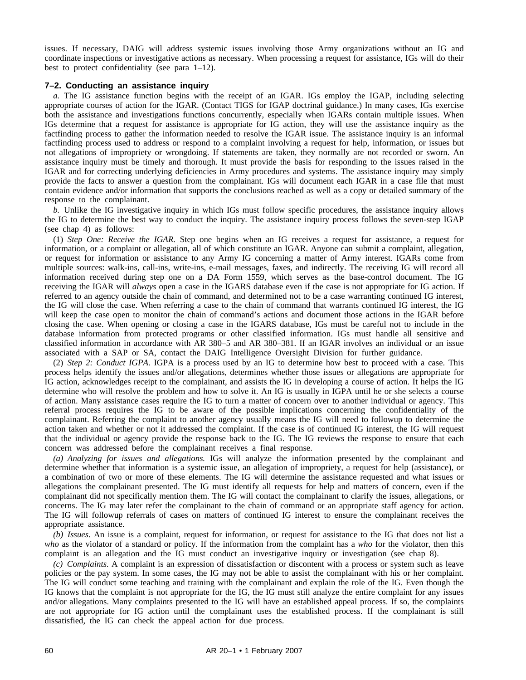issues. If necessary, DAIG will address systemic issues involving those Army organizations without an IG and coordinate inspections or investigative actions as necessary. When processing a request for assistance, IGs will do their best to protect confidentiality (see para 1–12).

## **7–2. Conducting an assistance inquiry**

*a.* The IG assistance function begins with the receipt of an IGAR. IGs employ the IGAP, including selecting appropriate courses of action for the IGAR. (Contact TIGS for IGAP doctrinal guidance.) In many cases, IGs exercise both the assistance and investigations functions concurrently, especially when IGARs contain multiple issues. When IGs determine that a request for assistance is appropriate for IG action, they will use the assistance inquiry as the factfinding process to gather the information needed to resolve the IGAR issue. The assistance inquiry is an informal factfinding process used to address or respond to a complaint involving a request for help, information, or issues but not allegations of impropriety or wrongdoing. If statements are taken, they normally are not recorded or sworn. An assistance inquiry must be timely and thorough. It must provide the basis for responding to the issues raised in the IGAR and for correcting underlying deficiencies in Army procedures and systems. The assistance inquiry may simply provide the facts to answer a question from the complainant. IGs will document each IGAR in a case file that must contain evidence and/or information that supports the conclusions reached as well as a copy or detailed summary of the response to the complainant.

*b.* Unlike the IG investigative inquiry in which IGs must follow specific procedures, the assistance inquiry allows the IG to determine the best way to conduct the inquiry. The assistance inquiry process follows the seven-step IGAP (see chap 4) as follows:

(1) *Step One: Receive the IGAR.* Step one begins when an IG receives a request for assistance, a request for information, or a complaint or allegation, all of which constitute an IGAR. Anyone can submit a complaint, allegation, or request for information or assistance to any Army IG concerning a matter of Army interest. IGARs come from multiple sources: walk-ins, call-ins, write-ins, e-mail messages, faxes, and indirectly. The receiving IG will record all information received during step one on a DA Form 1559, which serves as the base-control document. The IG receiving the IGAR will *always* open a case in the IGARS database even if the case is not appropriate for IG action. If referred to an agency outside the chain of command, and determined not to be a case warranting continued IG interest, the IG will close the case. When referring a case to the chain of command that warrants continued IG interest, the IG will keep the case open to monitor the chain of command's actions and document those actions in the IGAR before closing the case. When opening or closing a case in the IGARS database, IGs must be careful not to include in the database information from protected programs or other classified information. IGs must handle all sensitive and classified information in accordance with AR 380–5 and AR 380–381. If an IGAR involves an individual or an issue associated with a SAP or SA, contact the DAIG Intelligence Oversight Division for further guidance.

(2) *Step 2: Conduct IGPA.* IGPA is a process used by an IG to determine how best to proceed with a case. This process helps identify the issues and/or allegations, determines whether those issues or allegations are appropriate for IG action, acknowledges receipt to the complainant, and assists the IG in developing a course of action. It helps the IG determine who will resolve the problem and how to solve it. An IG is usually in IGPA until he or she selects a course of action. Many assistance cases require the IG to turn a matter of concern over to another individual or agency. This referral process requires the IG to be aware of the possible implications concerning the confidentiality of the complainant. Referring the complaint to another agency usually means the IG will need to followup to determine the action taken and whether or not it addressed the complaint. If the case is of continued IG interest, the IG will request that the individual or agency provide the response back to the IG. The IG reviews the response to ensure that each concern was addressed before the complainant receives a final response.

*(a) Analyzing for issues and allegations.* IGs will analyze the information presented by the complainant and determine whether that information is a systemic issue, an allegation of impropriety, a request for help (assistance), or a combination of two or more of these elements. The IG will determine the assistance requested and what issues or allegations the complainant presented. The IG must identify all requests for help and matters of concern, even if the complainant did not specifically mention them. The IG will contact the complainant to clarify the issues, allegations, or concerns. The IG may later refer the complainant to the chain of command or an appropriate staff agency for action. The IG will followup referrals of cases on matters of continued IG interest to ensure the complainant receives the appropriate assistance.

*(b) Issues.* An issue is a complaint, request for information, or request for assistance to the IG that does not list a *who* as the violator of a standard or policy. If the information from the complaint has a *who* for the violator, then this complaint is an allegation and the IG must conduct an investigative inquiry or investigation (see chap 8).

*(c) Complaints.* A complaint is an expression of dissatisfaction or discontent with a process or system such as leave policies or the pay system. In some cases, the IG may not be able to assist the complainant with his or her complaint. The IG will conduct some teaching and training with the complainant and explain the role of the IG. Even though the IG knows that the complaint is not appropriate for the IG, the IG must still analyze the entire complaint for any issues and/or allegations. Many complaints presented to the IG will have an established appeal process. If so, the complaints are not appropriate for IG action until the complainant uses the established process. If the complainant is still dissatisfied, the IG can check the appeal action for due process.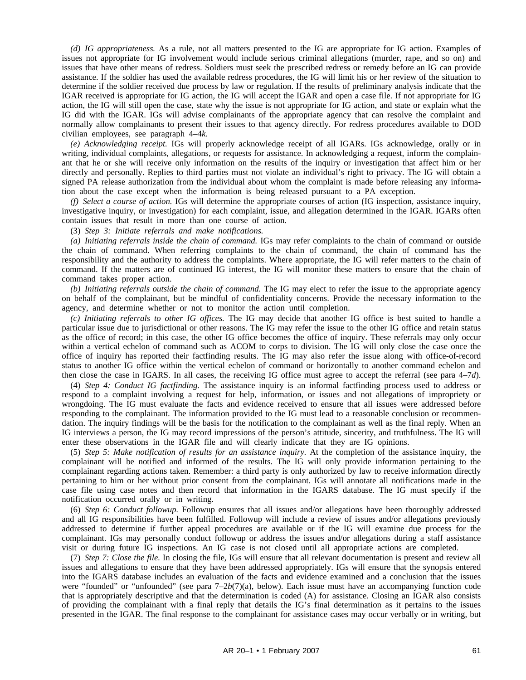*(d) IG appropriateness.* As a rule, not all matters presented to the IG are appropriate for IG action. Examples of issues not appropriate for IG involvement would include serious criminal allegations (murder, rape, and so on) and issues that have other means of redress. Soldiers must seek the prescribed redress or remedy before an IG can provide assistance. If the soldier has used the available redress procedures, the IG will limit his or her review of the situation to determine if the soldier received due process by law or regulation. If the results of preliminary analysis indicate that the IGAR received is appropriate for IG action, the IG will accept the IGAR and open a case file. If not appropriate for IG action, the IG will still open the case, state why the issue is not appropriate for IG action, and state or explain what the IG did with the IGAR. IGs will advise complainants of the appropriate agency that can resolve the complaint and normally allow complainants to present their issues to that agency directly. For redress procedures available to DOD civilian employees, see paragraph 4–4*k*.

*(e) Acknowledging receipt.* IGs will properly acknowledge receipt of all IGARs. IGs acknowledge, orally or in writing, individual complaints, allegations, or requests for assistance. In acknowledging a request, inform the complainant that he or she will receive only information on the results of the inquiry or investigation that affect him or her directly and personally. Replies to third parties must not violate an individual's right to privacy. The IG will obtain a signed PA release authorization from the individual about whom the complaint is made before releasing any information about the case except when the information is being released pursuant to a PA exception.

*(f) Select a course of action.* IGs will determine the appropriate courses of action (IG inspection, assistance inquiry, investigative inquiry, or investigation) for each complaint, issue, and allegation determined in the IGAR. IGARs often contain issues that result in more than one course of action.

(3) *Step 3: Initiate referrals and make notifications.*

*(a) Initiating referrals inside the chain of command.* IGs may refer complaints to the chain of command or outside the chain of command. When referring complaints to the chain of command, the chain of command has the responsibility and the authority to address the complaints. Where appropriate, the IG will refer matters to the chain of command. If the matters are of continued IG interest, the IG will monitor these matters to ensure that the chain of command takes proper action.

*(b) Initiating referrals outside the chain of command.* The IG may elect to refer the issue to the appropriate agency on behalf of the complainant, but be mindful of confidentiality concerns. Provide the necessary information to the agency, and determine whether or not to monitor the action until completion.

*(c) Initiating referrals to other IG offices.* The IG may decide that another IG office is best suited to handle a particular issue due to jurisdictional or other reasons. The IG may refer the issue to the other IG office and retain status as the office of record; in this case, the other IG office becomes the office of inquiry. These referrals may only occur within a vertical echelon of command such as ACOM to corps to division. The IG will only close the case once the office of inquiry has reported their factfinding results. The IG may also refer the issue along with office-of-record status to another IG office within the vertical echelon of command or horizontally to another command echelon and then close the case in IGARS. In all cases, the receiving IG office must agree to accept the referral (see para 4–7*d*).

(4) *Step 4: Conduct IG factfinding.* The assistance inquiry is an informal factfinding process used to address or respond to a complaint involving a request for help, information, or issues and not allegations of impropriety or wrongdoing. The IG must evaluate the facts and evidence received to ensure that all issues were addressed before responding to the complainant. The information provided to the IG must lead to a reasonable conclusion or recommendation. The inquiry findings will be the basis for the notification to the complainant as well as the final reply. When an IG interviews a person, the IG may record impressions of the person's attitude, sincerity, and truthfulness. The IG will enter these observations in the IGAR file and will clearly indicate that they are IG opinions.

(5) *Step 5: Make notification of results for an assistance inquiry.* At the completion of the assistance inquiry, the complainant will be notified and informed of the results. The IG will only provide information pertaining to the complainant regarding actions taken. Remember: a third party is only authorized by law to receive information directly pertaining to him or her without prior consent from the complainant. IGs will annotate all notifications made in the case file using case notes and then record that information in the IGARS database. The IG must specify if the notification occurred orally or in writing.

(6) *Step 6: Conduct followup.* Followup ensures that all issues and/or allegations have been thoroughly addressed and all IG responsibilities have been fulfilled. Followup will include a review of issues and/or allegations previously addressed to determine if further appeal procedures are available or if the IG will examine due process for the complainant. IGs may personally conduct followup or address the issues and/or allegations during a staff assistance visit or during future IG inspections. An IG case is not closed until all appropriate actions are completed.

(7) *Step 7: Close the file.* In closing the file, IGs will ensure that all relevant documentation is present and review all issues and allegations to ensure that they have been addressed appropriately. IGs will ensure that the synopsis entered into the IGARS database includes an evaluation of the facts and evidence examined and a conclusion that the issues were "founded" or "unfounded" (see para  $7-2b(7)(a)$ , below). Each issue must have an accompanying function code that is appropriately descriptive and that the determination is coded (A) for assistance. Closing an IGAR also consists of providing the complainant with a final reply that details the IG's final determination as it pertains to the issues presented in the IGAR. The final response to the complainant for assistance cases may occur verbally or in writing, but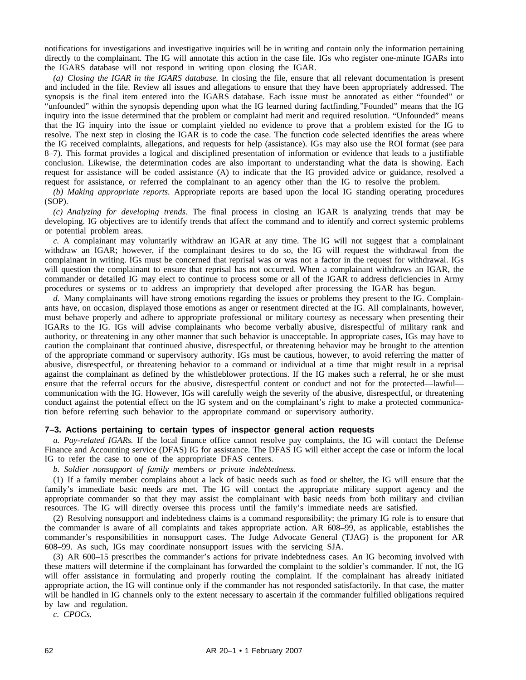notifications for investigations and investigative inquiries will be in writing and contain only the information pertaining directly to the complainant. The IG will annotate this action in the case file. IGs who register one-minute IGARs into the IGARS database will not respond in writing upon closing the IGAR.

*(a) Closing the IGAR in the IGARS database.* In closing the file, ensure that all relevant documentation is present and included in the file. Review all issues and allegations to ensure that they have been appropriately addressed. The synopsis is the final item entered into the IGARS database. Each issue must be annotated as either "founded" or "unfounded" within the synopsis depending upon what the IG learned during factfinding."Founded" means that the IG inquiry into the issue determined that the problem or complaint had merit and required resolution. "Unfounded" means that the IG inquiry into the issue or complaint yielded no evidence to prove that a problem existed for the IG to resolve. The next step in closing the IGAR is to code the case. The function code selected identifies the areas where the IG received complaints, allegations, and requests for help (assistance). IGs may also use the ROI format (see para 8–7). This format provides a logical and disciplined presentation of information or evidence that leads to a justifiable conclusion. Likewise, the determination codes are also important to understanding what the data is showing. Each request for assistance will be coded assistance (A) to indicate that the IG provided advice or guidance, resolved a request for assistance, or referred the complainant to an agency other than the IG to resolve the problem.

*(b) Making appropriate reports.* Appropriate reports are based upon the local IG standing operating procedures (SOP).

*(c) Analyzing for developing trends.* The final process in closing an IGAR is analyzing trends that may be developing. IG objectives are to identify trends that affect the command and to identify and correct systemic problems or potential problem areas.

*c.* A complainant may voluntarily withdraw an IGAR at any time. The IG will not suggest that a complainant withdraw an IGAR; however, if the complainant desires to do so, the IG will request the withdrawal from the complainant in writing. IGs must be concerned that reprisal was or was not a factor in the request for withdrawal. IGs will question the complainant to ensure that reprisal has not occurred. When a complainant withdraws an IGAR, the commander or detailed IG may elect to continue to process some or all of the IGAR to address deficiencies in Army procedures or systems or to address an impropriety that developed after processing the IGAR has begun.

*d.* Many complainants will have strong emotions regarding the issues or problems they present to the IG. Complainants have, on occasion, displayed those emotions as anger or resentment directed at the IG. All complainants, however, must behave properly and adhere to appropriate professional or military courtesy as necessary when presenting their IGARs to the IG. IGs will advise complainants who become verbally abusive, disrespectful of military rank and authority, or threatening in any other manner that such behavior is unacceptable. In appropriate cases, IGs may have to caution the complainant that continued abusive, disrespectful, or threatening behavior may be brought to the attention of the appropriate command or supervisory authority. IGs must be cautious, however, to avoid referring the matter of abusive, disrespectful, or threatening behavior to a command or individual at a time that might result in a reprisal against the complainant as defined by the whistleblower protections. If the IG makes such a referral, he or she must ensure that the referral occurs for the abusive, disrespectful content or conduct and not for the protected—lawful communication with the IG. However, IGs will carefully weigh the severity of the abusive, disrespectful, or threatening conduct against the potential effect on the IG system and on the complainant's right to make a protected communication before referring such behavior to the appropriate command or supervisory authority.

# **7–3. Actions pertaining to certain types of inspector general action requests**

*a. Pay-related IGARs.* If the local finance office cannot resolve pay complaints, the IG will contact the Defense Finance and Accounting service (DFAS) IG for assistance. The DFAS IG will either accept the case or inform the local IG to refer the case to one of the appropriate DFAS centers.

*b. Soldier nonsupport of family members or private indebtedness.*

(1) If a family member complains about a lack of basic needs such as food or shelter, the IG will ensure that the family's immediate basic needs are met. The IG will contact the appropriate military support agency and the appropriate commander so that they may assist the complainant with basic needs from both military and civilian resources. The IG will directly oversee this process until the family's immediate needs are satisfied.

(2) Resolving nonsupport and indebtedness claims is a command responsibility; the primary IG role is to ensure that the commander is aware of all complaints and takes appropriate action. AR 608–99, as applicable, establishes the commander's responsibilities in nonsupport cases. The Judge Advocate General (TJAG) is the proponent for AR 608–99. As such, IGs may coordinate nonsupport issues with the servicing SJA.

(3) AR 600–15 prescribes the commander's actions for private indebtedness cases. An IG becoming involved with these matters will determine if the complainant has forwarded the complaint to the soldier's commander. If not, the IG will offer assistance in formulating and properly routing the complaint. If the complainant has already initiated appropriate action, the IG will continue only if the commander has not responded satisfactorily. In that case, the matter will be handled in IG channels only to the extent necessary to ascertain if the commander fulfilled obligations required by law and regulation.

*c. CPOCs.*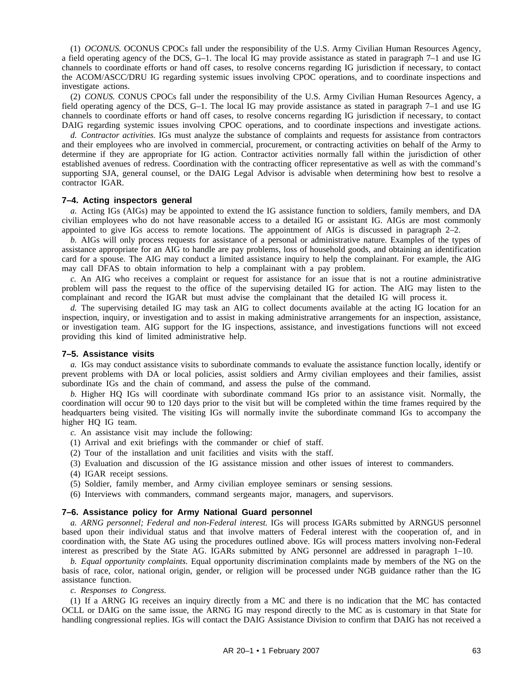(1) *OCONUS.* OCONUS CPOCs fall under the responsibility of the U.S. Army Civilian Human Resources Agency, a field operating agency of the DCS, G–1. The local IG may provide assistance as stated in paragraph 7–1 and use IG channels to coordinate efforts or hand off cases, to resolve concerns regarding IG jurisdiction if necessary, to contact the ACOM/ASCC/DRU IG regarding systemic issues involving CPOC operations, and to coordinate inspections and investigate actions.

(2) *CONUS.* CONUS CPOCs fall under the responsibility of the U.S. Army Civilian Human Resources Agency, a field operating agency of the DCS, G–1. The local IG may provide assistance as stated in paragraph 7–1 and use IG channels to coordinate efforts or hand off cases, to resolve concerns regarding IG jurisdiction if necessary, to contact DAIG regarding systemic issues involving CPOC operations, and to coordinate inspections and investigate actions.

*d. Contractor activities.* IGs must analyze the substance of complaints and requests for assistance from contractors and their employees who are involved in commercial, procurement, or contracting activities on behalf of the Army to determine if they are appropriate for IG action. Contractor activities normally fall within the jurisdiction of other established avenues of redress. Coordination with the contracting officer representative as well as with the command's supporting SJA, general counsel, or the DAIG Legal Advisor is advisable when determining how best to resolve a contractor IGAR.

### **7–4. Acting inspectors general**

*a.* Acting IGs (AIGs) may be appointed to extend the IG assistance function to soldiers, family members, and DA civilian employees who do not have reasonable access to a detailed IG or assistant IG. AIGs are most commonly appointed to give IGs access to remote locations. The appointment of AIGs is discussed in paragraph 2–2.

*b.* AIGs will only process requests for assistance of a personal or administrative nature. Examples of the types of assistance appropriate for an AIG to handle are pay problems, loss of household goods, and obtaining an identification card for a spouse. The AIG may conduct a limited assistance inquiry to help the complainant. For example, the AIG may call DFAS to obtain information to help a complainant with a pay problem.

*c.* An AIG who receives a complaint or request for assistance for an issue that is not a routine administrative problem will pass the request to the office of the supervising detailed IG for action. The AIG may listen to the complainant and record the IGAR but must advise the complainant that the detailed IG will process it.

*d.* The supervising detailed IG may task an AIG to collect documents available at the acting IG location for an inspection, inquiry, or investigation and to assist in making administrative arrangements for an inspection, assistance, or investigation team. AIG support for the IG inspections, assistance, and investigations functions will not exceed providing this kind of limited administrative help.

### **7–5. Assistance visits**

*a.* IGs may conduct assistance visits to subordinate commands to evaluate the assistance function locally, identify or prevent problems with DA or local policies, assist soldiers and Army civilian employees and their families, assist subordinate IGs and the chain of command, and assess the pulse of the command.

*b.* Higher HQ IGs will coordinate with subordinate command IGs prior to an assistance visit. Normally, the coordination will occur 90 to 120 days prior to the visit but will be completed within the time frames required by the headquarters being visited. The visiting IGs will normally invite the subordinate command IGs to accompany the higher HQ IG team.

*c.* An assistance visit may include the following:

- (1) Arrival and exit briefings with the commander or chief of staff.
- (2) Tour of the installation and unit facilities and visits with the staff.
- (3) Evaluation and discussion of the IG assistance mission and other issues of interest to commanders.
- (4) IGAR receipt sessions.
- (5) Soldier, family member, and Army civilian employee seminars or sensing sessions.
- (6) Interviews with commanders, command sergeants major, managers, and supervisors.

#### **7–6. Assistance policy for Army National Guard personnel**

*a. ARNG personnel; Federal and non-Federal interest.* IGs will process IGARs submitted by ARNGUS personnel based upon their individual status and that involve matters of Federal interest with the cooperation of, and in coordination with, the State AG using the procedures outlined above. IGs will process matters involving non-Federal interest as prescribed by the State AG. IGARs submitted by ANG personnel are addressed in paragraph 1–10.

*b. Equal opportunity complaints.* Equal opportunity discrimination complaints made by members of the NG on the basis of race, color, national origin, gender, or religion will be processed under NGB guidance rather than the IG assistance function.

*c. Responses to Congress.*

(1) If a ARNG IG receives an inquiry directly from a MC and there is no indication that the MC has contacted OCLL or DAIG on the same issue, the ARNG IG may respond directly to the MC as is customary in that State for handling congressional replies. IGs will contact the DAIG Assistance Division to confirm that DAIG has not received a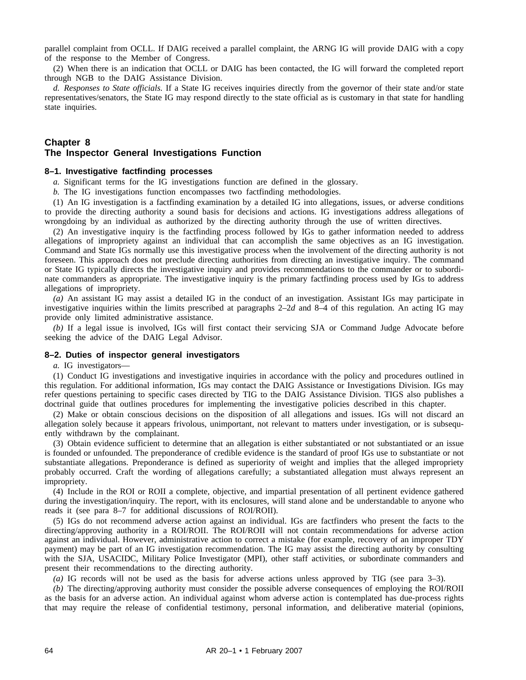parallel complaint from OCLL. If DAIG received a parallel complaint, the ARNG IG will provide DAIG with a copy of the response to the Member of Congress.

(2) When there is an indication that OCLL or DAIG has been contacted, the IG will forward the completed report through NGB to the DAIG Assistance Division.

*d. Responses to State officials.* If a State IG receives inquiries directly from the governor of their state and/or state representatives/senators, the State IG may respond directly to the state official as is customary in that state for handling state inquiries.

## **Chapter 8 The Inspector General Investigations Function**

## **8–1. Investigative factfinding processes**

*a.* Significant terms for the IG investigations function are defined in the glossary.

*b.* The IG investigations function encompasses two factfinding methodologies.

(1) An IG investigation is a factfinding examination by a detailed IG into allegations, issues, or adverse conditions to provide the directing authority a sound basis for decisions and actions. IG investigations address allegations of wrongdoing by an individual as authorized by the directing authority through the use of written directives.

(2) An investigative inquiry is the factfinding process followed by IGs to gather information needed to address allegations of impropriety against an individual that can accomplish the same objectives as an IG investigation. Command and State IGs normally use this investigative process when the involvement of the directing authority is not foreseen. This approach does not preclude directing authorities from directing an investigative inquiry. The command or State IG typically directs the investigative inquiry and provides recommendations to the commander or to subordinate commanders as appropriate. The investigative inquiry is the primary factfinding process used by IGs to address allegations of impropriety.

*(a)* An assistant IG may assist a detailed IG in the conduct of an investigation. Assistant IGs may participate in investigative inquiries within the limits prescribed at paragraphs 2–2*d* and 8–4 of this regulation. An acting IG may provide only limited administrative assistance.

*(b)* If a legal issue is involved, IGs will first contact their servicing SJA or Command Judge Advocate before seeking the advice of the DAIG Legal Advisor.

### **8–2. Duties of inspector general investigators**

*a.* IG investigators—

(1) Conduct IG investigations and investigative inquiries in accordance with the policy and procedures outlined in this regulation. For additional information, IGs may contact the DAIG Assistance or Investigations Division. IGs may refer questions pertaining to specific cases directed by TIG to the DAIG Assistance Division. TIGS also publishes a doctrinal guide that outlines procedures for implementing the investigative policies described in this chapter.

(2) Make or obtain conscious decisions on the disposition of all allegations and issues. IGs will not discard an allegation solely because it appears frivolous, unimportant, not relevant to matters under investigation, or is subsequently withdrawn by the complainant.

(3) Obtain evidence sufficient to determine that an allegation is either substantiated or not substantiated or an issue is founded or unfounded. The preponderance of credible evidence is the standard of proof IGs use to substantiate or not substantiate allegations. Preponderance is defined as superiority of weight and implies that the alleged impropriety probably occurred. Craft the wording of allegations carefully; a substantiated allegation must always represent an impropriety.

(4) Include in the ROI or ROII a complete, objective, and impartial presentation of all pertinent evidence gathered during the investigation/inquiry. The report, with its enclosures, will stand alone and be understandable to anyone who reads it (see para 8–7 for additional discussions of ROI/ROII).

(5) IGs do not recommend adverse action against an individual. IGs are factfinders who present the facts to the directing/approving authority in a ROI/ROII. The ROI/ROII will not contain recommendations for adverse action against an individual. However, administrative action to correct a mistake (for example, recovery of an improper TDY payment) may be part of an IG investigation recommendation. The IG may assist the directing authority by consulting with the SJA, USACIDC, Military Police Investigator (MPI), other staff activities, or subordinate commanders and present their recommendations to the directing authority.

*(a)* IG records will not be used as the basis for adverse actions unless approved by TIG (see para 3–3).

*(b)* The directing/approving authority must consider the possible adverse consequences of employing the ROI/ROII as the basis for an adverse action. An individual against whom adverse action is contemplated has due-process rights that may require the release of confidential testimony, personal information, and deliberative material (opinions,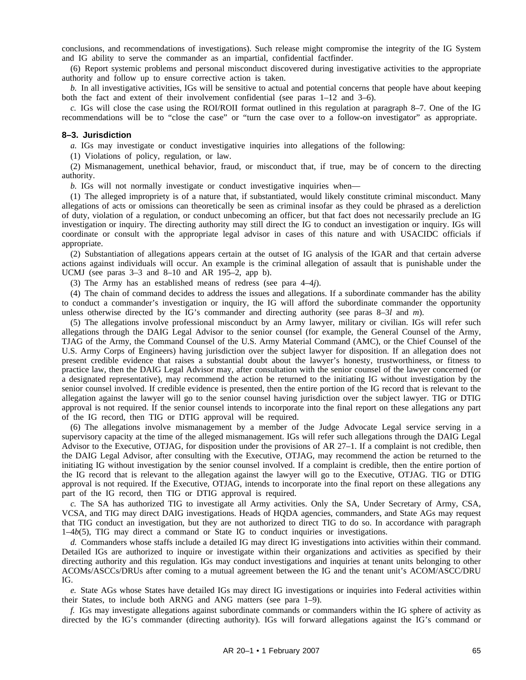conclusions, and recommendations of investigations). Such release might compromise the integrity of the IG System and IG ability to serve the commander as an impartial, confidential factfinder.

(6) Report systemic problems and personal misconduct discovered during investigative activities to the appropriate authority and follow up to ensure corrective action is taken.

*b.* In all investigative activities, IGs will be sensitive to actual and potential concerns that people have about keeping both the fact and extent of their involvement confidential (see paras 1–12 and 3–6).

*c.* IGs will close the case using the ROI/ROII format outlined in this regulation at paragraph 8–7. One of the IG recommendations will be to "close the case" or "turn the case over to a follow-on investigator" as appropriate.

#### **8–3. Jurisdiction**

*a.* IGs may investigate or conduct investigative inquiries into allegations of the following:

(1) Violations of policy, regulation, or law.

(2) Mismanagement, unethical behavior, fraud, or misconduct that, if true, may be of concern to the directing authority.

*b.* IGs will not normally investigate or conduct investigative inquiries when—

(1) The alleged impropriety is of a nature that, if substantiated, would likely constitute criminal misconduct. Many allegations of acts or omissions can theoretically be seen as criminal insofar as they could be phrased as a dereliction of duty, violation of a regulation, or conduct unbecoming an officer, but that fact does not necessarily preclude an IG investigation or inquiry. The directing authority may still direct the IG to conduct an investigation or inquiry. IGs will coordinate or consult with the appropriate legal advisor in cases of this nature and with USACIDC officials if appropriate.

(2) Substantiation of allegations appears certain at the outset of IG analysis of the IGAR and that certain adverse actions against individuals will occur. An example is the criminal allegation of assault that is punishable under the UCMJ (see paras 3–3 and 8–10 and AR 195–2, app b).

(3) The Army has an established means of redress (see para 4–4*j*).

(4) The chain of command decides to address the issues and allegations. If a subordinate commander has the ability to conduct a commander's investigation or inquiry, the IG will afford the subordinate commander the opportunity unless otherwise directed by the IG's commander and directing authority (see paras 8–3*l* and *m*).

(5) The allegations involve professional misconduct by an Army lawyer, military or civilian. IGs will refer such allegations through the DAIG Legal Advisor to the senior counsel (for example, the General Counsel of the Army, TJAG of the Army, the Command Counsel of the U.S. Army Material Command (AMC), or the Chief Counsel of the U.S. Army Corps of Engineers) having jurisdiction over the subject lawyer for disposition. If an allegation does not present credible evidence that raises a substantial doubt about the lawyer's honesty, trustworthiness, or fitness to practice law, then the DAIG Legal Advisor may, after consultation with the senior counsel of the lawyer concerned (or a designated representative), may recommend the action be returned to the initiating IG without investigation by the senior counsel involved. If credible evidence is presented, then the entire portion of the IG record that is relevant to the allegation against the lawyer will go to the senior counsel having jurisdiction over the subject lawyer. TIG or DTIG approval is not required. If the senior counsel intends to incorporate into the final report on these allegations any part of the IG record, then TIG or DTIG approval will be required.

(6) The allegations involve mismanagement by a member of the Judge Advocate Legal service serving in a supervisory capacity at the time of the alleged mismanagement. IGs will refer such allegations through the DAIG Legal Advisor to the Executive, OTJAG, for disposition under the provisions of AR 27–1. If a complaint is not credible, then the DAIG Legal Advisor, after consulting with the Executive, OTJAG, may recommend the action be returned to the initiating IG without investigation by the senior counsel involved. If a complaint is credible, then the entire portion of the IG record that is relevant to the allegation against the lawyer will go to the Executive, OTJAG. TIG or DTIG approval is not required. If the Executive, OTJAG, intends to incorporate into the final report on these allegations any part of the IG record, then TIG or DTIG approval is required.

*c.* The SA has authorized TIG to investigate all Army activities. Only the SA, Under Secretary of Army, CSA, VCSA, and TIG may direct DAIG investigations. Heads of HQDA agencies, commanders, and State AGs may request that TIG conduct an investigation, but they are not authorized to direct TIG to do so. In accordance with paragraph 1–4*b*(5), TIG may direct a command or State IG to conduct inquiries or investigations.

*d.* Commanders whose staffs include a detailed IG may direct IG investigations into activities within their command. Detailed IGs are authorized to inquire or investigate within their organizations and activities as specified by their directing authority and this regulation. IGs may conduct investigations and inquiries at tenant units belonging to other ACOMs/ASCCs/DRUs after coming to a mutual agreement between the IG and the tenant unit's ACOM/ASCC/DRU IG.

*e.* State AGs whose States have detailed IGs may direct IG investigations or inquiries into Federal activities within their States, to include both ARNG and ANG matters (see para 1–9).

*f.* IGs may investigate allegations against subordinate commands or commanders within the IG sphere of activity as directed by the IG's commander (directing authority). IGs will forward allegations against the IG's command or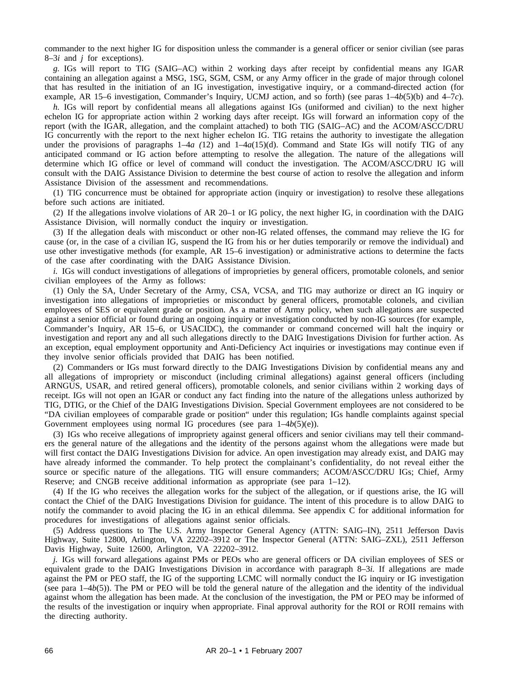commander to the next higher IG for disposition unless the commander is a general officer or senior civilian (see paras 8–3*i* and *j* for exceptions).

*g.* IGs will report to TIG (SAIG–AC) within 2 working days after receipt by confidential means any IGAR containing an allegation against a MSG, 1SG, SGM, CSM, or any Army officer in the grade of major through colonel that has resulted in the initiation of an IG investigation, investigative inquiry, or a command-directed action (for example, AR 15–6 investigation, Commander's Inquiry, UCMJ action, and so forth) (see paras 1–4*b*(5)(b) and 4–7*c*).

*h.* IGs will report by confidential means all allegations against IGs (uniformed and civilian) to the next higher echelon IG for appropriate action within 2 working days after receipt. IGs will forward an information copy of the report (with the IGAR, allegation, and the complaint attached) to both TIG (SAIG–AC) and the ACOM/ASCC/DRU IG concurrently with the report to the next higher echelon IG. TIG retains the authority to investigate the allegation under the provisions of paragraphs  $1-4a(12)$  and  $1-4a(15)(d)$ . Command and State IGs will notify TIG of any anticipated command or IG action before attempting to resolve the allegation. The nature of the allegations will determine which IG office or level of command will conduct the investigation. The ACOM/ASCC/DRU IG will consult with the DAIG Assistance Division to determine the best course of action to resolve the allegation and inform Assistance Division of the assessment and recommendations.

(1) TIG concurrence must be obtained for appropriate action (inquiry or investigation) to resolve these allegations before such actions are initiated.

(2) If the allegations involve violations of AR 20–1 or IG policy, the next higher IG, in coordination with the DAIG Assistance Division, will normally conduct the inquiry or investigation.

(3) If the allegation deals with misconduct or other non-IG related offenses, the command may relieve the IG for cause (or, in the case of a civilian IG, suspend the IG from his or her duties temporarily or remove the individual) and use other investigative methods (for example, AR 15–6 investigation) or administrative actions to determine the facts of the case after coordinating with the DAIG Assistance Division.

*i.* IGs will conduct investigations of allegations of improprieties by general officers, promotable colonels, and senior civilian employees of the Army as follows:

(1) Only the SA, Under Secretary of the Army, CSA, VCSA, and TIG may authorize or direct an IG inquiry or investigation into allegations of improprieties or misconduct by general officers, promotable colonels, and civilian employees of SES or equivalent grade or position. As a matter of Army policy, when such allegations are suspected against a senior official or found during an ongoing inquiry or investigation conducted by non-IG sources (for example, Commander's Inquiry, AR 15–6, or USACIDC), the commander or command concerned will halt the inquiry or investigation and report any and all such allegations directly to the DAIG Investigations Division for further action. As an exception, equal employment opportunity and Anti-Deficiency Act inquiries or investigations may continue even if they involve senior officials provided that DAIG has been notified.

(2) Commanders or IGs must forward directly to the DAIG Investigations Division by confidential means any and all allegations of impropriety or misconduct (including criminal allegations) against general officers (including ARNGUS, USAR, and retired general officers), promotable colonels, and senior civilians within 2 working days of receipt. IGs will not open an IGAR or conduct any fact finding into the nature of the allegations unless authorized by TIG, DTIG, or the Chief of the DAIG Investigations Division. Special Government employees are not considered to be "DA civilian employees of comparable grade or position" under this regulation; IGs handle complaints against special Government employees using normal IG procedures (see para 1–4*b*(5)(e)).

(3) IGs who receive allegations of impropriety against general officers and senior civilians may tell their commanders the general nature of the allegations and the identity of the persons against whom the allegations were made but will first contact the DAIG Investigations Division for advice. An open investigation may already exist, and DAIG may have already informed the commander. To help protect the complainant's confidentiality, do not reveal either the source or specific nature of the allegations. TIG will ensure commanders; ACOM/ASCC/DRU IGs; Chief, Army Reserve; and CNGB receive additional information as appropriate (see para 1–12).

(4) If the IG who receives the allegation works for the subject of the allegation, or if questions arise, the IG will contact the Chief of the DAIG Investigations Division for guidance. The intent of this procedure is to allow DAIG to notify the commander to avoid placing the IG in an ethical dilemma. See appendix C for additional information for procedures for investigations of allegations against senior officials.

(5) Address questions to The U.S. Army Inspector General Agency (ATTN: SAIG–IN), 2511 Jefferson Davis Highway, Suite 12800, Arlington, VA 22202–3912 or The Inspector General (ATTN: SAIG–ZXL), 2511 Jefferson Davis Highway, Suite 12600, Arlington, VA 22202–3912.

*j.* IGs will forward allegations against PMs or PEOs who are general officers or DA civilian employees of SES or equivalent grade to the DAIG Investigations Division in accordance with paragraph 8–3*i.* If allegations are made against the PM or PEO staff, the IG of the supporting LCMC will normally conduct the IG inquiry or IG investigation (see para  $1-4b(5)$ ). The PM or PEO will be told the general nature of the allegation and the identity of the individual against whom the allegation has been made. At the conclusion of the investigation, the PM or PEO may be informed of the results of the investigation or inquiry when appropriate. Final approval authority for the ROI or ROII remains with the directing authority.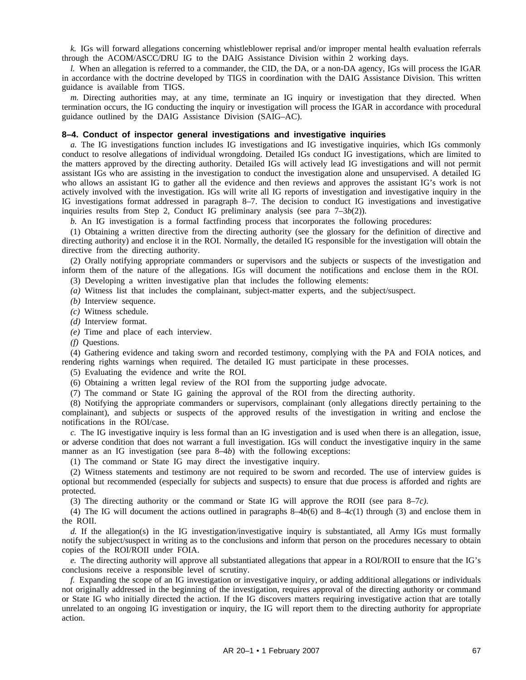*k.* IGs will forward allegations concerning whistleblower reprisal and/or improper mental health evaluation referrals through the ACOM/ASCC/DRU IG to the DAIG Assistance Division within 2 working days.

*l.* When an allegation is referred to a commander, the CID, the DA, or a non-DA agency, IGs will process the IGAR in accordance with the doctrine developed by TIGS in coordination with the DAIG Assistance Division. This written guidance is available from TIGS.

*m.* Directing authorities may, at any time, terminate an IG inquiry or investigation that they directed. When termination occurs, the IG conducting the inquiry or investigation will process the IGAR in accordance with procedural guidance outlined by the DAIG Assistance Division (SAIG–AC).

# **8–4. Conduct of inspector general investigations and investigative inquiries**

*a.* The IG investigations function includes IG investigations and IG investigative inquiries, which IGs commonly conduct to resolve allegations of individual wrongdoing. Detailed IGs conduct IG investigations, which are limited to the matters approved by the directing authority. Detailed IGs will actively lead IG investigations and will not permit assistant IGs who are assisting in the investigation to conduct the investigation alone and unsupervised. A detailed IG who allows an assistant IG to gather all the evidence and then reviews and approves the assistant IG's work is not actively involved with the investigation. IGs will write all IG reports of investigation and investigative inquiry in the IG investigations format addressed in paragraph 8–7. The decision to conduct IG investigations and investigative inquiries results from Step 2, Conduct IG preliminary analysis (see para 7–3*b*(2)).

*b.* An IG investigation is a formal factfinding process that incorporates the following procedures:

(1) Obtaining a written directive from the directing authority (see the glossary for the definition of directive and directing authority) and enclose it in the ROI. Normally, the detailed IG responsible for the investigation will obtain the directive from the directing authority.

(2) Orally notifying appropriate commanders or supervisors and the subjects or suspects of the investigation and inform them of the nature of the allegations. IGs will document the notifications and enclose them in the ROI. (3) Developing a written investigative plan that includes the following elements:

*(a)* Witness list that includes the complainant, subject-matter experts, and the subject/suspect.

*(b)* Interview sequence.

*(c)* Witness schedule.

*(d)* Interview format.

*(e)* Time and place of each interview.

*(f)* Questions.

(4) Gathering evidence and taking sworn and recorded testimony, complying with the PA and FOIA notices, and rendering rights warnings when required. The detailed IG must participate in these processes.

(5) Evaluating the evidence and write the ROI.

(6) Obtaining a written legal review of the ROI from the supporting judge advocate.

(7) The command or State IG gaining the approval of the ROI from the directing authority.

(8) Notifying the appropriate commanders or supervisors, complainant (only allegations directly pertaining to the complainant), and subjects or suspects of the approved results of the investigation in writing and enclose the notifications in the ROI/case.

*c.* The IG investigative inquiry is less formal than an IG investigation and is used when there is an allegation, issue, or adverse condition that does not warrant a full investigation. IGs will conduct the investigative inquiry in the same manner as an IG investigation (see para 8–4*b*) with the following exceptions:

(1) The command or State IG may direct the investigative inquiry.

(2) Witness statements and testimony are not required to be sworn and recorded. The use of interview guides is optional but recommended (especially for subjects and suspects) to ensure that due process is afforded and rights are protected.

(3) The directing authority or the command or State IG will approve the ROII (see para 8–7*c)*.

(4) The IG will document the actions outlined in paragraphs  $8-4b(6)$  and  $8-4c(1)$  through (3) and enclose them in the ROII.

*d.* If the allegation(s) in the IG investigation/investigative inquiry is substantiated, all Army IGs must formally notify the subject/suspect in writing as to the conclusions and inform that person on the procedures necessary to obtain copies of the ROI/ROII under FOIA.

*e.* The directing authority will approve all substantiated allegations that appear in a ROI/ROII to ensure that the IG's conclusions receive a responsible level of scrutiny.

*f.* Expanding the scope of an IG investigation or investigative inquiry, or adding additional allegations or individuals not originally addressed in the beginning of the investigation, requires approval of the directing authority or command or State IG who initially directed the action. If the IG discovers matters requiring investigative action that are totally unrelated to an ongoing IG investigation or inquiry, the IG will report them to the directing authority for appropriate action.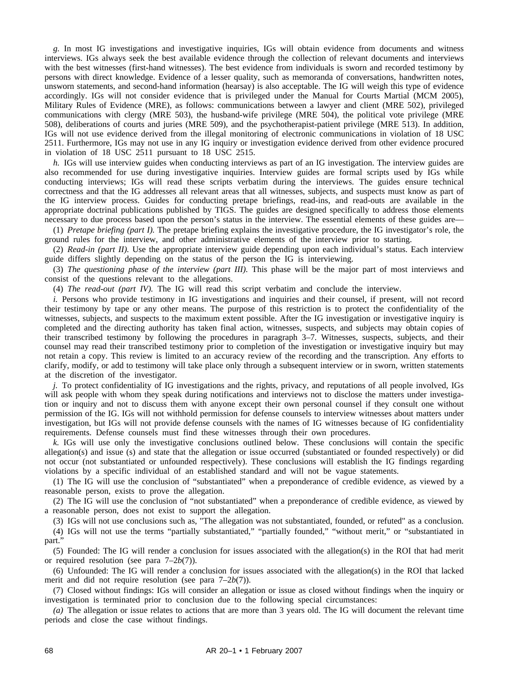*g.* In most IG investigations and investigative inquiries, IGs will obtain evidence from documents and witness interviews. IGs always seek the best available evidence through the collection of relevant documents and interviews with the best witnesses (first-hand witnesses). The best evidence from individuals is sworn and recorded testimony by persons with direct knowledge. Evidence of a lesser quality, such as memoranda of conversations, handwritten notes, unsworn statements, and second-hand information (hearsay) is also acceptable. The IG will weigh this type of evidence accordingly. IGs will not consider evidence that is privileged under the Manual for Courts Martial (MCM 2005), Military Rules of Evidence (MRE), as follows: communications between a lawyer and client (MRE 502), privileged communications with clergy (MRE 503), the husband-wife privilege (MRE 504), the political vote privilege (MRE 508), deliberations of courts and juries (MRE 509), and the psychotherapist-patient privilege (MRE 513). In addition, IGs will not use evidence derived from the illegal monitoring of electronic communications in violation of 18 USC 2511. Furthermore, IGs may not use in any IG inquiry or investigation evidence derived from other evidence procured in violation of 18 USC 2511 pursuant to 18 USC 2515.

*h.* IGs will use interview guides when conducting interviews as part of an IG investigation. The interview guides are also recommended for use during investigative inquiries. Interview guides are formal scripts used by IGs while conducting interviews; IGs will read these scripts verbatim during the interviews. The guides ensure technical correctness and that the IG addresses all relevant areas that all witnesses, subjects, and suspects must know as part of the IG interview process. Guides for conducting pretape briefings, read-ins, and read-outs are available in the appropriate doctrinal publications published by TIGS. The guides are designed specifically to address those elements necessary to due process based upon the person's status in the interview. The essential elements of these guides are—

(1) *Pretape briefing (part I).* The pretape briefing explains the investigative procedure, the IG investigator's role, the ground rules for the interview, and other administrative elements of the interview prior to starting.

(2) *Read-in (part II).* Use the appropriate interview guide depending upon each individual's status. Each interview guide differs slightly depending on the status of the person the IG is interviewing.

(3) *The questioning phase of the interview (part III).* This phase will be the major part of most interviews and consist of the questions relevant to the allegations.

(4) *The read-out (part IV).* The IG will read this script verbatim and conclude the interview.

*i.* Persons who provide testimony in IG investigations and inquiries and their counsel, if present, will not record their testimony by tape or any other means. The purpose of this restriction is to protect the confidentiality of the witnesses, subjects, and suspects to the maximum extent possible. After the IG investigation or investigative inquiry is completed and the directing authority has taken final action, witnesses, suspects, and subjects may obtain copies of their transcribed testimony by following the procedures in paragraph 3–7. Witnesses, suspects, subjects, and their counsel may read their transcribed testimony prior to completion of the investigation or investigative inquiry but may not retain a copy. This review is limited to an accuracy review of the recording and the transcription. Any efforts to clarify, modify, or add to testimony will take place only through a subsequent interview or in sworn, written statements at the discretion of the investigator.

*j.* To protect confidentiality of IG investigations and the rights, privacy, and reputations of all people involved, IGs will ask people with whom they speak during notifications and interviews not to disclose the matters under investigation or inquiry and not to discuss them with anyone except their own personal counsel if they consult one without permission of the IG. IGs will not withhold permission for defense counsels to interview witnesses about matters under investigation, but IGs will not provide defense counsels with the names of IG witnesses because of IG confidentiality requirements. Defense counsels must find these witnesses through their own procedures.

*k.* IGs will use only the investigative conclusions outlined below. These conclusions will contain the specific allegation(s) and issue (s) and state that the allegation or issue occurred (substantiated or founded respectively) or did not occur (not substantiated or unfounded respectively). These conclusions will establish the IG findings regarding violations by a specific individual of an established standard and will not be vague statements.

(1) The IG will use the conclusion of "substantiated" when a preponderance of credible evidence, as viewed by a reasonable person, exists to prove the allegation.

(2) The IG will use the conclusion of "not substantiated" when a preponderance of credible evidence, as viewed by a reasonable person, does not exist to support the allegation.

(3) IGs will not use conclusions such as, "The allegation was not substantiated, founded, or refuted" as a conclusion. (4) IGs will not use the terms "partially substantiated," "partially founded," "without merit," or "substantiated in part."

(5) Founded: The IG will render a conclusion for issues associated with the allegation(s) in the ROI that had merit or required resolution (see para 7–2*b*(7)).

(6) Unfounded: The IG will render a conclusion for issues associated with the allegation(s) in the ROI that lacked merit and did not require resolution (see para 7–2*b*(7)).

(7) Closed without findings: IGs will consider an allegation or issue as closed without findings when the inquiry or investigation is terminated prior to conclusion due to the following special circumstances:

*(a)* The allegation or issue relates to actions that are more than 3 years old. The IG will document the relevant time periods and close the case without findings.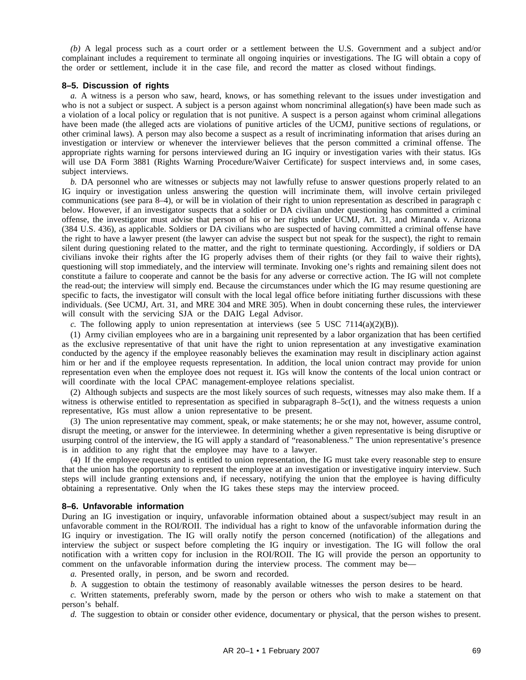*(b)* A legal process such as a court order or a settlement between the U.S. Government and a subject and/or complainant includes a requirement to terminate all ongoing inquiries or investigations. The IG will obtain a copy of the order or settlement, include it in the case file, and record the matter as closed without findings.

### **8–5. Discussion of rights**

*a.* A witness is a person who saw, heard, knows, or has something relevant to the issues under investigation and who is not a subject or suspect. A subject is a person against whom noncriminal allegation(s) have been made such as a violation of a local policy or regulation that is not punitive. A suspect is a person against whom criminal allegations have been made (the alleged acts are violations of punitive articles of the UCMJ, punitive sections of regulations, or other criminal laws). A person may also become a suspect as a result of incriminating information that arises during an investigation or interview or whenever the interviewer believes that the person committed a criminal offense. The appropriate rights warning for persons interviewed during an IG inquiry or investigation varies with their status. IGs will use DA Form 3881 (Rights Warning Procedure/Waiver Certificate) for suspect interviews and, in some cases, subject interviews.

*b.* DA personnel who are witnesses or subjects may not lawfully refuse to answer questions properly related to an IG inquiry or investigation unless answering the question will incriminate them, will involve certain privileged communications (see para 8–4), or will be in violation of their right to union representation as described in paragraph c below. However, if an investigator suspects that a soldier or DA civilian under questioning has committed a criminal offense, the investigator must advise that person of his or her rights under UCMJ, Art. 31, and Miranda v. Arizona (384 U.S. 436), as applicable. Soldiers or DA civilians who are suspected of having committed a criminal offense have the right to have a lawyer present (the lawyer can advise the suspect but not speak for the suspect), the right to remain silent during questioning related to the matter, and the right to terminate questioning. Accordingly, if soldiers or DA civilians invoke their rights after the IG properly advises them of their rights (or they fail to waive their rights), questioning will stop immediately, and the interview will terminate. Invoking one's rights and remaining silent does not constitute a failure to cooperate and cannot be the basis for any adverse or corrective action. The IG will not complete the read-out; the interview will simply end. Because the circumstances under which the IG may resume questioning are specific to facts, the investigator will consult with the local legal office before initiating further discussions with these individuals. (See UCMJ, Art. 31, and MRE 304 and MRE 305). When in doubt concerning these rules, the interviewer will consult with the servicing SJA or the DAIG Legal Advisor.

*c.* The following apply to union representation at interviews (see 5 USC 7114(a)(2)(B)).

(1) Army civilian employees who are in a bargaining unit represented by a labor organization that has been certified as the exclusive representative of that unit have the right to union representation at any investigative examination conducted by the agency if the employee reasonably believes the examination may result in disciplinary action against him or her and if the employee requests representation. In addition, the local union contract may provide for union representation even when the employee does not request it. IGs will know the contents of the local union contract or will coordinate with the local CPAC management-employee relations specialist.

(2) Although subjects and suspects are the most likely sources of such requests, witnesses may also make them. If a witness is otherwise entitled to representation as specified in subparagraph 8–5*c*(1), and the witness requests a union representative, IGs must allow a union representative to be present.

(3) The union representative may comment, speak, or make statements; he or she may not, however, assume control, disrupt the meeting, or answer for the interviewee. In determining whether a given representative is being disruptive or usurping control of the interview, the IG will apply a standard of "reasonableness." The union representative's presence is in addition to any right that the employee may have to a lawyer.

(4) If the employee requests and is entitled to union representation, the IG must take every reasonable step to ensure that the union has the opportunity to represent the employee at an investigation or investigative inquiry interview. Such steps will include granting extensions and, if necessary, notifying the union that the employee is having difficulty obtaining a representative. Only when the IG takes these steps may the interview proceed.

## **8–6. Unfavorable information**

During an IG investigation or inquiry, unfavorable information obtained about a suspect/subject may result in an unfavorable comment in the ROI/ROII. The individual has a right to know of the unfavorable information during the IG inquiry or investigation. The IG will orally notify the person concerned (notification) of the allegations and interview the subject or suspect before completing the IG inquiry or investigation. The IG will follow the oral notification with a written copy for inclusion in the ROI/ROII. The IG will provide the person an opportunity to comment on the unfavorable information during the interview process. The comment may be—

*a.* Presented orally, in person, and be sworn and recorded.

*b.* A suggestion to obtain the testimony of reasonably available witnesses the person desires to be heard.

*c.* Written statements, preferably sworn, made by the person or others who wish to make a statement on that person's behalf.

*d.* The suggestion to obtain or consider other evidence, documentary or physical, that the person wishes to present.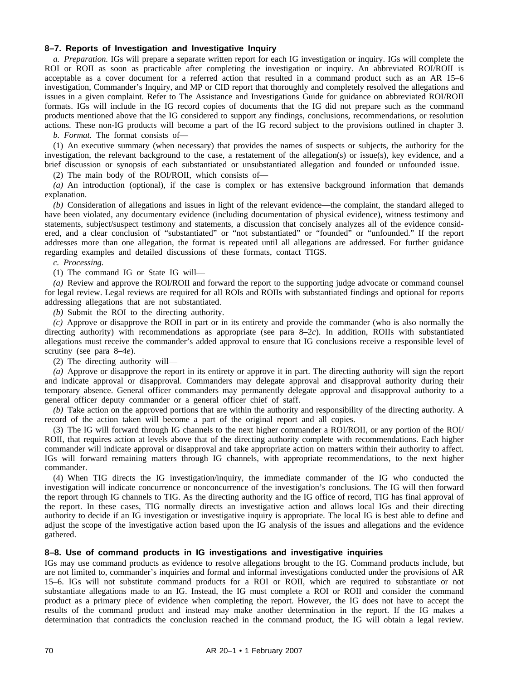## **8–7. Reports of Investigation and Investigative Inquiry**

*a. Preparation.* IGs will prepare a separate written report for each IG investigation or inquiry. IGs will complete the ROI or ROII as soon as practicable after completing the investigation or inquiry. An abbreviated ROI/ROII is acceptable as a cover document for a referred action that resulted in a command product such as an AR 15–6 investigation, Commander's Inquiry, and MP or CID report that thoroughly and completely resolved the allegations and issues in a given complaint. Refer to The Assistance and Investigations Guide for guidance on abbreviated ROI/ROII formats. IGs will include in the IG record copies of documents that the IG did not prepare such as the command products mentioned above that the IG considered to support any findings, conclusions, recommendations, or resolution actions. These non-IG products will become a part of the IG record subject to the provisions outlined in chapter 3.

*b. Format.* The format consists of—

(1) An executive summary (when necessary) that provides the names of suspects or subjects, the authority for the investigation, the relevant background to the case, a restatement of the allegation(s) or issue(s), key evidence, and a brief discussion or synopsis of each substantiated or unsubstantiated allegation and founded or unfounded issue.

(2) The main body of the ROI/ROII, which consists of—

*(a)* An introduction (optional), if the case is complex or has extensive background information that demands explanation.

*(b)* Consideration of allegations and issues in light of the relevant evidence—the complaint, the standard alleged to have been violated, any documentary evidence (including documentation of physical evidence), witness testimony and statements, subject/suspect testimony and statements, a discussion that concisely analyzes all of the evidence considered, and a clear conclusion of "substantiated" or "not substantiated" or "founded" or "unfounded." If the report addresses more than one allegation, the format is repeated until all allegations are addressed. For further guidance regarding examples and detailed discussions of these formats, contact TIGS.

### *c. Processing.*

(1) The command IG or State IG will—

*(a)* Review and approve the ROI/ROII and forward the report to the supporting judge advocate or command counsel for legal review. Legal reviews are required for all ROIs and ROIIs with substantiated findings and optional for reports addressing allegations that are not substantiated.

*(b)* Submit the ROI to the directing authority.

*(c)* Approve or disapprove the ROII in part or in its entirety and provide the commander (who is also normally the directing authority) with recommendations as appropriate (see para 8–2*c*). In addition, ROIIs with substantiated allegations must receive the commander's added approval to ensure that IG conclusions receive a responsible level of scrutiny (see para 8–4*e*).

(2) The directing authority will—

*(a)* Approve or disapprove the report in its entirety or approve it in part. The directing authority will sign the report and indicate approval or disapproval. Commanders may delegate approval and disapproval authority during their temporary absence. General officer commanders may permanently delegate approval and disapproval authority to a general officer deputy commander or a general officer chief of staff.

*(b)* Take action on the approved portions that are within the authority and responsibility of the directing authority. A record of the action taken will become a part of the original report and all copies.

(3) The IG will forward through IG channels to the next higher commander a ROI/ROII, or any portion of the ROI/ ROII, that requires action at levels above that of the directing authority complete with recommendations. Each higher commander will indicate approval or disapproval and take appropriate action on matters within their authority to affect. IGs will forward remaining matters through IG channels, with appropriate recommendations, to the next higher commander.

(4) When TIG directs the IG investigation/inquiry, the immediate commander of the IG who conducted the investigation will indicate concurrence or nonconcurrence of the investigation's conclusions. The IG will then forward the report through IG channels to TIG. As the directing authority and the IG office of record, TIG has final approval of the report. In these cases, TIG normally directs an investigative action and allows local IGs and their directing authority to decide if an IG investigation or investigative inquiry is appropriate. The local IG is best able to define and adjust the scope of the investigative action based upon the IG analysis of the issues and allegations and the evidence gathered.

## **8–8. Use of command products in IG investigations and investigative inquiries**

IGs may use command products as evidence to resolve allegations brought to the IG. Command products include, but are not limited to, commander's inquiries and formal and informal investigations conducted under the provisions of AR 15–6. IGs will not substitute command products for a ROI or ROII, which are required to substantiate or not substantiate allegations made to an IG. Instead, the IG must complete a ROI or ROII and consider the command product as a primary piece of evidence when completing the report. However, the IG does not have to accept the results of the command product and instead may make another determination in the report. If the IG makes a determination that contradicts the conclusion reached in the command product, the IG will obtain a legal review.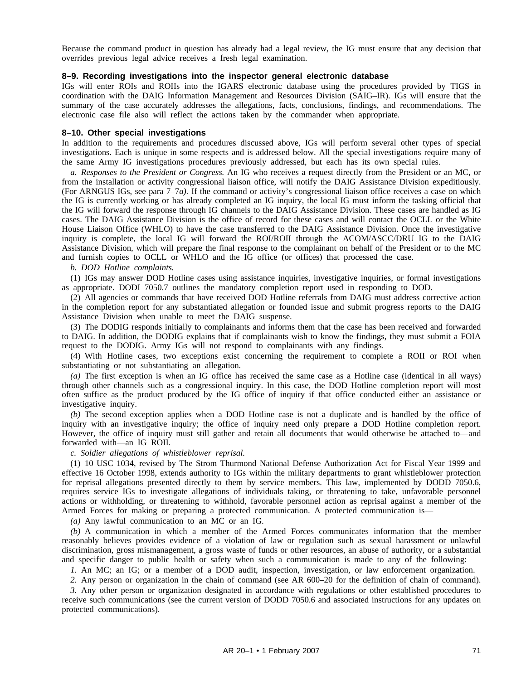Because the command product in question has already had a legal review, the IG must ensure that any decision that overrides previous legal advice receives a fresh legal examination.

## **8–9. Recording investigations into the inspector general electronic database**

IGs will enter ROIs and ROIIs into the IGARS electronic database using the procedures provided by TIGS in coordination with the DAIG Information Management and Resources Division (SAIG–IR). IGs will ensure that the summary of the case accurately addresses the allegations, facts, conclusions, findings, and recommendations. The electronic case file also will reflect the actions taken by the commander when appropriate.

## **8–10. Other special investigations**

In addition to the requirements and procedures discussed above, IGs will perform several other types of special investigations. Each is unique in some respects and is addressed below. All the special investigations require many of the same Army IG investigations procedures previously addressed, but each has its own special rules.

*a. Responses to the President or Congress.* An IG who receives a request directly from the President or an MC, or from the installation or activity congressional liaison office, will notify the DAIG Assistance Division expeditiously. (For ARNGUS IGs, see para 7–7*a).* If the command or activity's congressional liaison office receives a case on which the IG is currently working or has already completed an IG inquiry, the local IG must inform the tasking official that the IG will forward the response through IG channels to the DAIG Assistance Division. These cases are handled as IG cases. The DAIG Assistance Division is the office of record for these cases and will contact the OCLL or the White House Liaison Office (WHLO) to have the case transferred to the DAIG Assistance Division. Once the investigative inquiry is complete, the local IG will forward the ROI/ROII through the ACOM/ASCC/DRU IG to the DAIG Assistance Division, which will prepare the final response to the complainant on behalf of the President or to the MC and furnish copies to OCLL or WHLO and the IG office (or offices) that processed the case.

*b. DOD Hotline complaints.*

(1) IGs may answer DOD Hotline cases using assistance inquiries, investigative inquiries, or formal investigations as appropriate. DODI 7050.7 outlines the mandatory completion report used in responding to DOD.

(2) All agencies or commands that have received DOD Hotline referrals from DAIG must address corrective action in the completion report for any substantiated allegation or founded issue and submit progress reports to the DAIG Assistance Division when unable to meet the DAIG suspense.

(3) The DODIG responds initially to complainants and informs them that the case has been received and forwarded to DAIG. In addition, the DODIG explains that if complainants wish to know the findings, they must submit a FOIA request to the DODIG. Army IGs will not respond to complainants with any findings.

(4) With Hotline cases, two exceptions exist concerning the requirement to complete a ROII or ROI when substantiating or not substantiating an allegation.

*(a)* The first exception is when an IG office has received the same case as a Hotline case (identical in all ways) through other channels such as a congressional inquiry. In this case, the DOD Hotline completion report will most often suffice as the product produced by the IG office of inquiry if that office conducted either an assistance or investigative inquiry.

*(b)* The second exception applies when a DOD Hotline case is not a duplicate and is handled by the office of inquiry with an investigative inquiry; the office of inquiry need only prepare a DOD Hotline completion report. However, the office of inquiry must still gather and retain all documents that would otherwise be attached to—and forwarded with—an IG ROII.

*c. Soldier allegations of whistleblower reprisal.*

(1) 10 USC 1034, revised by The Strom Thurmond National Defense Authorization Act for Fiscal Year 1999 and effective 16 October 1998, extends authority to IGs within the military departments to grant whistleblower protection for reprisal allegations presented directly to them by service members. This law, implemented by DODD 7050.6, requires service IGs to investigate allegations of individuals taking, or threatening to take, unfavorable personnel actions or withholding, or threatening to withhold, favorable personnel action as reprisal against a member of the Armed Forces for making or preparing a protected communication. A protected communication is—

*(a)* Any lawful communication to an MC or an IG.

*(b)* A communication in which a member of the Armed Forces communicates information that the member reasonably believes provides evidence of a violation of law or regulation such as sexual harassment or unlawful discrimination, gross mismanagement, a gross waste of funds or other resources, an abuse of authority, or a substantial and specific danger to public health or safety when such a communication is made to any of the following:

*1.* An MC; an IG; or a member of a DOD audit, inspection, investigation, or law enforcement organization.

*2.* Any person or organization in the chain of command (see AR 600–20 for the definition of chain of command).

*3.* Any other person or organization designated in accordance with regulations or other established procedures to receive such communications (see the current version of DODD 7050.6 and associated instructions for any updates on protected communications).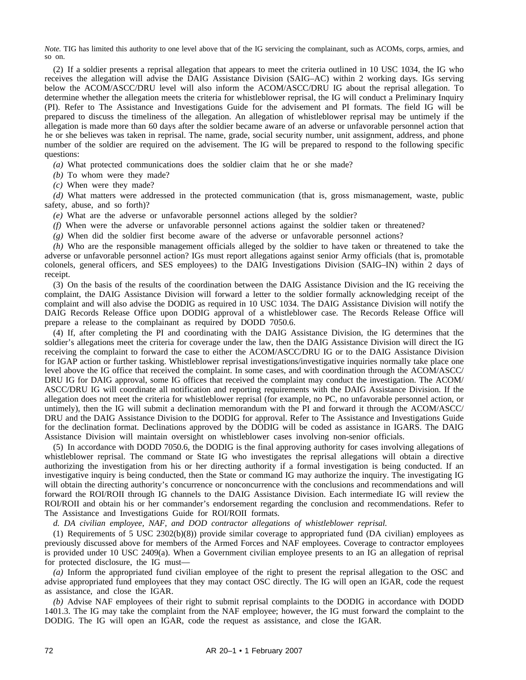*Note.* TIG has limited this authority to one level above that of the IG servicing the complainant, such as ACOMs, corps, armies, and so on.

(2) If a soldier presents a reprisal allegation that appears to meet the criteria outlined in 10 USC 1034, the IG who receives the allegation will advise the DAIG Assistance Division (SAIG–AC) within 2 working days. IGs serving below the ACOM/ASCC/DRU level will also inform the ACOM/ASCC/DRU IG about the reprisal allegation. To determine whether the allegation meets the criteria for whistleblower reprisal, the IG will conduct a Preliminary Inquiry (PI). Refer to The Assistance and Investigations Guide for the advisement and PI formats. The field IG will be prepared to discuss the timeliness of the allegation. An allegation of whistleblower reprisal may be untimely if the allegation is made more than 60 days after the soldier became aware of an adverse or unfavorable personnel action that he or she believes was taken in reprisal. The name, grade, social security number, unit assignment, address, and phone number of the soldier are required on the advisement. The IG will be prepared to respond to the following specific questions:

*(a)* What protected communications does the soldier claim that he or she made?

*(b)* To whom were they made?

*(c)* When were they made?

*(d)* What matters were addressed in the protected communication (that is, gross mismanagement, waste, public safety, abuse, and so forth)?

*(e)* What are the adverse or unfavorable personnel actions alleged by the soldier?

*(f)* When were the adverse or unfavorable personnel actions against the soldier taken or threatened?

*(g)* When did the soldier first become aware of the adverse or unfavorable personnel actions?

*(h)* Who are the responsible management officials alleged by the soldier to have taken or threatened to take the adverse or unfavorable personnel action? IGs must report allegations against senior Army officials (that is, promotable colonels, general officers, and SES employees) to the DAIG Investigations Division (SAIG–IN) within 2 days of receipt.

(3) On the basis of the results of the coordination between the DAIG Assistance Division and the IG receiving the complaint, the DAIG Assistance Division will forward a letter to the soldier formally acknowledging receipt of the complaint and will also advise the DODIG as required in 10 USC 1034. The DAIG Assistance Division will notify the DAIG Records Release Office upon DODIG approval of a whistleblower case. The Records Release Office will prepare a release to the complainant as required by DODD 7050.6.

(4) If, after completing the PI and coordinating with the DAIG Assistance Division, the IG determines that the soldier's allegations meet the criteria for coverage under the law, then the DAIG Assistance Division will direct the IG receiving the complaint to forward the case to either the ACOM/ASCC/DRU IG or to the DAIG Assistance Division for IGAP action or further tasking. Whistleblower reprisal investigations/investigative inquiries normally take place one level above the IG office that received the complaint. In some cases, and with coordination through the ACOM/ASCC/ DRU IG for DAIG approval, some IG offices that received the complaint may conduct the investigation. The ACOM/ ASCC/DRU IG will coordinate all notification and reporting requirements with the DAIG Assistance Division. If the allegation does not meet the criteria for whistleblower reprisal (for example, no PC, no unfavorable personnel action, or untimely), then the IG will submit a declination memorandum with the PI and forward it through the ACOM/ASCC/ DRU and the DAIG Assistance Division to the DODIG for approval. Refer to The Assistance and Investigations Guide for the declination format. Declinations approved by the DODIG will be coded as assistance in IGARS. The DAIG Assistance Division will maintain oversight on whistleblower cases involving non-senior officials.

(5) In accordance with DODD 7050.6, the DODIG is the final approving authority for cases involving allegations of whistleblower reprisal. The command or State IG who investigates the reprisal allegations will obtain a directive authorizing the investigation from his or her directing authority if a formal investigation is being conducted. If an investigative inquiry is being conducted, then the State or command IG may authorize the inquiry. The investigating IG will obtain the directing authority's concurrence or nonconcurrence with the conclusions and recommendations and will forward the ROI/ROII through IG channels to the DAIG Assistance Division. Each intermediate IG will review the ROI/ROII and obtain his or her commander's endorsement regarding the conclusion and recommendations. Refer to The Assistance and Investigations Guide for ROI/ROII formats.

*d. DA civilian employee, NAF, and DOD contractor allegations of whistleblower reprisal.*

(1) Requirements of 5 USC 2302(b)(8)) provide similar coverage to appropriated fund (DA civilian) employees as previously discussed above for members of the Armed Forces and NAF employees. Coverage to contractor employees is provided under 10 USC 2409(a). When a Government civilian employee presents to an IG an allegation of reprisal for protected disclosure, the IG must—

*(a)* Inform the appropriated fund civilian employee of the right to present the reprisal allegation to the OSC and advise appropriated fund employees that they may contact OSC directly. The IG will open an IGAR, code the request as assistance, and close the IGAR.

*(b)* Advise NAF employees of their right to submit reprisal complaints to the DODIG in accordance with DODD 1401.3. The IG may take the complaint from the NAF employee; however, the IG must forward the complaint to the DODIG. The IG will open an IGAR, code the request as assistance, and close the IGAR.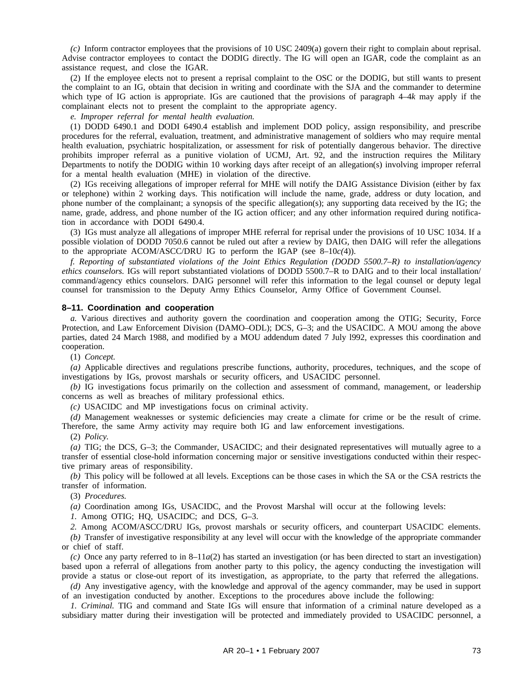*(c)* Inform contractor employees that the provisions of 10 USC 2409(a) govern their right to complain about reprisal. Advise contractor employees to contact the DODIG directly. The IG will open an IGAR, code the complaint as an assistance request, and close the IGAR.

(2) If the employee elects not to present a reprisal complaint to the OSC or the DODIG, but still wants to present the complaint to an IG, obtain that decision in writing and coordinate with the SJA and the commander to determine which type of IG action is appropriate. IGs are cautioned that the provisions of paragraph 4–4*k* may apply if the complainant elects not to present the complaint to the appropriate agency.

*e. Improper referral for mental health evaluation.*

(1) DODD 6490.1 and DODI 6490.4 establish and implement DOD policy, assign responsibility, and prescribe procedures for the referral, evaluation, treatment, and administrative management of soldiers who may require mental health evaluation, psychiatric hospitalization, or assessment for risk of potentially dangerous behavior. The directive prohibits improper referral as a punitive violation of UCMJ, Art. 92, and the instruction requires the Military Departments to notify the DODIG within 10 working days after receipt of an allegation(s) involving improper referral for a mental health evaluation (MHE) in violation of the directive.

(2) IGs receiving allegations of improper referral for MHE will notify the DAIG Assistance Division (either by fax or telephone) within 2 working days. This notification will include the name, grade, address or duty location, and phone number of the complainant; a synopsis of the specific allegation(s); any supporting data received by the IG; the name, grade, address, and phone number of the IG action officer; and any other information required during notification in accordance with DODI 6490.4.

(3) IGs must analyze all allegations of improper MHE referral for reprisal under the provisions of 10 USC 1034. If a possible violation of DODD 7050.6 cannot be ruled out after a review by DAIG, then DAIG will refer the allegations to the appropriate ACOM/ASCC/DRU IG to perform the IGAP (see 8–10*c(*4)).

*f. Reporting of substantiated violations of the Joint Ethics Regulation (DODD 5500.7–R) to installation/agency ethics counselors.* IGs will report substantiated violations of DODD 5500.7–R to DAIG and to their local installation/ command/agency ethics counselors. DAIG personnel will refer this information to the legal counsel or deputy legal counsel for transmission to the Deputy Army Ethics Counselor, Army Office of Government Counsel.

### **8–11. Coordination and cooperation**

*a.* Various directives and authority govern the coordination and cooperation among the OTIG; Security, Force Protection, and Law Enforcement Division (DAMO–ODL); DCS, G–3; and the USACIDC. A MOU among the above parties, dated 24 March 1988, and modified by a MOU addendum dated 7 July l992, expresses this coordination and cooperation.

(1) *Concept.*

*(a)* Applicable directives and regulations prescribe functions, authority, procedures, techniques, and the scope of investigations by IGs, provost marshals or security officers, and USACIDC personnel.

*(b)* IG investigations focus primarily on the collection and assessment of command, management, or leadership concerns as well as breaches of military professional ethics.

*(c)* USACIDC and MP investigations focus on criminal activity.

*(d)* Management weaknesses or systemic deficiencies may create a climate for crime or be the result of crime. Therefore, the same Army activity may require both IG and law enforcement investigations.

(2) *Policy.*

*(a)* TIG; the DCS, G–3; the Commander, USACIDC; and their designated representatives will mutually agree to a transfer of essential close-hold information concerning major or sensitive investigations conducted within their respective primary areas of responsibility.

*(b)* This policy will be followed at all levels. Exceptions can be those cases in which the SA or the CSA restricts the transfer of information.

(3) *Procedures.*

*(a)* Coordination among IGs, USACIDC, and the Provost Marshal will occur at the following levels:

*1.* Among OTIG; HQ, USACIDC; and DCS, G–3.

*2.* Among ACOM/ASCC/DRU IGs, provost marshals or security officers, and counterpart USACIDC elements.

*(b)* Transfer of investigative responsibility at any level will occur with the knowledge of the appropriate commander or chief of staff.

 $(c)$  Once any party referred to in 8–11*a*(2) has started an investigation (or has been directed to start an investigation) based upon a referral of allegations from another party to this policy, the agency conducting the investigation will provide a status or close-out report of its investigation, as appropriate, to the party that referred the allegations.

*(d)* Any investigative agency, with the knowledge and approval of the agency commander, may be used in support of an investigation conducted by another. Exceptions to the procedures above include the following:

*1. Criminal.* TIG and command and State IGs will ensure that information of a criminal nature developed as a subsidiary matter during their investigation will be protected and immediately provided to USACIDC personnel, a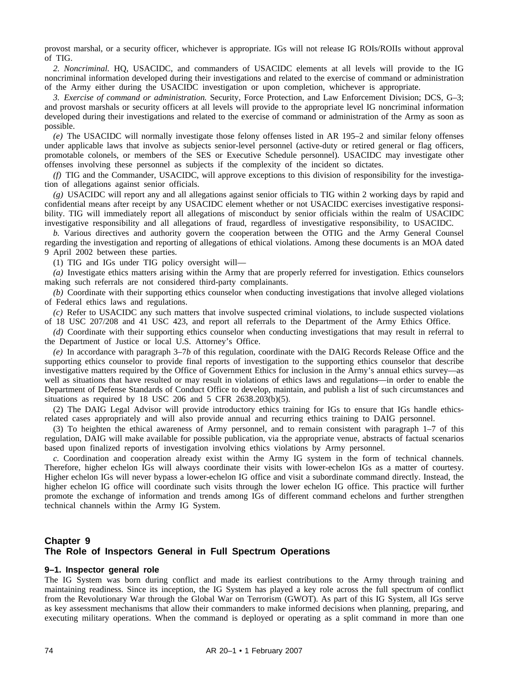provost marshal, or a security officer, whichever is appropriate. IGs will not release IG ROIs/ROIIs without approval of TIG.

*2. Noncriminal.* HQ, USACIDC, and commanders of USACIDC elements at all levels will provide to the IG noncriminal information developed during their investigations and related to the exercise of command or administration of the Army either during the USACIDC investigation or upon completion, whichever is appropriate.

*3. Exercise of command or administration.* Security, Force Protection, and Law Enforcement Division; DCS, G–3; and provost marshals or security officers at all levels will provide to the appropriate level IG noncriminal information developed during their investigations and related to the exercise of command or administration of the Army as soon as possible.

*(e)* The USACIDC will normally investigate those felony offenses listed in AR 195–2 and similar felony offenses under applicable laws that involve as subjects senior-level personnel (active-duty or retired general or flag officers, promotable colonels, or members of the SES or Executive Schedule personnel). USACIDC may investigate other offenses involving these personnel as subjects if the complexity of the incident so dictates.

*(f)* TIG and the Commander, USACIDC, will approve exceptions to this division of responsibility for the investigation of allegations against senior officials.

*(g)* USACIDC will report any and all allegations against senior officials to TIG within 2 working days by rapid and confidential means after receipt by any USACIDC element whether or not USACIDC exercises investigative responsibility. TIG will immediately report all allegations of misconduct by senior officials within the realm of USACIDC investigative responsibility and all allegations of fraud, regardless of investigative responsibility, to USACIDC.

*b.* Various directives and authority govern the cooperation between the OTIG and the Army General Counsel regarding the investigation and reporting of allegations of ethical violations. Among these documents is an MOA dated 9 April 2002 between these parties.

(1) TIG and IGs under TIG policy oversight will—

*(a)* Investigate ethics matters arising within the Army that are properly referred for investigation. Ethics counselors making such referrals are not considered third-party complainants.

*(b)* Coordinate with their supporting ethics counselor when conducting investigations that involve alleged violations of Federal ethics laws and regulations.

*(c)* Refer to USACIDC any such matters that involve suspected criminal violations, to include suspected violations of 18 USC 207/208 and 41 USC 423, and report all referrals to the Department of the Army Ethics Office.

*(d)* Coordinate with their supporting ethics counselor when conducting investigations that may result in referral to the Department of Justice or local U.S. Attorney's Office.

*(e)* In accordance with paragraph 3–7*b* of this regulation, coordinate with the DAIG Records Release Office and the supporting ethics counselor to provide final reports of investigation to the supporting ethics counselor that describe investigative matters required by the Office of Government Ethics for inclusion in the Army's annual ethics survey—as well as situations that have resulted or may result in violations of ethics laws and regulations—in order to enable the Department of Defense Standards of Conduct Office to develop, maintain, and publish a list of such circumstances and situations as required by 18 USC 206 and 5 CFR 2638.203(b)(5).

(2) The DAIG Legal Advisor will provide introductory ethics training for IGs to ensure that IGs handle ethicsrelated cases appropriately and will also provide annual and recurring ethics training to DAIG personnel.

(3) To heighten the ethical awareness of Army personnel, and to remain consistent with paragraph 1–7 of this regulation, DAIG will make available for possible publication, via the appropriate venue, abstracts of factual scenarios based upon finalized reports of investigation involving ethics violations by Army personnel.

*c.* Coordination and cooperation already exist within the Army IG system in the form of technical channels. Therefore, higher echelon IGs will always coordinate their visits with lower-echelon IGs as a matter of courtesy. Higher echelon IGs will never bypass a lower-echelon IG office and visit a subordinate command directly. Instead, the higher echelon IG office will coordinate such visits through the lower echelon IG office. This practice will further promote the exchange of information and trends among IGs of different command echelons and further strengthen technical channels within the Army IG System.

# **Chapter 9 The Role of Inspectors General in Full Spectrum Operations**

#### **9–1. Inspector general role**

The IG System was born during conflict and made its earliest contributions to the Army through training and maintaining readiness. Since its inception, the IG System has played a key role across the full spectrum of conflict from the Revolutionary War through the Global War on Terrorism (GWOT). As part of this IG System, all IGs serve as key assessment mechanisms that allow their commanders to make informed decisions when planning, preparing, and executing military operations. When the command is deployed or operating as a split command in more than one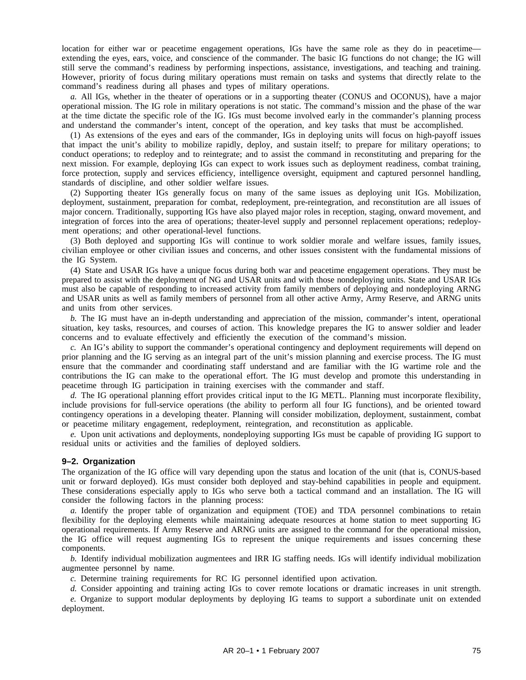location for either war or peacetime engagement operations, IGs have the same role as they do in peacetime extending the eyes, ears, voice, and conscience of the commander. The basic IG functions do not change; the IG will still serve the command's readiness by performing inspections, assistance, investigations, and teaching and training. However, priority of focus during military operations must remain on tasks and systems that directly relate to the command's readiness during all phases and types of military operations.

*a.* All IGs, whether in the theater of operations or in a supporting theater (CONUS and OCONUS), have a major operational mission. The IG role in military operations is not static. The command's mission and the phase of the war at the time dictate the specific role of the IG. IGs must become involved early in the commander's planning process and understand the commander's intent, concept of the operation, and key tasks that must be accomplished.

(1) As extensions of the eyes and ears of the commander, IGs in deploying units will focus on high-payoff issues that impact the unit's ability to mobilize rapidly, deploy, and sustain itself; to prepare for military operations; to conduct operations; to redeploy and to reintegrate; and to assist the command in reconstituting and preparing for the next mission. For example, deploying IGs can expect to work issues such as deployment readiness, combat training, force protection, supply and services efficiency, intelligence oversight, equipment and captured personnel handling, standards of discipline, and other soldier welfare issues.

(2) Supporting theater IGs generally focus on many of the same issues as deploying unit IGs. Mobilization, deployment, sustainment, preparation for combat, redeployment, pre-reintegration, and reconstitution are all issues of major concern. Traditionally, supporting IGs have also played major roles in reception, staging, onward movement, and integration of forces into the area of operations; theater-level supply and personnel replacement operations; redeployment operations; and other operational-level functions.

(3) Both deployed and supporting IGs will continue to work soldier morale and welfare issues, family issues, civilian employee or other civilian issues and concerns, and other issues consistent with the fundamental missions of the IG System.

(4) State and USAR IGs have a unique focus during both war and peacetime engagement operations. They must be prepared to assist with the deployment of NG and USAR units and with those nondeploying units. State and USAR IGs must also be capable of responding to increased activity from family members of deploying and nondeploying ARNG and USAR units as well as family members of personnel from all other active Army, Army Reserve, and ARNG units and units from other services.

*b.* The IG must have an in-depth understanding and appreciation of the mission, commander's intent, operational situation, key tasks, resources, and courses of action. This knowledge prepares the IG to answer soldier and leader concerns and to evaluate effectively and efficiently the execution of the command's mission.

*c.* An IG's ability to support the commander's operational contingency and deployment requirements will depend on prior planning and the IG serving as an integral part of the unit's mission planning and exercise process. The IG must ensure that the commander and coordinating staff understand and are familiar with the IG wartime role and the contributions the IG can make to the operational effort. The IG must develop and promote this understanding in peacetime through IG participation in training exercises with the commander and staff.

*d.* The IG operational planning effort provides critical input to the IG METL. Planning must incorporate flexibility, include provisions for full-service operations (the ability to perform all four IG functions), and be oriented toward contingency operations in a developing theater. Planning will consider mobilization, deployment, sustainment, combat or peacetime military engagement, redeployment, reintegration, and reconstitution as applicable.

*e.* Upon unit activations and deployments, nondeploying supporting IGs must be capable of providing IG support to residual units or activities and the families of deployed soldiers.

### **9–2. Organization**

The organization of the IG office will vary depending upon the status and location of the unit (that is, CONUS-based unit or forward deployed). IGs must consider both deployed and stay-behind capabilities in people and equipment. These considerations especially apply to IGs who serve both a tactical command and an installation. The IG will consider the following factors in the planning process:

*a.* Identify the proper table of organization and equipment (TOE) and TDA personnel combinations to retain flexibility for the deploying elements while maintaining adequate resources at home station to meet supporting IG operational requirements. If Army Reserve and ARNG units are assigned to the command for the operational mission, the IG office will request augmenting IGs to represent the unique requirements and issues concerning these components.

*b.* Identify individual mobilization augmentees and IRR IG staffing needs. IGs will identify individual mobilization augmentee personnel by name.

*c.* Determine training requirements for RC IG personnel identified upon activation.

*d.* Consider appointing and training acting IGs to cover remote locations or dramatic increases in unit strength. *e.* Organize to support modular deployments by deploying IG teams to support a subordinate unit on extended deployment.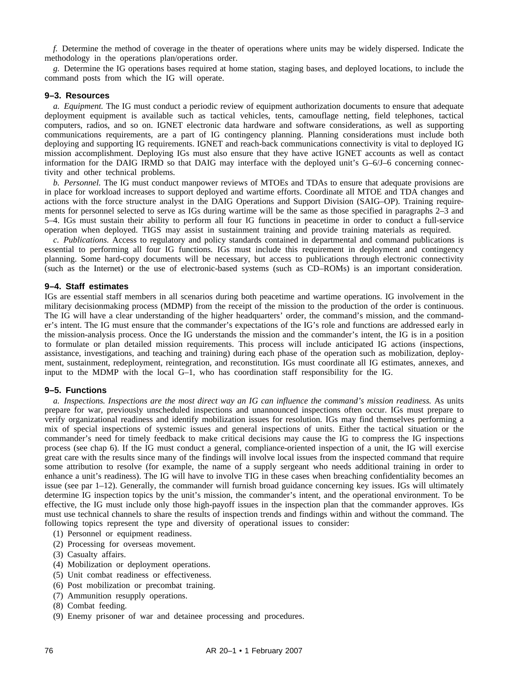*f.* Determine the method of coverage in the theater of operations where units may be widely dispersed. Indicate the methodology in the operations plan/operations order.

*g.* Determine the IG operations bases required at home station, staging bases, and deployed locations, to include the command posts from which the IG will operate.

#### **9–3. Resources**

*a. Equipment.* The IG must conduct a periodic review of equipment authorization documents to ensure that adequate deployment equipment is available such as tactical vehicles, tents, camouflage netting, field telephones, tactical computers, radios, and so on. IGNET electronic data hardware and software considerations, as well as supporting communications requirements, are a part of IG contingency planning. Planning considerations must include both deploying and supporting IG requirements. IGNET and reach-back communications connectivity is vital to deployed IG mission accomplishment. Deploying IGs must also ensure that they have active IGNET accounts as well as contact information for the DAIG IRMD so that DAIG may interface with the deployed unit's G–6/J–6 concerning connectivity and other technical problems.

*b. Personnel.* The IG must conduct manpower reviews of MTOEs and TDAs to ensure that adequate provisions are in place for workload increases to support deployed and wartime efforts. Coordinate all MTOE and TDA changes and actions with the force structure analyst in the DAIG Operations and Support Division (SAIG–OP). Training requirements for personnel selected to serve as IGs during wartime will be the same as those specified in paragraphs 2–3 and 5–4. IGs must sustain their ability to perform all four IG functions in peacetime in order to conduct a full-service operation when deployed. TIGS may assist in sustainment training and provide training materials as required.

*c. Publications.* Access to regulatory and policy standards contained in departmental and command publications is essential to performing all four IG functions. IGs must include this requirement in deployment and contingency planning. Some hard-copy documents will be necessary, but access to publications through electronic connectivity (such as the Internet) or the use of electronic-based systems (such as CD–ROMs) is an important consideration.

#### **9–4. Staff estimates**

IGs are essential staff members in all scenarios during both peacetime and wartime operations. IG involvement in the military decisionmaking process (MDMP) from the receipt of the mission to the production of the order is continuous. The IG will have a clear understanding of the higher headquarters' order, the command's mission, and the commander's intent. The IG must ensure that the commander's expectations of the IG's role and functions are addressed early in the mission-analysis process. Once the IG understands the mission and the commander's intent, the IG is in a position to formulate or plan detailed mission requirements. This process will include anticipated IG actions (inspections, assistance, investigations, and teaching and training) during each phase of the operation such as mobilization, deployment, sustainment, redeployment, reintegration, and reconstitution. IGs must coordinate all IG estimates, annexes, and input to the MDMP with the local G–1, who has coordination staff responsibility for the IG.

#### **9–5. Functions**

*a. Inspections. Inspections are the most direct way an IG can influence the command's mission readiness.* As units prepare for war, previously unscheduled inspections and unannounced inspections often occur. IGs must prepare to verify organizational readiness and identify mobilization issues for resolution. IGs may find themselves performing a mix of special inspections of systemic issues and general inspections of units. Either the tactical situation or the commander's need for timely feedback to make critical decisions may cause the IG to compress the IG inspections process (see chap 6). If the IG must conduct a general, compliance-oriented inspection of a unit, the IG will exercise great care with the results since many of the findings will involve local issues from the inspected command that require some attribution to resolve (for example, the name of a supply sergeant who needs additional training in order to enhance a unit's readiness). The IG will have to involve TIG in these cases when breaching confidentiality becomes an issue (see par 1–12). Generally, the commander will furnish broad guidance concerning key issues. IGs will ultimately determine IG inspection topics by the unit's mission, the commander's intent, and the operational environment. To be effective, the IG must include only those high-payoff issues in the inspection plan that the commander approves. IGs must use technical channels to share the results of inspection trends and findings within and without the command. The following topics represent the type and diversity of operational issues to consider:

- (1) Personnel or equipment readiness.
- (2) Processing for overseas movement.
- (3) Casualty affairs.
- (4) Mobilization or deployment operations.
- (5) Unit combat readiness or effectiveness.
- (6) Post mobilization or precombat training.
- (7) Ammunition resupply operations.
- (8) Combat feeding.
- (9) Enemy prisoner of war and detainee processing and procedures.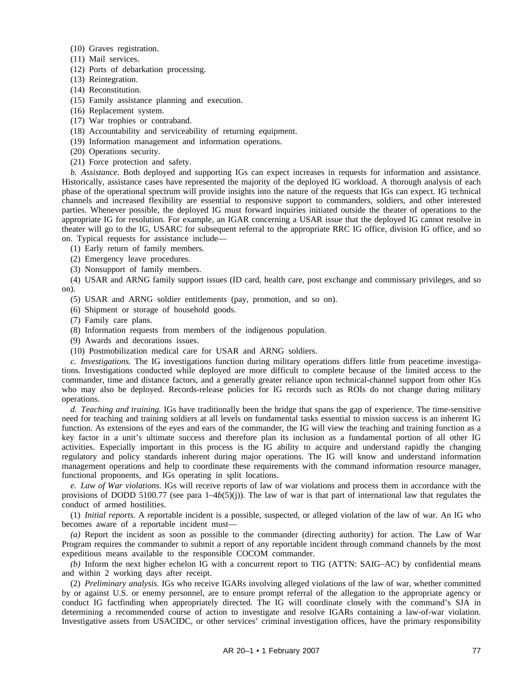- (10) Graves registration.
- (11) Mail services.
- (12) Ports of debarkation processing.
- (13) Reintegration.
- (14) Reconstitution.
- (15) Family assistance planning and execution.
- (16) Replacement system.
- (17) War trophies or contraband.
- (18) Accountability and serviceability of returning equipment.
- (19) Information management and information operations.
- (20) Operations security.
- (21) Force protection and safety.

*b. Assistance.* Both deployed and supporting IGs can expect increases in requests for information and assistance. Historically, assistance cases have represented the majority of the deployed IG workload. A thorough analysis of each phase of the operational spectrum will provide insights into the nature of the requests that IGs can expect. IG technical channels and increased flexibility are essential to responsive support to commanders, soldiers, and other interested parties. Whenever possible, the deployed IG must forward inquiries initiated outside the theater of operations to the appropriate IG for resolution. For example, an IGAR concerning a USAR issue that the deployed IG cannot resolve in theater will go to the IG, USARC for subsequent referral to the appropriate RRC IG office, division IG office, and so on. Typical requests for assistance include—

- (1) Early return of family members.
- (2) Emergency leave procedures.
- (3) Nonsupport of family members.

(4) USAR and ARNG family support issues (ID card, health care, post exchange and commissary privileges, and so on).

- (5) USAR and ARNG soldier entitlements (pay, promotion, and so on).
- (6) Shipment or storage of household goods.
- (7) Family care plans.
- (8) Information requests from members of the indigenous population.
- (9) Awards and decorations issues.
- (10) Postmobilization medical care for USAR and ARNG soldiers.

*c. Investigations.* The IG investigations function during military operations differs little from peacetime investigations. Investigations conducted while deployed are more difficult to complete because of the limited access to the commander, time and distance factors, and a generally greater reliance upon technical-channel support from other IGs who may also be deployed. Records-release policies for IG records such as ROIs do not change during military operations.

*d. Teaching and training.* IGs have traditionally been the bridge that spans the gap of experience. The time-sensitive need for teaching and training soldiers at all levels on fundamental tasks essential to mission success is an inherent IG function. As extensions of the eyes and ears of the commander, the IG will view the teaching and training function as a key factor in a unit's ultimate success and therefore plan its inclusion as a fundamental portion of all other IG activities. Especially important in this process is the IG ability to acquire and understand rapidly the changing regulatory and policy standards inherent during major operations. The IG will know and understand information management operations and help to coordinate these requirements with the command information resource manager, functional proponents, and IGs operating in split locations.

*e. Law of War violations.* IGs will receive reports of law of war violations and process them in accordance with the provisions of DODD 5100.77 (see para  $1-4b(5)(i)$ ). The law of war is that part of international law that regulates the conduct of armed hostilities.

(1) *Initial reports.* A reportable incident is a possible, suspected, or alleged violation of the law of war. An IG who becomes aware of a reportable incident must—

*(a)* Report the incident as soon as possible to the commander (directing authority) for action. The Law of War Program requires the commander to submit a report of any reportable incident through command channels by the most expeditious means available to the responsible COCOM commander.

*(b)* Inform the next higher echelon IG with a concurrent report to TIG (ATTN: SAIG–AC) by confidential means and within 2 working days after receipt.

(2) *Preliminary analysis.* IGs who receive IGARs involving alleged violations of the law of war, whether committed by or against U.S. or enemy personnel, are to ensure prompt referral of the allegation to the appropriate agency or conduct IG factfinding when appropriately directed. The IG will coordinate closely with the command's SJA in determining a recommended course of action to investigate and resolve IGARs containing a law-of-war violation. Investigative assets from USACIDC, or other services' criminal investigation offices, have the primary responsibility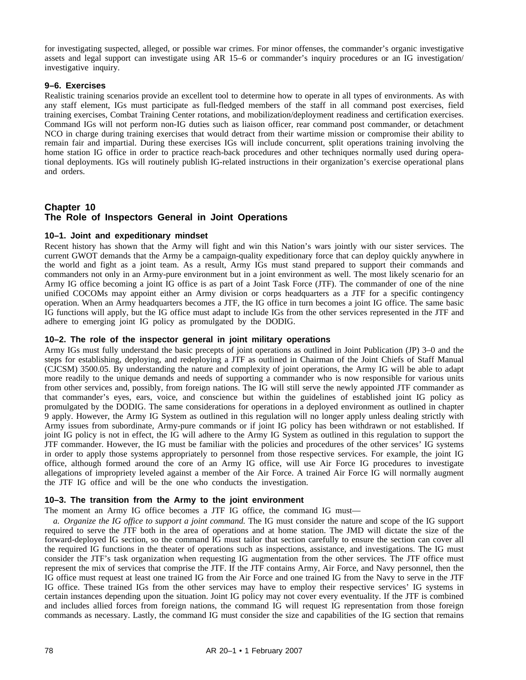for investigating suspected, alleged, or possible war crimes. For minor offenses, the commander's organic investigative assets and legal support can investigate using AR 15–6 or commander's inquiry procedures or an IG investigation/ investigative inquiry.

## **9–6. Exercises**

Realistic training scenarios provide an excellent tool to determine how to operate in all types of environments. As with any staff element, IGs must participate as full-fledged members of the staff in all command post exercises, field training exercises, Combat Training Center rotations, and mobilization/deployment readiness and certification exercises. Command IGs will not perform non-IG duties such as liaison officer, rear command post commander, or detachment NCO in charge during training exercises that would detract from their wartime mission or compromise their ability to remain fair and impartial. During these exercises IGs will include concurrent, split operations training involving the home station IG office in order to practice reach-back procedures and other techniques normally used during operational deployments. IGs will routinely publish IG-related instructions in their organization's exercise operational plans and orders.

# **Chapter 10 The Role of Inspectors General in Joint Operations**

## **10–1. Joint and expeditionary mindset**

Recent history has shown that the Army will fight and win this Nation's wars jointly with our sister services. The current GWOT demands that the Army be a campaign-quality expeditionary force that can deploy quickly anywhere in the world and fight as a joint team. As a result, Army IGs must stand prepared to support their commands and commanders not only in an Army-pure environment but in a joint environment as well. The most likely scenario for an Army IG office becoming a joint IG office is as part of a Joint Task Force (JTF). The commander of one of the nine unified COCOMs may appoint either an Army division or corps headquarters as a JTF for a specific contingency operation. When an Army headquarters becomes a JTF, the IG office in turn becomes a joint IG office. The same basic IG functions will apply, but the IG office must adapt to include IGs from the other services represented in the JTF and adhere to emerging joint IG policy as promulgated by the DODIG.

## **10–2. The role of the inspector general in joint military operations**

Army IGs must fully understand the basic precepts of joint operations as outlined in Joint Publication (JP) 3–0 and the steps for establishing, deploying, and redeploying a JTF as outlined in Chairman of the Joint Chiefs of Staff Manual (CJCSM) 3500.05. By understanding the nature and complexity of joint operations, the Army IG will be able to adapt more readily to the unique demands and needs of supporting a commander who is now responsible for various units from other services and, possibly, from foreign nations. The IG will still serve the newly appointed JTF commander as that commander's eyes, ears, voice, and conscience but within the guidelines of established joint IG policy as promulgated by the DODIG. The same considerations for operations in a deployed environment as outlined in chapter 9 apply. However, the Army IG System as outlined in this regulation will no longer apply unless dealing strictly with Army issues from subordinate, Army-pure commands or if joint IG policy has been withdrawn or not established. If joint IG policy is not in effect, the IG will adhere to the Army IG System as outlined in this regulation to support the JTF commander. However, the IG must be familiar with the policies and procedures of the other services' IG systems in order to apply those systems appropriately to personnel from those respective services. For example, the joint IG office, although formed around the core of an Army IG office, will use Air Force IG procedures to investigate allegations of impropriety leveled against a member of the Air Force. A trained Air Force IG will normally augment the JTF IG office and will be the one who conducts the investigation.

## **10–3. The transition from the Army to the joint environment**

The moment an Army IG office becomes a JTF IG office, the command IG must—

*a. Organize the IG office to support a joint command.* The IG must consider the nature and scope of the IG support required to serve the JTF both in the area of operations and at home station. The JMD will dictate the size of the forward-deployed IG section, so the command IG must tailor that section carefully to ensure the section can cover all the required IG functions in the theater of operations such as inspections, assistance, and investigations. The IG must consider the JTF's task organization when requesting IG augmentation from the other services. The JTF office must represent the mix of services that comprise the JTF. If the JTF contains Army, Air Force, and Navy personnel, then the IG office must request at least one trained IG from the Air Force and one trained IG from the Navy to serve in the JTF IG office. These trained IGs from the other services may have to employ their respective services' IG systems in certain instances depending upon the situation. Joint IG policy may not cover every eventuality. If the JTF is combined and includes allied forces from foreign nations, the command IG will request IG representation from those foreign commands as necessary. Lastly, the command IG must consider the size and capabilities of the IG section that remains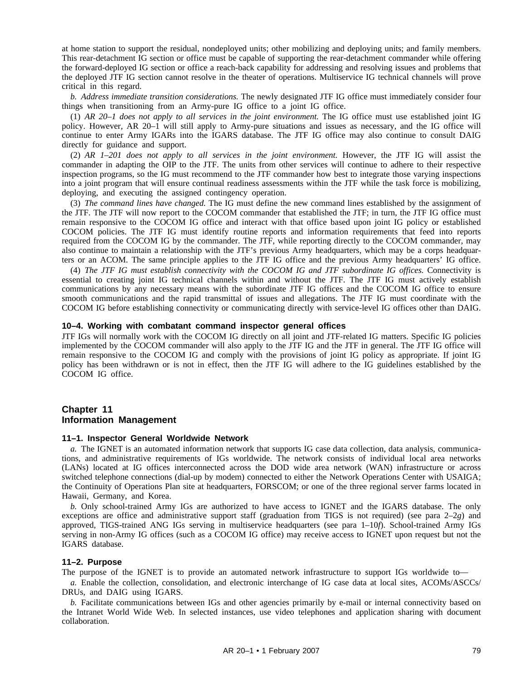at home station to support the residual, nondeployed units; other mobilizing and deploying units; and family members. This rear-detachment IG section or office must be capable of supporting the rear-detachment commander while offering the forward-deployed IG section or office a reach-back capability for addressing and resolving issues and problems that the deployed JTF IG section cannot resolve in the theater of operations. Multiservice IG technical channels will prove critical in this regard.

*b. Address immediate transition considerations.* The newly designated JTF IG office must immediately consider four things when transitioning from an Army-pure IG office to a joint IG office.

(1) *AR 20–1 does not apply to all services in the joint environment.* The IG office must use established joint IG policy. However, AR 20–1 will still apply to Army-pure situations and issues as necessary, and the IG office will continue to enter Army IGARs into the IGARS database. The JTF IG office may also continue to consult DAIG directly for guidance and support.

(2) *AR 1–201 does not apply to all services in the joint environment.* However, the JTF IG will assist the commander in adapting the OIP to the JTF. The units from other services will continue to adhere to their respective inspection programs, so the IG must recommend to the JTF commander how best to integrate those varying inspections into a joint program that will ensure continual readiness assessments within the JTF while the task force is mobilizing, deploying, and executing the assigned contingency operation.

(3) *The command lines have changed.* The IG must define the new command lines established by the assignment of the JTF. The JTF will now report to the COCOM commander that established the JTF; in turn, the JTF IG office must remain responsive to the COCOM IG office and interact with that office based upon joint IG policy or established COCOM policies. The JTF IG must identify routine reports and information requirements that feed into reports required from the COCOM IG by the commander. The JTF, while reporting directly to the COCOM commander, may also continue to maintain a relationship with the JTF's previous Army headquarters, which may be a corps headquarters or an ACOM. The same principle applies to the JTF IG office and the previous Army headquarters' IG office.

(4) *The JTF IG must establish connectivity with the COCOM IG and JTF subordinate IG offices.* Connectivity is essential to creating joint IG technical channels within and without the JTF. The JTF IG must actively establish communications by any necessary means with the subordinate JTF IG offices and the COCOM IG office to ensure smooth communications and the rapid transmittal of issues and allegations. The JTF IG must coordinate with the COCOM IG before establishing connectivity or communicating directly with service-level IG offices other than DAIG.

## **10–4. Working with combatant command inspector general offices**

JTF IGs will normally work with the COCOM IG directly on all joint and JTF-related IG matters. Specific IG policies implemented by the COCOM commander will also apply to the JTF IG and the JTF in general. The JTF IG office will remain responsive to the COCOM IG and comply with the provisions of joint IG policy as appropriate. If joint IG policy has been withdrawn or is not in effect, then the JTF IG will adhere to the IG guidelines established by the COCOM IG office.

# **Chapter 11 Information Management**

### **11–1. Inspector General Worldwide Network**

*a.* The IGNET is an automated information network that supports IG case data collection, data analysis, communications, and administrative requirements of IGs worldwide. The network consists of individual local area networks (LANs) located at IG offices interconnected across the DOD wide area network (WAN) infrastructure or across switched telephone connections (dial-up by modem) connected to either the Network Operations Center with USAIGA; the Continuity of Operations Plan site at headquarters, FORSCOM; or one of the three regional server farms located in Hawaii, Germany, and Korea.

*b.* Only school-trained Army IGs are authorized to have access to IGNET and the IGARS database. The only exceptions are office and administrative support staff (graduation from TIGS is not required) (see para 2–2*g*) and approved, TIGS-trained ANG IGs serving in multiservice headquarters (see para 1–10*f*). School-trained Army IGs serving in non-Army IG offices (such as a COCOM IG office) may receive access to IGNET upon request but not the IGARS database.

### **11–2. Purpose**

The purpose of the IGNET is to provide an automated network infrastructure to support IGs worldwide to—

*a.* Enable the collection, consolidation, and electronic interchange of IG case data at local sites, ACOMs/ASCCs/ DRUs, and DAIG using IGARS.

*b.* Facilitate communications between IGs and other agencies primarily by e-mail or internal connectivity based on the Intranet World Wide Web. In selected instances, use video telephones and application sharing with document collaboration.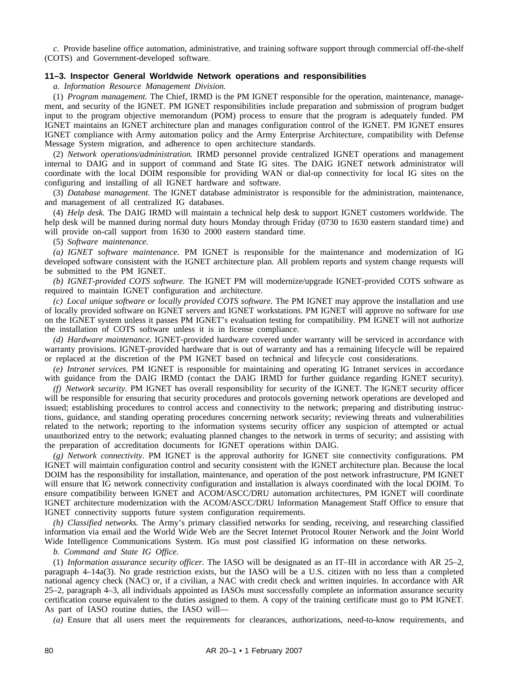*c.* Provide baseline office automation, administrative, and training software support through commercial off-the-shelf (COTS) and Government-developed software.

## **11–3. Inspector General Worldwide Network operations and responsibilities**

*a. Information Resource Management Division.*

(1) *Program management.* The Chief, IRMD is the PM IGNET responsible for the operation, maintenance, management, and security of the IGNET. PM IGNET responsibilities include preparation and submission of program budget input to the program objective memorandum (POM) process to ensure that the program is adequately funded. PM IGNET maintains an IGNET architecture plan and manages configuration control of the IGNET. PM IGNET ensures IGNET compliance with Army automation policy and the Army Enterprise Architecture, compatibility with Defense Message System migration, and adherence to open architecture standards.

(2) *Network operations/administration.* IRMD personnel provide centralized IGNET operations and management internal to DAIG and in support of command and State IG sites. The DAIG IGNET network administrator will coordinate with the local DOIM responsible for providing WAN or dial-up connectivity for local IG sites on the configuring and installing of all IGNET hardware and software.

(3) *Database management.* The IGNET database administrator is responsible for the administration, maintenance, and management of all centralized IG databases.

(4) *Help desk.* The DAIG IRMD will maintain a technical help desk to support IGNET customers worldwide. The help desk will be manned during normal duty hours Monday through Friday (0730 to 1630 eastern standard time) and will provide on-call support from 1630 to 2000 eastern standard time.

(5) *Software maintenance.*

*(a) IGNET software maintenance.* PM IGNET is responsible for the maintenance and modernization of IG developed software consistent with the IGNET architecture plan. All problem reports and system change requests will be submitted to the PM IGNET.

*(b) IGNET-provided COTS software.* The IGNET PM will modernize/upgrade IGNET-provided COTS software as required to maintain IGNET configuration and architecture.

*(c) Local unique software or locally provided COTS software.* The PM IGNET may approve the installation and use of locally provided software on IGNET servers and IGNET workstations. PM IGNET will approve no software for use on the IGNET system unless it passes PM IGNET's evaluation testing for compatibility. PM IGNET will not authorize the installation of COTS software unless it is in license compliance.

*(d) Hardware maintenance.* IGNET-provided hardware covered under warranty will be serviced in accordance with warranty provisions. IGNET-provided hardware that is out of warranty and has a remaining lifecycle will be repaired or replaced at the discretion of the PM IGNET based on technical and lifecycle cost considerations.

*(e) Intranet services.* PM IGNET is responsible for maintaining and operating IG Intranet services in accordance with guidance from the DAIG IRMD (contact the DAIG IRMD for further guidance regarding IGNET security).

*(f) Network security.* PM IGNET has overall responsibility for security of the IGNET. The IGNET security officer will be responsible for ensuring that security procedures and protocols governing network operations are developed and issued; establishing procedures to control access and connectivity to the network; preparing and distributing instructions, guidance, and standing operating procedures concerning network security; reviewing threats and vulnerabilities related to the network; reporting to the information systems security officer any suspicion of attempted or actual unauthorized entry to the network; evaluating planned changes to the network in terms of security; and assisting with the preparation of accreditation documents for IGNET operations within DAIG.

*(g) Network connectivity.* PM IGNET is the approval authority for IGNET site connectivity configurations. PM IGNET will maintain configuration control and security consistent with the IGNET architecture plan. Because the local DOIM has the responsibility for installation, maintenance, and operation of the post network infrastructure, PM IGNET will ensure that IG network connectivity configuration and installation is always coordinated with the local DOIM. To ensure compatibility between IGNET and ACOM/ASCC/DRU automation architectures, PM IGNET will coordinate IGNET architecture modernization with the ACOM/ASCC/DRU Information Management Staff Office to ensure that IGNET connectivity supports future system configuration requirements.

*(h) Classified networks.* The Army's primary classified networks for sending, receiving, and researching classified information via email and the World Wide Web are the Secret Internet Protocol Router Network and the Joint World Wide Intelligence Communications System. IGs must post classified IG information on these networks.

*b. Command and State IG Office.*

(1) *Information assurance security officer.* The IASO will be designated as an IT–III in accordance with AR 25–2, paragraph 4–14a(3). No grade restriction exists, but the IASO will be a U.S. citizen with no less than a completed national agency check (NAC) or, if a civilian, a NAC with credit check and written inquiries. In accordance with AR 25–2, paragraph 4–3, all individuals appointed as IASOs must successfully complete an information assurance security certification course equivalent to the duties assigned to them. A copy of the training certificate must go to PM IGNET. As part of IASO routine duties, the IASO will—

*(a)* Ensure that all users meet the requirements for clearances, authorizations, need-to-know requirements, and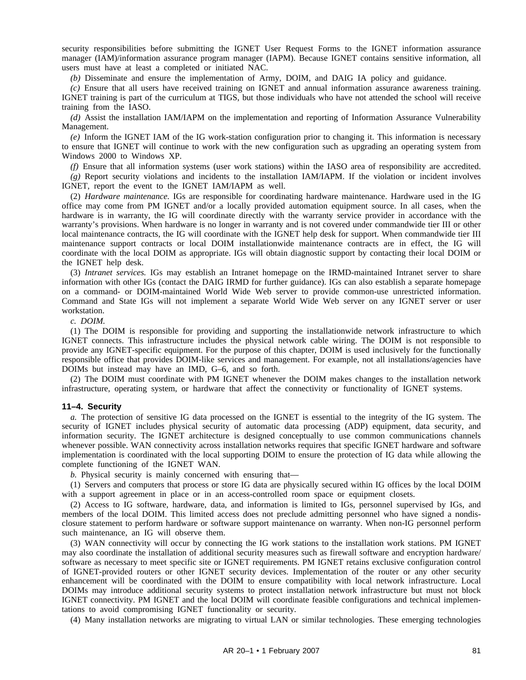security responsibilities before submitting the IGNET User Request Forms to the IGNET information assurance manager (IAM)/information assurance program manager (IAPM). Because IGNET contains sensitive information, all users must have at least a completed or initiated NAC.

*(b)* Disseminate and ensure the implementation of Army, DOIM, and DAIG IA policy and guidance.

*(c)* Ensure that all users have received training on IGNET and annual information assurance awareness training. IGNET training is part of the curriculum at TIGS, but those individuals who have not attended the school will receive training from the IASO.

*(d)* Assist the installation IAM/IAPM on the implementation and reporting of Information Assurance Vulnerability Management.

*(e)* Inform the IGNET IAM of the IG work-station configuration prior to changing it. This information is necessary to ensure that IGNET will continue to work with the new configuration such as upgrading an operating system from Windows 2000 to Windows XP.

*(f)* Ensure that all information systems (user work stations) within the IASO area of responsibility are accredited.

*(g)* Report security violations and incidents to the installation IAM/IAPM. If the violation or incident involves IGNET, report the event to the IGNET IAM/IAPM as well.

(2) *Hardware maintenance.* IGs are responsible for coordinating hardware maintenance. Hardware used in the IG office may come from PM IGNET and/or a locally provided automation equipment source. In all cases, when the hardware is in warranty, the IG will coordinate directly with the warranty service provider in accordance with the warranty's provisions. When hardware is no longer in warranty and is not covered under commandwide tier III or other local maintenance contracts, the IG will coordinate with the IGNET help desk for support. When commandwide tier III maintenance support contracts or local DOIM installationwide maintenance contracts are in effect, the IG will coordinate with the local DOIM as appropriate. IGs will obtain diagnostic support by contacting their local DOIM or the IGNET help desk.

(3) *Intranet services.* IGs may establish an Intranet homepage on the IRMD-maintained Intranet server to share information with other IGs (contact the DAIG IRMD for further guidance). IGs can also establish a separate homepage on a command- or DOIM-maintained World Wide Web server to provide common-use unrestricted information. Command and State IGs will not implement a separate World Wide Web server on any IGNET server or user workstation.

#### *c. DOIM.*

(1) The DOIM is responsible for providing and supporting the installationwide network infrastructure to which IGNET connects. This infrastructure includes the physical network cable wiring. The DOIM is not responsible to provide any IGNET-specific equipment. For the purpose of this chapter, DOIM is used inclusively for the functionally responsible office that provides DOIM-like services and management. For example, not all installations/agencies have DOIMs but instead may have an IMD, G–6, and so forth.

(2) The DOIM must coordinate with PM IGNET whenever the DOIM makes changes to the installation network infrastructure, operating system, or hardware that affect the connectivity or functionality of IGNET systems.

### **11–4. Security**

*a.* The protection of sensitive IG data processed on the IGNET is essential to the integrity of the IG system. The security of IGNET includes physical security of automatic data processing (ADP) equipment, data security, and information security. The IGNET architecture is designed conceptually to use common communications channels whenever possible. WAN connectivity across installation networks requires that specific IGNET hardware and software implementation is coordinated with the local supporting DOIM to ensure the protection of IG data while allowing the complete functioning of the IGNET WAN.

*b.* Physical security is mainly concerned with ensuring that—

(1) Servers and computers that process or store IG data are physically secured within IG offices by the local DOIM with a support agreement in place or in an access-controlled room space or equipment closets.

(2) Access to IG software, hardware, data, and information is limited to IGs, personnel supervised by IGs, and members of the local DOIM. This limited access does not preclude admitting personnel who have signed a nondisclosure statement to perform hardware or software support maintenance on warranty. When non-IG personnel perform such maintenance, an IG will observe them.

(3) WAN connectivity will occur by connecting the IG work stations to the installation work stations. PM IGNET may also coordinate the installation of additional security measures such as firewall software and encryption hardware/ software as necessary to meet specific site or IGNET requirements. PM IGNET retains exclusive configuration control of IGNET-provided routers or other IGNET security devices. Implementation of the router or any other security enhancement will be coordinated with the DOIM to ensure compatibility with local network infrastructure. Local DOIMs may introduce additional security systems to protect installation network infrastructure but must not block IGNET connectivity. PM IGNET and the local DOIM will coordinate feasible configurations and technical implementations to avoid compromising IGNET functionality or security.

(4) Many installation networks are migrating to virtual LAN or similar technologies. These emerging technologies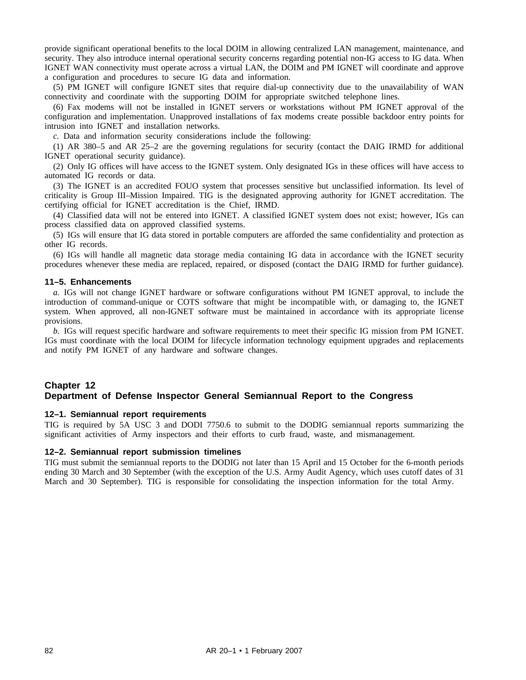provide significant operational benefits to the local DOIM in allowing centralized LAN management, maintenance, and security. They also introduce internal operational security concerns regarding potential non-IG access to IG data. When IGNET WAN connectivity must operate across a virtual LAN, the DOIM and PM IGNET will coordinate and approve a configuration and procedures to secure IG data and information.

(5) PM IGNET will configure IGNET sites that require dial-up connectivity due to the unavailability of WAN connectivity and coordinate with the supporting DOIM for appropriate switched telephone lines.

(6) Fax modems will not be installed in IGNET servers or workstations without PM IGNET approval of the configuration and implementation. Unapproved installations of fax modems create possible backdoor entry points for intrusion into IGNET and installation networks.

*c.* Data and information security considerations include the following:

(1) AR 380–5 and AR 25–2 are the governing regulations for security (contact the DAIG IRMD for additional IGNET operational security guidance).

(2) Only IG offices will have access to the IGNET system. Only designated IGs in these offices will have access to automated IG records or data.

(3) The IGNET is an accredited FOUO system that processes sensitive but unclassified information. Its level of criticality is Group III–Mission Impaired. TIG is the designated approving authority for IGNET accreditation. The certifying official for IGNET accreditation is the Chief, IRMD.

(4) Classified data will not be entered into IGNET. A classified IGNET system does not exist; however, IGs can process classified data on approved classified systems.

(5) IGs will ensure that IG data stored in portable computers are afforded the same confidentiality and protection as other IG records.

(6) IGs will handle all magnetic data storage media containing IG data in accordance with the IGNET security procedures whenever these media are replaced, repaired, or disposed (contact the DAIG IRMD for further guidance).

### **11–5. Enhancements**

*a.* IGs will not change IGNET hardware or software configurations without PM IGNET approval, to include the introduction of command-unique or COTS software that might be incompatible with, or damaging to, the IGNET system. When approved, all non-IGNET software must be maintained in accordance with its appropriate license provisions.

*b.* IGs will request specific hardware and software requirements to meet their specific IG mission from PM IGNET. IGs must coordinate with the local DOIM for lifecycle information technology equipment upgrades and replacements and notify PM IGNET of any hardware and software changes.

# **Chapter 12 Department of Defense Inspector General Semiannual Report to the Congress**

### **12–1. Semiannual report requirements**

TIG is required by 5A USC 3 and DODI 7750.6 to submit to the DODIG semiannual reports summarizing the significant activities of Army inspectors and their efforts to curb fraud, waste, and mismanagement.

## **12–2. Semiannual report submission timelines**

TIG must submit the semiannual reports to the DODIG not later than 15 April and 15 October for the 6-month periods ending 30 March and 30 September (with the exception of the U.S. Army Audit Agency, which uses cutoff dates of 31 March and 30 September). TIG is responsible for consolidating the inspection information for the total Army.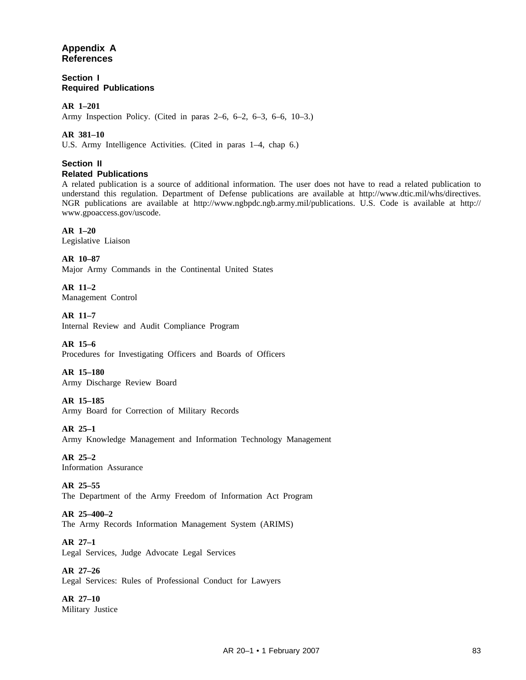# **Appendix A References**

**Section I Required Publications**

# **AR 1–201**

Army Inspection Policy. (Cited in paras 2–6, 6–2, 6–3, 6–6, 10–3.)

# **AR 381–10**

U.S. Army Intelligence Activities. (Cited in paras 1–4, chap 6.)

## **Section II Related Publications**

A related publication is a source of additional information. The user does not have to read a related publication to understand this regulation. Department of Defense publications are available at http://www.dtic.mil/whs/directives. NGR publications are available at http://www.ngbpdc.ngb.army.mil/publications. U.S. Code is available at http:// www.gpoaccess.gov/uscode.

# **AR 1–20**

Legislative Liaison

**AR 10–87** Major Army Commands in the Continental United States

**AR 11–2** Management Control

**AR 11–7** Internal Review and Audit Compliance Program

**AR 15–6** Procedures for Investigating Officers and Boards of Officers

**AR 15–180** Army Discharge Review Board

# **AR 15–185**

Army Board for Correction of Military Records

**AR 25–1**

Army Knowledge Management and Information Technology Management

**AR 25–2** Information Assurance

**AR 25–55** The Department of the Army Freedom of Information Act Program

# **AR 25–400–2**

The Army Records Information Management System (ARIMS)

# **AR 27–1**

Legal Services, Judge Advocate Legal Services

**AR 27–26** Legal Services: Rules of Professional Conduct for Lawyers

**AR 27–10** Military Justice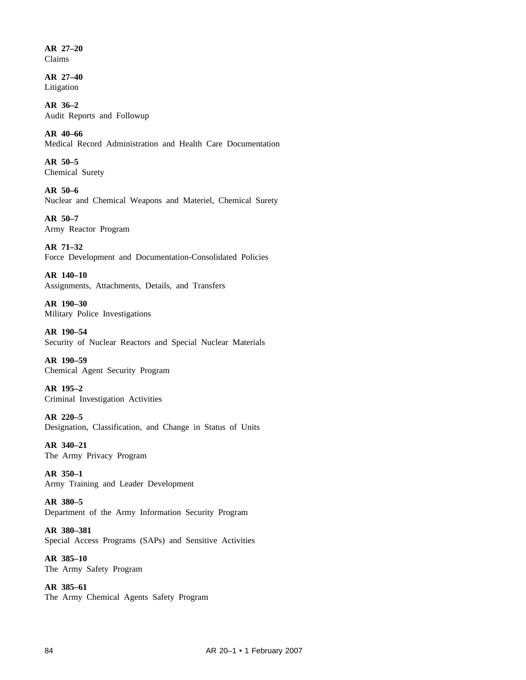**AR 27–20** Claims

**AR 27–40** Litigation

**AR 36–2** Audit Reports and Followup

**AR 40–66** Medical Record Administration and Health Care Documentation

**AR 50–5** Chemical Surety

**AR 50–6** Nuclear and Chemical Weapons and Materiel, Chemical Surety

**AR 50–7** Army Reactor Program

**AR 71–32** Force Development and Documentation-Consolidated Policies

**AR 140–10** Assignments, Attachments, Details, and Transfers

**AR 190–30** Military Police Investigations

**AR 190–54** Security of Nuclear Reactors and Special Nuclear Materials

**AR 190–59** Chemical Agent Security Program

**AR 195–2** Criminal Investigation Activities

**AR 220–5** Designation, Classification, and Change in Status of Units

**AR 340–21** The Army Privacy Program

**AR 350–1** Army Training and Leader Development

**AR 380–5** Department of the Army Information Security Program

**AR 380–381** Special Access Programs (SAPs) and Sensitive Activities

**AR 385–10** The Army Safety Program

**AR 385–61** The Army Chemical Agents Safety Program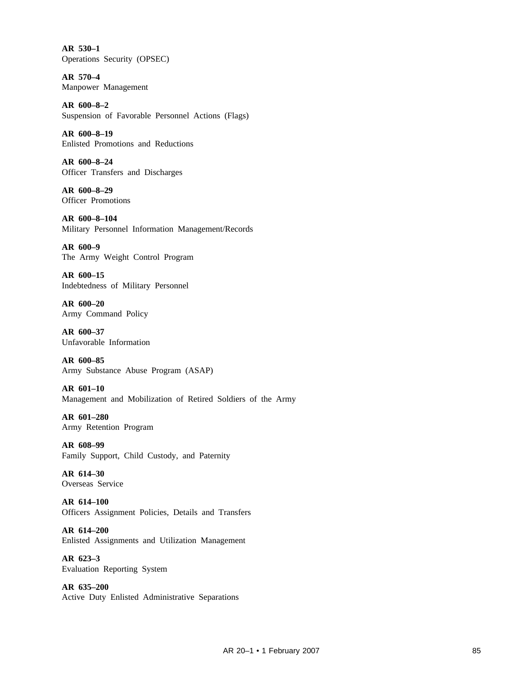**AR 530–1** Operations Security (OPSEC)

**AR 570–4** Manpower Management

**AR 600–8–2** Suspension of Favorable Personnel Actions (Flags)

**AR 600–8–19** Enlisted Promotions and Reductions

**AR 600–8–24** Officer Transfers and Discharges

**AR 600–8–29** Officer Promotions

**AR 600–8–104** Military Personnel Information Management/Records

**AR 600–9** The Army Weight Control Program

**AR 600–15** Indebtedness of Military Personnel

**AR 600–20** Army Command Policy

**AR 600–37** Unfavorable Information

**AR 600–85** Army Substance Abuse Program (ASAP)

**AR 601–10** Management and Mobilization of Retired Soldiers of the Army

**AR 601–280** Army Retention Program

**AR 608–99** Family Support, Child Custody, and Paternity

**AR 614–30** Overseas Service

**AR 614–100** Officers Assignment Policies, Details and Transfers

**AR 614–200** Enlisted Assignments and Utilization Management

**AR 623–3** Evaluation Reporting System

**AR 635–200** Active Duty Enlisted Administrative Separations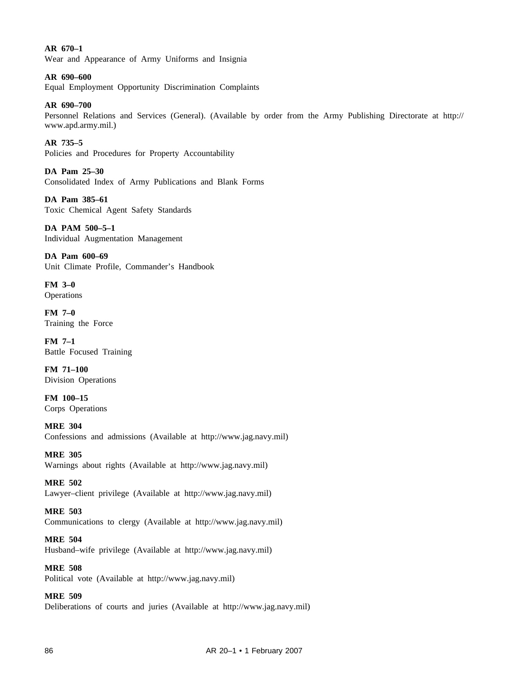**AR 670–1** Wear and Appearance of Army Uniforms and Insignia

**AR 690–600** Equal Employment Opportunity Discrimination Complaints

**AR 690–700**

Personnel Relations and Services (General). (Available by order from the Army Publishing Directorate at http:// www.apd.army.mil.)

**AR 735–5** Policies and Procedures for Property Accountability

**DA Pam 25–30** Consolidated Index of Army Publications and Blank Forms

**DA Pam 385–61** Toxic Chemical Agent Safety Standards

**DA PAM 500–5–1** Individual Augmentation Management

**DA Pam 600–69** Unit Climate Profile, Commander's Handbook

**FM 3–0 Operations** 

**FM 7–0** Training the Force

**FM 7–1** Battle Focused Training

**FM 71–100** Division Operations

**FM 100–15** Corps Operations

**MRE 304** Confessions and admissions (Available at http://www.jag.navy.mil)

**MRE 305** Warnings about rights (Available at http://www.jag.navy.mil)

**MRE 502** Lawyer–client privilege (Available at http://www.jag.navy.mil)

**MRE 503** Communications to clergy (Available at http://www.jag.navy.mil)

**MRE 504** Husband–wife privilege (Available at http://www.jag.navy.mil)

**MRE 508** Political vote (Available at http://www.jag.navy.mil)

**MRE 509** Deliberations of courts and juries (Available at http://www.jag.navy.mil)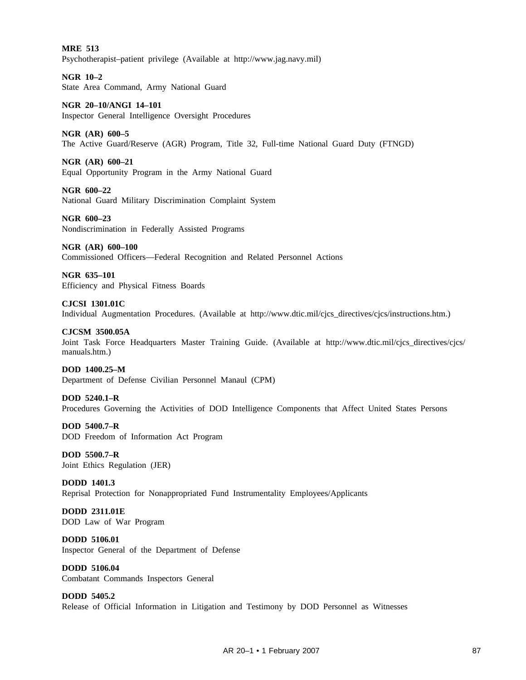**MRE 513** Psychotherapist–patient privilege (Available at http://www.jag.navy.mil)

**NGR 10–2** State Area Command, Army National Guard

**NGR 20–10/ANGI 14–101** Inspector General Intelligence Oversight Procedures

## **NGR (AR) 600–5**

The Active Guard/Reserve (AGR) Program, Title 32, Full-time National Guard Duty (FTNGD)

**NGR (AR) 600–21**

Equal Opportunity Program in the Army National Guard

**NGR 600–22** National Guard Military Discrimination Complaint System

**NGR 600–23** Nondiscrimination in Federally Assisted Programs

**NGR (AR) 600–100** Commissioned Officers—Federal Recognition and Related Personnel Actions

**NGR 635–101** Efficiency and Physical Fitness Boards

**CJCSI 1301.01C** Individual Augmentation Procedures. (Available at http://www.dtic.mil/cjcs\_directives/cjcs/instructions.htm.)

**CJCSM 3500.05A** Joint Task Force Headquarters Master Training Guide. (Available at http://www.dtic.mil/cjcs\_directives/cjcs/ manuals.htm.)

**DOD 1400.25–M** Department of Defense Civilian Personnel Manaul (CPM)

**DOD 5240.1–R** Procedures Governing the Activities of DOD Intelligence Components that Affect United States Persons

**DOD 5400.7–R** DOD Freedom of Information Act Program

**DOD 5500.7–R** Joint Ethics Regulation (JER)

**DODD 1401.3** Reprisal Protection for Nonappropriated Fund Instrumentality Employees/Applicants

**DODD 2311.01E** DOD Law of War Program

**DODD 5106.01** Inspector General of the Department of Defense

**DODD 5106.04** Combatant Commands Inspectors General

**DODD 5405.2** Release of Official Information in Litigation and Testimony by DOD Personnel as Witnesses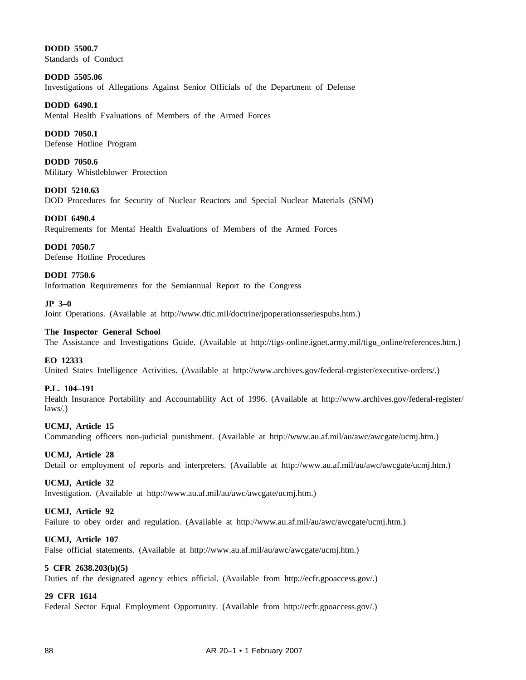**DODD 5500.7** Standards of Conduct

**DODD 5505.06** Investigations of Allegations Against Senior Officials of the Department of Defense

# **DODD 6490.1**

Mental Health Evaluations of Members of the Armed Forces

# **DODD 7050.1**

Defense Hotline Program

**DODD 7050.6** Military Whistleblower Protection

**DODI 5210.63** DOD Procedures for Security of Nuclear Reactors and Special Nuclear Materials (SNM)

**DODI 6490.4** Requirements for Mental Health Evaluations of Members of the Armed Forces

**DODI 7050.7** Defense Hotline Procedures

# **DODI 7750.6**

Information Requirements for the Semiannual Report to the Congress

### **JP 3–0**

Joint Operations. (Available at http://www.dtic.mil/doctrine/jpoperationsseriespubs.htm.)

### **The Inspector General School**

The Assistance and Investigations Guide. (Available at http://tigs-online.ignet.army.mil/tigu\_online/references.htm.)

### **EO 12333**

United States Intelligence Activities. (Available at http://www.archives.gov/federal-register/executive-orders/.)

## **P.L. 104–191**

Health Insurance Portability and Accountability Act of 1996. (Available at http://www.archives.gov/federal-register/ laws/.)

# **UCMJ, Article 15**

Commanding officers non-judicial punishment. (Available at http://www.au.af.mil/au/awc/awcgate/ucmj.htm.)

### **UCMJ, Article 28**

Detail or employment of reports and interpreters. (Available at http://www.au.af.mil/au/awc/awcgate/ucmj.htm.)

### **UCMJ, Article 32**

Investigation. (Available at http://www.au.af.mil/au/awc/awcgate/ucmj.htm.)

### **UCMJ, Article 92**

Failure to obey order and regulation. (Available at http://www.au.af.mil/au/awc/awcgate/ucmj.htm.)

## **UCMJ, Article 107**

False official statements. (Available at http://www.au.af.mil/au/awc/awcgate/ucmj.htm.)

### **5 CFR 2638.203(b)(5)**

Duties of the designated agency ethics official. (Available from http://ecfr.gpoaccess.gov/.)

### **29 CFR 1614**

Federal Sector Equal Employment Opportunity. (Available from http://ecfr.gpoaccess.gov/.)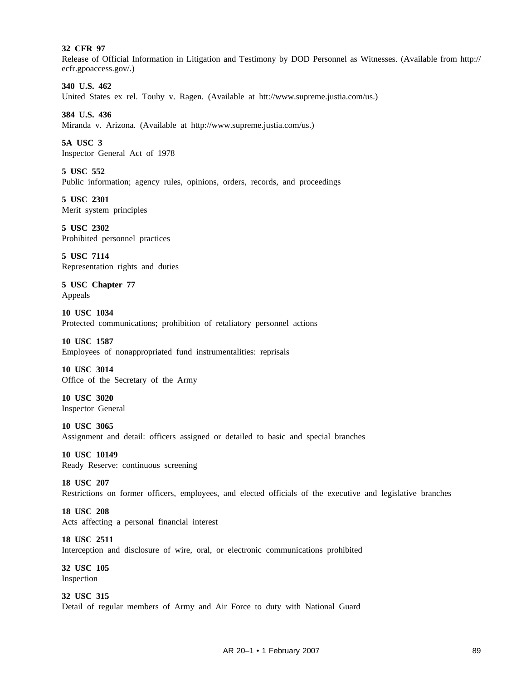## **32 CFR 97**

Release of Official Information in Litigation and Testimony by DOD Personnel as Witnesses. (Available from http:// ecfr.gpoaccess.gov/.)

## **340 U.S. 462**

United States ex rel. Touhy v. Ragen. (Available at htt://www.supreme.justia.com/us.)

**384 U.S. 436**

Miranda v. Arizona. (Available at http://www.supreme.justia.com/us.)

**5A USC 3** Inspector General Act of 1978

**5 USC 552** Public information; agency rules, opinions, orders, records, and proceedings

**5 USC 2301** Merit system principles

**5 USC 2302** Prohibited personnel practices

**5 USC 7114** Representation rights and duties

**5 USC Chapter 77** Appeals

**10 USC 1034** Protected communications; prohibition of retaliatory personnel actions

**10 USC 1587** Employees of nonappropriated fund instrumentalities: reprisals

**10 USC 3014** Office of the Secretary of the Army

**10 USC 3020** Inspector General

**10 USC 3065** Assignment and detail: officers assigned or detailed to basic and special branches

**10 USC 10149** Ready Reserve: continuous screening

**18 USC 207** Restrictions on former officers, employees, and elected officials of the executive and legislative branches

**18 USC 208** Acts affecting a personal financial interest

**18 USC 2511** Interception and disclosure of wire, oral, or electronic communications prohibited

**32 USC 105** Inspection

**32 USC 315** Detail of regular members of Army and Air Force to duty with National Guard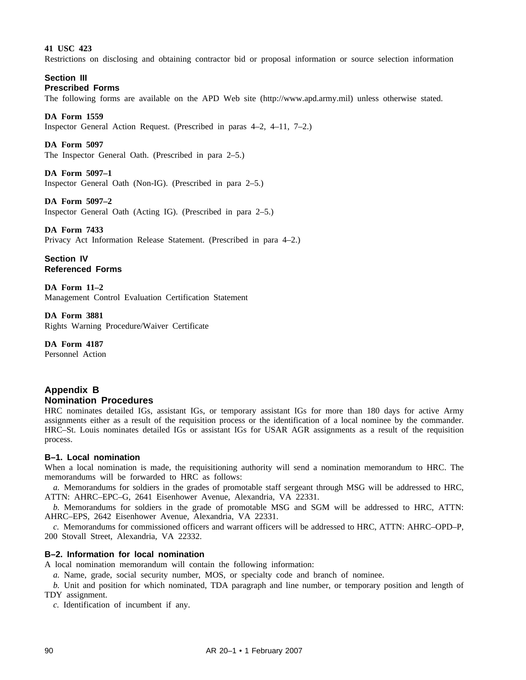## **41 USC 423**

Restrictions on disclosing and obtaining contractor bid or proposal information or source selection information

### **Section III Prescribed Forms**

The following forms are available on the APD Web site (http://www.apd.army.mil) unless otherwise stated.

### **DA Form 1559**

Inspector General Action Request. (Prescribed in paras 4–2, 4–11, 7–2.)

### **DA Form 5097**

The Inspector General Oath. (Prescribed in para 2–5.)

### **DA Form 5097–1**

Inspector General Oath (Non-IG). (Prescribed in para 2–5.)

#### **DA Form 5097–2**

Inspector General Oath (Acting IG). (Prescribed in para 2–5.)

#### **DA Form 7433**

Privacy Act Information Release Statement. (Prescribed in para 4–2.)

**Section IV Referenced Forms**

**DA Form 11–2** Management Control Evaluation Certification Statement

**DA Form 3881** Rights Warning Procedure/Waiver Certificate

**DA Form 4187** Personnel Action

# **Appendix B Nomination Procedures**

HRC nominates detailed IGs, assistant IGs, or temporary assistant IGs for more than 180 days for active Army assignments either as a result of the requisition process or the identification of a local nominee by the commander. HRC–St. Louis nominates detailed IGs or assistant IGs for USAR AGR assignments as a result of the requisition process.

## **B–1. Local nomination**

When a local nomination is made, the requisitioning authority will send a nomination memorandum to HRC. The memorandums will be forwarded to HRC as follows:

*a.* Memorandums for soldiers in the grades of promotable staff sergeant through MSG will be addressed to HRC, ATTN: AHRC–EPC–G, 2641 Eisenhower Avenue, Alexandria, VA 22331.

*b.* Memorandums for soldiers in the grade of promotable MSG and SGM will be addressed to HRC, ATTN: AHRC–EPS, 2642 Eisenhower Avenue, Alexandria, VA 22331.

*c.* Memorandums for commissioned officers and warrant officers will be addressed to HRC, ATTN: AHRC–OPD–P, 200 Stovall Street, Alexandria, VA 22332.

## **B–2. Information for local nomination**

A local nomination memorandum will contain the following information:

*a.* Name, grade, social security number, MOS, or specialty code and branch of nominee.

*b.* Unit and position for which nominated, TDA paragraph and line number, or temporary position and length of TDY assignment.

*c.* Identification of incumbent if any.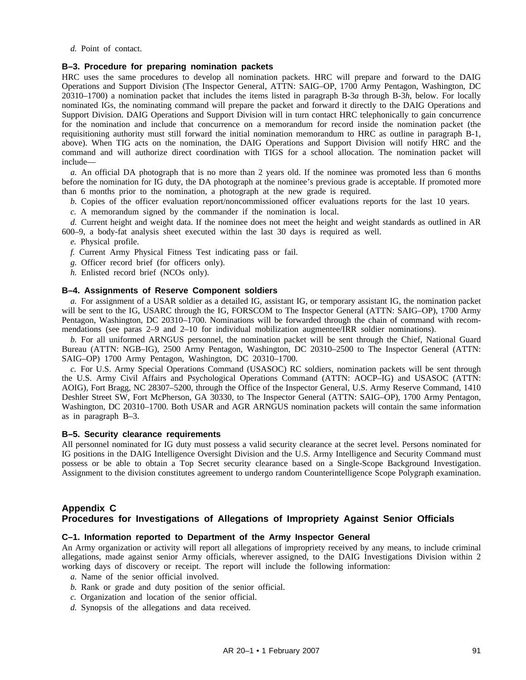*d.* Point of contact.

## **B–3. Procedure for preparing nomination packets**

HRC uses the same procedures to develop all nomination packets. HRC will prepare and forward to the DAIG Operations and Support Division (The Inspector General, ATTN: SAIG–OP, 1700 Army Pentagon, Washington, DC 20310–1700) a nomination packet that includes the items listed in paragraph B-3*a* through B-3*h*, below. For locally nominated IGs, the nominating command will prepare the packet and forward it directly to the DAIG Operations and Support Division. DAIG Operations and Support Division will in turn contact HRC telephonically to gain concurrence for the nomination and include that concurrence on a memorandum for record inside the nomination packet (the requisitioning authority must still forward the initial nomination memorandum to HRC as outline in paragraph B-1, above). When TIG acts on the nomination, the DAIG Operations and Support Division will notify HRC and the command and will authorize direct coordination with TIGS for a school allocation. The nomination packet will include—

*a.* An official DA photograph that is no more than 2 years old. If the nominee was promoted less than 6 months before the nomination for IG duty, the DA photograph at the nominee's previous grade is acceptable. If promoted more than 6 months prior to the nomination, a photograph at the new grade is required.

- *b.* Copies of the officer evaluation report/noncommissioned officer evaluations reports for the last 10 years.
- *c.* A memorandum signed by the commander if the nomination is local.

*d.* Current height and weight data. If the nominee does not meet the height and weight standards as outlined in AR 600–9, a body-fat analysis sheet executed within the last 30 days is required as well.

- *e.* Physical profile.
- *f.* Current Army Physical Fitness Test indicating pass or fail.
- *g.* Officer record brief (for officers only).
- *h.* Enlisted record brief (NCOs only).

### **B–4. Assignments of Reserve Component soldiers**

*a.* For assignment of a USAR soldier as a detailed IG, assistant IG, or temporary assistant IG, the nomination packet will be sent to the IG, USARC through the IG, FORSCOM to The Inspector General (ATTN: SAIG–OP), 1700 Army Pentagon, Washington, DC 20310–1700. Nominations will be forwarded through the chain of command with recommendations (see paras 2–9 and 2–10 for individual mobilization augmentee/IRR soldier nominations).

*b.* For all uniformed ARNGUS personnel, the nomination packet will be sent through the Chief, National Guard Bureau (ATTN: NGB–IG), 2500 Army Pentagon, Washington, DC 20310–2500 to The Inspector General (ATTN: SAIG–OP) 1700 Army Pentagon, Washington, DC 20310–1700.

*c.* For U.S. Army Special Operations Command (USASOC) RC soldiers, nomination packets will be sent through the U.S. Army Civil Affairs and Psychological Operations Command (ATTN: AOCP–IG) and USASOC (ATTN: AOIG), Fort Bragg, NC 28307–5200, through the Office of the Inspector General, U.S. Army Reserve Command, 1410 Deshler Street SW, Fort McPherson, GA 30330, to The Inspector General (ATTN: SAIG–OP), 1700 Army Pentagon, Washington, DC 20310–1700. Both USAR and AGR ARNGUS nomination packets will contain the same information as in paragraph B–3.

## **B–5. Security clearance requirements**

All personnel nominated for IG duty must possess a valid security clearance at the secret level. Persons nominated for IG positions in the DAIG Intelligence Oversight Division and the U.S. Army Intelligence and Security Command must possess or be able to obtain a Top Secret security clearance based on a Single-Scope Background Investigation. Assignment to the division constitutes agreement to undergo random Counterintelligence Scope Polygraph examination.

# **Appendix C Procedures for Investigations of Allegations of Impropriety Against Senior Officials**

## **C–1. Information reported to Department of the Army Inspector General**

An Army organization or activity will report all allegations of impropriety received by any means, to include criminal allegations, made against senior Army officials, wherever assigned, to the DAIG Investigations Division within 2 working days of discovery or receipt. The report will include the following information:

- *a.* Name of the senior official involved.
- *b.* Rank or grade and duty position of the senior official.
- *c.* Organization and location of the senior official.
- *d.* Synopsis of the allegations and data received.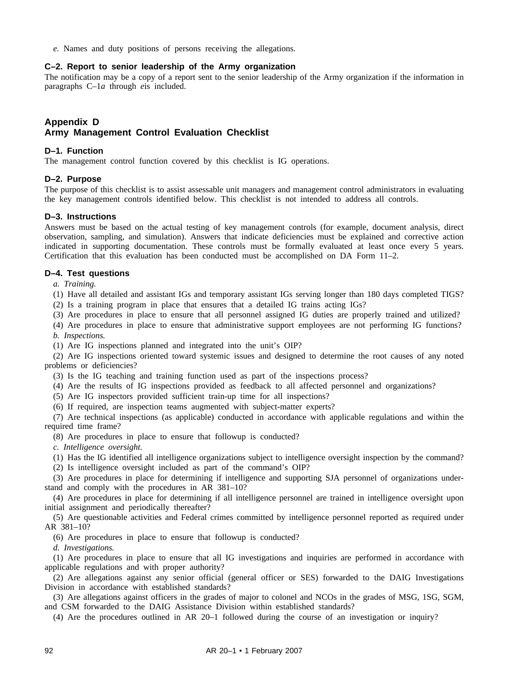*e.* Names and duty positions of persons receiving the allegations.

### **C–2. Report to senior leadership of the Army organization**

The notification may be a copy of a report sent to the senior leadership of the Army organization if the information in paragraphs C–1*a* through *e*is included.

# **Appendix D Army Management Control Evaluation Checklist**

## **D–1. Function**

The management control function covered by this checklist is IG operations.

### **D–2. Purpose**

The purpose of this checklist is to assist assessable unit managers and management control administrators in evaluating the key management controls identified below. This checklist is not intended to address all controls.

### **D–3. Instructions**

Answers must be based on the actual testing of key management controls (for example, document analysis, direct observation, sampling, and simulation). Answers that indicate deficiencies must be explained and corrective action indicated in supporting documentation. These controls must be formally evaluated at least once every 5 years. Certification that this evaluation has been conducted must be accomplished on DA Form 11–2.

## **D–4. Test questions**

*a. Training.*

(1) Have all detailed and assistant IGs and temporary assistant IGs serving longer than 180 days completed TIGS?

(2) Is a training program in place that ensures that a detailed IG trains acting IGs?

(3) Are procedures in place to ensure that all personnel assigned IG duties are properly trained and utilized?

(4) Are procedures in place to ensure that administrative support employees are not performing IG functions? *b. Inspections.*

(1) Are IG inspections planned and integrated into the unit's OIP?

(2) Are IG inspections oriented toward systemic issues and designed to determine the root causes of any noted problems or deficiencies?

(3) Is the IG teaching and training function used as part of the inspections process?

(4) Are the results of IG inspections provided as feedback to all affected personnel and organizations?

(5) Are IG inspectors provided sufficient train-up time for all inspections?

(6) If required, are inspection teams augmented with subject-matter experts?

(7) Are technical inspections (as applicable) conducted in accordance with applicable regulations and within the required time frame?

(8) Are procedures in place to ensure that followup is conducted?

*c. Intelligence oversight.*

(1) Has the IG identified all intelligence organizations subject to intelligence oversight inspection by the command?

(2) Is intelligence oversight included as part of the command's OIP?

(3) Are procedures in place for determining if intelligence and supporting SJA personnel of organizations understand and comply with the procedures in AR 381–10?

(4) Are procedures in place for determining if all intelligence personnel are trained in intelligence oversight upon initial assignment and periodically thereafter?

(5) Are questionable activities and Federal crimes committed by intelligence personnel reported as required under AR 381–10?

(6) Are procedures in place to ensure that followup is conducted?

*d. Investigations.*

(1) Are procedures in place to ensure that all IG investigations and inquiries are performed in accordance with applicable regulations and with proper authority?

(2) Are allegations against any senior official (general officer or SES) forwarded to the DAIG Investigations Division in accordance with established standards?

(3) Are allegations against officers in the grades of major to colonel and NCOs in the grades of MSG, 1SG, SGM, and CSM forwarded to the DAIG Assistance Division within established standards?

(4) Are the procedures outlined in AR 20–1 followed during the course of an investigation or inquiry?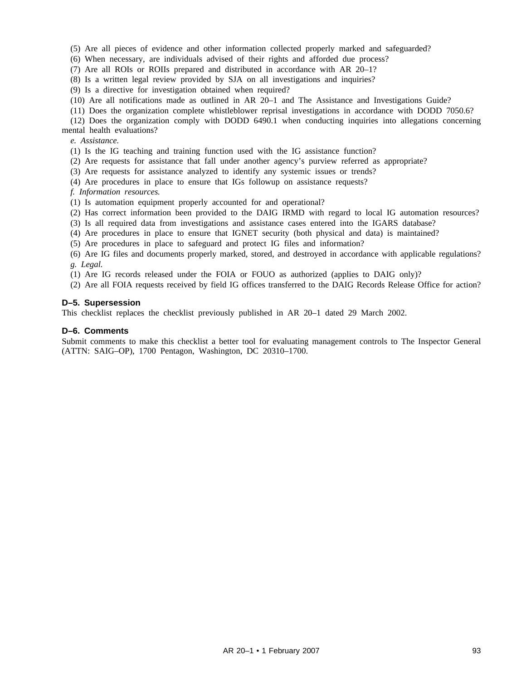(5) Are all pieces of evidence and other information collected properly marked and safeguarded?

(6) When necessary, are individuals advised of their rights and afforded due process?

(7) Are all ROIs or ROIIs prepared and distributed in accordance with AR 20–1?

(8) Is a written legal review provided by SJA on all investigations and inquiries?

(9) Is a directive for investigation obtained when required?

(10) Are all notifications made as outlined in AR 20–1 and The Assistance and Investigations Guide?

(11) Does the organization complete whistleblower reprisal investigations in accordance with DODD 7050.6?

(12) Does the organization comply with DODD 6490.1 when conducting inquiries into allegations concerning mental health evaluations?

*e. Assistance.*

(1) Is the IG teaching and training function used with the IG assistance function?

(2) Are requests for assistance that fall under another agency's purview referred as appropriate?

(3) Are requests for assistance analyzed to identify any systemic issues or trends?

(4) Are procedures in place to ensure that IGs followup on assistance requests?

*f. Information resources.*

(1) Is automation equipment properly accounted for and operational?

(2) Has correct information been provided to the DAIG IRMD with regard to local IG automation resources?

(3) Is all required data from investigations and assistance cases entered into the IGARS database?

(4) Are procedures in place to ensure that IGNET security (both physical and data) is maintained?

(5) Are procedures in place to safeguard and protect IG files and information?

(6) Are IG files and documents properly marked, stored, and destroyed in accordance with applicable regulations? *g. Legal.*

(1) Are IG records released under the FOIA or FOUO as authorized (applies to DAIG only)?

(2) Are all FOIA requests received by field IG offices transferred to the DAIG Records Release Office for action?

### **D–5. Supersession**

This checklist replaces the checklist previously published in AR 20–1 dated 29 March 2002.

### **D–6. Comments**

Submit comments to make this checklist a better tool for evaluating management controls to The Inspector General (ATTN: SAIG–OP), 1700 Pentagon, Washington, DC 20310–1700.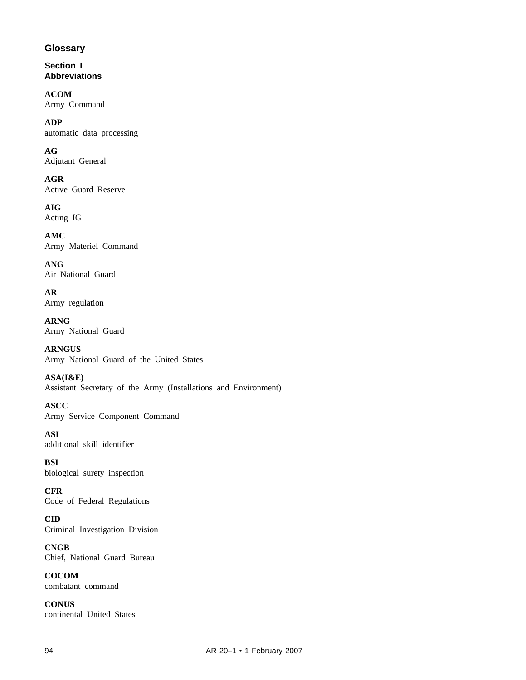# **Glossary**

**Section I Abbreviations**

**ACOM** Army Command

**ADP** automatic data processing

**AG** Adjutant General

**AGR** Active Guard Reserve

**AIG** Acting IG

**AMC** Army Materiel Command

**ANG** Air National Guard

**AR** Army regulation

**ARNG** Army National Guard

**ARNGUS** Army National Guard of the United States

**ASA(I&E)** Assistant Secretary of the Army (Installations and Environment)

**ASCC** Army Service Component Command

**ASI** additional skill identifier

**BSI** biological surety inspection

**CFR** Code of Federal Regulations

**CID** Criminal Investigation Division

**CNGB** Chief, National Guard Bureau

**COCOM** combatant command

**CONUS** continental United States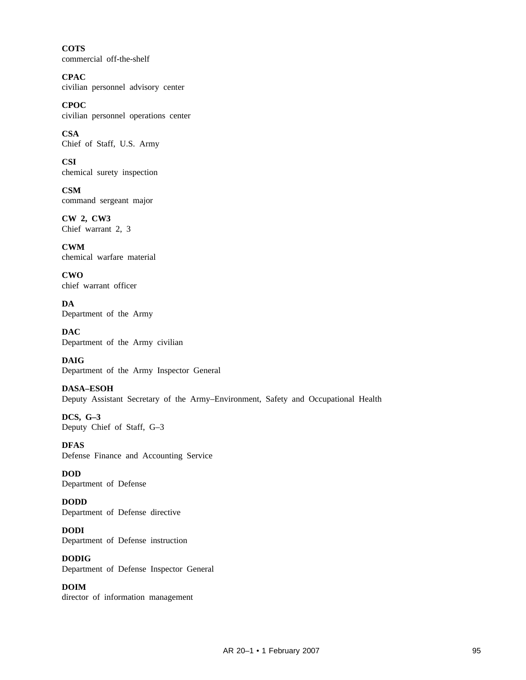**COTS** commercial off-the-shelf

**CPAC** civilian personnel advisory center

**CPOC** civilian personnel operations center

**CSA** Chief of Staff, U.S. Army

**CSI** chemical surety inspection

**CSM** command sergeant major

**CW 2, CW3** Chief warrant 2, 3

**CWM** chemical warfare material

**CWO** chief warrant officer

**DA** Department of the Army

**DAC** Department of the Army civilian

**DAIG** Department of the Army Inspector General

**DASA–ESOH** Deputy Assistant Secretary of the Army–Environment, Safety and Occupational Health

**DCS, G–3** Deputy Chief of Staff, G–3

**DFAS** Defense Finance and Accounting Service

**DOD** Department of Defense

**DODD** Department of Defense directive

**DODI** Department of Defense instruction

**DODIG** Department of Defense Inspector General

**DOIM** director of information management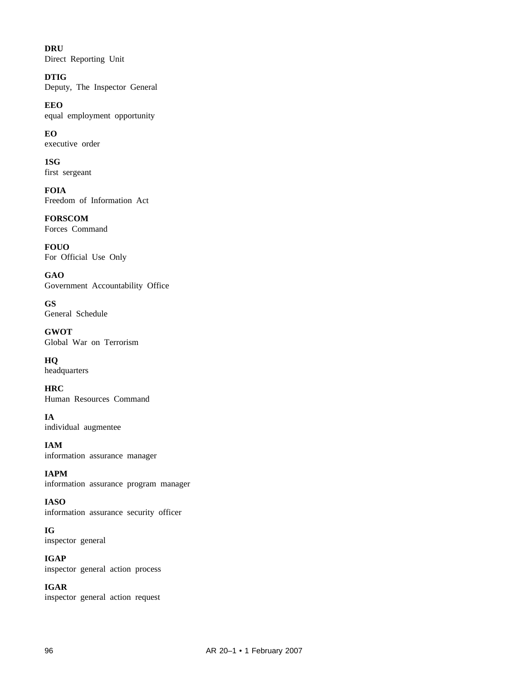**DRU** Direct Reporting Unit

**DTIG** Deputy, The Inspector General

**EEO** equal employment opportunity

**EO** executive order

**1SG** first sergeant

**FOIA** Freedom of Information Act

**FORSCOM** Forces Command

**FOUO** For Official Use Only

**GAO** Government Accountability Office

**GS** General Schedule

**GWOT** Global War on Terrorism

**HQ** headquarters

**HRC** Human Resources Command

**IA** individual augmentee

**IAM** information assurance manager

**IAPM** information assurance program manager

**IASO** information assurance security officer

**IG** inspector general

**IGAP** inspector general action process

**IGAR** inspector general action request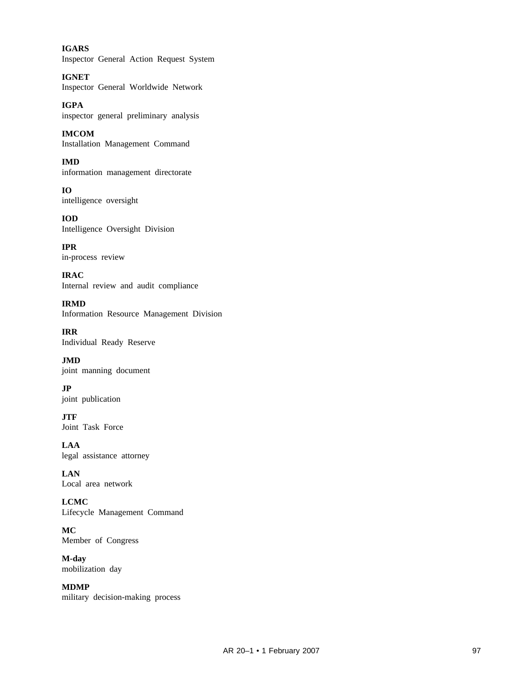**IGARS** Inspector General Action Request System

**IGNET** Inspector General Worldwide Network

**IGPA** inspector general preliminary analysis

**IMCOM** Installation Management Command

**IMD** information management directorate

**IO** intelligence oversight

**IOD** Intelligence Oversight Division

**IPR** in-process review

**IRAC** Internal review and audit compliance

**IRMD** Information Resource Management Division

**IRR** Individual Ready Reserve

**JMD** joint manning document

**JP** joint publication

**JTF** Joint Task Force

**LAA** legal assistance attorney

**LAN** Local area network

**LCMC** Lifecycle Management Command

**MC** Member of Congress

**M-day** mobilization day

**MDMP** military decision-making process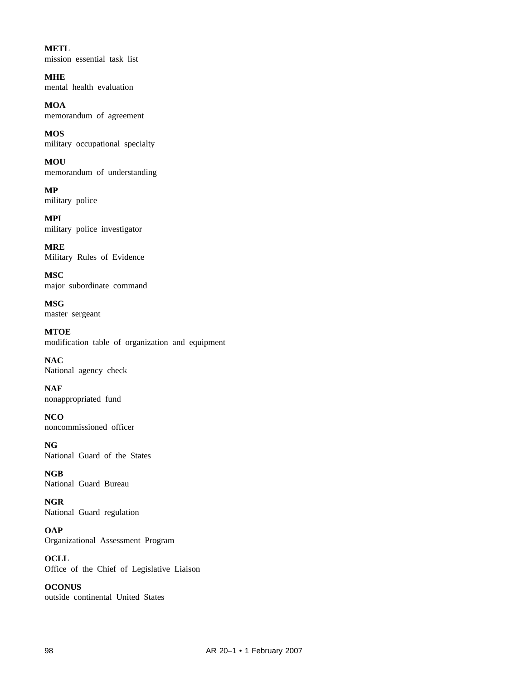**METL** mission essential task list

**MHE** mental health evaluation

**MOA** memorandum of agreement

**MOS** military occupational specialty

**MOU** memorandum of understanding

**MP** military police

**MPI** military police investigator

**MRE** Military Rules of Evidence

**MSC** major subordinate command

**MSG** master sergeant

**MTOE** modification table of organization and equipment

**NAC** National agency check

**NAF** nonappropriated fund

**NCO** noncommissioned officer

**NG** National Guard of the States

**NGB** National Guard Bureau

**NGR** National Guard regulation

**OAP** Organizational Assessment Program

**OCLL** Office of the Chief of Legislative Liaison

**OCONUS** outside continental United States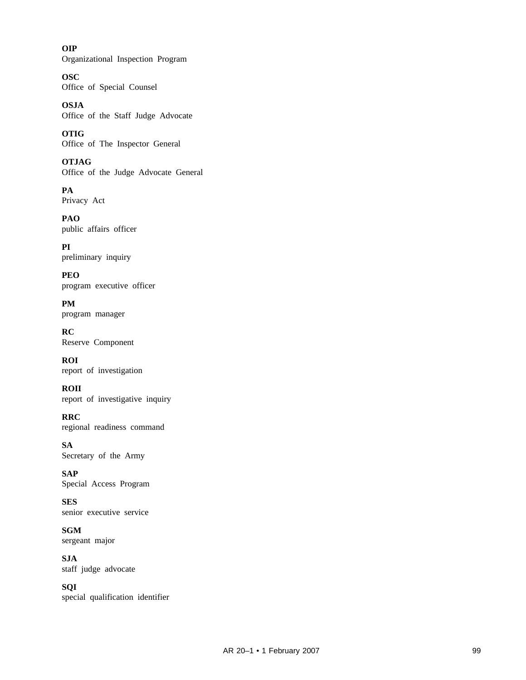**OIP** Organizational Inspection Program

**OSC** Office of Special Counsel

**OSJA** Office of the Staff Judge Advocate

**OTIG** Office of The Inspector General

**OTJAG** Office of the Judge Advocate General

**PA** Privacy Act

**PAO** public affairs officer

**PI** preliminary inquiry

**PEO** program executive officer

**PM** program manager

**RC** Reserve Component

**ROI** report of investigation

**ROII** report of investigative inquiry

**RRC** regional readiness command

**SA** Secretary of the Army

**SAP** Special Access Program

**SES** senior executive service

**SGM** sergeant major

**SJA** staff judge advocate

**SQI** special qualification identifier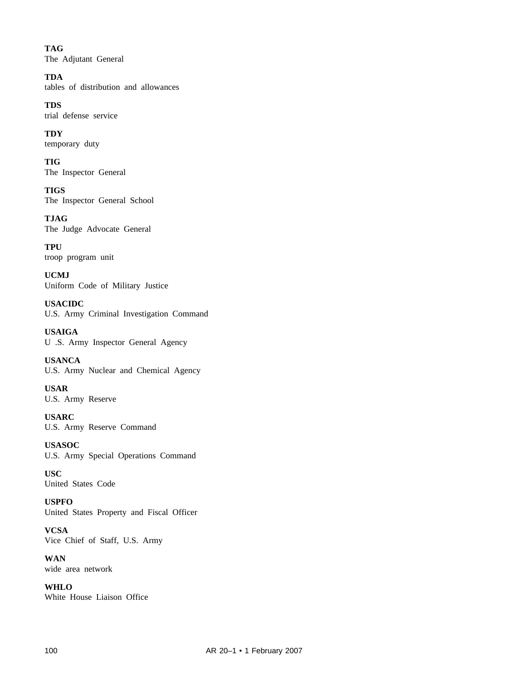**TAG** The Adjutant General

**TDA** tables of distribution and allowances

**TDS** trial defense service

**TDY** temporary duty

**TIG** The Inspector General

**TIGS** The Inspector General School

**TJAG** The Judge Advocate General

**TPU** troop program unit

**UCMJ** Uniform Code of Military Justice

**USACIDC** U.S. Army Criminal Investigation Command

**USAIGA** U .S. Army Inspector General Agency

**USANCA** U.S. Army Nuclear and Chemical Agency

**USAR** U.S. Army Reserve

**USARC** U.S. Army Reserve Command

**USASOC** U.S. Army Special Operations Command

**USC** United States Code

**USPFO** United States Property and Fiscal Officer

**VCSA** Vice Chief of Staff, U.S. Army

**WAN** wide area network

**WHLO** White House Liaison Office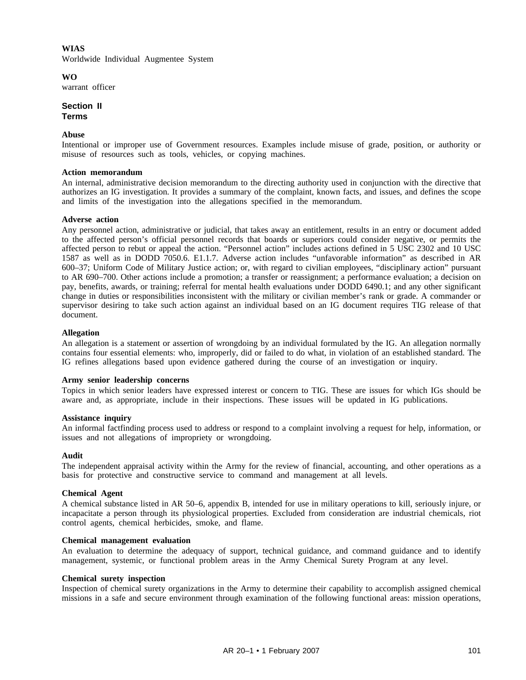# **WIAS** Worldwide Individual Augmentee System

**WO** warrant officer

**Section II Terms**

# **Abuse**

Intentional or improper use of Government resources. Examples include misuse of grade, position, or authority or misuse of resources such as tools, vehicles, or copying machines.

# **Action memorandum**

An internal, administrative decision memorandum to the directing authority used in conjunction with the directive that authorizes an IG investigation. It provides a summary of the complaint, known facts, and issues, and defines the scope and limits of the investigation into the allegations specified in the memorandum.

# **Adverse action**

Any personnel action, administrative or judicial, that takes away an entitlement, results in an entry or document added to the affected person's official personnel records that boards or superiors could consider negative, or permits the affected person to rebut or appeal the action. "Personnel action" includes actions defined in 5 USC 2302 and 10 USC 1587 as well as in DODD 7050.6. E1.1.7. Adverse action includes "unfavorable information" as described in AR 600–37; Uniform Code of Military Justice action; or, with regard to civilian employees, "disciplinary action" pursuant to AR 690–700. Other actions include a promotion; a transfer or reassignment; a performance evaluation; a decision on pay, benefits, awards, or training; referral for mental health evaluations under DODD 6490.1; and any other significant change in duties or responsibilities inconsistent with the military or civilian member's rank or grade. A commander or supervisor desiring to take such action against an individual based on an IG document requires TIG release of that document.

# **Allegation**

An allegation is a statement or assertion of wrongdoing by an individual formulated by the IG. An allegation normally contains four essential elements: who, improperly, did or failed to do what, in violation of an established standard. The IG refines allegations based upon evidence gathered during the course of an investigation or inquiry.

# **Army senior leadership concerns**

Topics in which senior leaders have expressed interest or concern to TIG. These are issues for which IGs should be aware and, as appropriate, include in their inspections. These issues will be updated in IG publications.

# **Assistance inquiry**

An informal factfinding process used to address or respond to a complaint involving a request for help, information, or issues and not allegations of impropriety or wrongdoing.

# **Audit**

The independent appraisal activity within the Army for the review of financial, accounting, and other operations as a basis for protective and constructive service to command and management at all levels.

# **Chemical Agent**

A chemical substance listed in AR 50–6, appendix B, intended for use in military operations to kill, seriously injure, or incapacitate a person through its physiological properties. Excluded from consideration are industrial chemicals, riot control agents, chemical herbicides, smoke, and flame.

# **Chemical management evaluation**

An evaluation to determine the adequacy of support, technical guidance, and command guidance and to identify management, systemic, or functional problem areas in the Army Chemical Surety Program at any level.

# **Chemical surety inspection**

Inspection of chemical surety organizations in the Army to determine their capability to accomplish assigned chemical missions in a safe and secure environment through examination of the following functional areas: mission operations,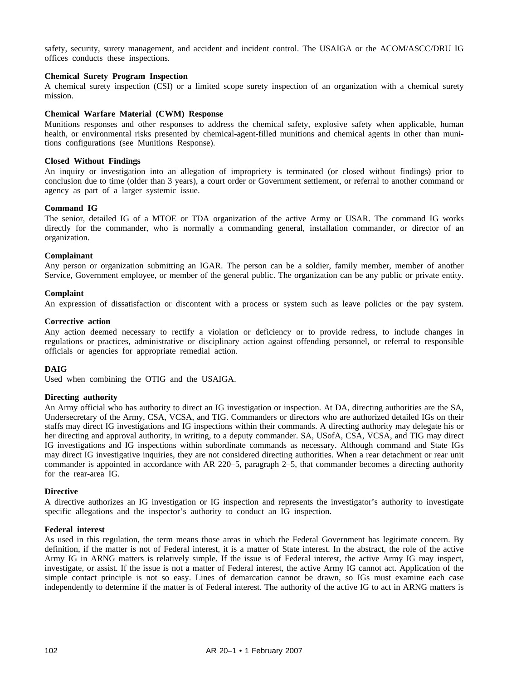safety, security, surety management, and accident and incident control. The USAIGA or the ACOM/ASCC/DRU IG offices conducts these inspections.

## **Chemical Surety Program Inspection**

A chemical surety inspection (CSI) or a limited scope surety inspection of an organization with a chemical surety mission.

# **Chemical Warfare Material (CWM) Response**

Munitions responses and other responses to address the chemical safety, explosive safety when applicable, human health, or environmental risks presented by chemical-agent-filled munitions and chemical agents in other than munitions configurations (see Munitions Response).

### **Closed Without Findings**

An inquiry or investigation into an allegation of impropriety is terminated (or closed without findings) prior to conclusion due to time (older than 3 years), a court order or Government settlement, or referral to another command or agency as part of a larger systemic issue.

# **Command IG**

The senior, detailed IG of a MTOE or TDA organization of the active Army or USAR. The command IG works directly for the commander, who is normally a commanding general, installation commander, or director of an organization.

## **Complainant**

Any person or organization submitting an IGAR. The person can be a soldier, family member, member of another Service, Government employee, or member of the general public. The organization can be any public or private entity.

#### **Complaint**

An expression of dissatisfaction or discontent with a process or system such as leave policies or the pay system.

## **Corrective action**

Any action deemed necessary to rectify a violation or deficiency or to provide redress, to include changes in regulations or practices, administrative or disciplinary action against offending personnel, or referral to responsible officials or agencies for appropriate remedial action.

# **DAIG**

Used when combining the OTIG and the USAIGA.

## **Directing authority**

An Army official who has authority to direct an IG investigation or inspection. At DA, directing authorities are the SA, Undersecretary of the Army, CSA, VCSA, and TIG. Commanders or directors who are authorized detailed IGs on their staffs may direct IG investigations and IG inspections within their commands. A directing authority may delegate his or her directing and approval authority, in writing, to a deputy commander. SA, USofA, CSA, VCSA, and TIG may direct IG investigations and IG inspections within subordinate commands as necessary. Although command and State IGs may direct IG investigative inquiries, they are not considered directing authorities. When a rear detachment or rear unit commander is appointed in accordance with AR 220–5, paragraph 2–5, that commander becomes a directing authority for the rear-area IG.

#### **Directive**

A directive authorizes an IG investigation or IG inspection and represents the investigator's authority to investigate specific allegations and the inspector's authority to conduct an IG inspection.

#### **Federal interest**

As used in this regulation, the term means those areas in which the Federal Government has legitimate concern. By definition, if the matter is not of Federal interest, it is a matter of State interest. In the abstract, the role of the active Army IG in ARNG matters is relatively simple. If the issue is of Federal interest, the active Army IG may inspect, investigate, or assist. If the issue is not a matter of Federal interest, the active Army IG cannot act. Application of the simple contact principle is not so easy. Lines of demarcation cannot be drawn, so IGs must examine each case independently to determine if the matter is of Federal interest. The authority of the active IG to act in ARNG matters is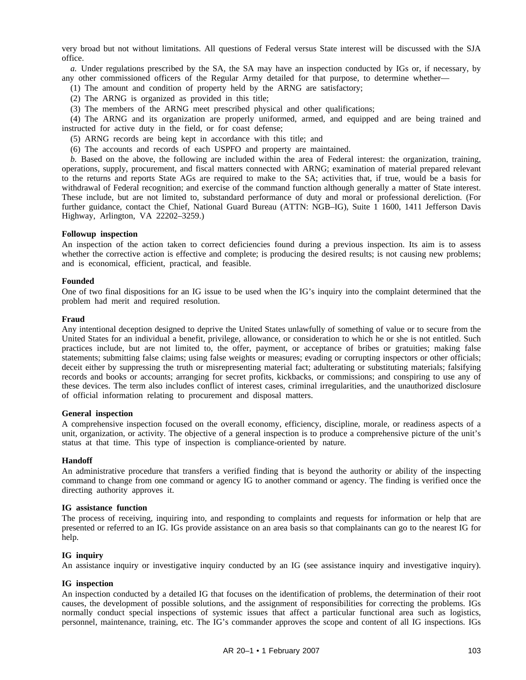very broad but not without limitations. All questions of Federal versus State interest will be discussed with the SJA office.

*a.* Under regulations prescribed by the SA, the SA may have an inspection conducted by IGs or, if necessary, by any other commissioned officers of the Regular Army detailed for that purpose, to determine whether—

- (1) The amount and condition of property held by the ARNG are satisfactory;
- (2) The ARNG is organized as provided in this title;
- (3) The members of the ARNG meet prescribed physical and other qualifications;

(4) The ARNG and its organization are properly uniformed, armed, and equipped and are being trained and instructed for active duty in the field, or for coast defense;

- (5) ARNG records are being kept in accordance with this title; and
- (6) The accounts and records of each USPFO and property are maintained.

*b.* Based on the above, the following are included within the area of Federal interest: the organization, training, operations, supply, procurement, and fiscal matters connected with ARNG; examination of material prepared relevant to the returns and reports State AGs are required to make to the SA; activities that, if true, would be a basis for withdrawal of Federal recognition; and exercise of the command function although generally a matter of State interest. These include, but are not limited to, substandard performance of duty and moral or professional dereliction. (For further guidance, contact the Chief, National Guard Bureau (ATTN: NGB–IG), Suite 1 1600, 1411 Jefferson Davis Highway, Arlington, VA 22202–3259.)

## **Followup inspection**

An inspection of the action taken to correct deficiencies found during a previous inspection. Its aim is to assess whether the corrective action is effective and complete; is producing the desired results; is not causing new problems; and is economical, efficient, practical, and feasible.

## **Founded**

One of two final dispositions for an IG issue to be used when the IG's inquiry into the complaint determined that the problem had merit and required resolution.

## **Fraud**

Any intentional deception designed to deprive the United States unlawfully of something of value or to secure from the United States for an individual a benefit, privilege, allowance, or consideration to which he or she is not entitled. Such practices include, but are not limited to, the offer, payment, or acceptance of bribes or gratuities; making false statements; submitting false claims; using false weights or measures; evading or corrupting inspectors or other officials; deceit either by suppressing the truth or misrepresenting material fact; adulterating or substituting materials; falsifying records and books or accounts; arranging for secret profits, kickbacks, or commissions; and conspiring to use any of these devices. The term also includes conflict of interest cases, criminal irregularities, and the unauthorized disclosure of official information relating to procurement and disposal matters.

#### **General inspection**

A comprehensive inspection focused on the overall economy, efficiency, discipline, morale, or readiness aspects of a unit, organization, or activity. The objective of a general inspection is to produce a comprehensive picture of the unit's status at that time. This type of inspection is compliance-oriented by nature.

#### **Handoff**

An administrative procedure that transfers a verified finding that is beyond the authority or ability of the inspecting command to change from one command or agency IG to another command or agency. The finding is verified once the directing authority approves it.

#### **IG assistance function**

The process of receiving, inquiring into, and responding to complaints and requests for information or help that are presented or referred to an IG. IGs provide assistance on an area basis so that complainants can go to the nearest IG for help.

# **IG inquiry**

An assistance inquiry or investigative inquiry conducted by an IG (see assistance inquiry and investigative inquiry).

### **IG inspection**

An inspection conducted by a detailed IG that focuses on the identification of problems, the determination of their root causes, the development of possible solutions, and the assignment of responsibilities for correcting the problems. IGs normally conduct special inspections of systemic issues that affect a particular functional area such as logistics, personnel, maintenance, training, etc. The IG's commander approves the scope and content of all IG inspections. IGs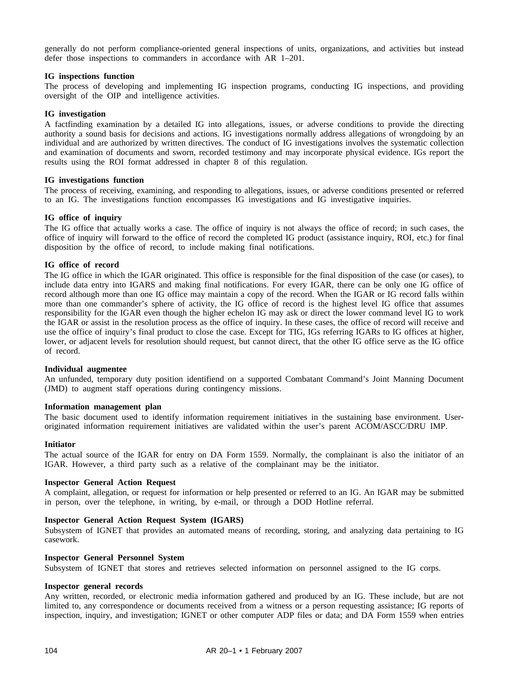generally do not perform compliance-oriented general inspections of units, organizations, and activities but instead defer those inspections to commanders in accordance with AR 1–201.

# **IG inspections function**

The process of developing and implementing IG inspection programs, conducting IG inspections, and providing oversight of the OIP and intelligence activities.

# **IG investigation**

A factfinding examination by a detailed IG into allegations, issues, or adverse conditions to provide the directing authority a sound basis for decisions and actions. IG investigations normally address allegations of wrongdoing by an individual and are authorized by written directives. The conduct of IG investigations involves the systematic collection and examination of documents and sworn, recorded testimony and may incorporate physical evidence. IGs report the results using the ROI format addressed in chapter 8 of this regulation.

# **IG investigations function**

The process of receiving, examining, and responding to allegations, issues, or adverse conditions presented or referred to an IG. The investigations function encompasses IG investigations and IG investigative inquiries.

## **IG office of inquiry**

The IG office that actually works a case. The office of inquiry is not always the office of record; in such cases, the office of inquiry will forward to the office of record the completed IG product (assistance inquiry, ROI, etc.) for final disposition by the office of record, to include making final notifications.

## **IG office of record**

The IG office in which the IGAR originated. This office is responsible for the final disposition of the case (or cases), to include data entry into IGARS and making final notifications. For every IGAR, there can be only one IG office of record although more than one IG office may maintain a copy of the record. When the IGAR or IG record falls within more than one commander's sphere of activity, the IG office of record is the highest level IG office that assumes responsibility for the IGAR even though the higher echelon IG may ask or direct the lower command level IG to work the IGAR or assist in the resolution process as the office of inquiry. In these cases, the office of record will receive and use the office of inquiry's final product to close the case. Except for TIG, IGs referring IGARs to IG offices at higher, lower, or adjacent levels for resolution should request, but cannot direct, that the other IG office serve as the IG office of record.

#### **Individual augmentee**

An unfunded, temporary duty position identifiend on a supported Combatant Command's Joint Manning Document (JMD) to augment staff operations during contingency missions.

## **Information management plan**

The basic document used to identify information requirement initiatives in the sustaining base environment. Useroriginated information requirement initiatives are validated within the user's parent ACOM/ASCC/DRU IMP.

#### **Initiator**

The actual source of the IGAR for entry on DA Form 1559. Normally, the complainant is also the initiator of an IGAR. However, a third party such as a relative of the complainant may be the initiator.

## **Inspector General Action Request**

A complaint, allegation, or request for information or help presented or referred to an IG. An IGAR may be submitted in person, over the telephone, in writing, by e-mail, or through a DOD Hotline referral.

# **Inspector General Action Request System (IGARS)**

Subsystem of IGNET that provides an automated means of recording, storing, and analyzing data pertaining to IG casework.

#### **Inspector General Personnel System**

Subsystem of IGNET that stores and retrieves selected information on personnel assigned to the IG corps.

## **Inspector general records**

Any written, recorded, or electronic media information gathered and produced by an IG. These include, but are not limited to, any correspondence or documents received from a witness or a person requesting assistance; IG reports of inspection, inquiry, and investigation; IGNET or other computer ADP files or data; and DA Form 1559 when entries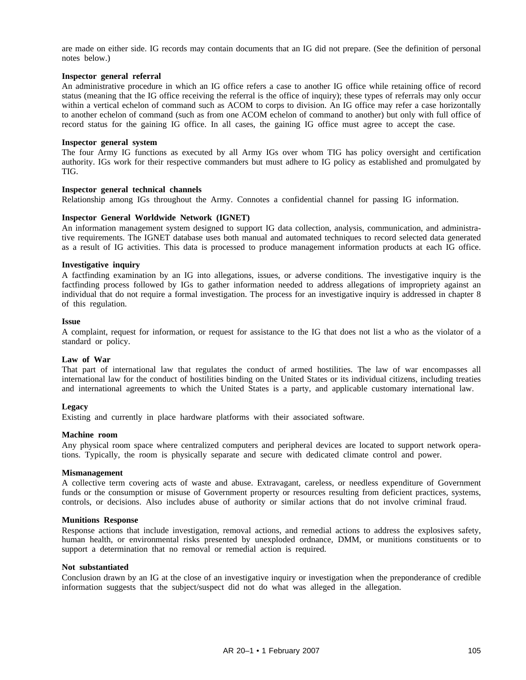are made on either side. IG records may contain documents that an IG did not prepare. (See the definition of personal notes below.)

## **Inspector general referral**

An administrative procedure in which an IG office refers a case to another IG office while retaining office of record status (meaning that the IG office receiving the referral is the office of inquiry); these types of referrals may only occur within a vertical echelon of command such as ACOM to corps to division. An IG office may refer a case horizontally to another echelon of command (such as from one ACOM echelon of command to another) but only with full office of record status for the gaining IG office. In all cases, the gaining IG office must agree to accept the case.

## **Inspector general system**

The four Army IG functions as executed by all Army IGs over whom TIG has policy oversight and certification authority. IGs work for their respective commanders but must adhere to IG policy as established and promulgated by TIG.

## **Inspector general technical channels**

Relationship among IGs throughout the Army. Connotes a confidential channel for passing IG information.

## **Inspector General Worldwide Network (IGNET)**

An information management system designed to support IG data collection, analysis, communication, and administrative requirements. The IGNET database uses both manual and automated techniques to record selected data generated as a result of IG activities. This data is processed to produce management information products at each IG office.

## **Investigative inquiry**

A factfinding examination by an IG into allegations, issues, or adverse conditions. The investigative inquiry is the factfinding process followed by IGs to gather information needed to address allegations of impropriety against an individual that do not require a formal investigation. The process for an investigative inquiry is addressed in chapter 8 of this regulation.

#### **Issue**

A complaint, request for information, or request for assistance to the IG that does not list a who as the violator of a standard or policy.

#### **Law of War**

That part of international law that regulates the conduct of armed hostilities. The law of war encompasses all international law for the conduct of hostilities binding on the United States or its individual citizens, including treaties and international agreements to which the United States is a party, and applicable customary international law.

#### **Legacy**

Existing and currently in place hardware platforms with their associated software.

#### **Machine room**

Any physical room space where centralized computers and peripheral devices are located to support network operations. Typically, the room is physically separate and secure with dedicated climate control and power.

#### **Mismanagement**

A collective term covering acts of waste and abuse. Extravagant, careless, or needless expenditure of Government funds or the consumption or misuse of Government property or resources resulting from deficient practices, systems, controls, or decisions. Also includes abuse of authority or similar actions that do not involve criminal fraud.

### **Munitions Response**

Response actions that include investigation, removal actions, and remedial actions to address the explosives safety, human health, or environmental risks presented by unexploded ordnance, DMM, or munitions constituents or to support a determination that no removal or remedial action is required.

## **Not substantiated**

Conclusion drawn by an IG at the close of an investigative inquiry or investigation when the preponderance of credible information suggests that the subject/suspect did not do what was alleged in the allegation.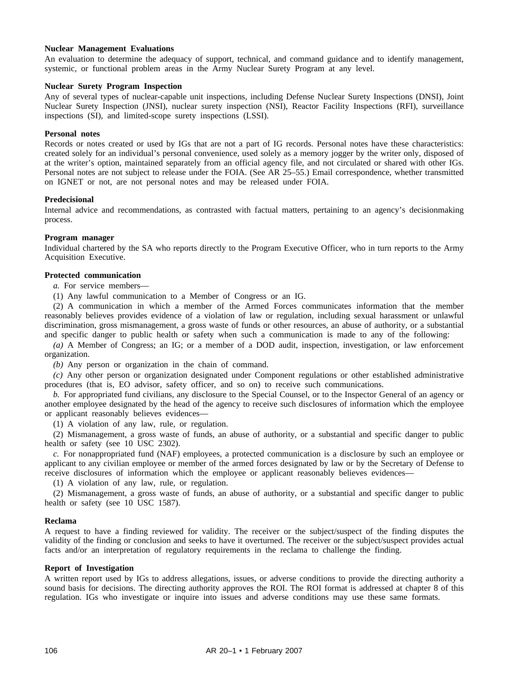# **Nuclear Management Evaluations**

An evaluation to determine the adequacy of support, technical, and command guidance and to identify management, systemic, or functional problem areas in the Army Nuclear Surety Program at any level.

#### **Nuclear Surety Program Inspection**

Any of several types of nuclear-capable unit inspections, including Defense Nuclear Surety Inspections (DNSI), Joint Nuclear Surety Inspection (JNSI), nuclear surety inspection (NSI), Reactor Facility Inspections (RFI), surveillance inspections (SI), and limited-scope surety inspections (LSSI).

#### **Personal notes**

Records or notes created or used by IGs that are not a part of IG records. Personal notes have these characteristics: created solely for an individual's personal convenience, used solely as a memory jogger by the writer only, disposed of at the writer's option, maintained separately from an official agency file, and not circulated or shared with other IGs. Personal notes are not subject to release under the FOIA. (See AR 25–55.) Email correspondence, whether transmitted on IGNET or not, are not personal notes and may be released under FOIA.

## **Predecisional**

Internal advice and recommendations, as contrasted with factual matters, pertaining to an agency's decisionmaking process.

## **Program manager**

Individual chartered by the SA who reports directly to the Program Executive Officer, who in turn reports to the Army Acquisition Executive.

# **Protected communication**

*a.* For service members—

(1) Any lawful communication to a Member of Congress or an IG.

(2) A communication in which a member of the Armed Forces communicates information that the member reasonably believes provides evidence of a violation of law or regulation, including sexual harassment or unlawful discrimination, gross mismanagement, a gross waste of funds or other resources, an abuse of authority, or a substantial and specific danger to public health or safety when such a communication is made to any of the following:

*(a)* A Member of Congress; an IG; or a member of a DOD audit, inspection, investigation, or law enforcement organization.

*(b)* Any person or organization in the chain of command.

*(c)* Any other person or organization designated under Component regulations or other established administrative procedures (that is, EO advisor, safety officer, and so on) to receive such communications.

*b.* For appropriated fund civilians, any disclosure to the Special Counsel, or to the Inspector General of an agency or another employee designated by the head of the agency to receive such disclosures of information which the employee or applicant reasonably believes evidences—

(1) A violation of any law, rule, or regulation.

(2) Mismanagement, a gross waste of funds, an abuse of authority, or a substantial and specific danger to public health or safety (see 10 USC 2302).

*c.* For nonappropriated fund (NAF) employees, a protected communication is a disclosure by such an employee or applicant to any civilian employee or member of the armed forces designated by law or by the Secretary of Defense to receive disclosures of information which the employee or applicant reasonably believes evidences—

(1) A violation of any law, rule, or regulation.

(2) Mismanagement, a gross waste of funds, an abuse of authority, or a substantial and specific danger to public health or safety (see 10 USC 1587).

#### **Reclama**

A request to have a finding reviewed for validity. The receiver or the subject/suspect of the finding disputes the validity of the finding or conclusion and seeks to have it overturned. The receiver or the subject/suspect provides actual facts and/or an interpretation of regulatory requirements in the reclama to challenge the finding.

## **Report of Investigation**

A written report used by IGs to address allegations, issues, or adverse conditions to provide the directing authority a sound basis for decisions. The directing authority approves the ROI. The ROI format is addressed at chapter 8 of this regulation. IGs who investigate or inquire into issues and adverse conditions may use these same formats.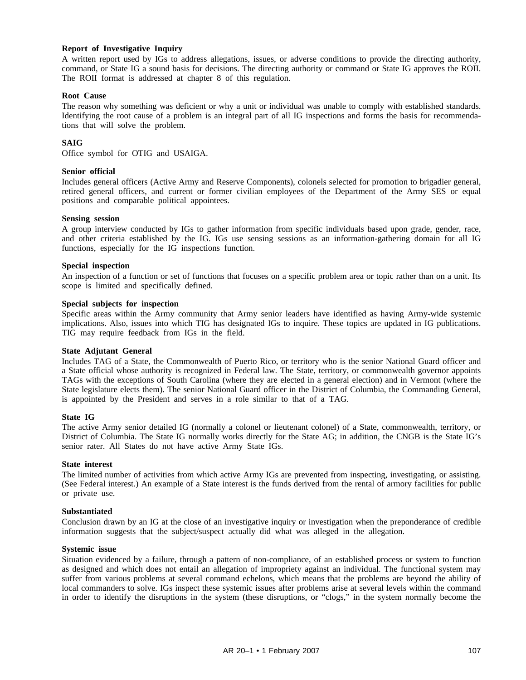# **Report of Investigative Inquiry**

A written report used by IGs to address allegations, issues, or adverse conditions to provide the directing authority, command, or State IG a sound basis for decisions. The directing authority or command or State IG approves the ROII. The ROII format is addressed at chapter 8 of this regulation.

#### **Root Cause**

The reason why something was deficient or why a unit or individual was unable to comply with established standards. Identifying the root cause of a problem is an integral part of all IG inspections and forms the basis for recommendations that will solve the problem.

# **SAIG**

Office symbol for OTIG and USAIGA.

## **Senior official**

Includes general officers (Active Army and Reserve Components), colonels selected for promotion to brigadier general, retired general officers, and current or former civilian employees of the Department of the Army SES or equal positions and comparable political appointees.

## **Sensing session**

A group interview conducted by IGs to gather information from specific individuals based upon grade, gender, race, and other criteria established by the IG. IGs use sensing sessions as an information-gathering domain for all IG functions, especially for the IG inspections function.

## **Special inspection**

An inspection of a function or set of functions that focuses on a specific problem area or topic rather than on a unit. Its scope is limited and specifically defined.

## **Special subjects for inspection**

Specific areas within the Army community that Army senior leaders have identified as having Army-wide systemic implications. Also, issues into which TIG has designated IGs to inquire. These topics are updated in IG publications. TIG may require feedback from IGs in the field.

# **State Adjutant General**

Includes TAG of a State, the Commonwealth of Puerto Rico, or territory who is the senior National Guard officer and a State official whose authority is recognized in Federal law. The State, territory, or commonwealth governor appoints TAGs with the exceptions of South Carolina (where they are elected in a general election) and in Vermont (where the State legislature elects them). The senior National Guard officer in the District of Columbia, the Commanding General, is appointed by the President and serves in a role similar to that of a TAG.

#### **State IG**

The active Army senior detailed IG (normally a colonel or lieutenant colonel) of a State, commonwealth, territory, or District of Columbia. The State IG normally works directly for the State AG; in addition, the CNGB is the State IG's senior rater. All States do not have active Army State IGs.

#### **State interest**

The limited number of activities from which active Army IGs are prevented from inspecting, investigating, or assisting. (See Federal interest.) An example of a State interest is the funds derived from the rental of armory facilities for public or private use.

#### **Substantiated**

Conclusion drawn by an IG at the close of an investigative inquiry or investigation when the preponderance of credible information suggests that the subject/suspect actually did what was alleged in the allegation.

#### **Systemic issue**

Situation evidenced by a failure, through a pattern of non-compliance, of an established process or system to function as designed and which does not entail an allegation of impropriety against an individual. The functional system may suffer from various problems at several command echelons, which means that the problems are beyond the ability of local commanders to solve. IGs inspect these systemic issues after problems arise at several levels within the command in order to identify the disruptions in the system (these disruptions, or "clogs," in the system normally become the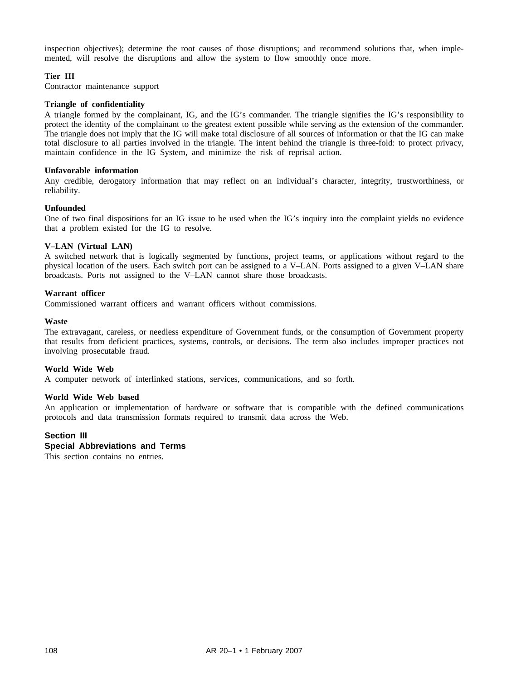inspection objectives); determine the root causes of those disruptions; and recommend solutions that, when implemented, will resolve the disruptions and allow the system to flow smoothly once more.

# **Tier III**

Contractor maintenance support

# **Triangle of confidentiality**

A triangle formed by the complainant, IG, and the IG's commander. The triangle signifies the IG's responsibility to protect the identity of the complainant to the greatest extent possible while serving as the extension of the commander. The triangle does not imply that the IG will make total disclosure of all sources of information or that the IG can make total disclosure to all parties involved in the triangle. The intent behind the triangle is three-fold: to protect privacy, maintain confidence in the IG System, and minimize the risk of reprisal action.

# **Unfavorable information**

Any credible, derogatory information that may reflect on an individual's character, integrity, trustworthiness, or reliability.

## **Unfounded**

One of two final dispositions for an IG issue to be used when the IG's inquiry into the complaint yields no evidence that a problem existed for the IG to resolve.

# **V–LAN (Virtual LAN)**

A switched network that is logically segmented by functions, project teams, or applications without regard to the physical location of the users. Each switch port can be assigned to a V–LAN. Ports assigned to a given V–LAN share broadcasts. Ports not assigned to the V–LAN cannot share those broadcasts.

# **Warrant officer**

Commissioned warrant officers and warrant officers without commissions.

## **Waste**

The extravagant, careless, or needless expenditure of Government funds, or the consumption of Government property that results from deficient practices, systems, controls, or decisions. The term also includes improper practices not involving prosecutable fraud.

# **World Wide Web**

A computer network of interlinked stations, services, communications, and so forth.

#### **World Wide Web based**

An application or implementation of hardware or software that is compatible with the defined communications protocols and data transmission formats required to transmit data across the Web.

# **Section III**

## **Special Abbreviations and Terms**

This section contains no entries.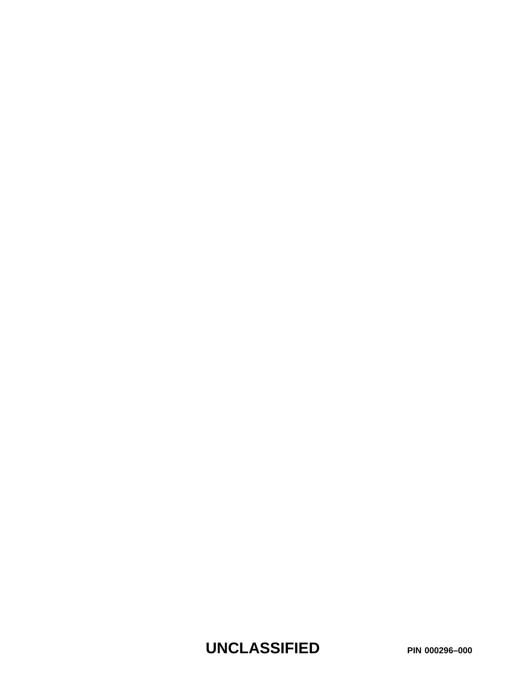**UNCLASSIFIED PIN 000296–000**